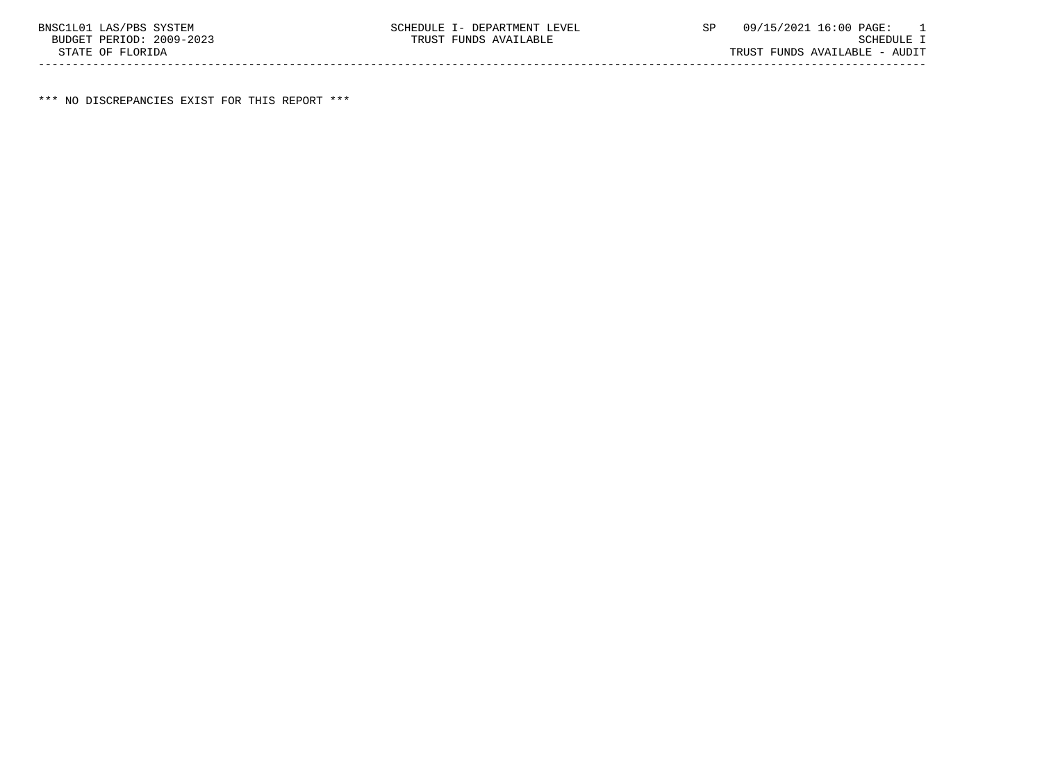\*\*\* NO DISCREPANCIES EXIST FOR THIS REPORT \*\*\*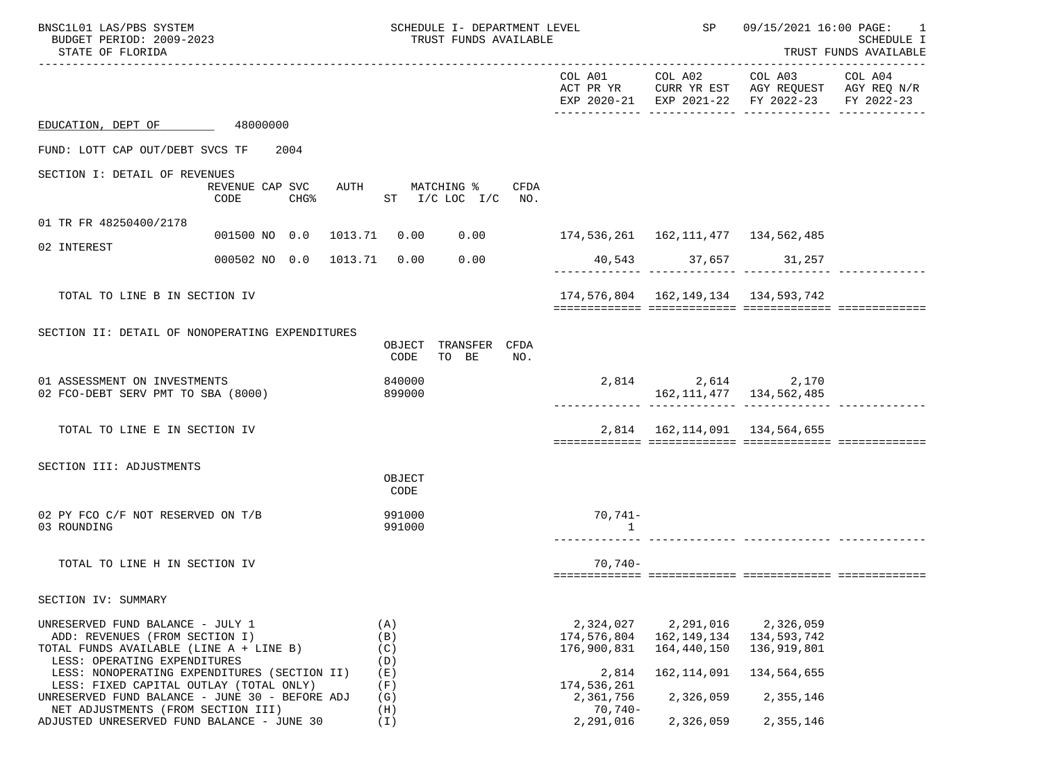| BNSC1L01 LAS/PBS SYSTEM<br>BUDGET PERIOD: 2009-2023<br>STATE OF FLORIDA                                                                                                                                                                                                                    |                                 | SCHEDULE I- DEPARTMENT LEVEL<br>TRUST FUNDS AVAILABLE       |                                                                              | SP                                                                    | 09/15/2021 16:00 PAGE:                                                                         | 1<br><b>SCHEDULE I</b><br>TRUST FUNDS AVAILABLE |
|--------------------------------------------------------------------------------------------------------------------------------------------------------------------------------------------------------------------------------------------------------------------------------------------|---------------------------------|-------------------------------------------------------------|------------------------------------------------------------------------------|-----------------------------------------------------------------------|------------------------------------------------------------------------------------------------|-------------------------------------------------|
|                                                                                                                                                                                                                                                                                            |                                 |                                                             |                                                                              | COL A01 COL A02                                                       | COL A03<br>ACT PR YR CURR YR EST AGY REQUEST AGY REQ N/R<br>EXP 2020-21 EXP 2021-22 FY 2022-23 | COL A04<br>FY 2022-23                           |
| EDUCATION, DEPT OF 48000000                                                                                                                                                                                                                                                                |                                 |                                                             |                                                                              |                                                                       |                                                                                                |                                                 |
| FUND: LOTT CAP OUT/DEBT SVCS TF                                                                                                                                                                                                                                                            | 2004                            |                                                             |                                                                              |                                                                       |                                                                                                |                                                 |
| SECTION I: DETAIL OF REVENUES                                                                                                                                                                                                                                                              | REVENUE CAP SVC<br>CODE         | AUTH MATCHING % CFDA<br>CHG <sup>2</sup> ST I/C LOC I/C NO. |                                                                              |                                                                       |                                                                                                |                                                 |
| 01 TR FR 48250400/2178                                                                                                                                                                                                                                                                     |                                 |                                                             |                                                                              |                                                                       |                                                                                                |                                                 |
| 02 INTEREST                                                                                                                                                                                                                                                                                | 001500 NO 0.0 1013.71 0.00 0.00 |                                                             | 174, 536, 261 162, 111, 477 134, 562, 485                                    |                                                                       |                                                                                                |                                                 |
|                                                                                                                                                                                                                                                                                            | 000502 NO 0.0 1013.71 0.00      | 0.00                                                        |                                                                              | 40,543 37,657 31,257                                                  |                                                                                                |                                                 |
| TOTAL TO LINE B IN SECTION IV                                                                                                                                                                                                                                                              |                                 |                                                             |                                                                              | 174,576,804  162,149,134  134,593,742                                 |                                                                                                |                                                 |
| SECTION II: DETAIL OF NONOPERATING EXPENDITURES                                                                                                                                                                                                                                            |                                 | OBJECT TRANSFER CFDA<br>CODE<br>TO BE<br>NO.                |                                                                              |                                                                       |                                                                                                |                                                 |
| 01 ASSESSMENT ON INVESTMENTS<br>02 FCO-DEBT SERV PMT TO SBA (8000)                                                                                                                                                                                                                         |                                 | 840000<br>899000                                            |                                                                              | 2,814 2,614 2,170<br>162, 111, 477 134, 562, 485                      |                                                                                                |                                                 |
| TOTAL TO LINE E IN SECTION IV                                                                                                                                                                                                                                                              |                                 |                                                             |                                                                              | 2,814 162,114,091 134,564,655                                         |                                                                                                |                                                 |
| SECTION III: ADJUSTMENTS                                                                                                                                                                                                                                                                   |                                 | OBJECT<br>CODE                                              |                                                                              |                                                                       |                                                                                                |                                                 |
| 02 PY FCO C/F NOT RESERVED ON T/B<br>03 ROUNDING                                                                                                                                                                                                                                           |                                 | 991000<br>991000                                            | 70,741-<br>$\overline{1}$                                                    |                                                                       |                                                                                                |                                                 |
| TOTAL TO LINE H IN SECTION IV                                                                                                                                                                                                                                                              |                                 |                                                             | $70,740-$                                                                    |                                                                       |                                                                                                |                                                 |
| SECTION IV: SUMMARY                                                                                                                                                                                                                                                                        |                                 |                                                             |                                                                              |                                                                       |                                                                                                |                                                 |
| UNRESERVED FUND BALANCE - JULY 1<br>ADD: REVENUES (FROM SECTION I)<br>TOTAL FUNDS AVAILABLE (LINE A + LINE B)<br>LESS: OPERATING EXPENDITURES<br>LESS: NONOPERATING EXPENDITURES (SECTION II)<br>LESS: FIXED CAPITAL OUTLAY (TOTAL ONLY)<br>UNRESERVED FUND BALANCE - JUNE 30 - BEFORE ADJ |                                 | (A)<br>(B)<br>(C)<br>(D)<br>(E)<br>(F)<br>(G)               | 2,324,027<br>174,576,804<br>176,900,831<br>2,814<br>174,536,261<br>2,361,756 | 2,291,016<br>162,149,134<br>164,440,150<br>162, 114, 091<br>2,326,059 | 2,326,059<br>134,593,742<br>136,919,801<br>134,564,655<br>2,355,146                            |                                                 |
| NET ADJUSTMENTS (FROM SECTION III)<br>ADJUSTED UNRESERVED FUND BALANCE - JUNE 30                                                                                                                                                                                                           |                                 | (H)<br>(T)                                                  | $70,740-$<br>2,291,016                                                       | 2,326,059                                                             | 2,355,146                                                                                      |                                                 |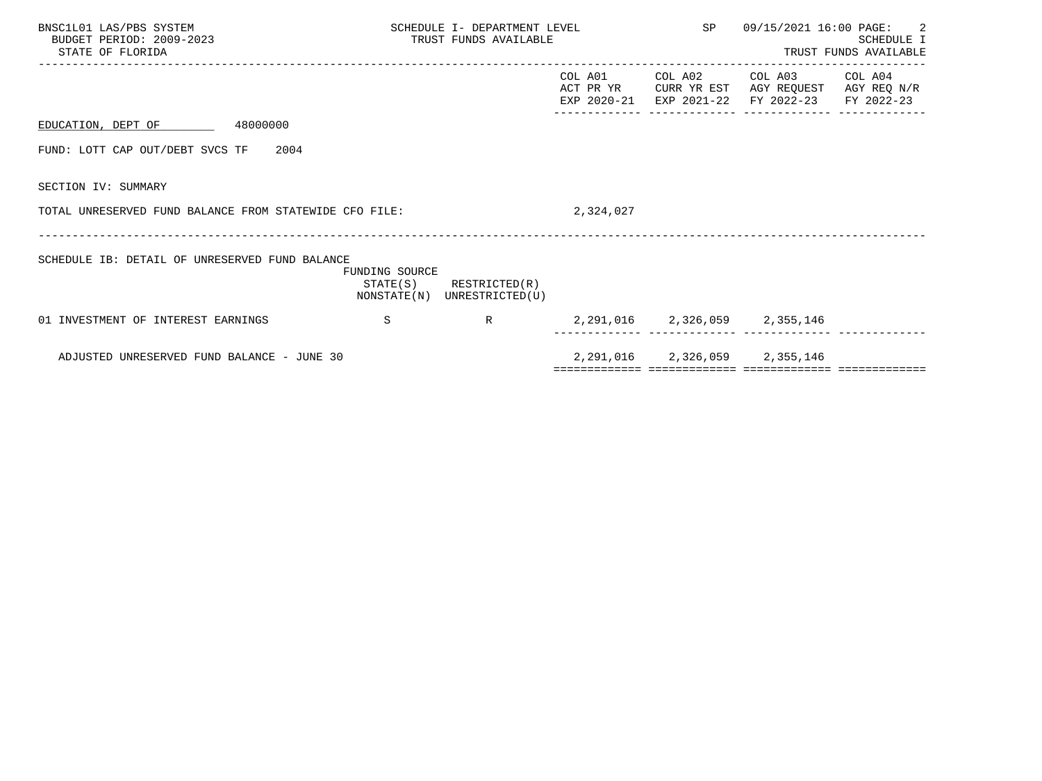| BNSC1L01 LAS/PBS SYSTEM<br>BUDGET PERIOD: 2009-2023<br>STATE OF FLORIDA |                | SCHEDULE I- DEPARTMENT LEVEL<br>TRUST FUNDS AVAILABLE      |           | SP 09/15/2021 16:00 PAGE: 2                                                                                               | SCHEDULE I<br>TRUST FUNDS AVAILABLE |
|-------------------------------------------------------------------------|----------------|------------------------------------------------------------|-----------|---------------------------------------------------------------------------------------------------------------------------|-------------------------------------|
|                                                                         |                |                                                            | COL A01   | COL A02 COL A03 COL A04<br>ACT PR YR CURR YR EST AGY REQUEST AGY REQ N/R<br>EXP 2020-21 EXP 2021-22 FY 2022-23 FY 2022-23 |                                     |
| EDUCATION, DEPT OF 48000000                                             |                |                                                            |           |                                                                                                                           |                                     |
| FUND: LOTT CAP OUT/DEBT SVCS TF 2004                                    |                |                                                            |           |                                                                                                                           |                                     |
| SECTION IV: SUMMARY                                                     |                |                                                            |           |                                                                                                                           |                                     |
| TOTAL UNRESERVED FUND BALANCE FROM STATEWIDE CFO FILE:                  |                |                                                            | 2,324,027 |                                                                                                                           |                                     |
| SCHEDULE IB: DETAIL OF UNRESERVED FUND BALANCE                          | FUNDING SOURCE | $STATE(S)$ RESTRICTED $(R)$<br>NONSTATE(N) UNRESTRICTED(U) |           |                                                                                                                           |                                     |
| 01 INVESTMENT OF INTEREST EARNINGS<br>$\mathbf S$                       |                | R                                                          |           | 2, 291, 016 2, 326, 059 2, 355, 146                                                                                       |                                     |
| ADJUSTED UNRESERVED FUND BALANCE - JUNE 30                              |                |                                                            |           | 2, 291, 016 2, 326, 059 2, 355, 146                                                                                       |                                     |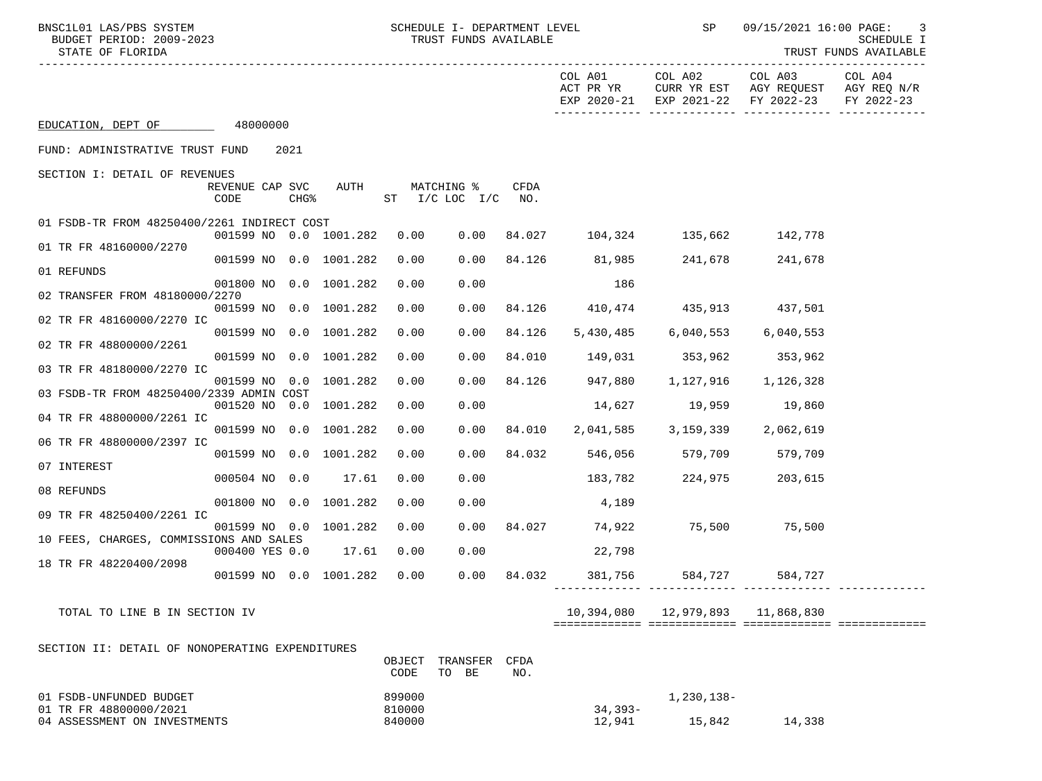| BNSC1L01 LAS/PBS SYSTEM<br>BUDGET PERIOD: 2009-2023<br>STATE OF FLORIDA |                         |  | SCHEDULE I- DEPARTMENT LEVEL<br>TRUST FUNDS AVAILABLE |                             |      |                                                       | SP          | 09/15/2021 16:00 PAGE:<br>3<br>SCHEDULE I<br>TRUST FUNDS AVAILABLE |                                        |                                                                          |                                      |
|-------------------------------------------------------------------------|-------------------------|--|-------------------------------------------------------|-----------------------------|------|-------------------------------------------------------|-------------|--------------------------------------------------------------------|----------------------------------------|--------------------------------------------------------------------------|--------------------------------------|
|                                                                         |                         |  |                                                       |                             |      |                                                       |             | COL A01<br>ACT PR YR                                               | COL A02                                | COL A03<br>CURR YR EST AGY REQUEST<br>EXP 2020-21 EXP 2021-22 FY 2022-23 | COL A04<br>AGY REQ N/R<br>FY 2022-23 |
| EDUCATION, DEPT OF 48000000                                             |                         |  |                                                       |                             |      |                                                       |             |                                                                    |                                        |                                                                          |                                      |
| FUND: ADMINISTRATIVE TRUST FUND                                         |                         |  | 2021                                                  |                             |      |                                                       |             |                                                                    |                                        |                                                                          |                                      |
| SECTION I: DETAIL OF REVENUES                                           | REVENUE CAP SVC<br>CODE |  |                                                       | AUTH                        |      | MATCHING %<br>CHG <sup>&amp;</sup> ST I/C LOC I/C NO. | CFDA        |                                                                    |                                        |                                                                          |                                      |
| 01 FSDB-TR FROM 48250400/2261 INDIRECT COST                             |                         |  |                                                       |                             |      |                                                       |             | 0.00 84.027 104,324 135,662 142,778                                |                                        |                                                                          |                                      |
| 01 TR FR 48160000/2270                                                  |                         |  |                                                       | 001599 NO 0.0 1001.282 0.00 |      |                                                       |             |                                                                    |                                        |                                                                          |                                      |
| 01 REFUNDS                                                              |                         |  |                                                       | 001599 NO 0.0 1001.282      | 0.00 | 0.00                                                  |             | 84.126 81,985 241,678                                              |                                        | 241,678                                                                  |                                      |
| 02 TRANSFER FROM 48180000/2270                                          |                         |  |                                                       | 001800 NO 0.0 1001.282      | 0.00 | 0.00                                                  |             | 186                                                                |                                        |                                                                          |                                      |
| 02 TR FR 48160000/2270 IC                                               |                         |  |                                                       | 001599 NO 0.0 1001.282      | 0.00 | 0.00                                                  |             | 84.126 410,474 435,913 437,501                                     |                                        |                                                                          |                                      |
|                                                                         |                         |  |                                                       | 001599 NO 0.0 1001.282      | 0.00 | 0.00                                                  | 84.126      | 5,430,485                                                          |                                        | 6,040,553 6,040,553                                                      |                                      |
| 02 TR FR 48800000/2261                                                  |                         |  |                                                       | 001599 NO 0.0 1001.282      | 0.00 | 0.00                                                  |             | 84.010 149,031 353,962 353,962                                     |                                        |                                                                          |                                      |
| 03 TR FR 48180000/2270 IC                                               |                         |  |                                                       | 001599 NO 0.0 1001.282      | 0.00 | 0.00                                                  |             | 84.126 947,880 1,127,916 1,126,328                                 |                                        |                                                                          |                                      |
| 03 FSDB-TR FROM 48250400/2339 ADMIN COST                                |                         |  |                                                       | 001520 NO 0.0 1001.282      | 0.00 | 0.00                                                  |             | $14,627$ $19,959$ $19,860$                                         |                                        |                                                                          |                                      |
| 04 TR FR 48800000/2261 IC                                               |                         |  |                                                       | 001599 NO 0.0 1001.282      | 0.00 | 0.00                                                  | 84.010      |                                                                    | 2,041,585 3,159,339 2,062,619          |                                                                          |                                      |
| 06 TR FR 48800000/2397 IC                                               |                         |  |                                                       |                             |      |                                                       |             |                                                                    |                                        |                                                                          |                                      |
| 07 INTEREST                                                             |                         |  |                                                       | 001599 NO 0.0 1001.282      | 0.00 | 0.00                                                  |             | 84.032 546,056 579,709 579,709                                     |                                        |                                                                          |                                      |
| 08 REFUNDS                                                              |                         |  |                                                       | 000504 NO 0.0 17.61         | 0.00 | 0.00                                                  |             |                                                                    | 183,782 224,975                        | 203,615                                                                  |                                      |
| 09 TR FR 48250400/2261 IC                                               |                         |  |                                                       | 001800 NO 0.0 1001.282      | 0.00 | 0.00                                                  |             | 4,189                                                              |                                        |                                                                          |                                      |
|                                                                         |                         |  |                                                       | 001599 NO 0.0 1001.282      | 0.00 |                                                       |             | $0.00$ 84.027 74,922 75,500 75,500                                 |                                        |                                                                          |                                      |
| 10 FEES, CHARGES, COMMISSIONS AND SALES                                 | 000400 YES 0.0          |  |                                                       | 17.61                       | 0.00 | 0.00                                                  |             | 22,798                                                             |                                        |                                                                          |                                      |
| 18 TR FR 48220400/2098                                                  |                         |  |                                                       | 001599 NO 0.0 1001.282      | 0.00 |                                                       | 0.00 84.032 | 381,756                                                            | 584,727                                | 584,727                                                                  |                                      |
| TOTAL TO LINE B IN SECTION IV                                           |                         |  |                                                       |                             |      |                                                       |             |                                                                    | 10,394,080    12,979,893    11,868,830 |                                                                          |                                      |
| SECTION II: DETAIL OF NONOPERATING EXPENDITURES                         |                         |  |                                                       |                             | CODE | OBJECT TRANSFER CFDA<br>TO BE                         | NO.         |                                                                    |                                        |                                                                          |                                      |
|                                                                         |                         |  |                                                       |                             |      |                                                       |             |                                                                    |                                        |                                                                          |                                      |

| 01 FSDB-UNFUNDED BUDGET      | 899000 |            | ⊥,230,138- |        |
|------------------------------|--------|------------|------------|--------|
| 01 TR FR 48800000/2021       | 810000 | $34.393 -$ |            |        |
| 04 ASSESSMENT ON INVESTMENTS | 840000 | 12,941     | 15,842     | 14,338 |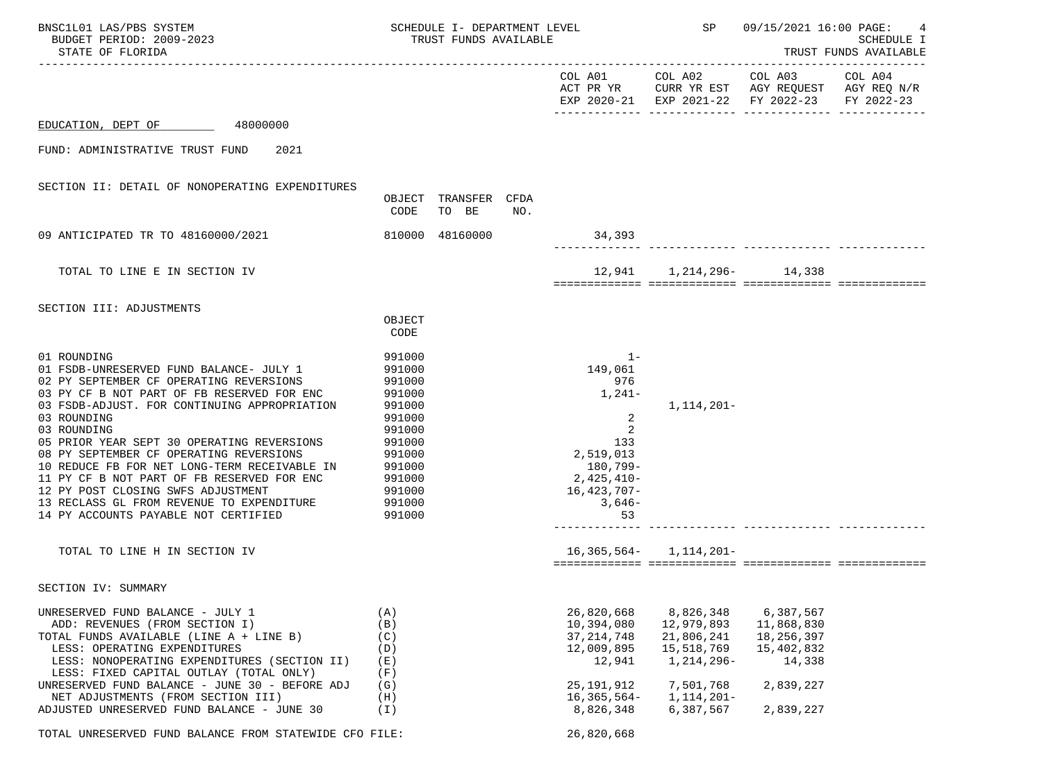| BNSC1L01 LAS/PBS SYSTEM<br>BUDGET PERIOD: 2009-2023<br>STATE OF FLORIDA                                                                                                                                                                                                                                                              | SCHEDULE I- DEPARTMENT LEVEL<br>TRUST FUNDS AVAILABLE                      |                               |     |                                                                                  | SP                                                                | 09/15/2021 16:00 PAGE:<br>SCHEDULE I<br>TRUST FUNDS AVAILABLE                                                                       |                       |  |
|--------------------------------------------------------------------------------------------------------------------------------------------------------------------------------------------------------------------------------------------------------------------------------------------------------------------------------------|----------------------------------------------------------------------------|-------------------------------|-----|----------------------------------------------------------------------------------|-------------------------------------------------------------------|-------------------------------------------------------------------------------------------------------------------------------------|-----------------------|--|
|                                                                                                                                                                                                                                                                                                                                      |                                                                            |                               |     |                                                                                  |                                                                   | COL A01 COL A02 COL A03<br>ACT PR YR $\,$ CURR YR EST $\,$ AGY REQUEST $\,$ AGY REQ $\rm N/R$<br>EXP 2020-21 EXP 2021-22 FY 2022-23 | COL A04<br>FY 2022-23 |  |
| 48000000<br>EDUCATION, DEPT OF                                                                                                                                                                                                                                                                                                       |                                                                            |                               |     |                                                                                  |                                                                   |                                                                                                                                     |                       |  |
| 2021<br>FUND: ADMINISTRATIVE TRUST FUND                                                                                                                                                                                                                                                                                              |                                                                            |                               |     |                                                                                  |                                                                   |                                                                                                                                     |                       |  |
| SECTION II: DETAIL OF NONOPERATING EXPENDITURES                                                                                                                                                                                                                                                                                      | CODE                                                                       | OBJECT TRANSFER CFDA<br>TO BE | NO. |                                                                                  |                                                                   |                                                                                                                                     |                       |  |
| 09 ANTICIPATED TR TO 48160000/2021                                                                                                                                                                                                                                                                                                   |                                                                            | 810000 48160000               |     | 34,393                                                                           |                                                                   |                                                                                                                                     |                       |  |
| TOTAL TO LINE E IN SECTION IV                                                                                                                                                                                                                                                                                                        |                                                                            |                               |     |                                                                                  | 12,941 1,214,296- 14,338                                          |                                                                                                                                     |                       |  |
| SECTION III: ADJUSTMENTS<br>01 ROUNDING<br>01 FSDB-UNRESERVED FUND BALANCE- JULY 1<br>02 PY SEPTEMBER CF OPERATING REVERSIONS<br>03 PY CF B NOT PART OF FB RESERVED FOR ENC<br>03 FSDB-ADJUST. FOR CONTINUING APPROPRIATION<br>03 ROUNDING                                                                                           | OBJECT<br>CODE<br>991000<br>991000<br>991000<br>991000<br>991000<br>991000 |                               |     | $1 -$<br>149,061<br>976<br>1,241-<br>2                                           | 1,114,201-                                                        |                                                                                                                                     |                       |  |
| 03 ROUNDING<br>05 PRIOR YEAR SEPT 30 OPERATING REVERSIONS<br>08 PY SEPTEMBER CF OPERATING REVERSIONS<br>10 REDUCE FB FOR NET LONG-TERM RECEIVABLE IN<br>11 PY CF B NOT PART OF FB RESERVED FOR ENC<br>12 PY POST CLOSING SWFS ADJUSTMENT<br>13 RECLASS GL FROM REVENUE TO EXPENDITURE 991000<br>14 PY ACCOUNTS PAYABLE NOT CERTIFIED | 991000<br>991000<br>991000<br>991000<br>991000<br>991000<br>991000         |                               |     | 2<br>133<br>2,519,013<br>180,799-<br>2,425,410-<br>16,423,707-<br>$3,646-$<br>53 |                                                                   |                                                                                                                                     |                       |  |
| TOTAL TO LINE H IN SECTION IV                                                                                                                                                                                                                                                                                                        |                                                                            |                               |     |                                                                                  | $16,365,564 - 1,114,201 -$                                        |                                                                                                                                     |                       |  |
| SECTION IV: SUMMARY                                                                                                                                                                                                                                                                                                                  |                                                                            |                               |     |                                                                                  |                                                                   |                                                                                                                                     |                       |  |
| UNRESERVED FUND BALANCE - JULY 1<br>ADD: REVENUES (FROM SECTION I)<br>TOTAL FUNDS AVAILABLE (LINE A + LINE B)<br>LESS: OPERATING EXPENDITURES<br>LESS: NONOPERATING EXPENDITURES (SECTION II)<br>LESS: FIXED CAPITAL OUTLAY (TOTAL ONLY)                                                                                             | (A)<br>(B)<br>(C)<br>(D)<br>(E)<br>(F)                                     |                               |     | 26,820,668<br>10,394,080<br>37, 214, 748<br>12,009,895<br>12,941                 | 8,826,348<br>12,979,893<br>21,806,241<br>15,518,769<br>1,214,296- | 6,387,567<br>11,868,830<br>18,256,397<br>15,402,832<br>14,338                                                                       |                       |  |
| UNRESERVED FUND BALANCE - JUNE 30 - BEFORE ADJ<br>NET ADJUSTMENTS (FROM SECTION III)<br>ADJUSTED UNRESERVED FUND BALANCE - JUNE 30                                                                                                                                                                                                   | (G)<br>(H)<br>$(\top)$                                                     |                               |     | 25, 191, 912<br>$16,365,564-$<br>8,826,348                                       | 7,501,768<br>1,114,201-<br>6,387,567                              | 2,839,227<br>2,839,227                                                                                                              |                       |  |
| TOTAL UNRESERVED FUND BALANCE FROM STATEWIDE CFO FILE:                                                                                                                                                                                                                                                                               |                                                                            |                               |     | 26,820,668                                                                       |                                                                   |                                                                                                                                     |                       |  |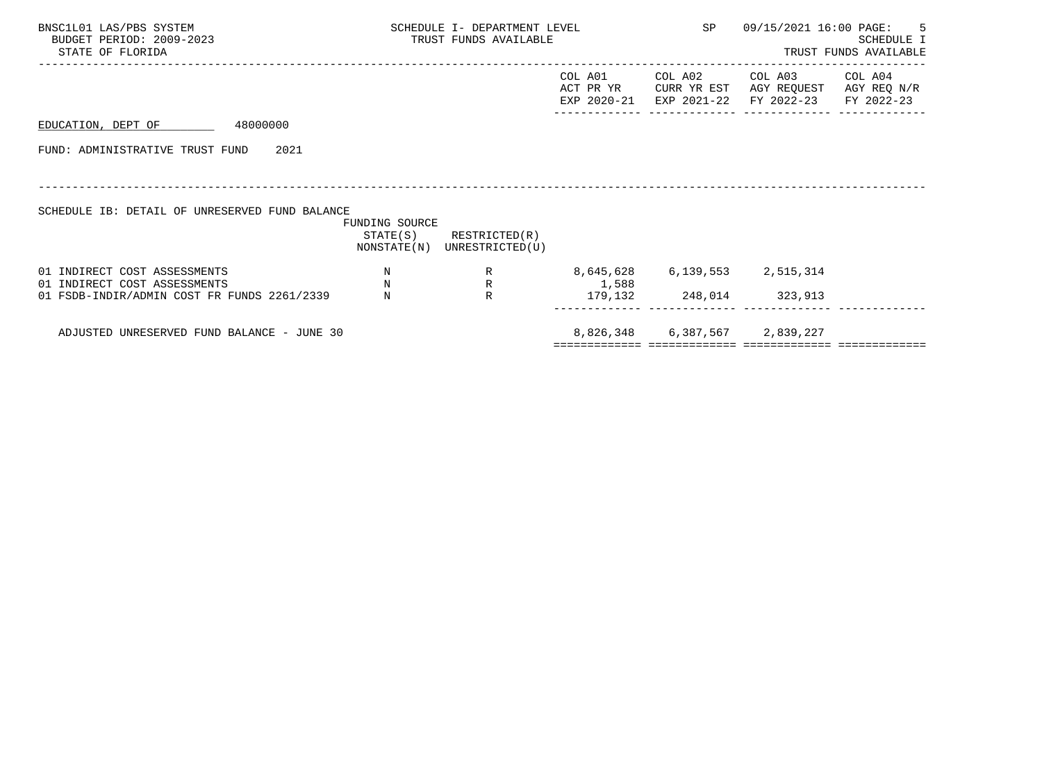| BNSC1L01 LAS/PBS SYSTEM<br>BUDGET PERIOD: 2009-2023<br>STATE OF FLORIDA                                     |                                         | SCHEDULE I- DEPARTMENT LEVEL<br>TRUST FUNDS AVAILABLE      |                                          | SP                            | 09/15/2021 16:00 PAGE:                                                                         | -5<br>SCHEDULE I<br>TRUST FUNDS AVAILABLE |
|-------------------------------------------------------------------------------------------------------------|-----------------------------------------|------------------------------------------------------------|------------------------------------------|-------------------------------|------------------------------------------------------------------------------------------------|-------------------------------------------|
|                                                                                                             |                                         |                                                            | COL A01                                  | COL A02                       | COL A03<br>ACT PR YR CURR YR EST AGY REQUEST AGY REQ N/R<br>EXP 2020-21 EXP 2021-22 FY 2022-23 | COL A04<br>FY 2022-23                     |
| 48000000<br>EDUCATION, DEPT OF                                                                              |                                         |                                                            |                                          |                               |                                                                                                |                                           |
| FUND: ADMINISTRATIVE TRUST FUND<br>2021                                                                     |                                         |                                                            |                                          |                               |                                                                                                |                                           |
| SCHEDULE IB: DETAIL OF UNRESERVED FUND BALANCE                                                              | FUNDING SOURCE                          | $STATE(S)$ RESTRICTED $(R)$<br>NONSTATE(N) UNRESTRICTED(U) |                                          |                               |                                                                                                |                                           |
| 01 INDIRECT COST ASSESSMENTS<br>01 INDIRECT COST ASSESSMENTS<br>01 FSDB-INDIR/ADMIN COST FR FUNDS 2261/2339 | $\mathbf N$<br>$_{\rm N}$<br>$_{\rm N}$ | R<br>$\mathbb{R}$                                          | R 8,645,628 6,139,553 2,515,314<br>1,588 | 179, 132 248, 014 323, 913    |                                                                                                |                                           |
| ADJUSTED UNRESERVED FUND BALANCE - JUNE 30                                                                  |                                         |                                                            | ================================         | 8,826,348 6,387,567 2,839,227 |                                                                                                |                                           |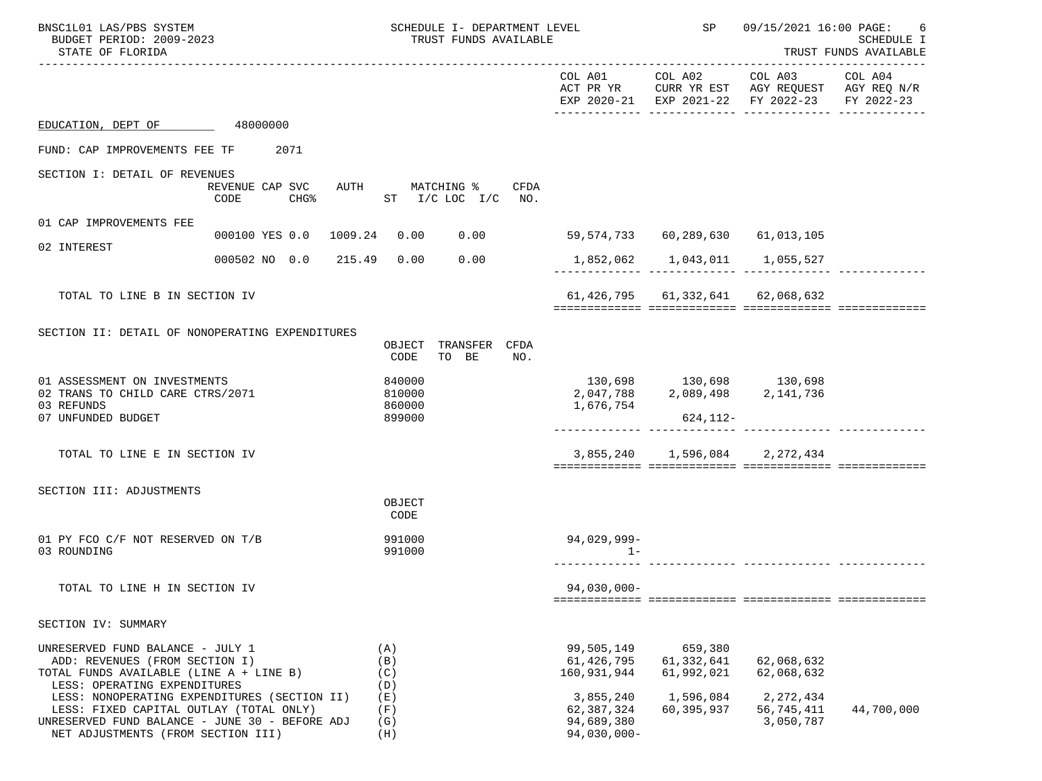| BNSC1L01 LAS/PBS SYSTEM<br>BUDGET PERIOD: 2009-2023<br>STATE OF FLORIDA                                                                                                                       |                             | SCHEDULE I- DEPARTMENT LEVEL<br>TRUST FUNDS AVAILABLE          |                                                      | SP                                                         | 09/15/2021 16:00 PAGE:                                                                                 | 6<br>SCHEDULE I<br>TRUST FUNDS AVAILABLE |
|-----------------------------------------------------------------------------------------------------------------------------------------------------------------------------------------------|-----------------------------|----------------------------------------------------------------|------------------------------------------------------|------------------------------------------------------------|--------------------------------------------------------------------------------------------------------|------------------------------------------|
|                                                                                                                                                                                               |                             |                                                                |                                                      | COL A01 COL A02                                            | COL A03 COL A04<br>ACT PR YR CURR YR EST AGY REQUEST AGY REQ N/R<br>EXP 2020-21 EXP 2021-22 FY 2022-23 | FY 2022-23                               |
| EDUCATION, DEPT OF 48000000                                                                                                                                                                   |                             |                                                                |                                                      |                                                            |                                                                                                        |                                          |
| FUND: CAP IMPROVEMENTS FEE TF                                                                                                                                                                 | 2071                        |                                                                |                                                      |                                                            |                                                                                                        |                                          |
| SECTION I: DETAIL OF REVENUES                                                                                                                                                                 | REVENUE CAP SVC<br>CODE     | AUTH MATCHING %<br>CFDA<br>CHG <sup>%</sup> ST I/C LOC I/C NO. |                                                      |                                                            |                                                                                                        |                                          |
| 01 CAP IMPROVEMENTS FEE                                                                                                                                                                       |                             |                                                                |                                                      |                                                            |                                                                                                        |                                          |
| 02 INTEREST                                                                                                                                                                                   | 000100 YES 0.0 1009.24 0.00 | 0.00                                                           |                                                      |                                                            |                                                                                                        |                                          |
|                                                                                                                                                                                               | 000502 NO 0.0 215.49 0.00   | 0.00                                                           |                                                      | 1,852,062    1,043,011    1,055,527                        |                                                                                                        |                                          |
| TOTAL TO LINE B IN SECTION IV                                                                                                                                                                 |                             |                                                                |                                                      | 61, 426, 795 61, 332, 641 62, 068, 632                     |                                                                                                        |                                          |
| SECTION II: DETAIL OF NONOPERATING EXPENDITURES                                                                                                                                               |                             | OBJECT TRANSFER CFDA<br>TO BE<br>CODE<br>NO.                   |                                                      |                                                            |                                                                                                        |                                          |
| 01 ASSESSMENT ON INVESTMENTS<br>02 TRANS TO CHILD CARE CTRS/2071<br>03 REFUNDS<br>07 UNFUNDED BUDGET                                                                                          |                             | 840000<br>810000<br>860000<br>899000                           | 1,676,754                                            | $130,698$<br>2,047,788 2,089,498 2,141,736<br>$624, 112 -$ |                                                                                                        |                                          |
| TOTAL TO LINE E IN SECTION IV                                                                                                                                                                 |                             |                                                                |                                                      | 3,855,240 1,596,084 2,272,434                              |                                                                                                        |                                          |
| SECTION III: ADJUSTMENTS                                                                                                                                                                      |                             | OBJECT<br>CODE                                                 |                                                      |                                                            |                                                                                                        |                                          |
| 01 PY FCO C/F NOT RESERVED ON T/B<br>03 ROUNDING                                                                                                                                              |                             | 991000<br>991000                                               | 94,029,999-<br>$1 -$                                 |                                                            |                                                                                                        |                                          |
| TOTAL TO LINE H IN SECTION IV                                                                                                                                                                 |                             |                                                                | 94,030,000-                                          |                                                            |                                                                                                        |                                          |
| SECTION IV: SUMMARY                                                                                                                                                                           |                             |                                                                |                                                      |                                                            |                                                                                                        |                                          |
| UNRESERVED FUND BALANCE - JULY 1<br>ADD: REVENUES (FROM SECTION I)<br>TOTAL FUNDS AVAILABLE (LINE A + LINE B)<br>LESS: OPERATING EXPENDITURES<br>LESS: NONOPERATING EXPENDITURES (SECTION II) |                             | (A)<br>(B)<br>(C)<br>(D)<br>(E)                                | 99,505,149<br>61,426,795<br>160,931,944<br>3,855,240 | 659,380<br>61,332,641<br>61,992,021<br>1,596,084           | 62,068,632<br>62,068,632<br>2, 272, 434                                                                |                                          |
| LESS: FIXED CAPITAL OUTLAY (TOTAL ONLY)<br>UNRESERVED FUND BALANCE - JUNE 30 - BEFORE ADJ<br>NET ADJUSTMENTS (FROM SECTION III)                                                               |                             | (F)<br>(G)<br>(H)                                              | 62,387,324<br>94,689,380<br>$94,030,000 -$           | 60,395,937                                                 | 56,745,411<br>3,050,787                                                                                | 44,700,000                               |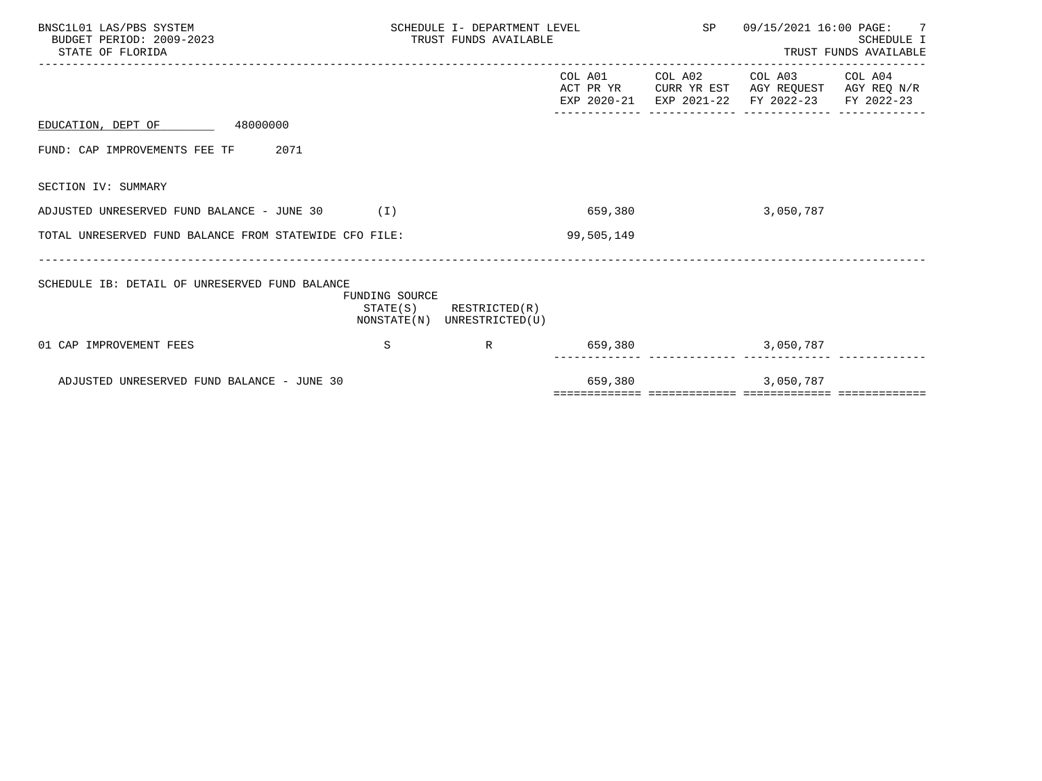| BNSC1L01 LAS/PBS SYSTEM<br>BUDGET PERIOD: 2009-2023<br>STATE OF FLORIDA |                | SCHEDULE I- DEPARTMENT LEVEL<br>TRUST FUNDS AVAILABLE      |                          | SP                             | 09/15/2021 16:00 PAGE: 7                                             | <b>SCHEDULE I</b><br>TRUST FUNDS AVAILABLE |
|-------------------------------------------------------------------------|----------------|------------------------------------------------------------|--------------------------|--------------------------------|----------------------------------------------------------------------|--------------------------------------------|
|                                                                         |                |                                                            | ACT PR YR<br>EXP 2020-21 | COL A01 COL A02<br>EXP 2021-22 | COL A03 COL A04<br>CURR YR EST AGY REQUEST AGY REQ N/R<br>FY 2022-23 | FY 2022-23                                 |
| EDUCATION, DEPT OF 48000000                                             |                |                                                            |                          |                                |                                                                      |                                            |
| 2071<br>FUND: CAP IMPROVEMENTS FEE TF                                   |                |                                                            |                          |                                |                                                                      |                                            |
| SECTION IV: SUMMARY                                                     |                |                                                            |                          |                                |                                                                      |                                            |
| ADJUSTED UNRESERVED FUND BALANCE - JUNE 30                              | (1)            |                                                            | 659,380                  |                                | 3,050,787                                                            |                                            |
| TOTAL UNRESERVED FUND BALANCE FROM STATEWIDE CFO FILE:                  |                |                                                            | 99,505,149               |                                |                                                                      |                                            |
| SCHEDULE IB: DETAIL OF UNRESERVED FUND BALANCE                          | FUNDING SOURCE | $STATE(S)$ RESTRICTED $(R)$<br>NONSTATE(N) UNRESTRICTED(U) |                          |                                |                                                                      |                                            |
| 01 CAP IMPROVEMENT FEES                                                 | S              | $\mathbb R$                                                |                          | 659,380                        | 3,050,787                                                            |                                            |
| ADJUSTED UNRESERVED FUND BALANCE - JUNE 30                              |                |                                                            | 659,380                  |                                | 3,050,787                                                            |                                            |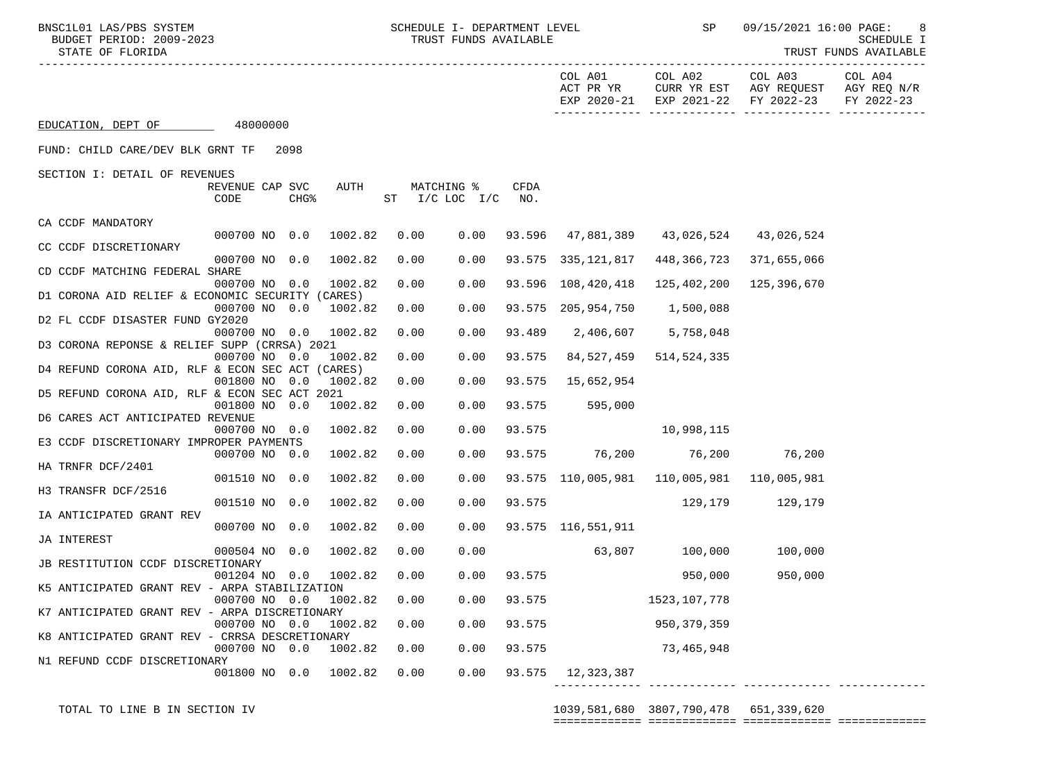BNSC1L01 LAS/PBS SYSTEM SCHEDULE I- DEPARTMENT LEVEL SP 09/15/2021 16:00 PAGE: 8<br>BIDGET PERIOD: 2009-2023 SCHEDULE TRIS AVAILARLE

| BUDGET PERIOD: 2009-2023<br>STATE OF FLORIDA     |                         |                  | TRUST FUNDS AVAILABLE | SCHEDULE I<br>TRUST FUNDS AVAILABLE |                                  |             |                              |                                               |                                    |                                      |
|--------------------------------------------------|-------------------------|------------------|-----------------------|-------------------------------------|----------------------------------|-------------|------------------------------|-----------------------------------------------|------------------------------------|--------------------------------------|
|                                                  |                         |                  |                       |                                     |                                  |             | COL A01<br>ACT PR YR         | COL A02<br>EXP 2020-21 EXP 2021-22 FY 2022-23 | COL A03<br>CURR YR EST AGY REQUEST | COL A04<br>AGY REQ N/R<br>FY 2022-23 |
| EDUCATION, DEPT OF 48000000                      |                         |                  |                       |                                     |                                  |             |                              |                                               |                                    |                                      |
| FUND: CHILD CARE/DEV BLK GRNT TF 2098            |                         |                  |                       |                                     |                                  |             |                              |                                               |                                    |                                      |
| SECTION I: DETAIL OF REVENUES                    |                         |                  |                       |                                     |                                  |             |                              |                                               |                                    |                                      |
|                                                  | REVENUE CAP SVC<br>CODE | CHG <sup>8</sup> | AUTH                  |                                     | MATCHING %<br>ST I/C LOC I/C NO. | <b>CFDA</b> |                              |                                               |                                    |                                      |
| CA CCDF MANDATORY                                | 000700 NO 0.0           |                  | 1002.82               |                                     | 0.00                             |             |                              |                                               |                                    |                                      |
| CC CCDF DISCRETIONARY                            |                         |                  |                       | 0.00                                |                                  |             |                              | 93.596 47,881,389 43,026,524 43,026,524       |                                    |                                      |
|                                                  | 000700 NO 0.0           |                  | 1002.82               | 0.00                                | 0.00                             |             |                              | 93.575 335,121,817 448,366,723 371,655,066    |                                    |                                      |
| CD CCDF MATCHING FEDERAL SHARE                   |                         |                  |                       |                                     |                                  |             |                              |                                               |                                    |                                      |
|                                                  | 000700 NO 0.0           |                  | 1002.82               | 0.00                                | 0.00                             |             |                              | 93.596 108,420,418 125,402,200                | 125,396,670                        |                                      |
| D1 CORONA AID RELIEF & ECONOMIC SECURITY (CARES) | 000700 NO 0.0           |                  | 1002.82               | 0.00                                | 0.00                             |             | 93.575 205,954,750 1,500,088 |                                               |                                    |                                      |
| D2 FL CCDF DISASTER FUND GY2020                  |                         |                  |                       |                                     |                                  |             |                              |                                               |                                    |                                      |
|                                                  | 000700 NO 0.0           |                  | 1002.82               | 0.00                                | 0.00                             |             | 93.489 2,406,607 5,758,048   |                                               |                                    |                                      |
| D3 CORONA REPONSE & RELIEF SUPP (CRRSA) 2021     |                         |                  |                       |                                     |                                  |             |                              |                                               |                                    |                                      |
|                                                  | 000700 NO 0.0           |                  | 1002.82               | 0.00                                | 0.00                             |             | 93.575 84,527,459            | 514,524,335                                   |                                    |                                      |
| D4 REFUND CORONA AID, RLF & ECON SEC ACT (CARES) |                         |                  |                       |                                     |                                  |             |                              |                                               |                                    |                                      |
| D5 REFUND CORONA AID, RLF & ECON SEC ACT 2021    | 001800 NO 0.0           |                  | 1002.82               | 0.00                                | 0.00                             |             | 93.575 15,652,954            |                                               |                                    |                                      |
|                                                  | 001800 NO 0.0           |                  | 1002.82               | 0.00                                | 0.00                             |             | 93.575 595,000               |                                               |                                    |                                      |
| D6 CARES ACT ANTICIPATED REVENUE                 |                         |                  |                       |                                     |                                  |             |                              |                                               |                                    |                                      |
|                                                  | 000700 NO 0.0           |                  | 1002.82               | 0.00                                | 0.00                             |             | 93.575                       | 10,998,115                                    |                                    |                                      |
| E3 CCDF DISCRETIONARY IMPROPER PAYMENTS          |                         |                  |                       |                                     |                                  |             |                              |                                               |                                    |                                      |
|                                                  | 000700 NO 0.0           |                  | 1002.82               | 0.00                                | 0.00                             |             |                              | 93.575 76,200 76,200 76,200                   |                                    |                                      |
| HA TRNFR DCF/2401                                | 001510 NO 0.0           |                  | 1002.82               | 0.00                                | 0.00                             |             |                              | 93.575 110,005,981 110,005,981 110,005,981    |                                    |                                      |
| H3 TRANSFR DCF/2516                              |                         |                  |                       |                                     |                                  |             |                              |                                               |                                    |                                      |
|                                                  | 001510 NO 0.0           |                  | 1002.82               | 0.00                                | 0.00                             | 93.575      |                              |                                               | 129,179 129,179                    |                                      |
| IA ANTICIPATED GRANT REV                         |                         |                  |                       |                                     |                                  |             |                              |                                               |                                    |                                      |
|                                                  | 000700 NO 0.0           |                  | 1002.82               | 0.00                                | 0.00                             |             | 93.575 116,551,911           |                                               |                                    |                                      |
| JA INTEREST                                      |                         |                  |                       |                                     |                                  |             |                              |                                               |                                    |                                      |
| JB RESTITUTION CCDF DISCRETIONARY                | 000504 NO 0.0           |                  | 1002.82               | 0.00                                | 0.00                             |             |                              | $63,807$ 100,000                              | 100,000                            |                                      |
|                                                  | 001204 NO 0.0           |                  | 1002.82               | 0.00                                | 0.00                             |             | 93.575                       | 950,000                                       | 950,000                            |                                      |
| K5 ANTICIPATED GRANT REV - ARPA STABILIZATION    |                         |                  |                       |                                     |                                  |             |                              |                                               |                                    |                                      |
|                                                  | 000700 NO 0.0           |                  | 1002.82               | 0.00                                | 0.00                             | 93.575      |                              | 1523,107,778                                  |                                    |                                      |
| K7 ANTICIPATED GRANT REV - ARPA DISCRETIONARY    |                         |                  |                       |                                     |                                  |             |                              |                                               |                                    |                                      |
|                                                  | 000700 NO 0.0           |                  | 1002.82               | 0.00                                | 0.00                             | 93.575      |                              | 950, 379, 359                                 |                                    |                                      |

 001800 NO 0.0 1002.82 0.00 0.00 93.575 12,323,387 ------------- ------------- ------------- -------------

000700 NO 0.0 1002.82 0.00 0.00 93.575 73,465,948

N1 REFUND CCDF DISCRETIONARY

K8 ANTICIPATED GRANT REV - CRRSA DESCRETIONARY<br>000700 NO 0.0 1002.82 0.00

 TOTAL TO LINE B IN SECTION IV 1039,581,680 3807,790,478 651,339,620 ============= ============= ============= =============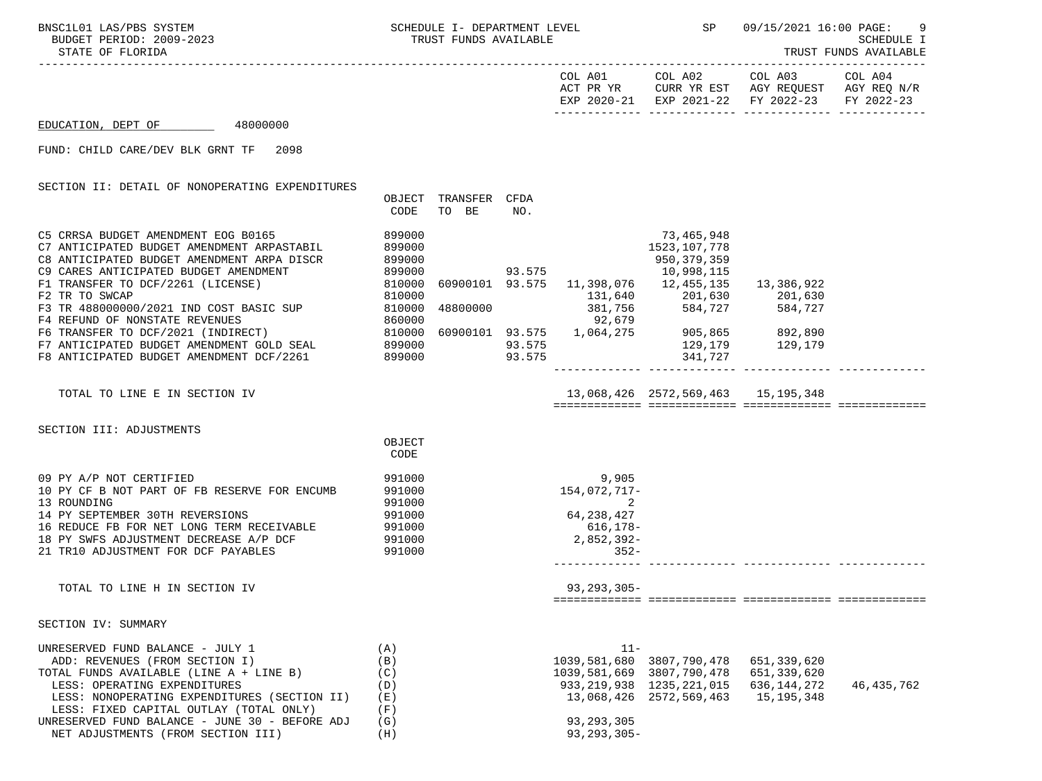|                    |          | COL A01     | COL A02 | COL A03                           | COL A04     |
|--------------------|----------|-------------|---------|-----------------------------------|-------------|
|                    |          | ACT PR YR   |         | CURR YR EST AGY REOUEST           | AGY REO N/R |
|                    |          | EXP 2020-21 |         | EXP 2021-22 FY 2022-23 FY 2022-23 |             |
|                    |          |             |         |                                   |             |
| EDUCATION, DEPT OF | 48000000 |             |         |                                   |             |

EDUCATION, DEPT OF 48000000

FUND: CHILD CARE/DEV BLK GRNT TF 2098

SECTION II: DETAIL OF NONOPERATING EXPENDITURES

|                                            | OBJECT | TRANSFER | CFDA   |            |                |            |  |
|--------------------------------------------|--------|----------|--------|------------|----------------|------------|--|
|                                            | CODE   | BE<br>TO | NO.    |            |                |            |  |
| C5 CRRSA BUDGET AMENDMENT EOG B0165        | 899000 |          |        |            | 73,465,948     |            |  |
| C7 ANTICIPATED BUDGET AMENDMENT ARPASTABIL | 899000 |          |        |            | 1523, 107, 778 |            |  |
| C8 ANTICIPATED BUDGET AMENDMENT ARPA DISCR | 899000 |          |        |            | 950, 379, 359  |            |  |
| C9 CARES ANTICIPATED BUDGET AMENDMENT      | 899000 |          | 93.575 |            | 10,998,115     |            |  |
| F1 TRANSFER TO DCF/2261 (LICENSE)          | 810000 | 60900101 | 93.575 | 11,398,076 | 12,455,135     | 13,386,922 |  |
| F2 TR TO SWCAP                             | 810000 |          |        | 131,640    | 201,630        | 201,630    |  |
| F3 TR 488000000/2021 IND COST BASIC SUP    | 810000 | 48800000 |        | 381,756    | 584,727        | 584,727    |  |
| F4 REFUND OF NONSTATE REVENUES             | 860000 |          |        | 92,679     |                |            |  |
| F6 TRANSFER TO DCF/2021 (INDIRECT)         | 810000 | 60900101 | 93.575 | 1,064,275  | 905,865        | 892,890    |  |
| F7 ANTICIPATED BUDGET AMENDMENT GOLD SEAL  | 899000 |          | 93.575 |            | 129,179        | 129,179    |  |
| F8 ANTICIPATED BUDGET AMENDMENT DCF/2261   | 899000 |          | 93.575 |            | 341,727        |            |  |
|                                            |        |          |        |            |                |            |  |

TOTAL TO LINE E IN SECTION IV 13,068,426 2572,569,463 15,195,348

============= ============= ============= =============

SECTION III: ADJUSTMENTS

|                                              | OBJECT<br>CODE |                  |  |  |
|----------------------------------------------|----------------|------------------|--|--|
| 09 PY A/P NOT CERTIFIED                      | 991000         | 9,905            |  |  |
| 10 PY CF B NOT PART OF FB RESERVE FOR ENCUMB | 991000         | 154,072,717-     |  |  |
| 13 ROUNDING                                  | 991000         |                  |  |  |
| 14 PY SEPTEMBER 30TH REVERSIONS              | 991000         | 64,238,427       |  |  |
| 16 REDUCE FB FOR NET LONG TERM RECEIVABLE    | 991000         | $616, 178 -$     |  |  |
| 18 PY SWFS ADJUSTMENT DECREASE A/P DCF       | 991000         | $2,852,392-$     |  |  |
| 21 TR10 ADJUSTMENT FOR DCF PAYABLES          | 991000         | $352 -$          |  |  |
|                                              |                |                  |  |  |
| TOTAL TO LINE H IN SECTION IV                |                | $93, 293, 305 -$ |  |  |
|                                              |                |                  |  |  |

SECTION IV: SUMMARY

| UNRESERVED FUND BALANCE - JULY 1               | (A)  |                  |                              |             |            |
|------------------------------------------------|------|------------------|------------------------------|-------------|------------|
| ADD: REVENUES (FROM SECTION I)                 | (B)  |                  | 1039,581,680 3807,790,478    | 651,339,620 |            |
| TOTAL FUNDS AVAILABLE (LINE A + LINE B)        | (C)  |                  | 1039,581,669 3807,790,478    | 651,339,620 |            |
| LESS: OPERATING EXPENDITURES                   | (D)  |                  | 933, 219, 938 1235, 221, 015 | 636,144,272 | 46,435,762 |
| LESS: NONOPERATING EXPENDITURES (SECTION II)   | (E)  |                  | 13,068,426 2572,569,463      | 15,195,348  |            |
| LESS: FIXED CAPITAL OUTLAY (TOTAL ONLY)        | 'F ) |                  |                              |             |            |
| UNRESERVED FUND BALANCE - JUNE 30 - BEFORE ADJ | (G)  | 93,293,305       |                              |             |            |
| NET ADJUSTMENTS (FROM SECTION III)             | (H)  | $93, 293, 305 -$ |                              |             |            |

| $11 -$           |                |              |              |
|------------------|----------------|--------------|--------------|
| 1039,581,680     | 3807,790,478   | 651,339,620  |              |
| 1039,581,669     | 3807,790,478   | 651,339,620  |              |
| 933, 219, 938    | 1235, 221, 015 | 636,144,272  | 46, 435, 762 |
| 13,068,426       | 2572,569,463   | 15, 195, 348 |              |
|                  |                |              |              |
| 93, 293, 305     |                |              |              |
| $93, 293, 305 -$ |                |              |              |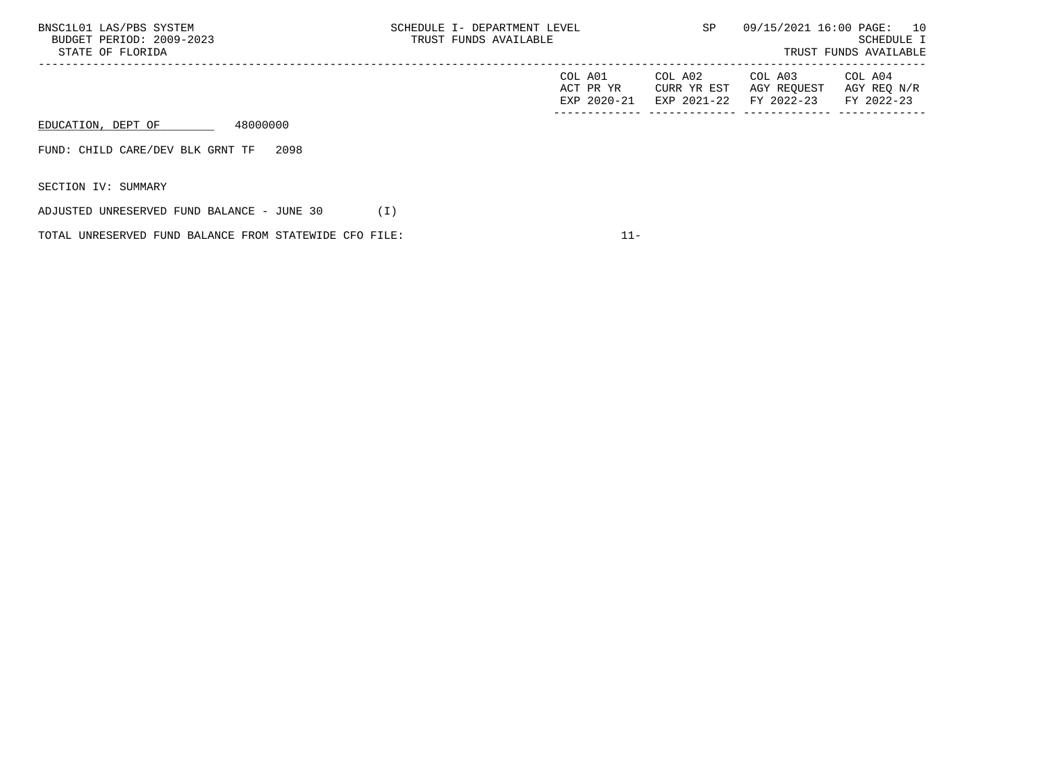| BNSC1L01 LAS/PBS SYSTEM<br>BUDGET PERIOD: 2009-2023<br>STATE OF FLORIDA | SCHEDULE I- DEPARTMENT LEVEL<br>TRUST FUNDS AVAILABLE |                                     | SP                                    | 09/15/2021 16:00 PAGE: 10            | SCHEDULE I<br>TRUST FUNDS AVAILABLE  |
|-------------------------------------------------------------------------|-------------------------------------------------------|-------------------------------------|---------------------------------------|--------------------------------------|--------------------------------------|
|                                                                         |                                                       | COL A01<br>ACT PR YR<br>EXP 2020-21 | COL A02<br>CURR YR EST<br>EXP 2021-22 | COL A03<br>AGY REQUEST<br>FY 2022-23 | COL A04<br>AGY REQ N/R<br>FY 2022-23 |
| 48000000<br>EDUCATION, DEPT OF                                          |                                                       |                                     |                                       |                                      |                                      |
| 2098<br>FUND: CHILD CARE/DEV BLK GRNT TF                                |                                                       |                                     |                                       |                                      |                                      |
| SECTION IV: SUMMARY                                                     |                                                       |                                     |                                       |                                      |                                      |
| ADJUSTED UNRESERVED FUND BALANCE - JUNE 30                              | (I)                                                   |                                     |                                       |                                      |                                      |

TOTAL UNRESERVED FUND BALANCE FROM STATEWIDE CFO FILE:  $11-$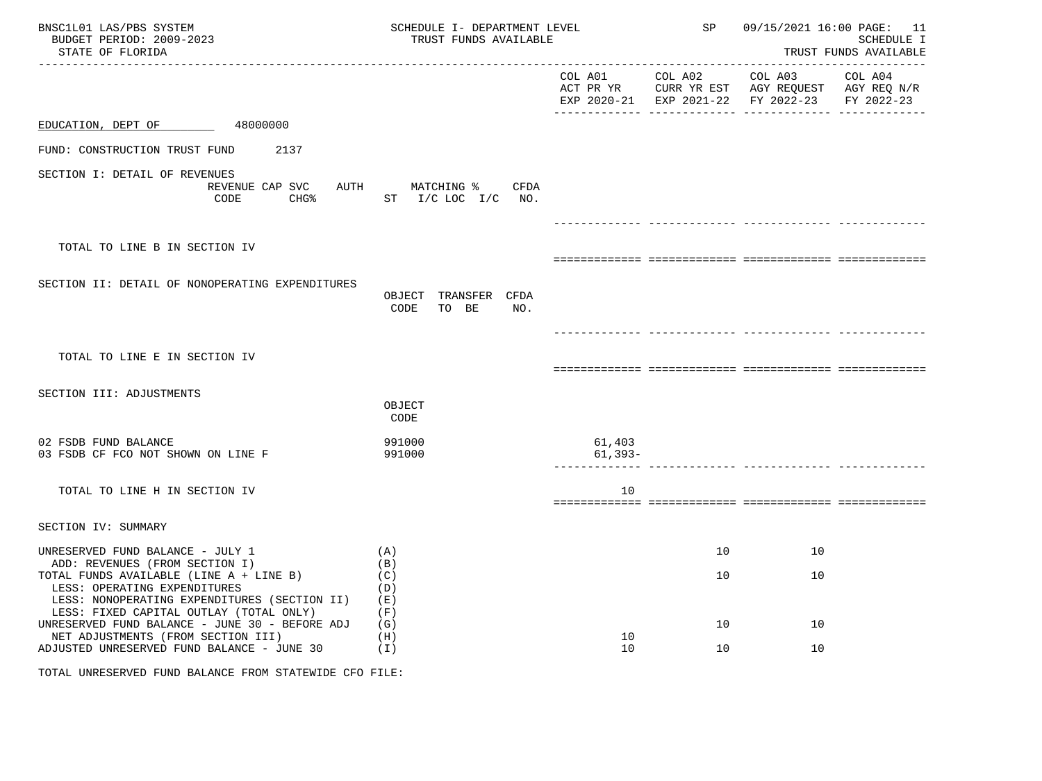| BNSC1L01 LAS/PBS SYSTEM<br>BUDGET PERIOD: 2009-2023<br>STATE OF FLORIDA                                                                                   | SCHEDULE I- DEPARTMENT LEVEL<br>TRUST FUNDS AVAILABLE |                     | SP                                 | 09/15/2021 16:00 PAGE: 11<br><b>SCHEDULE I</b><br>TRUST FUNDS AVAILABLE |                                                                        |
|-----------------------------------------------------------------------------------------------------------------------------------------------------------|-------------------------------------------------------|---------------------|------------------------------------|-------------------------------------------------------------------------|------------------------------------------------------------------------|
|                                                                                                                                                           |                                                       | COL A01 COL A02     | EXP 2020-21 EXP 2021-22 FY 2022-23 | COL A03                                                                 | COL A04<br>ACT PR YR CURR YR EST AGY REQUEST AGY REQ N/R<br>FY 2022-23 |
| EDUCATION, DEPT OF<br>48000000                                                                                                                            |                                                       |                     |                                    |                                                                         |                                                                        |
| FUND: CONSTRUCTION TRUST FUND 2137                                                                                                                        |                                                       |                     |                                    |                                                                         |                                                                        |
| SECTION I: DETAIL OF REVENUES<br>REVENUE CAP SVC<br>CHG <sup>8</sup><br>CODE                                                                              | AUTH MATCHING %<br>CFDA<br>ST I/C LOC I/C NO.         |                     |                                    |                                                                         |                                                                        |
|                                                                                                                                                           |                                                       |                     |                                    |                                                                         |                                                                        |
| TOTAL TO LINE B IN SECTION IV                                                                                                                             |                                                       |                     |                                    |                                                                         |                                                                        |
| SECTION II: DETAIL OF NONOPERATING EXPENDITURES                                                                                                           | OBJECT TRANSFER CFDA<br>TO BE<br>CODE<br>NO.          |                     |                                    |                                                                         |                                                                        |
|                                                                                                                                                           |                                                       |                     |                                    |                                                                         |                                                                        |
| TOTAL TO LINE E IN SECTION IV                                                                                                                             |                                                       |                     |                                    |                                                                         |                                                                        |
| SECTION III: ADJUSTMENTS                                                                                                                                  | OBJECT<br>CODE                                        |                     |                                    |                                                                         |                                                                        |
| 02 FSDB FUND BALANCE<br>03 FSDB CF FCO NOT SHOWN ON LINE F                                                                                                | 991000<br>991000                                      | 61,403<br>$61,393-$ |                                    |                                                                         |                                                                        |
| TOTAL TO LINE H IN SECTION IV                                                                                                                             |                                                       | 10                  |                                    |                                                                         |                                                                        |
| SECTION IV: SUMMARY                                                                                                                                       |                                                       |                     |                                    |                                                                         |                                                                        |
| UNRESERVED FUND BALANCE - JULY 1                                                                                                                          | (A)                                                   |                     | 10                                 | 10                                                                      |                                                                        |
| ADD: REVENUES (FROM SECTION I)<br>TOTAL FUNDS AVAILABLE (LINE A + LINE B)<br>LESS: OPERATING EXPENDITURES<br>LESS: NONOPERATING EXPENDITURES (SECTION II) | (B)<br>(C)<br>(D)<br>(E)                              |                     | 10                                 | 10                                                                      |                                                                        |
| LESS: FIXED CAPITAL OUTLAY (TOTAL ONLY)<br>UNRESERVED FUND BALANCE - JUNE 30 - BEFORE ADJ                                                                 | (F)<br>(G)                                            |                     | 10                                 | 10                                                                      |                                                                        |
| NET ADJUSTMENTS (FROM SECTION III)<br>ADJUSTED UNRESERVED FUND BALANCE - JUNE 30                                                                          | (H)<br>(I)                                            | 10<br>10            | 10                                 | 10                                                                      |                                                                        |

TOTAL UNRESERVED FUND BALANCE FROM STATEWIDE CFO FILE: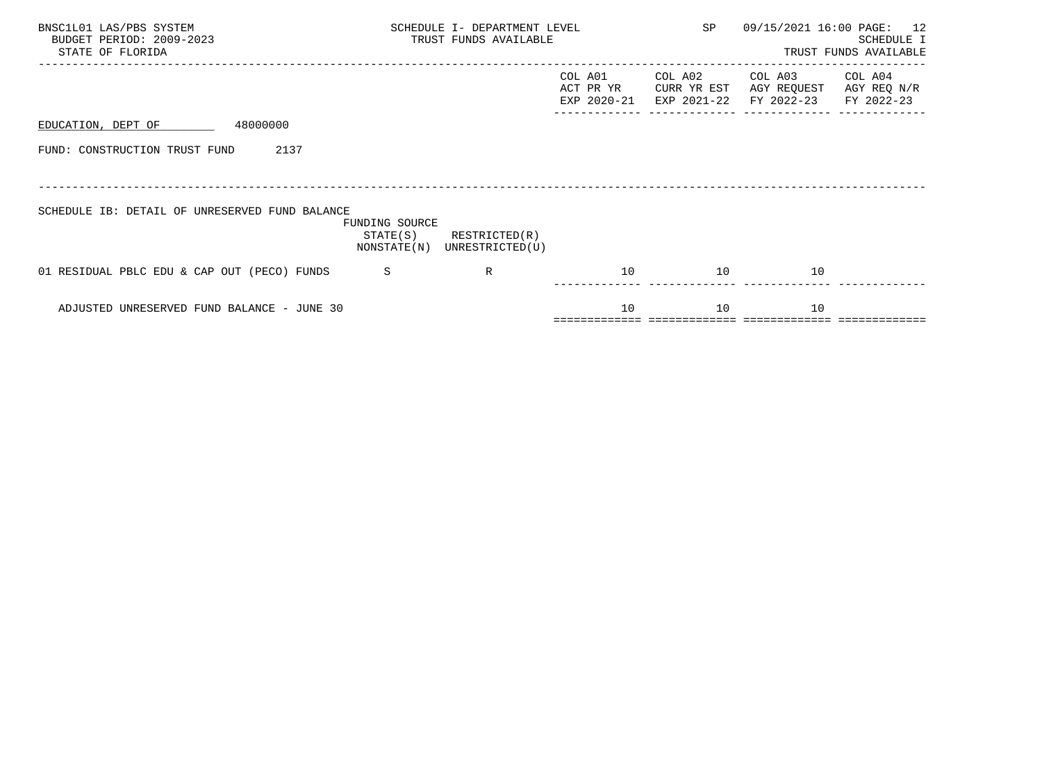| BNSC1L01 LAS/PBS SYSTEM<br>BUDGET PERIOD: 2009-2023<br>STATE OF FLORIDA | SCHEDULE I- DEPARTMENT LEVEL<br>TRUST FUNDS AVAILABLE |                                  |                                     | SP                                    | 09/15/2021 16:00 PAGE:               | 12<br>SCHEDULE I<br>TRUST FUNDS AVAILABLE |
|-------------------------------------------------------------------------|-------------------------------------------------------|----------------------------------|-------------------------------------|---------------------------------------|--------------------------------------|-------------------------------------------|
|                                                                         |                                                       |                                  | COL A01<br>ACT PR YR<br>EXP 2020-21 | COL A02<br>CURR YR EST<br>EXP 2021-22 | COL A03<br>AGY REQUEST<br>FY 2022-23 | COL A04<br>AGY REQ N/R<br>FY 2022-23      |
| 48000000<br>EDUCATION, DEPT OF                                          |                                                       |                                  |                                     |                                       |                                      |                                           |
| FUND: CONSTRUCTION TRUST FUND<br>2137                                   |                                                       |                                  |                                     |                                       |                                      |                                           |
|                                                                         |                                                       |                                  |                                     |                                       |                                      |                                           |
| SCHEDULE IB: DETAIL OF UNRESERVED FUND BALANCE                          | FUNDING SOURCE<br>STATE(S)<br>NONSTATE(N)             | RESTRICTED(R)<br>UNRESTRICTED(U) |                                     |                                       |                                      |                                           |
| 01 RESIDUAL PBLC EDU & CAP OUT (PECO) FUNDS                             | -S                                                    | R                                | 10                                  | 10                                    | 10                                   |                                           |
| ADJUSTED UNRESERVED FUND BALANCE - JUNE 30                              |                                                       |                                  | 10                                  | 10                                    | 10                                   |                                           |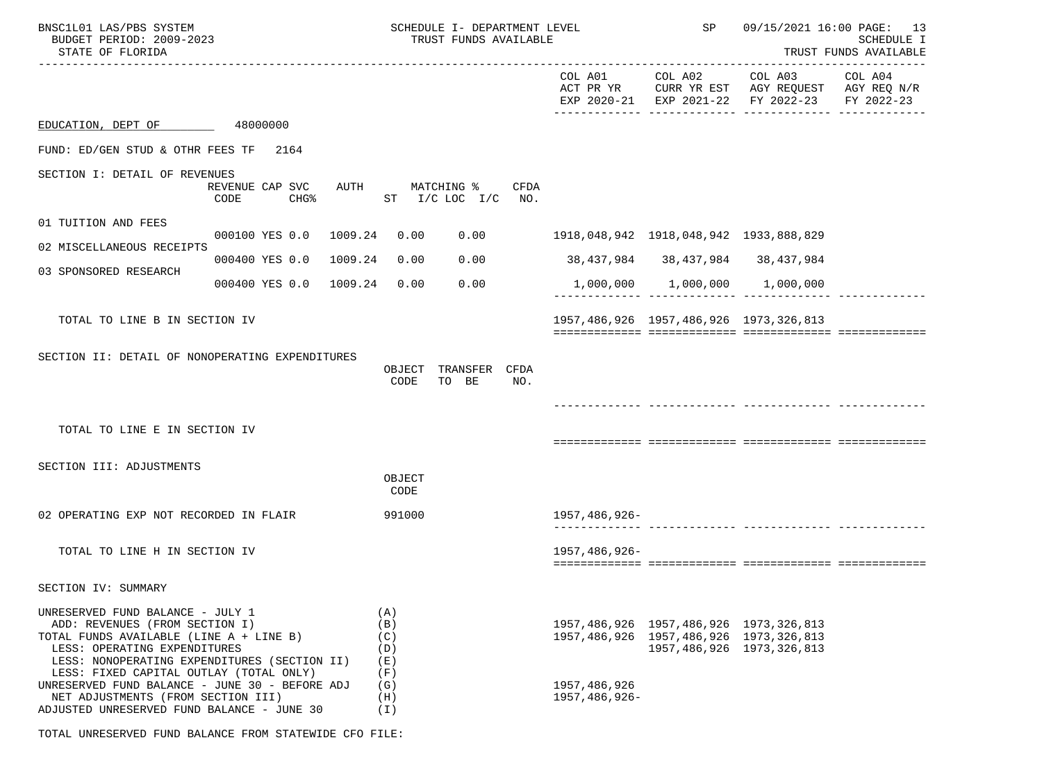| BNSC1L01 LAS/PBS SYSTEM<br>BUDGET PERIOD: 2009-2023<br>STATE OF FLORIDA                                                                                                                                                                                                                                                                                                        |                                         |                                                             | SCHEDULE I- DEPARTMENT LEVEL<br>TRUST FUNDS AVAILABLE |                                 | SP                                                                                                                            |                                                                                                | 09/15/2021 16:00 PAGE: 13<br>SCHEDULE I<br>TRUST FUNDS AVAILABLE |
|--------------------------------------------------------------------------------------------------------------------------------------------------------------------------------------------------------------------------------------------------------------------------------------------------------------------------------------------------------------------------------|-----------------------------------------|-------------------------------------------------------------|-------------------------------------------------------|---------------------------------|-------------------------------------------------------------------------------------------------------------------------------|------------------------------------------------------------------------------------------------|------------------------------------------------------------------|
|                                                                                                                                                                                                                                                                                                                                                                                |                                         |                                                             |                                                       |                                 | COL A01 COL A02                                                                                                               | COL A03<br>ACT PR YR CURR YR EST AGY REQUEST AGY REQ N/R<br>EXP 2020-21 EXP 2021-22 FY 2022-23 | COL A04<br>FY 2022-23                                            |
| EDUCATION, DEPT OF 48000000                                                                                                                                                                                                                                                                                                                                                    |                                         |                                                             |                                                       |                                 |                                                                                                                               |                                                                                                |                                                                  |
| FUND: ED/GEN STUD & OTHR FEES TF                                                                                                                                                                                                                                                                                                                                               | 2164                                    |                                                             |                                                       |                                 |                                                                                                                               |                                                                                                |                                                                  |
| SECTION I: DETAIL OF REVENUES                                                                                                                                                                                                                                                                                                                                                  | REVENUE CAP SVC<br>AUTH<br>CODE<br>CHG% |                                                             | MATCHING %<br>CFDA<br>$ST$ $I/C$ LOC $I/C$<br>NO.     |                                 |                                                                                                                               |                                                                                                |                                                                  |
| 01 TUITION AND FEES                                                                                                                                                                                                                                                                                                                                                            | 000100 YES 0.0 1009.24                  | 0.00                                                        | 0.00                                                  |                                 |                                                                                                                               |                                                                                                |                                                                  |
| 02 MISCELLANEOUS RECEIPTS                                                                                                                                                                                                                                                                                                                                                      |                                         |                                                             |                                                       |                                 |                                                                                                                               |                                                                                                |                                                                  |
| 03 SPONSORED RESEARCH                                                                                                                                                                                                                                                                                                                                                          | 000400 YES 0.0 1009.24                  | 0.00                                                        | 0.00                                                  |                                 | 38, 437, 984 38, 437, 984 38, 437, 984                                                                                        |                                                                                                |                                                                  |
|                                                                                                                                                                                                                                                                                                                                                                                | 000400 YES 0.0 1009.24                  | 0.00                                                        | 0.00                                                  |                                 | 1,000,000 1,000,000 1,000,000                                                                                                 |                                                                                                |                                                                  |
| TOTAL TO LINE B IN SECTION IV                                                                                                                                                                                                                                                                                                                                                  |                                         |                                                             |                                                       |                                 | 1957, 486, 926 1957, 486, 926 1973, 326, 813                                                                                  |                                                                                                |                                                                  |
| SECTION II: DETAIL OF NONOPERATING EXPENDITURES                                                                                                                                                                                                                                                                                                                                |                                         | CODE                                                        | OBJECT TRANSFER CFDA<br>TO BE<br>NO.                  |                                 |                                                                                                                               |                                                                                                |                                                                  |
| TOTAL TO LINE E IN SECTION IV                                                                                                                                                                                                                                                                                                                                                  |                                         |                                                             |                                                       |                                 |                                                                                                                               |                                                                                                |                                                                  |
| SECTION III: ADJUSTMENTS                                                                                                                                                                                                                                                                                                                                                       |                                         | OBJECT<br>CODE                                              |                                                       |                                 |                                                                                                                               |                                                                                                |                                                                  |
| 02 OPERATING EXP NOT RECORDED IN FLAIR                                                                                                                                                                                                                                                                                                                                         |                                         | 991000                                                      |                                                       | 1957,486,926-                   |                                                                                                                               |                                                                                                |                                                                  |
| TOTAL TO LINE H IN SECTION IV                                                                                                                                                                                                                                                                                                                                                  |                                         |                                                             |                                                       | 1957,486,926-                   |                                                                                                                               |                                                                                                |                                                                  |
| SECTION IV: SUMMARY                                                                                                                                                                                                                                                                                                                                                            |                                         |                                                             |                                                       |                                 |                                                                                                                               |                                                                                                |                                                                  |
| UNRESERVED FUND BALANCE - JULY 1<br>ADD: REVENUES (FROM SECTION I)<br>TOTAL FUNDS AVAILABLE (LINE A + LINE B)<br>LESS: OPERATING EXPENDITURES<br>LESS: NONOPERATING EXPENDITURES (SECTION II)<br>LESS: FIXED CAPITAL OUTLAY (TOTAL ONLY)<br>UNRESERVED FUND BALANCE - JUNE 30 - BEFORE ADJ<br>NET ADJUSTMENTS (FROM SECTION III)<br>ADJUSTED UNRESERVED FUND BALANCE - JUNE 30 |                                         | (A)<br>(B)<br>(C)<br>(D)<br>(E)<br>(F)<br>(G)<br>(H)<br>(I) |                                                       | 1957, 486, 926<br>1957,486,926- | 1957, 486, 926 1957, 486, 926 1973, 326, 813<br>1957, 486, 926 1957, 486, 926 1973, 326, 813<br>1957, 486, 926 1973, 326, 813 |                                                                                                |                                                                  |

TOTAL UNRESERVED FUND BALANCE FROM STATEWIDE CFO FILE: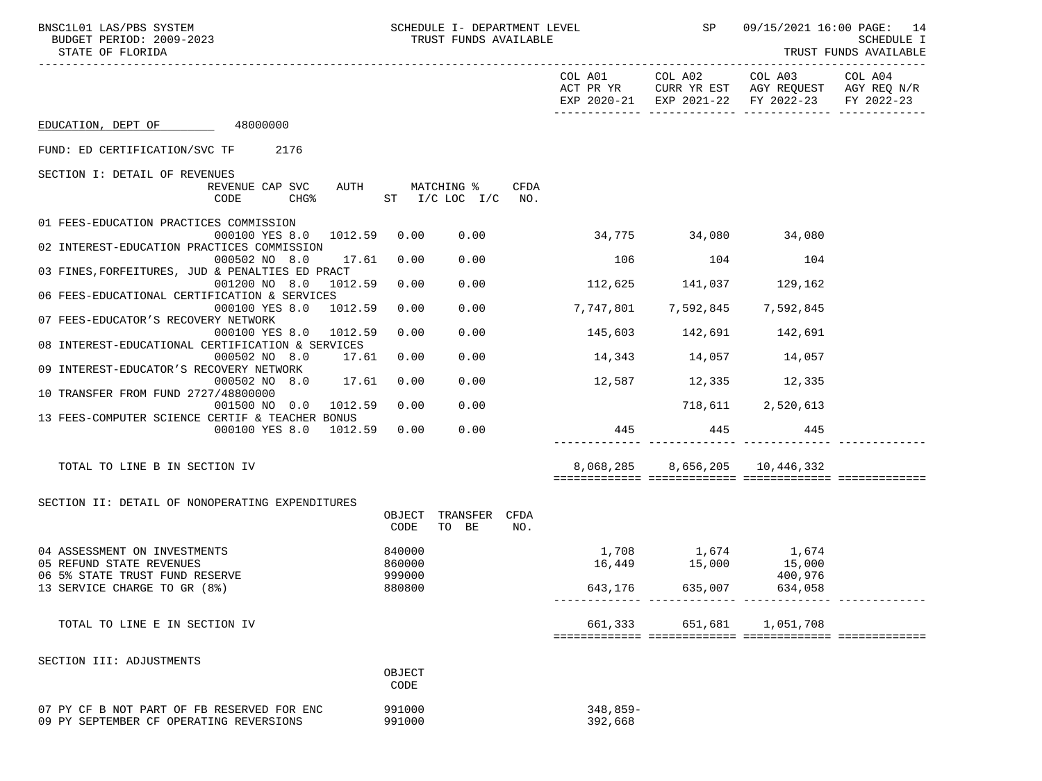| BNSC1L01 LAS/PBS SYSTEM<br>BUDGET PERIOD: 2009-2023<br>STATE OF FLORIDA                                               |                            | SCHEDULE I- DEPARTMENT LEVEL<br>TRUST FUNDS AVAILABLE |      |                               |                           | SP 09/15/2021 16:00 PAGE: 14                                                                                           | <b>SCHEDULE I</b><br>TRUST FUNDS AVAILABLE |
|-----------------------------------------------------------------------------------------------------------------------|----------------------------|-------------------------------------------------------|------|-------------------------------|---------------------------|------------------------------------------------------------------------------------------------------------------------|--------------------------------------------|
| --------------------------                                                                                            |                            |                                                       |      |                               |                           | COL A01 COL A02 COL A03 COL A04<br>ACT PR YR CURR YR EST AGY REQUEST AGY REQ N/R<br>EXP 2020-21 EXP 2021-22 FY 2022-23 | FY 2022-23                                 |
| EDUCATION, DEPT OF 48000000                                                                                           |                            |                                                       |      |                               |                           |                                                                                                                        |                                            |
| FUND: ED CERTIFICATION/SVC TF 2176                                                                                    |                            |                                                       |      |                               |                           |                                                                                                                        |                                            |
| SECTION I: DETAIL OF REVENUES                                                                                         |                            |                                                       |      |                               |                           |                                                                                                                        |                                            |
| REVENUE CAP SVC<br>$CHG\$<br>CODE                                                                                     |                            | AUTH MATCHING %<br>ST I/C LOC I/C NO.                 | CFDA |                               |                           |                                                                                                                        |                                            |
| 01 FEES-EDUCATION PRACTICES COMMISSION<br>000100 YES 8.0 1012.59 0.00                                                 |                            | 0.00                                                  |      | 34,775 34,080 34,080          |                           |                                                                                                                        |                                            |
| 02 INTEREST-EDUCATION PRACTICES COMMISSION<br>000502 NO 8.0<br>17.61                                                  | 0.00                       | 0.00                                                  |      | 106 104 104                   |                           |                                                                                                                        |                                            |
| 03 FINES, FORFEITURES, JUD & PENALTIES ED PRACT<br>001200 NO 8.0 1012.59                                              | 0.00                       | 0.00                                                  |      | $112,625$ $141,037$ $129,162$ |                           |                                                                                                                        |                                            |
| 06 FEES-EDUCATIONAL CERTIFICATION & SERVICES<br>000100 YES 8.0 1012.59                                                | 0.00                       | 0.00                                                  |      | 7,747,801 7,592,845 7,592,845 |                           |                                                                                                                        |                                            |
| 07 FEES-EDUCATOR'S RECOVERY NETWORK<br>000100 YES 8.0 1012.59                                                         | 0.00                       | 0.00                                                  |      |                               | 145,603 142,691 142,691   |                                                                                                                        |                                            |
| 08 INTEREST-EDUCATIONAL CERTIFICATION & SERVICES<br>000502 NO 8.0<br>17.61<br>09 INTEREST-EDUCATOR'S RECOVERY NETWORK | 0.00                       | 0.00                                                  |      | $14,343$ $14,057$ $14,057$    |                           |                                                                                                                        |                                            |
| 000502 NO 8.0 17.61<br>10 TRANSFER FROM FUND 2727/48800000                                                            | 0.00                       | 0.00                                                  |      | $12,587$ $12,335$ $12,335$    |                           |                                                                                                                        |                                            |
| 001500 NO 0.0 1012.59<br>13 FEES-COMPUTER SCIENCE CERTIF & TEACHER BONUS                                              | 0.00                       | 0.00                                                  |      |                               | 718,611 2,520,613         |                                                                                                                        |                                            |
| 000100 YES 8.0 1012.59                                                                                                | 0.00                       | 0.00                                                  |      |                               | 445 445 445               |                                                                                                                        |                                            |
| TOTAL TO LINE B IN SECTION IV                                                                                         |                            |                                                       |      |                               |                           | 8,068,285 8,656,205 10,446,332                                                                                         |                                            |
| SECTION II: DETAIL OF NONOPERATING EXPENDITURES                                                                       | OBJECT<br>CODE             | TRANSFER CFDA<br>TO BE                                | NO.  |                               |                           |                                                                                                                        |                                            |
| 04 ASSESSMENT ON INVESTMENTS<br>05 REFUND STATE REVENUES<br>06 5% STATE TRUST FUND RESERVE                            | 840000<br>860000<br>999000 |                                                       |      |                               |                           | $1,708$ $1,674$ $1,674$<br>16,449 $15,000$ $15,000$<br>400,976                                                         |                                            |
| 13 SERVICE CHARGE TO GR (8%)                                                                                          | 880800                     |                                                       |      | $643,176$ $635,007$ $634,058$ |                           |                                                                                                                        |                                            |
| TOTAL TO LINE E IN SECTION IV                                                                                         |                            |                                                       |      |                               | 661,333 651,681 1,051,708 |                                                                                                                        |                                            |
| SECTION III: ADJUSTMENTS                                                                                              |                            |                                                       |      |                               |                           |                                                                                                                        |                                            |
|                                                                                                                       | OBJECT<br>CODE             |                                                       |      |                               |                           |                                                                                                                        |                                            |
| 07 PY CF B NOT PART OF FB RESERVED FOR ENC<br>09 PY SEPTEMBER CF OPERATING REVERSIONS                                 | 991000<br>991000           |                                                       |      | $348,859-$<br>392,668         |                           |                                                                                                                        |                                            |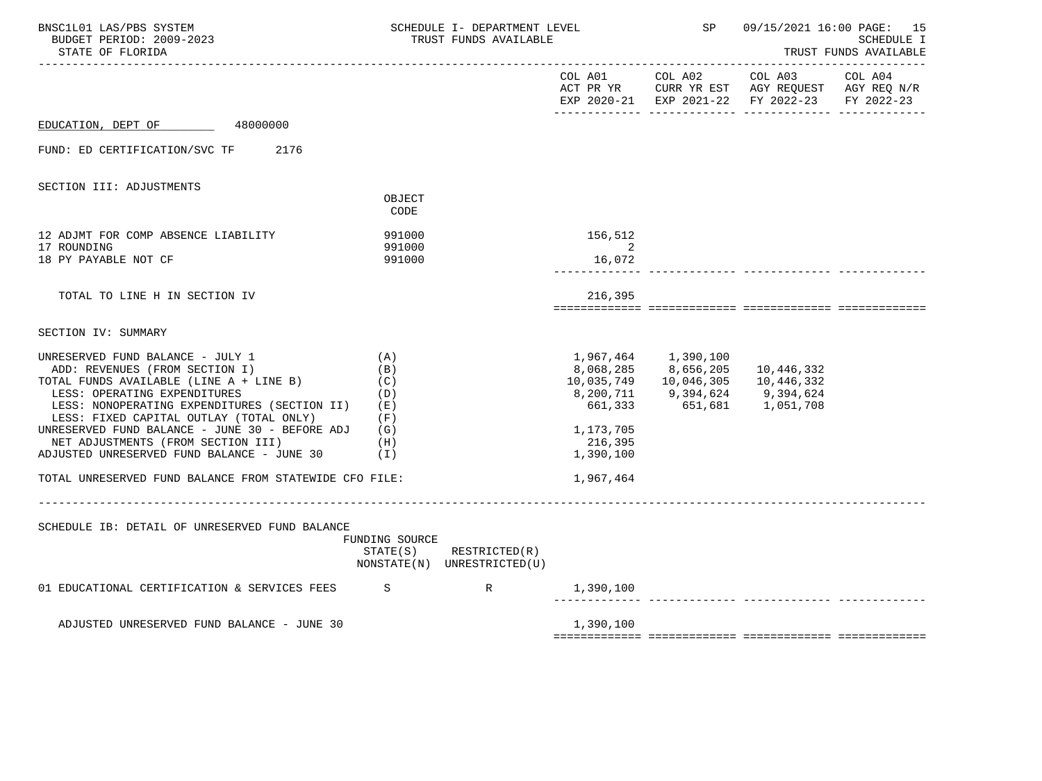| BNSC1L01 LAS/PBS SYSTEM<br>BUDGET PERIOD: 2009-2023<br>STATE OF FLORIDA                                                                                                                                                                                                                                                                                                              |                                                      | SCHEDULE I- DEPARTMENT LEVEL<br>TRUST FUNDS AVAILABLE      |                                              |                                                                                                      | SP<br>09/15/2021 16:00 PAGE: 15<br>SCHEDULE I<br>TRUST FUNDS AVAILABLE                         |  |
|--------------------------------------------------------------------------------------------------------------------------------------------------------------------------------------------------------------------------------------------------------------------------------------------------------------------------------------------------------------------------------------|------------------------------------------------------|------------------------------------------------------------|----------------------------------------------|------------------------------------------------------------------------------------------------------|------------------------------------------------------------------------------------------------|--|
|                                                                                                                                                                                                                                                                                                                                                                                      |                                                      |                                                            |                                              |                                                                                                      | ACT PR YR CURR YR EST AGY REQUEST AGY REQ N/R<br>EXP 2020-21 EXP 2021-22 FY 2022-23 FY 2022-23 |  |
| EDUCATION, DEPT OF 48000000                                                                                                                                                                                                                                                                                                                                                          |                                                      |                                                            |                                              |                                                                                                      |                                                                                                |  |
| FUND: ED CERTIFICATION/SVC TF 2176                                                                                                                                                                                                                                                                                                                                                   |                                                      |                                                            |                                              |                                                                                                      |                                                                                                |  |
| SECTION III: ADJUSTMENTS                                                                                                                                                                                                                                                                                                                                                             |                                                      |                                                            |                                              |                                                                                                      |                                                                                                |  |
|                                                                                                                                                                                                                                                                                                                                                                                      | OBJECT<br>CODE                                       |                                                            |                                              |                                                                                                      |                                                                                                |  |
| 12 ADJMT FOR COMP ABSENCE LIABILITY                                                                                                                                                                                                                                                                                                                                                  | 991000                                               |                                                            | 156,512                                      |                                                                                                      |                                                                                                |  |
| 17 ROUNDING<br>18 PY PAYABLE NOT CF                                                                                                                                                                                                                                                                                                                                                  | 991000<br>991000                                     |                                                            | 2<br>16,072                                  |                                                                                                      |                                                                                                |  |
| TOTAL TO LINE H IN SECTION IV                                                                                                                                                                                                                                                                                                                                                        |                                                      |                                                            | 216,395                                      |                                                                                                      |                                                                                                |  |
|                                                                                                                                                                                                                                                                                                                                                                                      |                                                      |                                                            |                                              |                                                                                                      |                                                                                                |  |
| SECTION IV: SUMMARY                                                                                                                                                                                                                                                                                                                                                                  |                                                      |                                                            |                                              |                                                                                                      |                                                                                                |  |
| UNRESERVED FUND BALANCE - JULY 1<br>ADD: REVENUES (FROM SECTION I)<br>TOTAL FUNDS AVAILABLE (LINE A + LINE B)<br>LESS: OPERATING EXPENDITURES<br>LESS: NONOPERATING EXPENDITURES (SECTION II)<br>LESS: FIXED CAPITAL OUTLAY (TOTAL ONLY)<br>UNRESERVED FUND BALANCE - JUNE 30 - BEFORE ADJ $(G)$<br>NET ADJUSTMENTS (FROM SECTION III)<br>ADJUSTED UNRESERVED FUND BALANCE - JUNE 30 | (A)<br>(B)<br>(C)<br>(D)<br>(E)<br>(F)<br>(H)<br>(1) |                                                            | 661,333<br>1,173,705<br>216,395<br>1,390,100 | 8,068,285 8,656,205<br>10,035,749   10,046,305<br>8,200,711 9,394,624 9,394,624<br>651,681 1,051,708 | 10,446,332<br>10,446,332                                                                       |  |
| TOTAL UNRESERVED FUND BALANCE FROM STATEWIDE CFO FILE:                                                                                                                                                                                                                                                                                                                               |                                                      |                                                            | 1,967,464                                    |                                                                                                      |                                                                                                |  |
| SCHEDULE IB: DETAIL OF UNRESERVED FUND BALANCE                                                                                                                                                                                                                                                                                                                                       | FUNDING SOURCE                                       | $STATE(S)$ RESTRICTED $(R)$<br>NONSTATE(N) UNRESTRICTED(U) |                                              |                                                                                                      |                                                                                                |  |
| 01 EDUCATIONAL CERTIFICATION & SERVICES FEES S                                                                                                                                                                                                                                                                                                                                       |                                                      |                                                            | 1,390,100                                    |                                                                                                      |                                                                                                |  |
| ADJUSTED UNRESERVED FUND BALANCE - JUNE 30                                                                                                                                                                                                                                                                                                                                           |                                                      |                                                            | 1,390,100                                    |                                                                                                      |                                                                                                |  |
|                                                                                                                                                                                                                                                                                                                                                                                      |                                                      |                                                            |                                              |                                                                                                      |                                                                                                |  |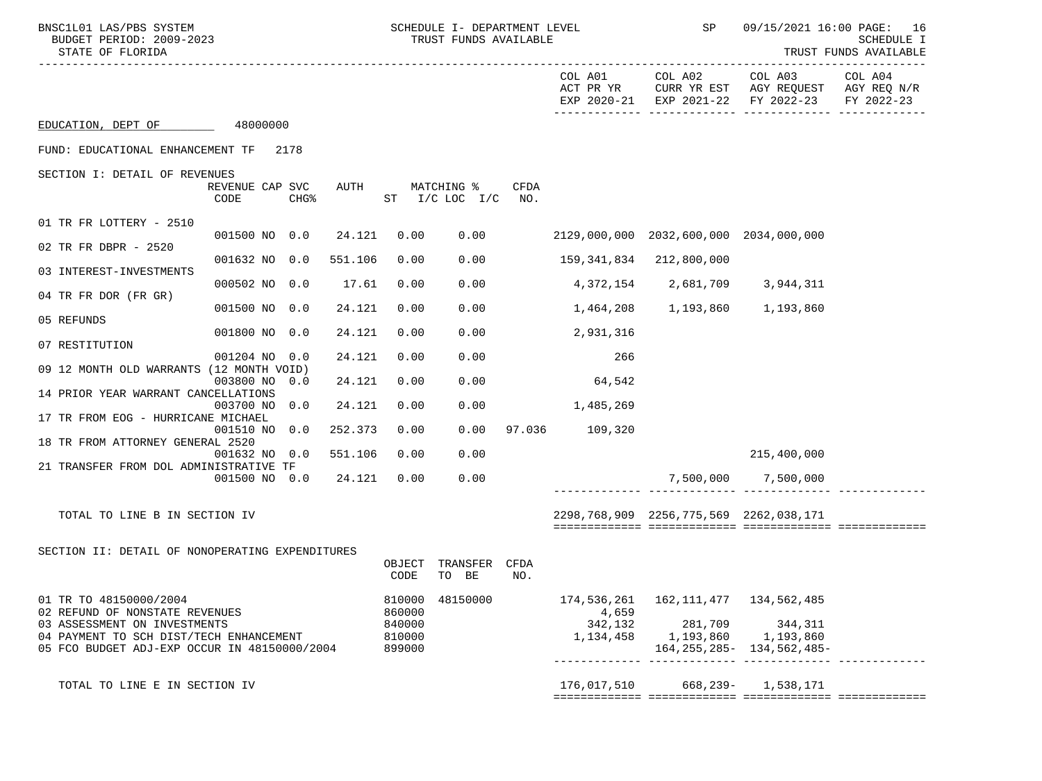| BNSC1L01 LAS/PBS SYSTEM<br>BUDGET PERIOD: 2009-2023<br>STATE OF FLORIDA                                                 |                                             |         | SCHEDULE I- DEPARTMENT LEVEL<br>TRUST FUNDS AVAILABLE |                                  |             | SP                   |                                                                  | 09/15/2021 16:00 PAGE: 16<br>SCHEDULE I<br>TRUST FUNDS AVAILABLE |                                      |
|-------------------------------------------------------------------------------------------------------------------------|---------------------------------------------|---------|-------------------------------------------------------|----------------------------------|-------------|----------------------|------------------------------------------------------------------|------------------------------------------------------------------|--------------------------------------|
|                                                                                                                         |                                             |         |                                                       |                                  |             | COL A01<br>ACT PR YR | COL A02<br>CURR YR EST                                           | COL A03<br>AGY REQUEST<br>EXP 2020-21 EXP 2021-22 FY 2022-23     | COL A04<br>AGY REQ N/R<br>FY 2022-23 |
| EDUCATION, DEPT OF                                                                                                      | 48000000                                    |         |                                                       |                                  |             |                      |                                                                  |                                                                  |                                      |
| FUND: EDUCATIONAL ENHANCEMENT TF                                                                                        | 2178                                        |         |                                                       |                                  |             |                      |                                                                  |                                                                  |                                      |
| SECTION I: DETAIL OF REVENUES                                                                                           | REVENUE CAP SVC<br>CODE<br>CHG <sup>8</sup> | AUTH    |                                                       | MATCHING %<br>ST I/C LOC I/C NO. | <b>CFDA</b> |                      |                                                                  |                                                                  |                                      |
| 01 TR FR LOTTERY - 2510                                                                                                 | 001500 NO 0.0                               | 24.121  | 0.00                                                  |                                  | 0.00        |                      | 2129,000,000 2032,600,000 2034,000,000                           |                                                                  |                                      |
| 02 TR FR DBPR - 2520                                                                                                    | 001632 NO 0.0                               | 551.106 | 0.00                                                  | 0.00                             |             |                      | 159,341,834 212,800,000                                          |                                                                  |                                      |
| 03 INTEREST-INVESTMENTS                                                                                                 | 000502 NO 0.0                               | 17.61   | 0.00                                                  | 0.00                             |             |                      | 4, 372, 154 2, 681, 709 3, 944, 311                              |                                                                  |                                      |
| 04 TR FR DOR (FR GR)                                                                                                    | 001500 NO 0.0                               | 24.121  | 0.00                                                  | 0.00                             |             |                      | 1,464,208 1,193,860 1,193,860                                    |                                                                  |                                      |
| 05 REFUNDS                                                                                                              | 001800 NO 0.0                               | 24.121  | 0.00                                                  | 0.00                             |             | 2,931,316            |                                                                  |                                                                  |                                      |
| 07 RESTITUTION                                                                                                          | 001204 NO 0.0                               | 24.121  | 0.00                                                  | 0.00                             |             | 266                  |                                                                  |                                                                  |                                      |
| 09 12 MONTH OLD WARRANTS (12 MONTH VOID)                                                                                | 003800 NO 0.0                               | 24.121  | 0.00                                                  | 0.00                             |             | 64,542               |                                                                  |                                                                  |                                      |
| 14 PRIOR YEAR WARRANT CANCELLATIONS                                                                                     | 003700 NO 0.0                               | 24.121  | 0.00                                                  | 0.00                             |             | 1,485,269            |                                                                  |                                                                  |                                      |
| 17 TR FROM EOG - HURRICANE MICHAEL                                                                                      | 001510 NO 0.0                               | 252.373 | 0.00                                                  | 0.00                             |             | 97.036 109,320       |                                                                  |                                                                  |                                      |
| 18 TR FROM ATTORNEY GENERAL 2520                                                                                        | 001632 NO 0.0                               | 551.106 | 0.00                                                  | 0.00                             |             |                      |                                                                  | 215,400,000                                                      |                                      |
| 21 TRANSFER FROM DOL ADMINISTRATIVE TF                                                                                  | 001500 NO 0.0                               | 24.121  | 0.00                                                  | 0.00                             |             |                      |                                                                  | 7,500,000 7,500,000                                              |                                      |
|                                                                                                                         |                                             |         |                                                       |                                  |             |                      |                                                                  |                                                                  |                                      |
| TOTAL TO LINE B IN SECTION IV                                                                                           |                                             |         |                                                       |                                  |             |                      | 2298,768,909 2256,775,569 2262,038,171                           |                                                                  |                                      |
| SECTION II: DETAIL OF NONOPERATING EXPENDITURES                                                                         |                                             |         |                                                       |                                  |             |                      |                                                                  |                                                                  |                                      |
|                                                                                                                         |                                             |         | OBJECT<br>CODE                                        | TRANSFER<br>TO BE                | CFDA<br>NO. |                      |                                                                  |                                                                  |                                      |
| 01 TR TO 48150000/2004<br>02 REFUND OF NONSTATE REVENUES                                                                |                                             |         | 810000<br>860000                                      | 48150000                         |             | 174,536,261<br>4,659 | 162, 111, 477 134, 562, 485                                      |                                                                  |                                      |
| 03 ASSESSMENT ON INVESTMENTS<br>04 PAYMENT TO SCH DIST/TECH ENHANCEMENT<br>05 FCO BUDGET ADJ-EXP OCCUR IN 48150000/2004 |                                             |         | 840000<br>810000<br>899000                            |                                  |             | 342,132              | 1,134,458 1,193,860 1,193,860<br>________ ______________ _______ | 281,709 344,311<br>164, 255, 285 - 134, 562, 485 -               |                                      |
| TOTAL TO LINE E IN SECTION IV                                                                                           |                                             |         |                                                       |                                  |             |                      | 176,017,510 668,239- 1,538,171                                   |                                                                  |                                      |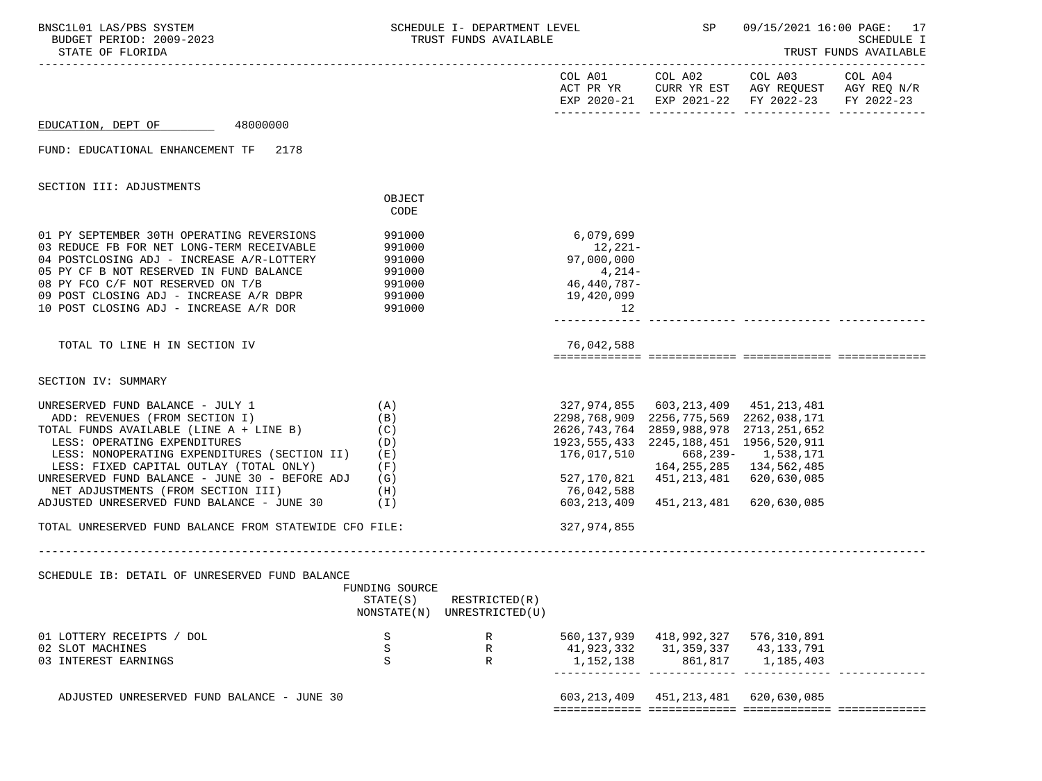| BNSC1L01 LAS/PBS SYSTEM<br>BUDGET PERIOD: 2009-2023<br>STATE OF FLORIDA                                                                                                                                                                                                                                                                                                            |                                                      | SCHEDULE I- DEPARTMENT LEVEL<br>TRUST FUNDS AVAILABLE |                                                                                                                     | SP                                                                                                                   | 09/15/2021 16:00 PAGE: 17<br>SCHEDULE I<br>TRUST FUNDS AVAILABLE                                                          |         |
|------------------------------------------------------------------------------------------------------------------------------------------------------------------------------------------------------------------------------------------------------------------------------------------------------------------------------------------------------------------------------------|------------------------------------------------------|-------------------------------------------------------|---------------------------------------------------------------------------------------------------------------------|----------------------------------------------------------------------------------------------------------------------|---------------------------------------------------------------------------------------------------------------------------|---------|
|                                                                                                                                                                                                                                                                                                                                                                                    |                                                      |                                                       |                                                                                                                     |                                                                                                                      | COL A01 COL A02 COL A03<br>ACT PR YR CURR YR EST AGY REQUEST AGY REQ N/R<br>EXP 2020-21 EXP 2021-22 FY 2022-23 FY 2022-23 | COL A04 |
| EDUCATION, DEPT OF 48000000                                                                                                                                                                                                                                                                                                                                                        |                                                      |                                                       |                                                                                                                     |                                                                                                                      |                                                                                                                           |         |
| FUND: EDUCATIONAL ENHANCEMENT TF 2178                                                                                                                                                                                                                                                                                                                                              |                                                      |                                                       |                                                                                                                     |                                                                                                                      |                                                                                                                           |         |
| SECTION III: ADJUSTMENTS                                                                                                                                                                                                                                                                                                                                                           |                                                      |                                                       |                                                                                                                     |                                                                                                                      |                                                                                                                           |         |
|                                                                                                                                                                                                                                                                                                                                                                                    | OBJECT<br>CODE                                       |                                                       |                                                                                                                     |                                                                                                                      |                                                                                                                           |         |
| 01 PY SEPTEMBER 30TH OPERATING REVERSIONS<br>03 REDUCE FB FOR NET LONG-TERM RECEIVABLE<br>04 POSTCLOSING ADJ - INCREASE A/R-LOTTERY                                                                                                                                                                                                                                                | 991000<br>991000<br>991000                           |                                                       | 6,079,699<br>12,221-<br>97,000,000                                                                                  |                                                                                                                      |                                                                                                                           |         |
| 05 PY CF B NOT RESERVED IN FUND BALANCE<br>08 PY FCO C/F NOT RESERVED ON T/B<br>09 POST CLOSING ADJ - INCREASE A/R DBPR 991000<br>10 POST CLOSING ADJ - INCREASE A/R DOR 991000                                                                                                                                                                                                    |                                                      |                                                       | 4,214-<br>46,440,787-<br>19,420,099<br>12                                                                           |                                                                                                                      |                                                                                                                           |         |
| TOTAL TO LINE H IN SECTION IV                                                                                                                                                                                                                                                                                                                                                      |                                                      |                                                       | 76,042,588                                                                                                          |                                                                                                                      |                                                                                                                           |         |
| SECTION IV: SUMMARY                                                                                                                                                                                                                                                                                                                                                                |                                                      |                                                       |                                                                                                                     |                                                                                                                      |                                                                                                                           |         |
| UNRESERVED FUND BALANCE - JULY 1<br>ADD: REVENUES (FROM SECTION I)<br>TOTAL FUNDS AVAILABLE (LINE A + LINE B)<br>LESS: OPERATING EXPENDITURES<br>LESS: NONOPERATING EXPENDITURES (SECTION II)<br>LESS: FIXED CAPITAL OUTLAY (TOTAL ONLY)<br>UNRESERVED FUND BALANCE - JUNE 30 - BEFORE ADJ<br>NET ADJUSTMENTS (FROM SECTION III)<br>ADJUSTED UNRESERVED FUND BALANCE - JUNE 30 (I) | (A)<br>(B)<br>(C)<br>(D)<br>(E)<br>(F)<br>(G)<br>(H) |                                                       | 2298,768,909 2256,775,569 2262,038,171<br>1923, 555, 433 2245, 188, 451 1956, 520, 911<br>76,042,588<br>603,213,409 | 327,974,855 603,213,409 451,213,481<br>2626,743,764 2859,988,978 2713,251,652<br>527,170,821 451,213,481 620,630,085 | 164, 255, 285 134, 562, 485<br>451,213,481 620,630,085                                                                    |         |
| TOTAL UNRESERVED FUND BALANCE FROM STATEWIDE CFO FILE:                                                                                                                                                                                                                                                                                                                             |                                                      |                                                       | 327,974,855                                                                                                         |                                                                                                                      |                                                                                                                           |         |
|                                                                                                                                                                                                                                                                                                                                                                                    |                                                      |                                                       |                                                                                                                     |                                                                                                                      |                                                                                                                           |         |
| SCHEDULE IB: DETAIL OF UNRESERVED FUND BALANCE                                                                                                                                                                                                                                                                                                                                     | FUNDING SOURCE<br>STATE(S)                           | RESTRICTED(R)<br>NONSTATE(N) UNRESTRICTED(U)          |                                                                                                                     |                                                                                                                      |                                                                                                                           |         |
| 01 LOTTERY RECEIPTS / DOL<br>02 SLOT MACHINES<br>03 INTEREST EARNINGS                                                                                                                                                                                                                                                                                                              | S<br>S<br>S                                          | R<br>R<br>$\mathbb{R}$                                | 1,152,138                                                                                                           | 560, 137, 939 418, 992, 327 576, 310, 891<br>41, 923, 332 31, 359, 337 43, 133, 791<br>861,817                       | 1,185,403                                                                                                                 |         |
| ADJUSTED UNRESERVED FUND BALANCE - JUNE 30                                                                                                                                                                                                                                                                                                                                         |                                                      |                                                       |                                                                                                                     | 603, 213, 409 451, 213, 481 620, 630, 085                                                                            |                                                                                                                           |         |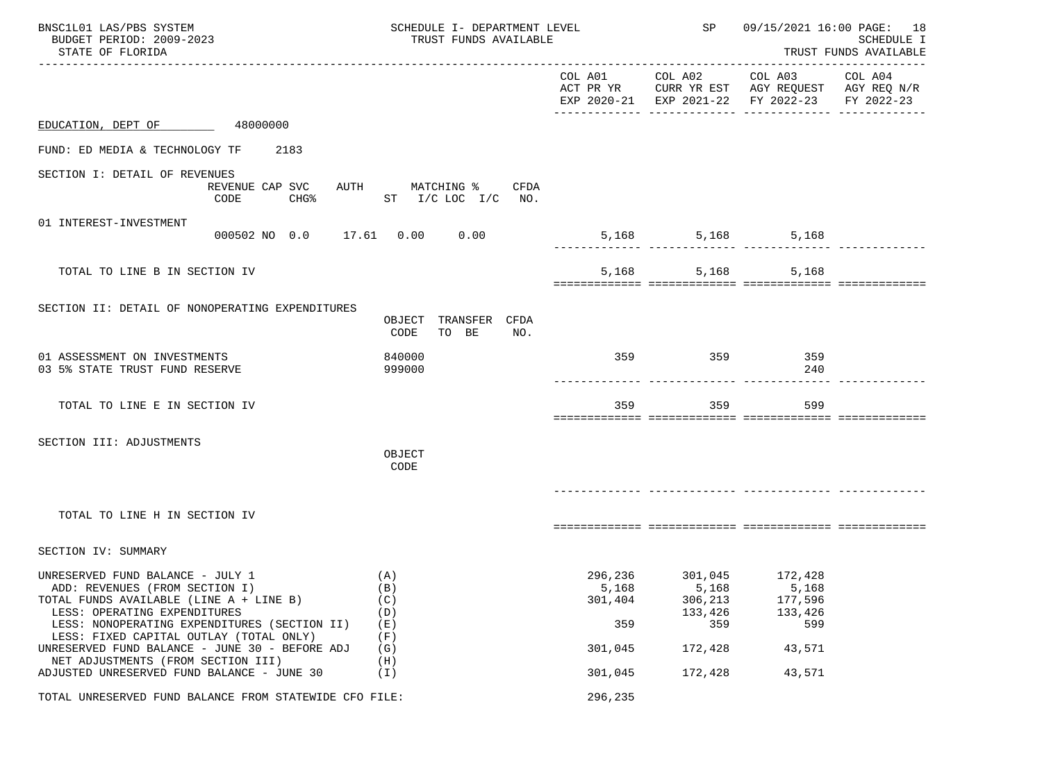| BNSC1L01 LAS/PBS SYSTEM<br>BUDGET PERIOD: 2009-2023<br>STATE OF FLORIDA                                                                                                                                                                                                                                                          | SCHEDULE I- DEPARTMENT LEVEL<br>TRUST FUNDS AVAILABLE |                                    | SP                                                                       | 09/15/2021 16:00 PAGE: 18<br><b>SCHEDULE I</b><br>TRUST FUNDS AVAILABLE                        |                       |
|----------------------------------------------------------------------------------------------------------------------------------------------------------------------------------------------------------------------------------------------------------------------------------------------------------------------------------|-------------------------------------------------------|------------------------------------|--------------------------------------------------------------------------|------------------------------------------------------------------------------------------------|-----------------------|
|                                                                                                                                                                                                                                                                                                                                  |                                                       |                                    | COL A01 COL A02                                                          | COL A03<br>ACT PR YR CURR YR EST AGY REQUEST AGY REQ N/R<br>EXP 2020-21 EXP 2021-22 FY 2022-23 | COL A04<br>FY 2022-23 |
| EDUCATION, DEPT OF 48000000                                                                                                                                                                                                                                                                                                      |                                                       |                                    |                                                                          |                                                                                                |                       |
| FUND: ED MEDIA & TECHNOLOGY TF 2183                                                                                                                                                                                                                                                                                              |                                                       |                                    |                                                                          |                                                                                                |                       |
| SECTION I: DETAIL OF REVENUES<br>REVENUE CAP SVC<br>CODE<br>CHG%                                                                                                                                                                                                                                                                 | AUTH MATCHING % CFDA<br>ST $I/C$ LOC $I/C$ NO.        |                                    |                                                                          |                                                                                                |                       |
| 01 INTEREST-INVESTMENT                                                                                                                                                                                                                                                                                                           | 000502 NO 0.0 17.61 0.00 0.00                         |                                    | 5,168                                                                    | 5,168 5,168<br>.                                                                               |                       |
| TOTAL TO LINE B IN SECTION IV                                                                                                                                                                                                                                                                                                    |                                                       |                                    | 5,168                                                                    | 5,168<br>5,168                                                                                 |                       |
| SECTION II: DETAIL OF NONOPERATING EXPENDITURES                                                                                                                                                                                                                                                                                  | OBJECT TRANSFER CFDA<br>CODE<br>TO BE<br>NO.          |                                    |                                                                          |                                                                                                |                       |
| 01 ASSESSMENT ON INVESTMENTS<br>03 5% STATE TRUST FUND RESERVE                                                                                                                                                                                                                                                                   | 840000<br>999000                                      | 359                                | 359                                                                      | 359<br>240                                                                                     |                       |
| TOTAL TO LINE E IN SECTION IV                                                                                                                                                                                                                                                                                                    |                                                       | 359                                | 359                                                                      | 599                                                                                            |                       |
| SECTION III: ADJUSTMENTS                                                                                                                                                                                                                                                                                                         | OBJECT<br>CODE                                        |                                    |                                                                          |                                                                                                |                       |
| TOTAL TO LINE H IN SECTION IV                                                                                                                                                                                                                                                                                                    |                                                       |                                    |                                                                          |                                                                                                |                       |
| SECTION IV: SUMMARY                                                                                                                                                                                                                                                                                                              |                                                       |                                    |                                                                          |                                                                                                |                       |
| UNRESERVED FUND BALANCE - JULY 1<br>ADD: REVENUES (FROM SECTION I)<br>TOTAL FUNDS AVAILABLE (LINE A + LINE B)<br>LESS: OPERATING EXPENDITURES<br>LESS: NONOPERATING EXPENDITURES (SECTION II)<br>LESS: FIXED CAPITAL OUTLAY (TOTAL ONLY)<br>UNRESERVED FUND BALANCE - JUNE 30 - BEFORE ADJ<br>NET ADJUSTMENTS (FROM SECTION III) | (A)<br>(B)<br>(C)<br>(D)<br>(E)<br>(F)<br>(G)<br>(H)  | 5,168<br>301,404<br>359<br>301,045 | 296,236 301,045 172,428<br>5,168<br>306,213<br>133,426<br>359<br>172,428 | 5,168<br>177,596<br>133,426<br>599<br>43,571                                                   |                       |
| ADJUSTED UNRESERVED FUND BALANCE - JUNE 30                                                                                                                                                                                                                                                                                       | (I)                                                   | 301,045                            | 172,428                                                                  | 43,571                                                                                         |                       |
| TOTAL UNRESERVED FUND BALANCE FROM STATEWIDE CFO FILE:                                                                                                                                                                                                                                                                           |                                                       | 296,235                            |                                                                          |                                                                                                |                       |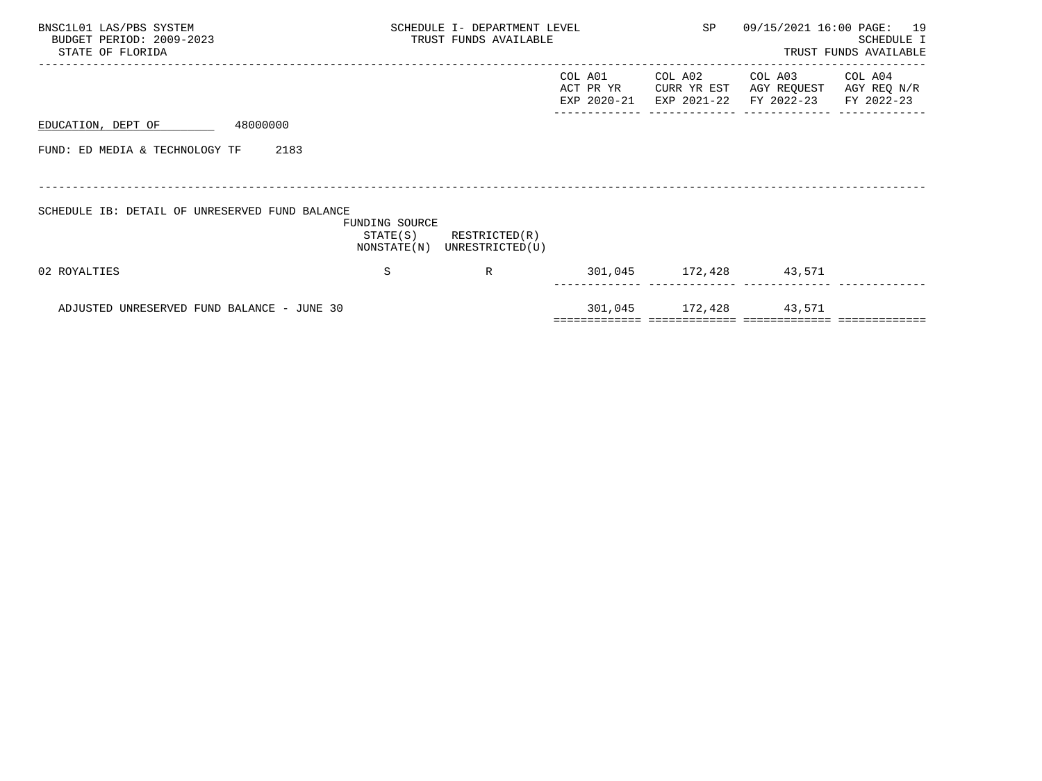| BNSC1L01 LAS/PBS SYSTEM<br>BUDGET PERIOD: 2009-2023<br>STATE OF FLORIDA |                                           | SCHEDULE I- DEPARTMENT LEVEL<br>TRUST FUNDS AVAILABLE | SP                                  | 09/15/2021 16:00 PAGE: 19             | SCHEDULE I<br>TRUST FUNDS AVAILABLE  |                                      |
|-------------------------------------------------------------------------|-------------------------------------------|-------------------------------------------------------|-------------------------------------|---------------------------------------|--------------------------------------|--------------------------------------|
|                                                                         |                                           |                                                       | COL A01<br>ACT PR YR<br>EXP 2020-21 | COL A02<br>CURR YR EST<br>EXP 2021-22 | COL A03<br>AGY REQUEST<br>FY 2022-23 | COL A04<br>AGY REQ N/R<br>FY 2022-23 |
| 48000000<br>EDUCATION, DEPT OF                                          |                                           |                                                       |                                     |                                       |                                      |                                      |
| FUND: ED MEDIA & TECHNOLOGY TF<br>2183                                  |                                           |                                                       |                                     |                                       |                                      |                                      |
|                                                                         |                                           |                                                       |                                     |                                       |                                      |                                      |
| SCHEDULE IB: DETAIL OF UNRESERVED FUND BALANCE                          | FUNDING SOURCE<br>STATE(S)<br>NONSTATE(N) | RESTRICTED(R)<br>UNRESTRICTED(U)                      |                                     |                                       |                                      |                                      |
| 02 ROYALTIES                                                            | S                                         | R                                                     |                                     | 301,045 172,428 43,571                |                                      |                                      |
| ADJUSTED UNRESERVED FUND BALANCE - JUNE 30                              |                                           |                                                       |                                     | 301,045 172,428 43,571                |                                      |                                      |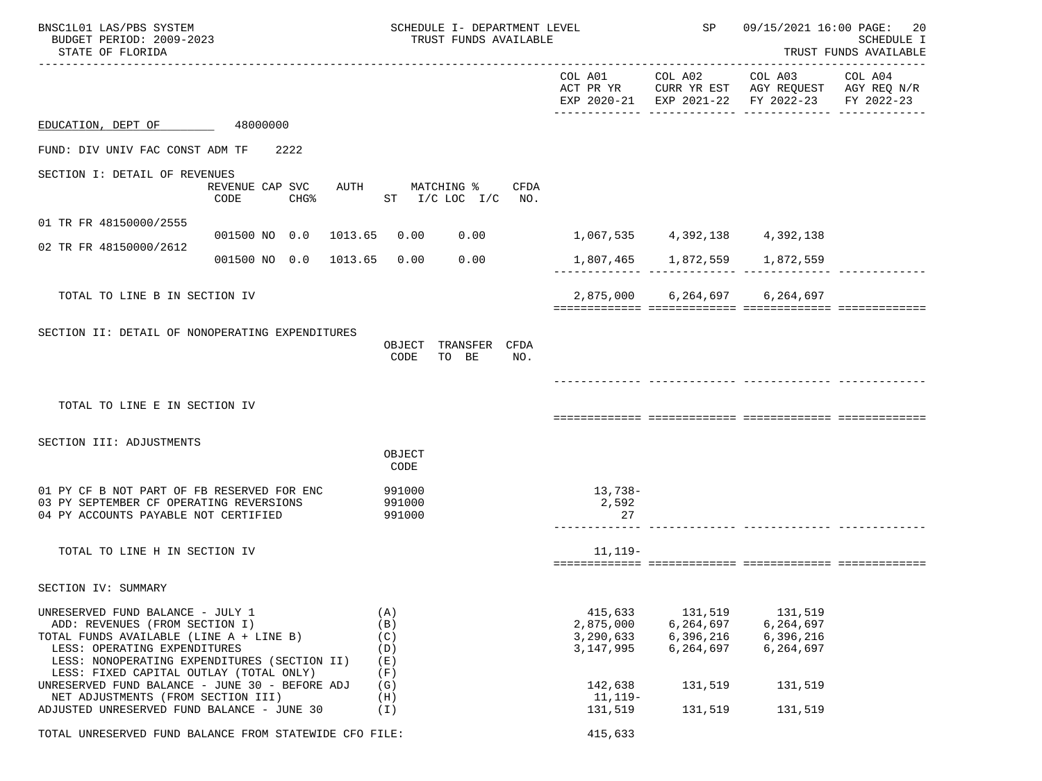| BNSC1L01 LAS/PBS SYSTEM<br>BUDGET PERIOD: 2009-2023<br>STATE OF FLORIDA                                                                                                                                                                  |                                                        |                                        | SCHEDULE I- DEPARTMENT LEVEL<br>TRUST FUNDS AVAILABLE |      |                                                  | SP                                             | 09/15/2021 16:00 PAGE:                                                                         | 20<br><b>SCHEDULE I</b><br>TRUST FUNDS AVAILABLE |
|------------------------------------------------------------------------------------------------------------------------------------------------------------------------------------------------------------------------------------------|--------------------------------------------------------|----------------------------------------|-------------------------------------------------------|------|--------------------------------------------------|------------------------------------------------|------------------------------------------------------------------------------------------------|--------------------------------------------------|
|                                                                                                                                                                                                                                          |                                                        |                                        |                                                       |      | COL A01 COL A02                                  |                                                | COL A03<br>ACT PR YR CURR YR EST AGY REQUEST AGY REQ N/R<br>EXP 2020-21 EXP 2021-22 FY 2022-23 | COL A04<br>FY 2022-23                            |
| EDUCATION, DEPT OF                                                                                                                                                                                                                       | 48000000                                               |                                        |                                                       |      |                                                  |                                                |                                                                                                |                                                  |
| FUND: DIV UNIV FAC CONST ADM TF                                                                                                                                                                                                          | 2222                                                   |                                        |                                                       |      |                                                  |                                                |                                                                                                |                                                  |
| SECTION I: DETAIL OF REVENUES                                                                                                                                                                                                            |                                                        |                                        |                                                       |      |                                                  |                                                |                                                                                                |                                                  |
|                                                                                                                                                                                                                                          | REVENUE CAP SVC<br>CODE<br>CHG%                        | AUTH MATCHING %                        | ST I/C LOC I/C NO.                                    | CFDA |                                                  |                                                |                                                                                                |                                                  |
| 01 TR FR 48150000/2555                                                                                                                                                                                                                   |                                                        |                                        |                                                       |      |                                                  |                                                |                                                                                                |                                                  |
| 02 TR FR 48150000/2612                                                                                                                                                                                                                   | 001500 NO 0.0 1013.65                                  | 0.00                                   | 0.00                                                  |      |                                                  |                                                | 1,067,535 4,392,138 4,392,138                                                                  |                                                  |
|                                                                                                                                                                                                                                          | 001500 NO 0.0 1013.65                                  | 0.00                                   | 0.00                                                  |      |                                                  |                                                | 1,807,465   1,872,559   1,872,559                                                              |                                                  |
| TOTAL TO LINE B IN SECTION IV                                                                                                                                                                                                            |                                                        |                                        |                                                       |      |                                                  | 2,875,000 6,264,697 6,264,697                  |                                                                                                |                                                  |
| SECTION II: DETAIL OF NONOPERATING EXPENDITURES                                                                                                                                                                                          |                                                        | CODE                                   | OBJECT TRANSFER CFDA<br>TO BE                         | NO.  |                                                  |                                                |                                                                                                |                                                  |
| TOTAL TO LINE E IN SECTION IV                                                                                                                                                                                                            |                                                        |                                        |                                                       |      |                                                  |                                                |                                                                                                |                                                  |
|                                                                                                                                                                                                                                          |                                                        |                                        |                                                       |      |                                                  |                                                |                                                                                                |                                                  |
| SECTION III: ADJUSTMENTS                                                                                                                                                                                                                 |                                                        | OBJECT<br>CODE                         |                                                       |      |                                                  |                                                |                                                                                                |                                                  |
| 01 PY CF B NOT PART OF FB RESERVED FOR ENC                                                                                                                                                                                               |                                                        | 991000                                 |                                                       |      | 13,738-                                          |                                                |                                                                                                |                                                  |
| 03 PY SEPTEMBER CF OPERATING REVERSIONS<br>04 PY ACCOUNTS PAYABLE NOT CERTIFIED                                                                                                                                                          |                                                        | 991000<br>991000                       |                                                       |      | 2,592<br>27                                      |                                                |                                                                                                |                                                  |
| TOTAL TO LINE H IN SECTION IV                                                                                                                                                                                                            |                                                        |                                        |                                                       |      | $11, 119-$                                       |                                                |                                                                                                |                                                  |
| SECTION IV: SUMMARY                                                                                                                                                                                                                      |                                                        |                                        |                                                       |      |                                                  |                                                |                                                                                                |                                                  |
| UNRESERVED FUND BALANCE - JULY 1<br>ADD: REVENUES (FROM SECTION I)<br>TOTAL FUNDS AVAILABLE (LINE A + LINE B)<br>LESS: OPERATING EXPENDITURES<br>LESS: NONOPERATING EXPENDITURES (SECTION II)<br>LESS: FIXED CAPITAL OUTLAY (TOTAL ONLY) |                                                        | (A)<br>(B)<br>(C)<br>(D)<br>(E)<br>(F) |                                                       |      | 415,633<br>2,875,000<br>3,290,633<br>3, 147, 995 | 131,519<br>6,264,697<br>6,396,216<br>6,264,697 | 131,519<br>6,264,697<br>6,396,216<br>6,264,697                                                 |                                                  |
| UNRESERVED FUND BALANCE - JUNE 30 - BEFORE ADJ<br>NET ADJUSTMENTS (FROM SECTION III)                                                                                                                                                     |                                                        | (G)<br>(H)                             |                                                       |      | 142,638<br>11,119–                               | 131,519                                        | 131,519                                                                                        |                                                  |
| ADJUSTED UNRESERVED FUND BALANCE - JUNE 30                                                                                                                                                                                               |                                                        | (I)                                    |                                                       |      | 131,519                                          | 131,519                                        | 131,519                                                                                        |                                                  |
|                                                                                                                                                                                                                                          | TOTAL UNRESERVED FUND BALANCE FROM STATEWIDE CFO FILE: |                                        |                                                       |      | 415,633                                          |                                                |                                                                                                |                                                  |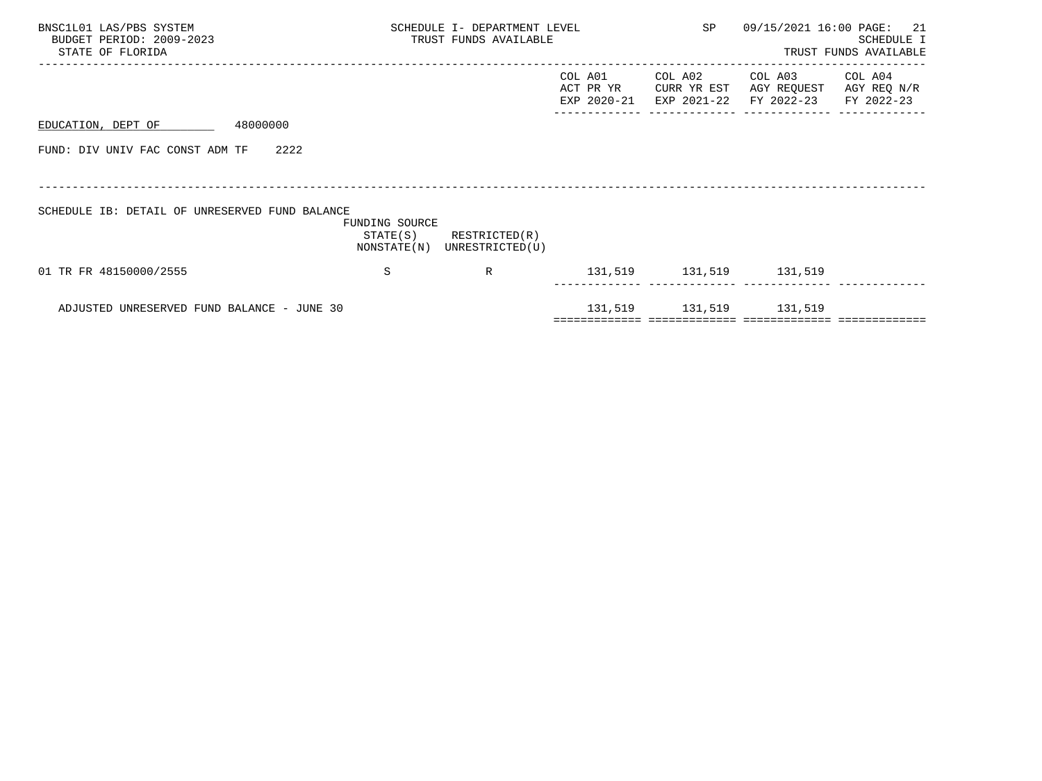| BNSC1L01 LAS/PBS SYSTEM<br>BUDGET PERIOD: 2009-2023<br>STATE OF FLORIDA |                                           | SCHEDULE I- DEPARTMENT LEVEL<br>TRUST FUNDS AVAILABLE |                                     | SP                                    | 09/15/2021 16:00 PAGE:               | 21<br>SCHEDULE I<br>TRUST FUNDS AVAILABLE |
|-------------------------------------------------------------------------|-------------------------------------------|-------------------------------------------------------|-------------------------------------|---------------------------------------|--------------------------------------|-------------------------------------------|
|                                                                         |                                           |                                                       | COL A01<br>ACT PR YR<br>EXP 2020-21 | COL A02<br>CURR YR EST<br>EXP 2021-22 | COL A03<br>AGY REQUEST<br>FY 2022-23 | COL A04<br>AGY REQ N/R<br>FY 2022-23      |
| 48000000<br>EDUCATION, DEPT OF                                          |                                           |                                                       |                                     |                                       |                                      |                                           |
| FUND: DIV UNIV FAC CONST ADM TF<br>2222                                 |                                           |                                                       |                                     |                                       |                                      |                                           |
|                                                                         |                                           |                                                       |                                     |                                       |                                      |                                           |
| SCHEDULE IB: DETAIL OF UNRESERVED FUND BALANCE                          | FUNDING SOURCE<br>STATE(S)<br>NONSTATE(N) | RESTRICTED(R)<br>UNRESTRICTED(U)                      |                                     |                                       |                                      |                                           |
| 01 TR FR 48150000/2555                                                  | S                                         | R                                                     |                                     | 131,519 131,519 131,519               |                                      |                                           |
| ADJUSTED UNRESERVED FUND BALANCE - JUNE 30                              |                                           |                                                       |                                     | 131,519 131,519 131,519               |                                      |                                           |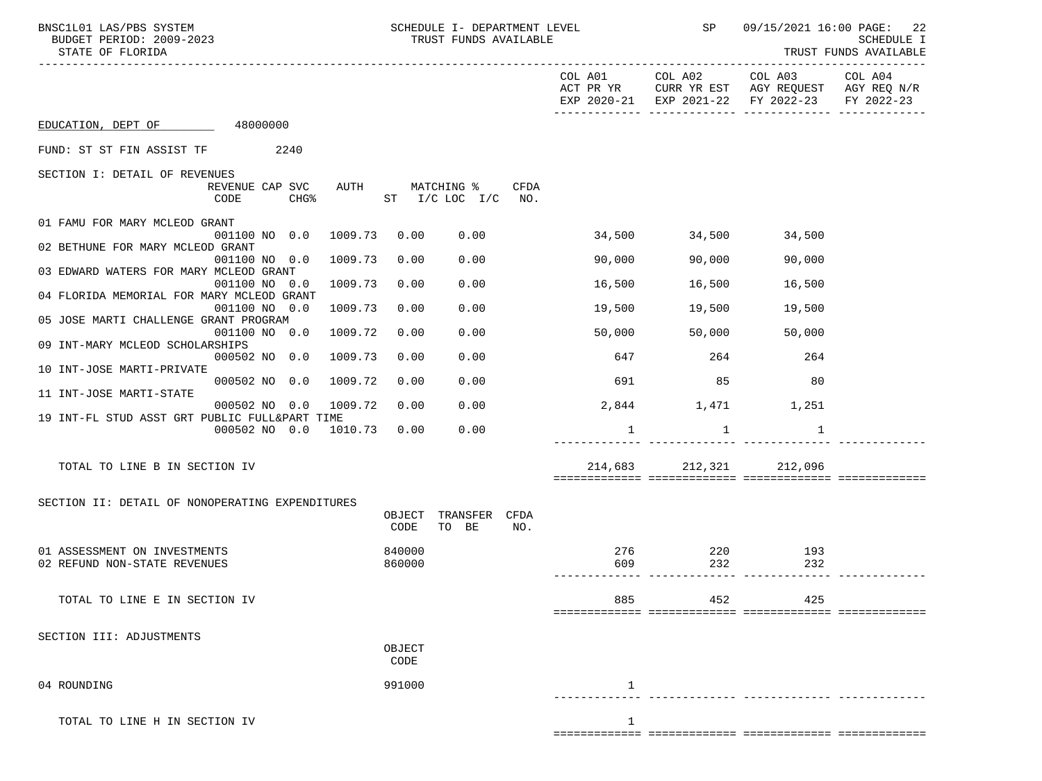| BNSC1L01 LAS/PBS SYSTEM<br>BUDGET PERIOD: 2009-2023<br>STATE OF FLORIDA   | SCHEDULE I- DEPARTMENT LEVEL<br>TRUST FUNDS AVAILABLE        |                      |                         | SP 09/15/2021 16:00 PAGE: 22                  | SCHEDULE I<br>TRUST FUNDS AVAILABLE |
|---------------------------------------------------------------------------|--------------------------------------------------------------|----------------------|-------------------------|-----------------------------------------------|-------------------------------------|
|                                                                           |                                                              |                      |                         | EXP 2020-21 EXP 2021-22 FY 2022-23 FY 2022-23 |                                     |
| EDUCATION, DEPT OF 48000000                                               |                                                              |                      |                         |                                               |                                     |
| FUND: ST ST FIN ASSIST TF 2240                                            |                                                              |                      |                         |                                               |                                     |
| SECTION I: DETAIL OF REVENUES                                             |                                                              |                      |                         |                                               |                                     |
| REVENUE CAP SVC<br>CODE<br>CHG <sup>8</sup>                               | AUTH MATCHING %<br>CFDA<br>ST I/C LOC I/C<br>NO <sub>z</sub> |                      |                         |                                               |                                     |
| 01 FAMU FOR MARY MCLEOD GRANT<br>1009.73<br>001100 NO 0.0                 | 0.00<br>0.00                                                 |                      | 34,500 34,500           | 34,500                                        |                                     |
| 02 BETHUNE FOR MARY MCLEOD GRANT                                          |                                                              |                      |                         |                                               |                                     |
| 001100 NO 0.0<br>1009.73<br>03 EDWARD WATERS FOR MARY MCLEOD GRANT        | 0.00<br>0.00                                                 | 90,000               | 90,000                  | 90,000                                        |                                     |
| 001100 NO 0.0<br>1009.73<br>04 FLORIDA MEMORIAL FOR MARY MCLEOD GRANT     | 0.00<br>0.00                                                 |                      | 16,500 16,500           | 16,500                                        |                                     |
| 001100 NO 0.0<br>1009.73                                                  | 0.00<br>0.00                                                 | 19,500               | 19,500                  | 19,500                                        |                                     |
| 05 JOSE MARTI CHALLENGE GRANT PROGRAM<br>001100 NO 0.0<br>1009.72         | 0.00<br>0.00                                                 | 50,000               | 50,000                  | 50,000                                        |                                     |
| 09 INT-MARY MCLEOD SCHOLARSHIPS                                           |                                                              |                      |                         |                                               |                                     |
| 000502 NO 0.0<br>1009.73<br>10 INT-JOSE MARTI-PRIVATE                     | 0.00<br>0.00                                                 | 647                  | 264                     | 264                                           |                                     |
| 000502 NO 0.0<br>1009.72                                                  | 0.00<br>0.00                                                 | 691                  | 85                      | 80                                            |                                     |
| 11 INT-JOSE MARTI-STATE<br>000502 NO 0.0<br>1009.72                       | 0.00<br>0.00                                                 |                      |                         | 2,844 1,471 1,251                             |                                     |
| 19 INT-FL STUD ASST GRT PUBLIC FULL&PART TIME<br>000502 NO 0.0<br>1010.73 | 0.00<br>0.00                                                 | $\mathbf{1}$         | $\mathbf{1}$            | 1                                             |                                     |
|                                                                           |                                                              |                      |                         |                                               |                                     |
| TOTAL TO LINE B IN SECTION IV                                             |                                                              |                      | 214,683 212,321 212,096 |                                               |                                     |
|                                                                           |                                                              |                      |                         |                                               |                                     |
| SECTION II: DETAIL OF NONOPERATING EXPENDITURES                           | OBJECT<br>TRANSFER CFDA<br>TO BE<br>CODE<br>NO.              |                      |                         |                                               |                                     |
| 01 ASSESSMENT ON INVESTMENTS                                              | 840000                                                       | 276                  | 220                     | 193                                           |                                     |
| 02 REFUND NON-STATE REVENUES                                              | 860000                                                       | 609<br>------------- | 232                     | 232                                           |                                     |
| TOTAL TO LINE E IN SECTION IV                                             |                                                              | 885                  | 452                     | 425                                           |                                     |
|                                                                           |                                                              |                      |                         |                                               |                                     |
| SECTION III: ADJUSTMENTS                                                  | OBJECT                                                       |                      |                         |                                               |                                     |
|                                                                           | CODE                                                         |                      |                         |                                               |                                     |
| 04 ROUNDING                                                               | 991000                                                       | 1                    |                         |                                               |                                     |
| TOTAL TO LINE H IN SECTION IV                                             |                                                              | 1                    |                         |                                               |                                     |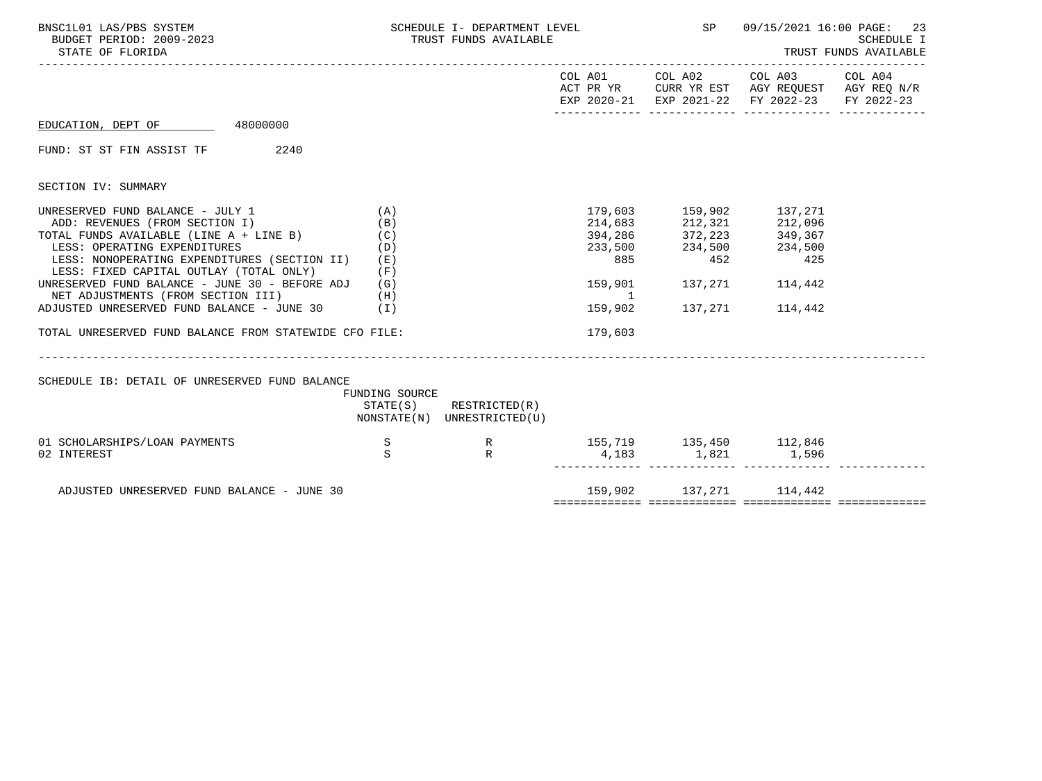| BNSC1L01 LAS/PBS SYSTEM<br>BUDGET PERIOD: 2009-2023<br>STATE OF FLORIDA                                                                                                                                                                                                                                                                                                                                                                                              |                          | SCHEDULE I- DEPARTMENT LEVEL<br>TRUST FUNDS AVAILABLE      |                            |                                                                                                                                                                 | SP 09/15/2021 16:00 PAGE: 23<br>TRUST FUNDS AVAILABLE                                                                  | <b>SCHEDULE I</b> |
|----------------------------------------------------------------------------------------------------------------------------------------------------------------------------------------------------------------------------------------------------------------------------------------------------------------------------------------------------------------------------------------------------------------------------------------------------------------------|--------------------------|------------------------------------------------------------|----------------------------|-----------------------------------------------------------------------------------------------------------------------------------------------------------------|------------------------------------------------------------------------------------------------------------------------|-------------------|
|                                                                                                                                                                                                                                                                                                                                                                                                                                                                      |                          |                                                            |                            |                                                                                                                                                                 | COL A01 COL A02 COL A03 COL A04<br>ACT PR YR CURR YR EST AGY REQUEST AGY REQ N/R<br>EXP 2020-21 EXP 2021-22 FY 2022-23 | FY 2022-23        |
| EDUCATION, DEPT OF 48000000                                                                                                                                                                                                                                                                                                                                                                                                                                          |                          |                                                            |                            |                                                                                                                                                                 |                                                                                                                        |                   |
| FUND: ST ST FIN ASSIST TF 2240                                                                                                                                                                                                                                                                                                                                                                                                                                       |                          |                                                            |                            |                                                                                                                                                                 |                                                                                                                        |                   |
| SECTION IV: SUMMARY                                                                                                                                                                                                                                                                                                                                                                                                                                                  |                          |                                                            |                            |                                                                                                                                                                 |                                                                                                                        |                   |
| UNRESERVED FUND BALANCE - JULY 1<br>ADD: REVENUES (FROM SECTION I)<br>TOTAL FUNDS AVAILABLE (LINE $A + LINE B$ ) (C)<br>LESS: OPERATING EXPENDITURES<br>LESS: NONOPERATING EXPENDITURES (SECTION II) (E)<br>LESS: FIXED CAPITAL OUTLAY (TOTAL ONLY)<br>UNRESERVED FUND BALANCE - JUNE 30 - BEFORE ADJ $(G)$<br>NET ADJUSTMENTS (FROM SECTION III)<br>(H)<br>ADJUSTED UNRESERVED FUND BALANCE - JUNE 30 (I)<br>TOTAL UNRESERVED FUND BALANCE FROM STATEWIDE CFO FILE: | (A)<br>(B)<br>(D)<br>(F) |                                                            | 885<br>$\sim$ 1<br>179,603 | 179,603 159,902 137,271<br>214,683 212,321<br>394, 286 372, 223<br>233,500 234,500 234,500<br>885 452 425<br>159,901 137,271 114,442<br>159,902 137,271 114,442 | 212,096<br>349,367                                                                                                     |                   |
| SCHEDULE IB: DETAIL OF UNRESERVED FUND BALANCE                                                                                                                                                                                                                                                                                                                                                                                                                       | FUNDING SOURCE           | $STATE(S)$ RESTRICTED $(R)$<br>NONSTATE(N) UNRESTRICTED(U) |                            |                                                                                                                                                                 |                                                                                                                        |                   |
| 01 SCHOLARSHIPS/LOAN PAYMENTS<br>02 INTEREST                                                                                                                                                                                                                                                                                                                                                                                                                         | $\mathbf S$<br>S         | $R$ R                                                      |                            | 155,719 135,450 112,846<br>$4,183$ $1,821$ $1,596$                                                                                                              |                                                                                                                        |                   |
| ADJUSTED UNRESERVED FUND BALANCE - JUNE 30                                                                                                                                                                                                                                                                                                                                                                                                                           |                          |                                                            |                            | 159,902 137,271 114,442                                                                                                                                         |                                                                                                                        |                   |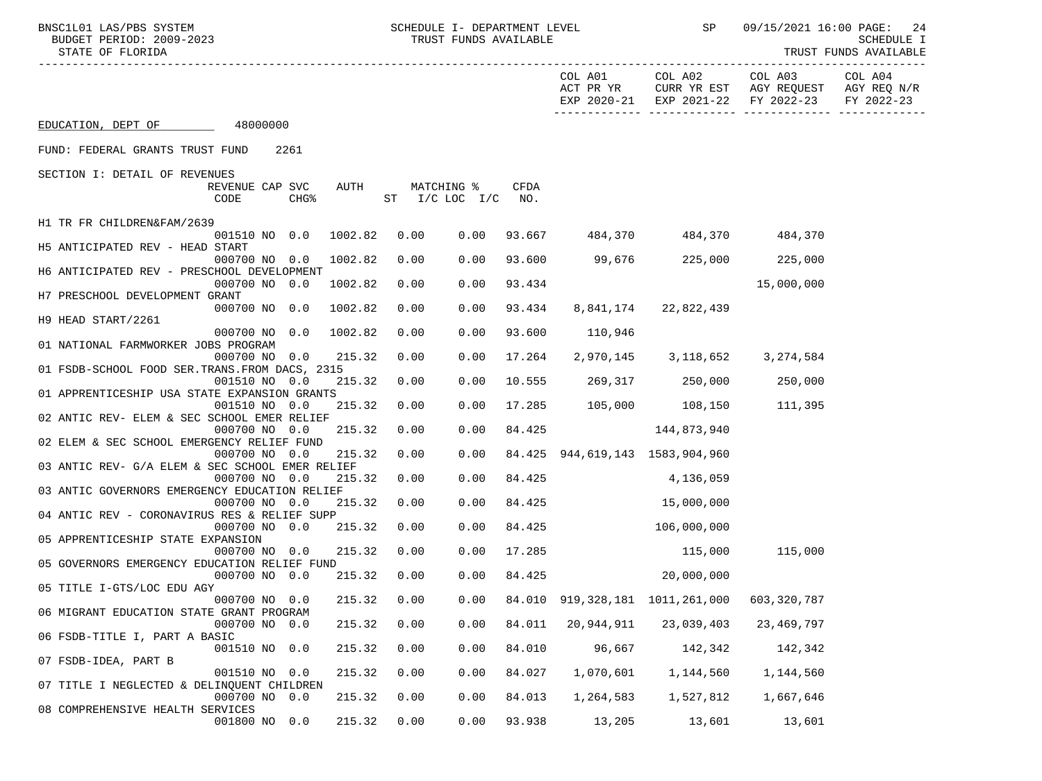BNSC1L01 LAS/PBS SYSTEM SOHEDULE I- DEPARTMENT LEVEL SP 09/15/2021 16:00 PAGE: 24<br>BUDGET PERIOD: 2009-2023 TRUST FUNDS AVAILABLE

STATE OF FLORIDA TRUST FUNDS AVAILABLE

|                                                 |                 |      |                            |                    |            |               |           | EXP 2020-21 EXP 2021-22 FY 2022-23 FY 2022-23                                         |            |  |
|-------------------------------------------------|-----------------|------|----------------------------|--------------------|------------|---------------|-----------|---------------------------------------------------------------------------------------|------------|--|
| EDUCATION, DEPT OF 48000000                     |                 |      |                            |                    |            |               |           |                                                                                       |            |  |
| FUND: FEDERAL GRANTS TRUST FUND 2261            |                 |      |                            |                    |            |               |           |                                                                                       |            |  |
| SECTION I: DETAIL OF REVENUES                   |                 |      |                            |                    |            |               |           |                                                                                       |            |  |
|                                                 | REVENUE CAP SVC |      | AUTH                       |                    | MATCHING % | CFDA          |           |                                                                                       |            |  |
| CODE                                            |                 | CHG% |                            | ST I/C LOC I/C NO. |            |               |           |                                                                                       |            |  |
|                                                 |                 |      |                            |                    |            |               |           |                                                                                       |            |  |
| H1 TR FR CHILDREN&FAM/2639                      |                 |      |                            |                    |            |               |           |                                                                                       |            |  |
| H5 ANTICIPATED REV - HEAD START                 |                 |      | 001510 NO 0.0 1002.82 0.00 |                    |            |               |           | 0.00 93.667 484,370 484,370 484,370                                                   |            |  |
|                                                 | 000700 NO 0.0   |      | 1002.82                    | 0.00               |            |               |           | $0.00$ 93.600 99,676 225,000 225,000                                                  |            |  |
| H6 ANTICIPATED REV - PRESCHOOL DEVELOPMENT      |                 |      |                            |                    |            |               |           |                                                                                       |            |  |
|                                                 |                 |      | 000700 NO 0.0 1002.82      | 0.00               | 0.00       | 93.434        |           |                                                                                       | 15,000,000 |  |
| H7 PRESCHOOL DEVELOPMENT GRANT                  |                 |      |                            |                    |            |               |           |                                                                                       |            |  |
|                                                 |                 |      | 000700 NO 0.0 1002.82      | 0.00               | 0.00       | 93.434        |           | 8,841,174 22,822,439                                                                  |            |  |
| H9 HEAD START/2261                              |                 |      |                            |                    |            |               |           |                                                                                       |            |  |
|                                                 | 000700 NO 0.0   |      | 1002.82                    | 0.00               | 0.00       | 93.600        | 110,946   |                                                                                       |            |  |
| 01 NATIONAL FARMWORKER JOBS PROGRAM             |                 |      |                            |                    |            |               |           |                                                                                       |            |  |
|                                                 | 000700 NO 0.0   |      | 215.32                     | 0.00               |            | $0.00$ 17.264 |           | 2,970,145 3,118,652 3,274,584                                                         |            |  |
| 01 FSDB-SCHOOL FOOD SER. TRANS. FROM DACS, 2315 |                 |      |                            |                    |            |               |           |                                                                                       |            |  |
| 01 APPRENTICESHIP USA STATE EXPANSION GRANTS    | 001510 NO 0.0   |      | 215.32                     | 0.00               | 0.00       |               |           | 10.555 269,317 250,000 250,000                                                        |            |  |
|                                                 | 001510 NO 0.0   |      | 215.32                     | 0.00               | 0.00       |               |           | 17.285 105,000 108,150 111,395                                                        |            |  |
| 02 ANTIC REV- ELEM & SEC SCHOOL EMER RELIEF     |                 |      |                            |                    |            |               |           |                                                                                       |            |  |
|                                                 | 000700 NO 0.0   |      | 215.32                     | 0.00               | 0.00       | 84.425        |           | 144,873,940                                                                           |            |  |
| 02 ELEM & SEC SCHOOL EMERGENCY RELIEF FUND      |                 |      |                            |                    |            |               |           |                                                                                       |            |  |
|                                                 | 000700 NO 0.0   |      | 215.32                     | 0.00               |            |               |           | $0.00$ $84.425$ $944,619,143$ $1583,904,960$                                          |            |  |
| 03 ANTIC REV- G/A ELEM & SEC SCHOOL EMER RELIEF |                 |      |                            |                    |            |               |           |                                                                                       |            |  |
|                                                 | 000700 NO 0.0   |      | 215.32                     | 0.00               |            | $0.00$ 84.425 |           | 4,136,059                                                                             |            |  |
| 03 ANTIC GOVERNORS EMERGENCY EDUCATION RELIEF   |                 |      |                            |                    |            |               |           |                                                                                       |            |  |
|                                                 | 000700 NO 0.0   |      | 215.32                     | 0.00               | 0.00       | 84.425        |           | 15,000,000                                                                            |            |  |
| 04 ANTIC REV - CORONAVIRUS RES & RELIEF SUPP    |                 |      |                            |                    |            |               |           |                                                                                       |            |  |
|                                                 |                 |      | 000700 NO 0.0 215.32       | 0.00               | 0.00       |               | 84.425    | 106,000,000                                                                           |            |  |
| 05 APPRENTICESHIP STATE EXPANSION               |                 |      | 215.32                     | 0.00               |            | 0.00 17.285   |           | 115,000                                                                               |            |  |
| 05 GOVERNORS EMERGENCY EDUCATION RELIEF FUND    | 000700 NO 0.0   |      |                            |                    |            |               |           |                                                                                       | 115,000    |  |
|                                                 | 000700 NO 0.0   |      | 215.32                     | 0.00               | 0.00       |               |           | 84.425 20,000,000                                                                     |            |  |
| 05 TITLE I-GTS/LOC EDU AGY                      |                 |      |                            |                    |            |               |           |                                                                                       |            |  |
|                                                 | 000700 NO 0.0   |      | 215.32                     | 0.00               |            |               |           | $0.00$ 84.010 919,328,181 1011,261,000 603,320,787                                    |            |  |
| 06 MIGRANT EDUCATION STATE GRANT PROGRAM        |                 |      |                            |                    |            |               |           |                                                                                       |            |  |
|                                                 |                 |      |                            |                    |            |               |           | 000700 NO 0.0   215.32   0.00    0.00   84.011   20,944,911   23,039,403   23,469,797 |            |  |
| 06 FSDB-TITLE I, PART A BASIC                   |                 |      |                            |                    |            |               |           |                                                                                       |            |  |
|                                                 | 001510 NO 0.0   |      | 215.32                     | 0.00               | 0.00       | 84.010        | 96,667    | 142,342                                                                               | 142,342    |  |
| 07 FSDB-IDEA, PART B                            |                 |      |                            |                    |            |               |           |                                                                                       |            |  |
|                                                 | 001510 NO 0.0   |      | 215.32                     | 0.00               | 0.00       | 84.027        | 1,070,601 | 1,144,560                                                                             | 1,144,560  |  |
| 07 TITLE I NEGLECTED & DELINQUENT CHILDREN      |                 |      |                            |                    |            |               |           |                                                                                       |            |  |
|                                                 | 000700 NO 0.0   |      | 215.32                     | 0.00               | 0.00       | 84.013        | 1,264,583 | 1,527,812                                                                             | 1,667,646  |  |
| 08 COMPREHENSIVE HEALTH SERVICES                | 001800 NO 0.0   |      | 215.32                     | 0.00               | 0.00       | 93.938        | 13,205    | 13,601                                                                                | 13,601     |  |
|                                                 |                 |      |                            |                    |            |               |           |                                                                                       |            |  |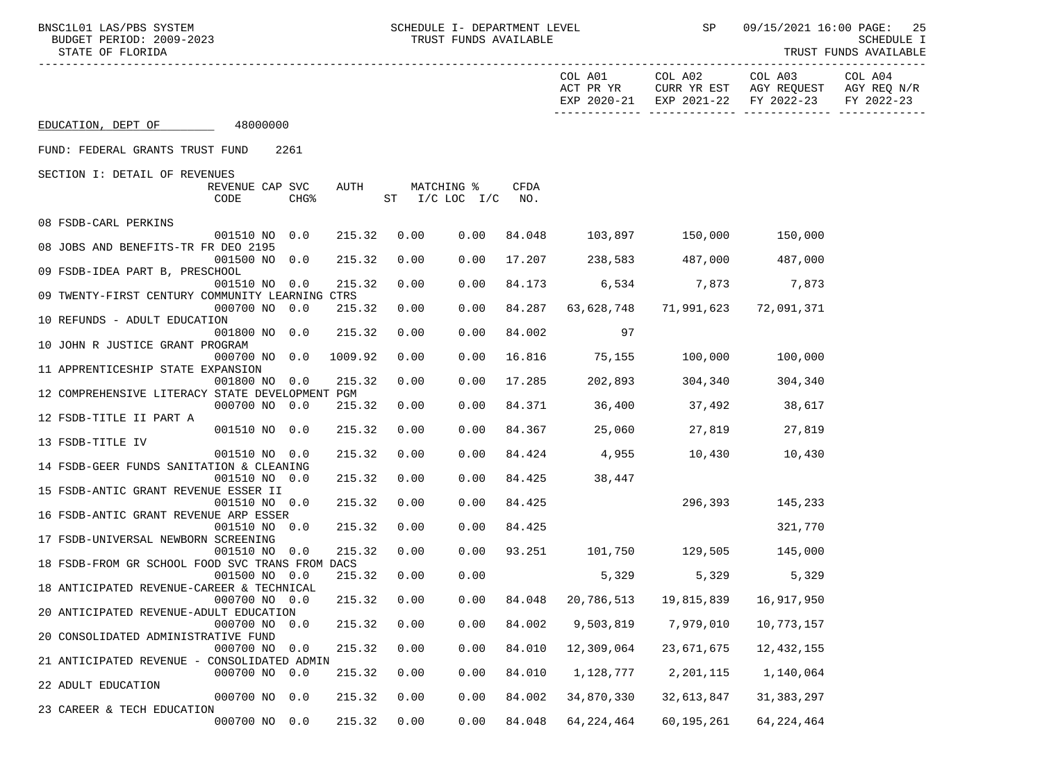TRUST FUNDS AVAILABLE

|                                                 |                           |                          |             |                                  |        |            | COL A01 COL A02 COL A03<br>ACT PR YR CURR YR EST AGY REQUEST AGY REQ N/R<br>EXP 2020-21 EXP 2021-22 FY 2022-23 |                | COL A04<br>FY 2022-23 |
|-------------------------------------------------|---------------------------|--------------------------|-------------|----------------------------------|--------|------------|----------------------------------------------------------------------------------------------------------------|----------------|-----------------------|
| EDUCATION, DEPT OF 48000000                     |                           |                          |             |                                  |        |            |                                                                                                                |                |                       |
| FUND: FEDERAL GRANTS TRUST FUND 2261            |                           |                          |             |                                  |        |            |                                                                                                                |                |                       |
| SECTION I: DETAIL OF REVENUES                   |                           |                          |             |                                  |        |            |                                                                                                                |                |                       |
|                                                 | REVENUE CAP SVC<br>CODE   | AUTH<br>CHG <sup>8</sup> |             | MATCHING %<br>ST I/C LOC I/C NO. | CFDA   |            |                                                                                                                |                |                       |
| 08 FSDB-CARL PERKINS                            |                           |                          |             |                                  |        |            |                                                                                                                |                |                       |
| 08 JOBS AND BENEFITS-TR FR DEO 2195             | 001510 NO 0.0             |                          | 215.32 0.00 | 0.00                             | 84.048 |            | 103,897 150,000 150,000                                                                                        |                |                       |
|                                                 | 001500 NO 0.0             | 215.32                   | 0.00        | 0.00                             |        |            | 17.207 238,583 487,000 487,000                                                                                 |                |                       |
| 09 FSDB-IDEA PART B, PRESCHOOL                  |                           |                          |             |                                  |        |            |                                                                                                                |                |                       |
|                                                 | 001510 NO 0.0             | 215.32                   | 0.00        | 0.00                             | 84.173 |            | 6,534 7,873 7,873                                                                                              |                |                       |
| 09 TWENTY-FIRST CENTURY COMMUNITY LEARNING CTRS |                           |                          |             |                                  |        |            |                                                                                                                |                |                       |
| 10 REFUNDS - ADULT EDUCATION                    | 000700 NO 0.0             | 215.32                   | 0.00        | 0.00                             | 84.287 |            | 63, 628, 748 71, 991, 623 72, 091, 371                                                                         |                |                       |
|                                                 | 001800 NO 0.0             | 215.32                   | 0.00        | 0.00                             | 84.002 | 97         |                                                                                                                |                |                       |
| 10 JOHN R JUSTICE GRANT PROGRAM                 |                           |                          |             |                                  |        |            |                                                                                                                |                |                       |
|                                                 | 000700 NO 0.0             | 1009.92                  | 0.00        | 0.00                             |        |            | 16.816 75,155 100,000 100,000                                                                                  |                |                       |
| 11 APPRENTICESHIP STATE EXPANSION               |                           |                          |             |                                  |        |            |                                                                                                                |                |                       |
| 12 COMPREHENSIVE LITERACY STATE DEVELOPMENT PGM | 001800 NO 0.0             | 215.32                   | 0.00        | 0.00                             |        |            | 17.285 202,893 304,340                                                                                         | 304,340        |                       |
|                                                 | 000700 NO 0.0             | 215.32                   | 0.00        | 0.00                             |        |            | 84.371 36,400 37,492 38,617                                                                                    |                |                       |
| 12 FSDB-TITLE II PART A                         |                           |                          |             |                                  |        |            |                                                                                                                |                |                       |
|                                                 | 001510 NO 0.0             | 215.32                   | 0.00        | 0.00                             |        |            | 84.367 25,060 27,819                                                                                           | 27,819         |                       |
| 13 FSDB-TITLE IV                                |                           |                          |             |                                  |        |            |                                                                                                                |                |                       |
| 14 FSDB-GEER FUNDS SANITATION & CLEANING        | 001510 NO 0.0             | 215.32                   | 0.00        | 0.00                             |        |            | 84.424  4,955  10,430  10,430                                                                                  |                |                       |
|                                                 | 001510 NO 0.0             | 215.32                   | 0.00        | 0.00                             | 84.425 | 38,447     |                                                                                                                |                |                       |
| 15 FSDB-ANTIC GRANT REVENUE ESSER II            |                           |                          |             |                                  |        |            |                                                                                                                |                |                       |
|                                                 | 001510 NO 0.0             | 215.32                   | 0.00        | 0.00                             | 84.425 |            | 296,393                                                                                                        | 145,233        |                       |
| 16 FSDB-ANTIC GRANT REVENUE ARP ESSER           |                           | 215.32                   | 0.00        | 0.00                             | 84.425 |            |                                                                                                                | 321,770        |                       |
| 17 FSDB-UNIVERSAL NEWBORN SCREENING             | 001510 NO 0.0             |                          |             |                                  |        |            |                                                                                                                |                |                       |
|                                                 | 001510 NO 0.0             | 215.32                   | 0.00        |                                  |        |            | $0.00$ 93.251 101,750 129,505 145,000                                                                          |                |                       |
| 18 FSDB-FROM GR SCHOOL FOOD SVC TRANS FROM DACS |                           |                          |             |                                  |        |            |                                                                                                                |                |                       |
|                                                 | 001500 NO 0.0             | 215.32                   | 0.00        | 0.00                             |        |            | 5,329                                                                                                          | 5,329<br>5,329 |                       |
| 18 ANTICIPATED REVENUE-CAREER & TECHNICAL       | 000700 NO 0.0             | 215.32                   | 0.00        |                                  |        |            | 0.00 84.048 20,786,513 19,815,839 16,917,950                                                                   |                |                       |
| 20 ANTICIPATED REVENUE-ADULT EDUCATION          |                           |                          |             |                                  |        |            |                                                                                                                |                |                       |
|                                                 | 000700 NO 0.0 215.32 0.00 |                          |             |                                  |        |            | $0.00$ 84.002 9,503,819 7,979,010 10,773,157                                                                   |                |                       |
| 20 CONSOLIDATED ADMINISTRATIVE FUND             |                           |                          |             |                                  |        |            |                                                                                                                |                |                       |
|                                                 | 000700 NO                 | 215.32<br>0.0            | 0.00        | 0.00                             | 84.010 | 12,309,064 | 23,671,675                                                                                                     | 12,432,155     |                       |
| 21 ANTICIPATED REVENUE - CONSOLIDATED ADMIN     | 000700 NO                 | 215.32<br>0.0            | 0.00        | 0.00                             | 84.010 | 1,128,777  | 2,201,115                                                                                                      | 1,140,064      |                       |
| 22 ADULT EDUCATION                              |                           |                          |             |                                  |        |            |                                                                                                                |                |                       |
|                                                 | 000700 NO 0.0             | 215.32                   | 0.00        | 0.00                             | 84.002 | 34,870,330 | 32,613,847                                                                                                     | 31, 383, 297   |                       |
| 23 CAREER & TECH EDUCATION                      |                           |                          |             |                                  |        |            |                                                                                                                |                |                       |
|                                                 | 000700 NO 0.0             | 215.32                   | 0.00        | 0.00                             | 84.048 | 64,224,464 | 60,195,261                                                                                                     | 64, 224, 464   |                       |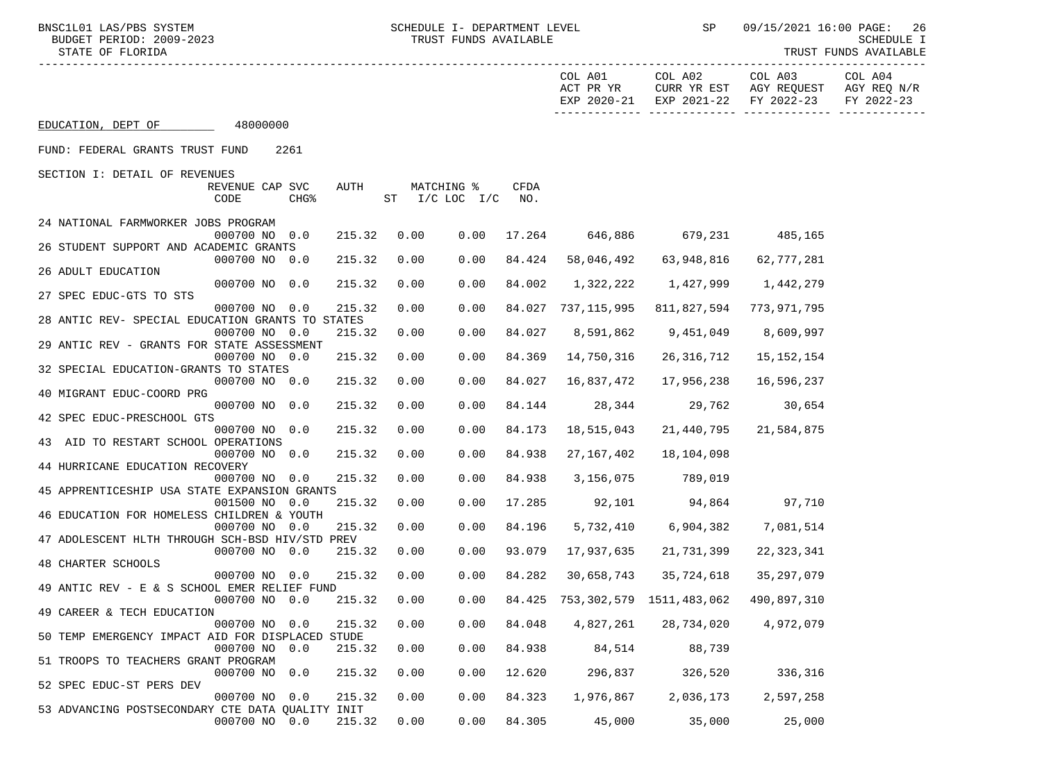51 TROOPS TO TEACHERS GRANT PROGRAM

53 ADVANCING POSTSECONDARY CTE DATA QUALITY INIT

52 SPEC EDUC-ST PERS DEV

| BNSC1L01 LAS/PBS SYSTEM                          |                         |                  |        |      | SCHEDULE I- DEPARTMENT LEVEL |             |                      | <b>SP</b>                       | 09/15/2021 16:00 PAGE:                        | 26                                               |
|--------------------------------------------------|-------------------------|------------------|--------|------|------------------------------|-------------|----------------------|---------------------------------|-----------------------------------------------|--------------------------------------------------|
| BUDGET PERIOD: 2009-2023<br>STATE OF FLORIDA     |                         |                  |        |      | TRUST FUNDS AVAILABLE        |             |                      |                                 |                                               | SCHEDULE I<br>TRUST FUNDS AVAILABLE              |
|                                                  |                         |                  |        |      |                              |             | COL A01<br>ACT PR YR | COL A02<br>CURR YR EST          | COL A03<br>EXP 2020-21 EXP 2021-22 FY 2022-23 | COL A04<br>AGY REQUEST AGY REQ N/R<br>FY 2022-23 |
| EDUCATION, DEPT OF                               | 48000000                |                  |        |      |                              |             |                      |                                 |                                               |                                                  |
| FUND: FEDERAL GRANTS TRUST FUND                  |                         | 2261             |        |      |                              |             |                      |                                 |                                               |                                                  |
| SECTION I: DETAIL OF REVENUES                    |                         |                  |        |      |                              |             |                      |                                 |                                               |                                                  |
|                                                  | REVENUE CAP SVC<br>CODE | CHG <sup>8</sup> | AUTH   |      | MATCHING %<br>ST I/C LOC I/C | CFDA<br>NO. |                      |                                 |                                               |                                                  |
| 24 NATIONAL FARMWORKER JOBS PROGRAM              | 000700 NO 0.0           |                  | 215.32 | 0.00 | 0.00                         | 17.264      |                      | 646,886 679,231 485,165         |                                               |                                                  |
| 26 STUDENT SUPPORT AND ACADEMIC GRANTS           |                         |                  |        |      |                              |             |                      |                                 |                                               |                                                  |
| 26 ADULT EDUCATION                               | 000700 NO 0.0           |                  | 215.32 | 0.00 | 0.00                         | 84.424      | 58,046,492           | 63,948,816                      | 62,777,281                                    |                                                  |
| 27 SPEC EDUC-GTS TO STS                          | 000700 NO 0.0           |                  | 215.32 | 0.00 | 0.00                         | 84.002      | 1,322,222            | 1,427,999                       | 1,442,279                                     |                                                  |
| 28 ANTIC REV- SPECIAL EDUCATION GRANTS TO STATES | 000700 NO 0.0           |                  | 215.32 | 0.00 | 0.00                         |             | 84.027 737,115,995   | 811,827,594                     | 773,971,795                                   |                                                  |
| 29 ANTIC REV - GRANTS FOR STATE ASSESSMENT       | 000700 NO 0.0           |                  | 215.32 | 0.00 | 0.00                         | 84.027      | 8,591,862            | 9,451,049                       | 8,609,997                                     |                                                  |
|                                                  | 000700 NO 0.0           |                  | 215.32 | 0.00 | 0.00                         | 84.369      | 14,750,316           | 26,316,712                      | 15, 152, 154                                  |                                                  |
| 32 SPECIAL EDUCATION-GRANTS TO STATES            | 000700 NO 0.0           |                  | 215.32 | 0.00 | 0.00                         | 84.027      | 16,837,472           | 17,956,238                      | 16,596,237                                    |                                                  |
| 40 MIGRANT EDUC-COORD PRG                        | 000700 NO 0.0           |                  | 215.32 | 0.00 | 0.00                         | 84.144      | 28,344               | 29,762                          | 30,654                                        |                                                  |
| 42 SPEC EDUC-PRESCHOOL GTS                       | 000700 NO 0.0           |                  | 215.32 | 0.00 | 0.00                         | 84.173      | 18,515,043           | 21,440,795                      | 21,584,875                                    |                                                  |
| 43 AID TO RESTART SCHOOL OPERATIONS              | 000700 NO 0.0           |                  | 215.32 | 0.00 | 0.00                         | 84.938      | 27, 167, 402         | 18,104,098                      |                                               |                                                  |
| 44 HURRICANE EDUCATION RECOVERY                  |                         |                  |        |      |                              |             |                      |                                 |                                               |                                                  |
| 45 APPRENTICESHIP USA STATE EXPANSION GRANTS     | 000700 NO 0.0           |                  | 215.32 | 0.00 | 0.00                         | 84.938      | 3,156,075            | 789,019                         |                                               |                                                  |
| 46 EDUCATION FOR HOMELESS CHILDREN & YOUTH       | 001500 NO 0.0           |                  | 215.32 | 0.00 | 0.00                         | 17.285      | 92,101               | 94,864                          | 97,710                                        |                                                  |
| 47 ADOLESCENT HLTH THROUGH SCH-BSD HIV/STD PREV  | 000700 NO 0.0           |                  | 215.32 | 0.00 | 0.00                         | 84.196      | 5,732,410            | 6,904,382                       | 7,081,514                                     |                                                  |
| 48 CHARTER SCHOOLS                               | 000700 NO 0.0           |                  | 215.32 | 0.00 | 0.00                         | 93.079      | 17,937,635           | 21,731,399                      | 22,323,341                                    |                                                  |
|                                                  | 000700 NO 0.0           |                  | 215.32 | 0.00 | 0.00                         | 84.282      | 30,658,743           | 35,724,618                      | 35,297,079                                    |                                                  |
| 49 ANTIC REV - E & S SCHOOL EMER RELIEF FUND     | 000700 NO 0.0           |                  | 215.32 | 0.00 | 0.00                         |             |                      | 84.425 753,302,579 1511,483,062 | 490,897,310                                   |                                                  |
| 49 CAREER & TECH EDUCATION                       | 000700 NO 0.0           |                  | 215.32 | 0.00 | 0.00                         | 84.048      | 4,827,261            | 28,734,020                      | 4,972,079                                     |                                                  |
| 50 TEMP EMERGENCY IMPACT AID FOR DISPLACED STUDE | 000700 NO 0.0           |                  | 215.32 | 0.00 | 0.00                         | 84.938      | 84,514               | 88,739                          |                                               |                                                  |

000700 NO 0.0 215.32 0.00 0.00 12.620 296,837 326,520 336,316

000700 NO 0.0 215.32 0.00 0.00 84.323 1,976,867 2,036,173 2,597,258

000700 NO 0.0 215.32 0.00 0.00 84.305 45,000 35,000 25,000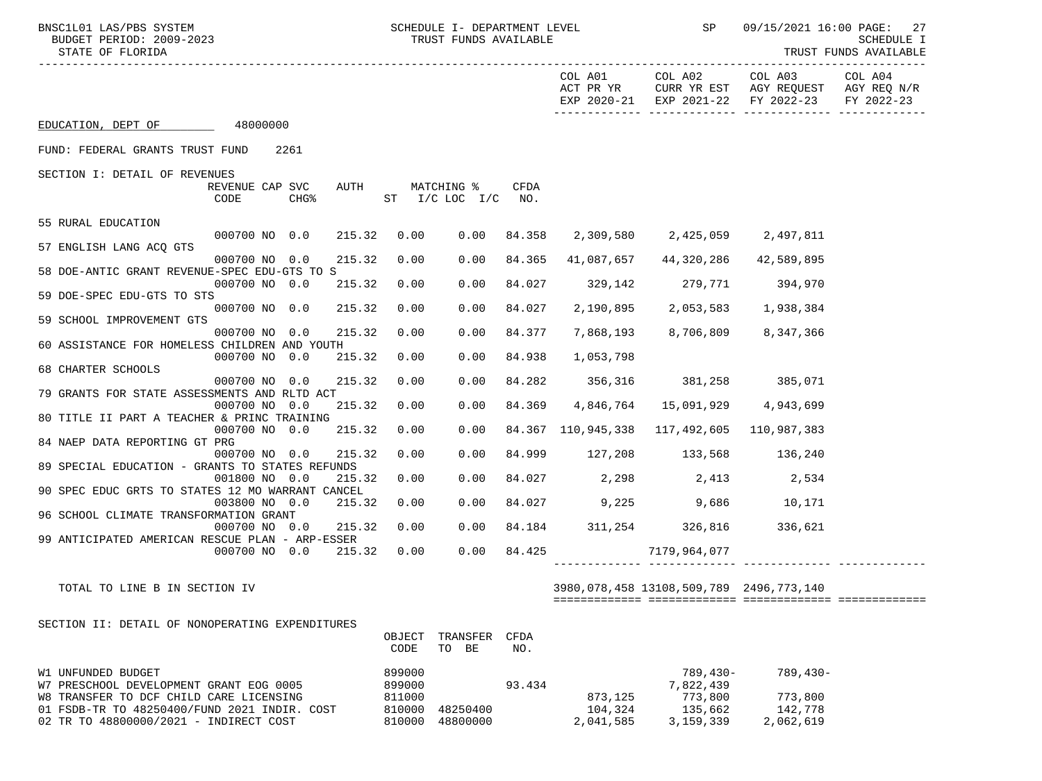BNSC1L01 LAS/PBS SYSTEM SOHEDULE I- DEPARTMENT LEVEL SP 09/15/2021 16:00 PAGE: 27<br>BUDGET PERIOD: 2009-2023 TRUST FUNDS AVAILABLE

-----------------------------------------------------------------------------------------------------------------------------------

TRUST FUNDS AVAILABLE

|                                                                                        |                 |                  |                  |                      |                 | COL A01<br>ACT PR YR<br>EXP 2020-21 | COL A02<br>CURR YR EST<br>EXP 2021-22      | COL A03<br>AGY REQUEST<br>FY 2022-23 | COL A04<br>AGY REQ N/R<br>FY 2022-23 |
|----------------------------------------------------------------------------------------|-----------------|------------------|------------------|----------------------|-----------------|-------------------------------------|--------------------------------------------|--------------------------------------|--------------------------------------|
| EDUCATION, DEPT OF 48000000                                                            |                 |                  |                  |                      |                 |                                     |                                            |                                      |                                      |
| FUND: FEDERAL GRANTS TRUST FUND                                                        |                 | 2261             |                  |                      |                 |                                     |                                            |                                      |                                      |
| SECTION I: DETAIL OF REVENUES                                                          |                 |                  |                  |                      |                 |                                     |                                            |                                      |                                      |
|                                                                                        | REVENUE CAP SVC | AUTH             |                  | MATCHING %           | CFDA            |                                     |                                            |                                      |                                      |
|                                                                                        | CODE            | CHG <sup>8</sup> |                  | ST $I/C$ LOC $I/C$   | NO <sub>z</sub> |                                     |                                            |                                      |                                      |
| 55 RURAL EDUCATION                                                                     |                 |                  |                  |                      |                 |                                     |                                            |                                      |                                      |
|                                                                                        | 000700 NO 0.0   | 215.32           | 0.00             | 0.00                 | 84.358          |                                     |                                            |                                      |                                      |
| 57 ENGLISH LANG ACQ GTS                                                                |                 |                  |                  |                      |                 |                                     |                                            |                                      |                                      |
|                                                                                        | 000700 NO 0.0   | 215.32           | 0.00             | 0.00                 | 84.365          | 41,087,657                          | 44,320,286                                 | 42,589,895                           |                                      |
| 58 DOE-ANTIC GRANT REVENUE-SPEC EDU-GTS TO S                                           |                 |                  |                  |                      |                 |                                     |                                            |                                      |                                      |
|                                                                                        | 000700 NO 0.0   | 215.32           | 0.00             | 0.00                 | 84.027          |                                     | 329,142 279,771 394,970                    |                                      |                                      |
| 59 DOE-SPEC EDU-GTS TO STS                                                             | 000700 NO 0.0   | 215.32           | 0.00             | 0.00                 | 84.027          | 2,190,895                           | 2,053,583                                  | 1,938,384                            |                                      |
| 59 SCHOOL IMPROVEMENT GTS                                                              |                 |                  |                  |                      |                 |                                     |                                            |                                      |                                      |
|                                                                                        | 000700 NO 0.0   | 215.32           | 0.00             | 0.00                 | 84.377          | 7,868,193                           | 8,706,809 8,347,366                        |                                      |                                      |
| 60 ASSISTANCE FOR HOMELESS CHILDREN AND YOUTH                                          |                 |                  |                  |                      |                 |                                     |                                            |                                      |                                      |
|                                                                                        | 000700 NO 0.0   | 215.32           | 0.00             | 0.00                 | 84.938          | 1,053,798                           |                                            |                                      |                                      |
| 68 CHARTER SCHOOLS                                                                     |                 |                  |                  |                      |                 |                                     |                                            |                                      |                                      |
| 79 GRANTS FOR STATE ASSESSMENTS AND RLTD ACT                                           | 000700 NO       | 215.32<br>0.0    | 0.00             | 0.00                 |                 |                                     | 84.282 356,316 381,258 385,071             |                                      |                                      |
|                                                                                        | 000700 NO       | 0.0<br>215.32    | 0.00             | 0.00                 | 84.369          |                                     | 4,846,764 15,091,929 4,943,699             |                                      |                                      |
| 80 TITLE II PART A TEACHER & PRINC TRAINING                                            |                 |                  |                  |                      |                 |                                     |                                            |                                      |                                      |
|                                                                                        | 000700 NO 0.0   | 215.32           | 0.00             | 0.00                 |                 |                                     | 84.367 110,945,338 117,492,605 110,987,383 |                                      |                                      |
| 84 NAEP DATA REPORTING GT PRG                                                          |                 |                  |                  |                      |                 |                                     |                                            |                                      |                                      |
|                                                                                        | 000700 NO 0.0   | 215.32           | 0.00             | 0.00                 |                 |                                     | 84.999 127,208 133,568 136,240             |                                      |                                      |
| 89 SPECIAL EDUCATION - GRANTS TO STATES REFUNDS                                        | 001800 NO 0.0   | 215.32           | 0.00             | 0.00                 |                 |                                     | 84.027 2,298 2,413 2,534                   |                                      |                                      |
| 90 SPEC EDUC GRTS TO STATES 12 MO WARRANT CANCEL                                       |                 |                  |                  |                      |                 |                                     |                                            |                                      |                                      |
|                                                                                        | 003800 NO 0.0   | 215.32           | 0.00             | 0.00                 |                 |                                     | 84.027 9,225 9,686 10,171                  |                                      |                                      |
| 96 SCHOOL CLIMATE TRANSFORMATION GRANT                                                 |                 |                  |                  |                      |                 |                                     |                                            |                                      |                                      |
|                                                                                        | 000700 NO 0.0   | 215.32           | 0.00             | 0.00                 |                 |                                     | 84.184 311,254 326,816                     | 336,621                              |                                      |
| 99 ANTICIPATED AMERICAN RESCUE PLAN - ARP-ESSER                                        |                 |                  |                  |                      |                 |                                     |                                            |                                      |                                      |
|                                                                                        | 000700 NO 0.0   | 215.32           | 0.00             | 0.00                 | 84.425          |                                     | 7179,964,077                               |                                      |                                      |
|                                                                                        |                 |                  |                  |                      |                 |                                     |                                            |                                      |                                      |
| TOTAL TO LINE B IN SECTION IV                                                          |                 |                  |                  |                      |                 |                                     | 3980,078,458 13108,509,789 2496,773,140    |                                      |                                      |
|                                                                                        |                 |                  |                  |                      |                 |                                     |                                            |                                      |                                      |
|                                                                                        |                 |                  |                  |                      |                 |                                     |                                            |                                      |                                      |
| SECTION II: DETAIL OF NONOPERATING EXPENDITURES                                        |                 |                  |                  |                      |                 |                                     |                                            |                                      |                                      |
|                                                                                        |                 |                  | OBJECT<br>CODE   | TRANSFER<br>TO BE    | CFDA<br>NO.     |                                     |                                            |                                      |                                      |
|                                                                                        |                 |                  |                  |                      |                 |                                     |                                            |                                      |                                      |
| W1 UNFUNDED BUDGET                                                                     |                 |                  | 899000           |                      |                 |                                     | $789,430-$                                 | $789,430-$                           |                                      |
| W7 PRESCHOOL DEVELOPMENT GRANT EOG 0005                                                |                 |                  | 899000           |                      | 93.434          |                                     | 7,822,439                                  |                                      |                                      |
| W8 TRANSFER TO DCF CHILD CARE LICENSING                                                |                 |                  | 811000           |                      |                 | 873,125                             | 773,800                                    | 773,800                              |                                      |
| 01 FSDB-TR TO 48250400/FUND 2021 INDIR. COST<br>02 TR TO 48800000/2021 - INDIRECT COST |                 |                  | 810000<br>810000 | 48250400<br>48800000 |                 | 104,324<br>2,041,585                | 135,662<br>3,159,339                       | 142,778<br>2,062,619                 |                                      |
|                                                                                        |                 |                  |                  |                      |                 |                                     |                                            |                                      |                                      |
|                                                                                        |                 |                  |                  |                      |                 |                                     |                                            |                                      |                                      |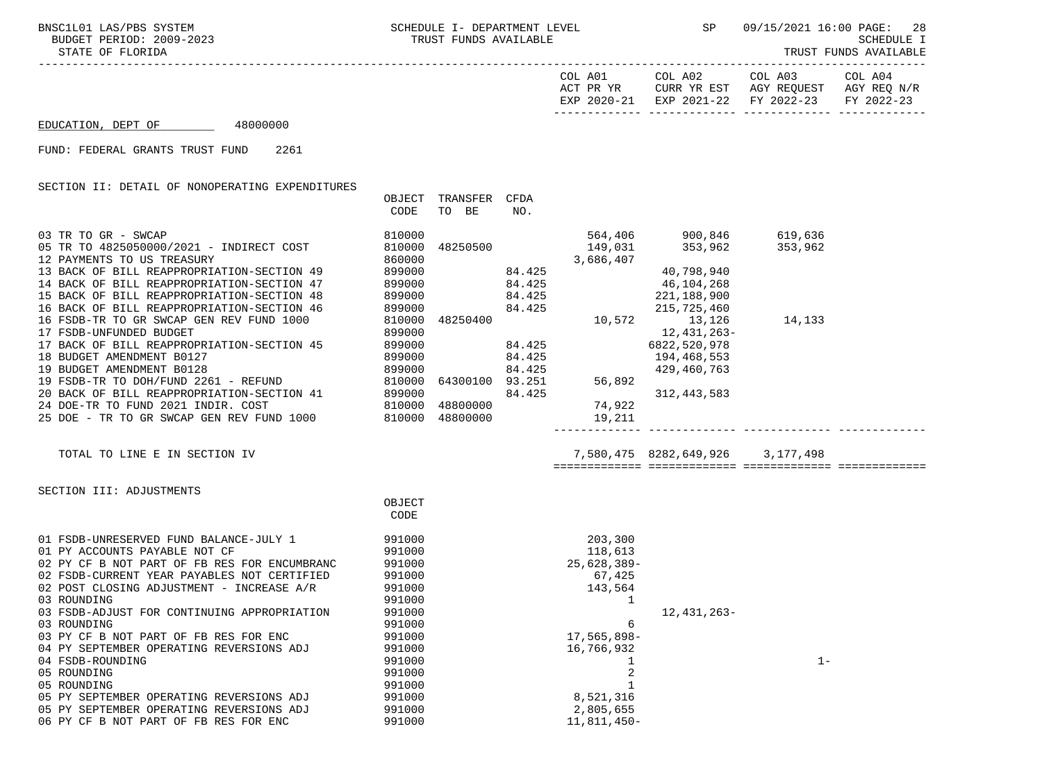05 ROUNDING

BNSC1L01 LAS/PBS SYSTEM SCHEDULE I- DEPARTMENT LEVEL SP 09/15/2021 16:00 PAGE: 28<br>BUDGET PERIOD: 2009-2023 TRUST FUNDS AVAILABLE

STATE OF FLORIDA TRUST FUNDS AVAILABLE

| COL A01     | COL A02     | COL A03                | COL A04     |
|-------------|-------------|------------------------|-------------|
| ACT PR YR   | CURR YR EST | AGY REQUEST            | AGY REQ N/R |
| EXP 2020-21 |             | EXP 2021-22 FY 2022-23 | FY 2022-23  |
|             |             |                        |             |

## EDUCATION, DEPT OF 48000000

FUND: FEDERAL GRANTS TRUST FUND 2261

SECTION II: DETAIL OF NONOPERATING EXPENDITURES

|                                                                                                                                                                                                                                        | OBJECT<br>CODE   | TRANSFER<br>TO BE | CFDA<br>NO. |                 |                                                          |         |  |
|----------------------------------------------------------------------------------------------------------------------------------------------------------------------------------------------------------------------------------------|------------------|-------------------|-------------|-----------------|----------------------------------------------------------|---------|--|
| 03 TR TO GR - SWCAP                                                                                                                                                                                                                    | 810000           |                   |             |                 | 564,406 900,846 619,636                                  |         |  |
| 05 TR TO 4825050000/2021 - INDIRECT COST                                                                                                                                                                                               | 810000           | 48250500          |             | 149,031         | 353,962                                                  | 353,962 |  |
| 12 PAYMENTS TO US TREASURY                                                                                                                                                                                                             | 860000           |                   |             | 3,686,407       |                                                          |         |  |
| 13 BACK OF BILL REAPPROPRIATION-SECTION 49                                                                                                                                                                                             | 899000           |                   | 84.425      |                 | 40,798,940                                               |         |  |
| 14 BACK OF BILL REAPPROPRIATION-SECTION 47                                                                                                                                                                                             | 899000           |                   | 84.425      |                 | 46,104,268                                               |         |  |
| 15 BACK OF BILL REAPPROPRIATION-SECTION 48                                                                                                                                                                                             | 899000           |                   | 84.425      |                 | 221,188,900                                              |         |  |
| 16 BACK OF BILL REAPPROPRIATION-SECTION 46                                                                                                                                                                                             | 899000           |                   | 84.425      |                 | $10,572$<br>$13,126$<br>$13,126$<br>$13,126$<br>$13,126$ |         |  |
| 16 FSDB-TR TO GR SWCAP GEN REV FUND 1000                                                                                                                                                                                               | 810000           | 48250400          |             |                 |                                                          | 14,133  |  |
| 17 FSDB-UNFUNDED BUDGET                                                                                                                                                                                                                | 899000           |                   |             |                 | 12, 431, 263-                                            |         |  |
| 17 BACK OF BILL REAPPROPRIATION-SECTION 45                                                                                                                                                                                             | 899000           | 84.425            |             |                 | 6822,520,978                                             |         |  |
| 18 BUDGET AMENDMENT B0127                                                                                                                                                                                                              | 899000           |                   | 84.425      |                 | 194,468,553                                              |         |  |
|                                                                                                                                                                                                                                        |                  |                   | 84.425      |                 | 429,460,763                                              |         |  |
|                                                                                                                                                                                                                                        |                  | 64300100 93.251   |             | 56,89<br>56,892 |                                                          |         |  |
|                                                                                                                                                                                                                                        |                  |                   | 84.425      |                 | 312, 443, 583                                            |         |  |
|                                                                                                                                                                                                                                        |                  |                   |             | 74,922          |                                                          |         |  |
| 19 BUDGET AMENDMENT B0128<br>19 FSDB-TR TO DOH/FUND 2261 - REFUND 810000 64300100<br>20 BACK OF BILL REAPPROPRIATION-SECTION 41 899000<br>24 DOE-TR TO FUND 2021 INDIR. COST 810000 48800000<br>25 DOE - TR TO GR SWCAP GEN REV FUND 1 |                  |                   |             | 19,211          |                                                          |         |  |
|                                                                                                                                                                                                                                        |                  |                   |             |                 |                                                          |         |  |
| TOTAL TO LINE E IN SECTION IV                                                                                                                                                                                                          |                  |                   |             |                 | 7,580,475 8282,649,926 3,177,498                         |         |  |
|                                                                                                                                                                                                                                        |                  |                   |             |                 |                                                          |         |  |
| SECTION III: ADJUSTMENTS                                                                                                                                                                                                               |                  |                   |             |                 |                                                          |         |  |
|                                                                                                                                                                                                                                        | OBJECT<br>CODE   |                   |             |                 |                                                          |         |  |
|                                                                                                                                                                                                                                        |                  |                   |             |                 |                                                          |         |  |
| 01 FSDB-UNRESERVED FUND BALANCE-JULY 1                                                                                                                                                                                                 | 991000           |                   |             | 203,300         |                                                          |         |  |
| 01 PY ACCOUNTS PAYABLE NOT CF                                                                                                                                                                                                          | 991000           |                   |             | 118,613         |                                                          |         |  |
| 02 PY CF B NOT PART OF FB RES FOR ENCUMBRANC                                                                                                                                                                                           | 991000           |                   |             | 25,628,389-     |                                                          |         |  |
| 02 FSDB-CURRENT YEAR PAYABLES NOT CERTIFIED                                                                                                                                                                                            | 991000           |                   |             | 67,425          |                                                          |         |  |
| 02 POST CLOSING ADJUSTMENT - INCREASE A/R<br>03 ROUNDING                                                                                                                                                                               | 991000<br>991000 |                   |             | 143,564         |                                                          |         |  |
|                                                                                                                                                                                                                                        |                  |                   |             | 1               |                                                          |         |  |
| 03 FSDB-ADJUST FOR CONTINUING APPROPRIATION<br>03 ROUNDING                                                                                                                                                                             | 991000<br>991000 |                   |             | 6               | 12,431,263-                                              |         |  |
| 03 PY CF B NOT PART OF FB RES FOR ENC                                                                                                                                                                                                  | 991000           |                   |             | 17,565,898-     |                                                          |         |  |
| 04 PY SEPTEMBER OPERATING REVERSIONS ADJ                                                                                                                                                                                               | 991000           |                   |             | 16,766,932      |                                                          |         |  |
| 04 FSDB-ROUNDING                                                                                                                                                                                                                       | 991000           |                   |             |                 |                                                          | $1 -$   |  |
| 05 ROUNDING                                                                                                                                                                                                                            | 991000           |                   |             | 2               |                                                          |         |  |
|                                                                                                                                                                                                                                        |                  |                   |             |                 |                                                          |         |  |

05 ROUNDING 2<br>05 ROUNDING 2<br>05 ROUNDING 2

05 PY SEPTEMBER OPERATING REVERSIONS ADJ 991000 991000 8,521,316 05 PY SEPTEMBER OPERATING REVERSIONS ADJ<br>06. NJ 30 PY 30 PH 2,805,655 06 PY CF B NOT PART OF FB RES FOR ENC 991000 11,811,450-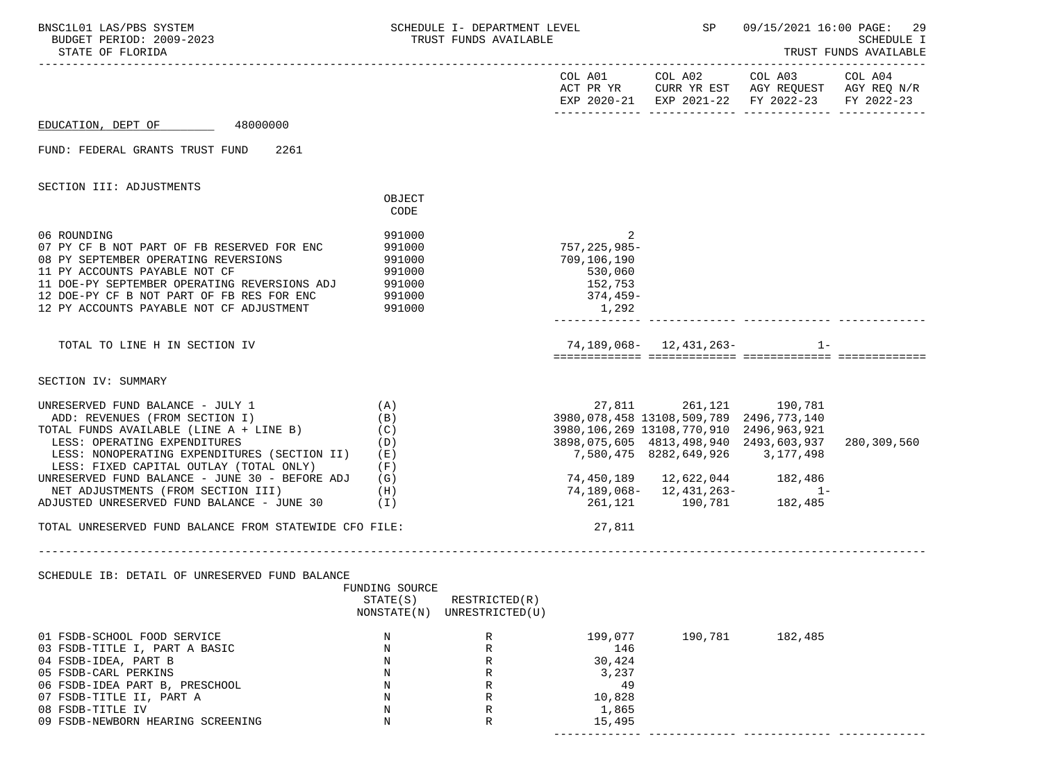| BNSC1L01 LAS/PBS SYSTEM<br>BUDGET PERIOD: 2009-2023<br>STATE OF FLORIDA                                                                                                                                                                                                                                                                                                        |                                                                       | SCHEDULE I- DEPARTMENT LEVEL<br>TRUST FUNDS AVAILABLE |                                                                           | SP 09/15/2021 16:00 PAGE: 29                                                                                                                                                                                                                                                                     |         | SCHEDULE I<br>TRUST FUNDS AVAILABLE |
|--------------------------------------------------------------------------------------------------------------------------------------------------------------------------------------------------------------------------------------------------------------------------------------------------------------------------------------------------------------------------------|-----------------------------------------------------------------------|-------------------------------------------------------|---------------------------------------------------------------------------|--------------------------------------------------------------------------------------------------------------------------------------------------------------------------------------------------------------------------------------------------------------------------------------------------|---------|-------------------------------------|
|                                                                                                                                                                                                                                                                                                                                                                                |                                                                       |                                                       |                                                                           | COL A01 COL A02 COL A03 COL A04<br>ACT PR YR CURR YR EST AGY REQUEST AGY REQ N/R<br>EXP 2020-21 EXP 2021-22 FY 2022-23                                                                                                                                                                           |         | FY 2022-23                          |
| EDUCATION, DEPT OF 48000000                                                                                                                                                                                                                                                                                                                                                    |                                                                       |                                                       |                                                                           |                                                                                                                                                                                                                                                                                                  |         |                                     |
| FUND: FEDERAL GRANTS TRUST FUND 2261                                                                                                                                                                                                                                                                                                                                           |                                                                       |                                                       |                                                                           |                                                                                                                                                                                                                                                                                                  |         |                                     |
| SECTION III: ADJUSTMENTS                                                                                                                                                                                                                                                                                                                                                       | OBJECT                                                                |                                                       |                                                                           |                                                                                                                                                                                                                                                                                                  |         |                                     |
|                                                                                                                                                                                                                                                                                                                                                                                | CODE                                                                  |                                                       |                                                                           |                                                                                                                                                                                                                                                                                                  |         |                                     |
| 06 ROUNDING<br>07 PY CF B NOT PART OF FB RESERVED FOR ENC<br>08 PY SEPTEMBER OPERATING REVERSIONS<br>11 PY ACCOUNTS PAYABLE NOT CF<br>11 DOE-PY SEPTEMBER OPERATING REVERSIONS ADJ<br>12 DOE-PY CF B NOT PART OF FB RES FOR ENC 991000<br>12 PY ACCOUNTS PAYABLE NOT CF ADJUSTMENT                                                                                             | 991000<br>991000<br>991000<br>991000<br>991000<br>991000              |                                                       | 757,225,985-<br>709,106,190<br>530,060<br>152,753<br>$374, 459-$<br>1,292 |                                                                                                                                                                                                                                                                                                  |         |                                     |
| TOTAL TO LINE H IN SECTION IV                                                                                                                                                                                                                                                                                                                                                  |                                                                       |                                                       |                                                                           | 74, 189, 068 - 12, 431, 263 - 1 -                                                                                                                                                                                                                                                                |         |                                     |
| SECTION IV: SUMMARY                                                                                                                                                                                                                                                                                                                                                            |                                                                       |                                                       |                                                                           |                                                                                                                                                                                                                                                                                                  |         |                                     |
| UNRESERVED FUND BALANCE - JULY 1<br>ADD: REVENUES (FROM SECTION I)<br>TOTAL FUNDS AVAILABLE (LINE A + LINE B)<br>LESS: OPERATING EXPENDITURES<br>LESS: NONOPERATING EXPENDITURES (SECTION II)<br>LESS: FIXED CAPITAL OUTLAY (TOTAL ONLY)<br>UNRESERVED FUND BALANCE - JUNE 30 - BEFORE ADJ<br>NET ADJUSTMENTS (FROM SECTION III)<br>ADJUSTED UNRESERVED FUND BALANCE - JUNE 30 | (A)<br>(B)<br>(C)<br>(D)<br>(E)<br>(F)<br>(G)<br>(H)<br>$(\lrcorner)$ |                                                       |                                                                           | 27,811 261,121 190,781<br>3980,078,458 13108,509,789 2496,773,140<br>3980,106,269 13108,770,910 2496,963,921<br>3898,075,605 4813,498,940 2493,603,937<br>7,580,475 8282,649,926 3,177,498<br>74,450,189  12,622,044  182,486<br>74, 189, 068 - 12, 431, 263 - 1<br>261, 121 - 190, 781 182, 485 |         | 280,309,560                         |
| TOTAL UNRESERVED FUND BALANCE FROM STATEWIDE CFO FILE:                                                                                                                                                                                                                                                                                                                         |                                                                       |                                                       | 27,811                                                                    |                                                                                                                                                                                                                                                                                                  |         |                                     |
| SCHEDULE IB: DETAIL OF UNRESERVED FUND BALANCE                                                                                                                                                                                                                                                                                                                                 | FUNDING SOURCE<br>STATE(S)<br>NONSTATE(N)                             | RESTRICTED(R)<br>UNRESTRICTED(U)                      |                                                                           |                                                                                                                                                                                                                                                                                                  |         |                                     |
| 01 FSDB-SCHOOL FOOD SERVICE<br>03 FSDB-TITLE I, PART A BASIC<br>04 FSDB-IDEA, PART B<br>05 FSDB-CARL PERKINS<br>06 FSDB-IDEA PART B, PRESCHOOL<br>07 FSDB-TITLE II, PART A<br>08 FSDB-TITLE IV<br>09 FSDB-NEWBORN HEARING SCREENING                                                                                                                                            | N<br>N<br>N<br>N<br>N<br>N<br>N<br>N                                  | R<br>$\mathbb{R}$<br>R<br>R<br>R<br>R<br>R<br>R       | 199,077<br>146<br>30,424<br>3,237<br>49<br>10,828<br>1,865<br>15,495      | 190,781                                                                                                                                                                                                                                                                                          | 182,485 |                                     |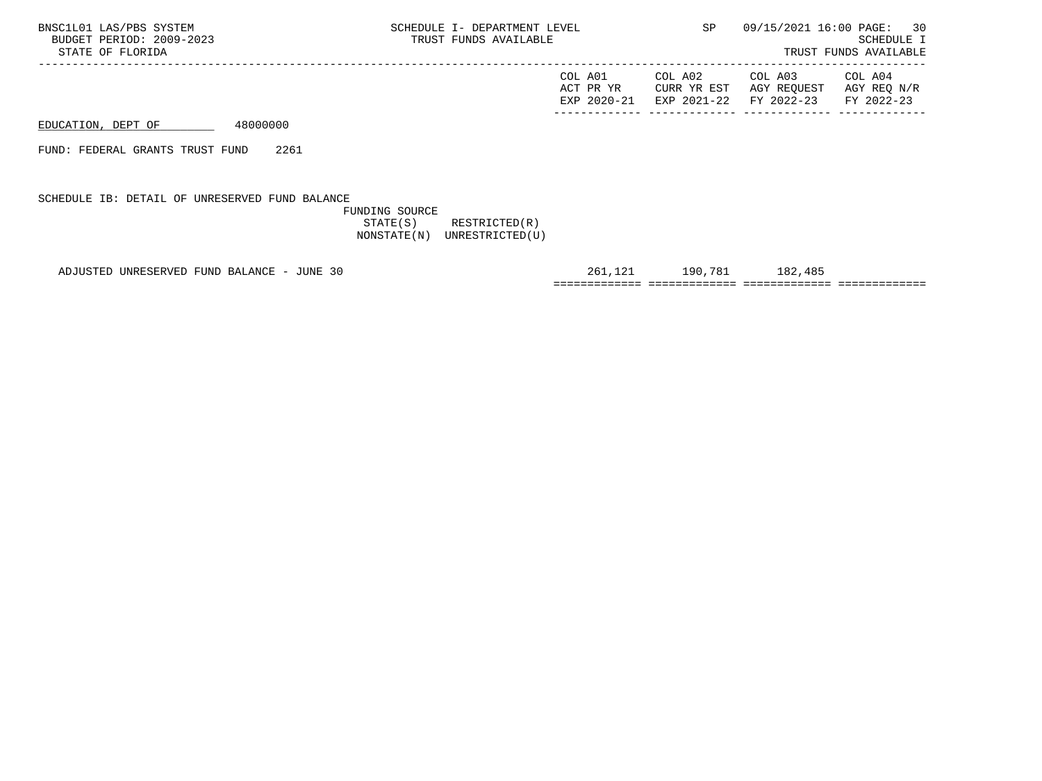| AGY REO N/R<br>CURR YR EST AGY REQUEST<br>ACT PR YR<br>EXP 2021-22 FY 2022-23<br>EXP 2020-21<br>FY 2022-23 | COL A02<br>COL A03<br>COL A01<br>COL A04 |  |
|------------------------------------------------------------------------------------------------------------|------------------------------------------|--|
|------------------------------------------------------------------------------------------------------------|------------------------------------------|--|

EDUCATION, DEPT OF 48000000

FUND: FEDERAL GRANTS TRUST FUND 2261

SCHEDULE IB: DETAIL OF UNRESERVED FUND BALANCE

 FUNDING SOURCE STATE(S) RESTRICTED(R) NONSTATE(N) UNRESTRICTED(U)

ADJUSTED UNRESERVED FUND BALANCE - JUNE 30 261,121 190,781 182,485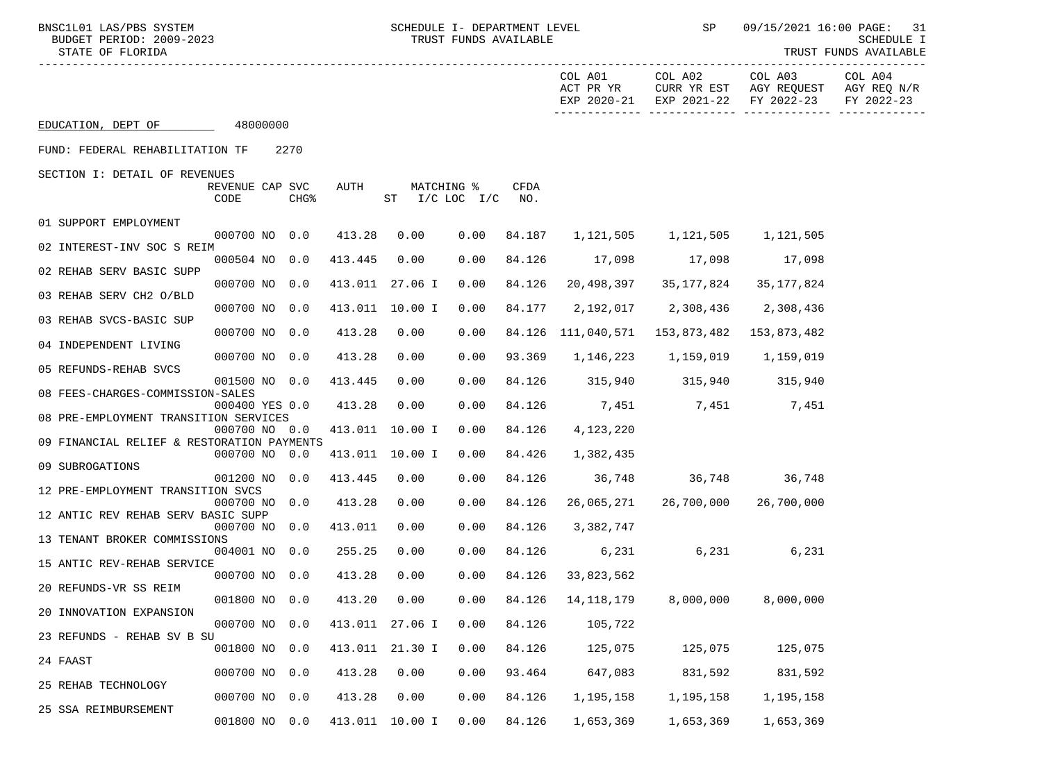BNSC1L01 LAS/PBS SYSTEM SCHEDULE I- DEPARTMENT LEVEL SP 09/15/2021 16:00 PAGE: 31<br>BUDGET PERIOD: 2009-2023 TRUST FUNDS AVAILABLE

| BUDGET PERIOD: 2009-2023<br>STATE OF FLORIDA |                         |                  |         | SCHEDULE I<br>TRUST FUNDS AVAILABLE |      |                                |                      |                                                                                         |                                      |                                      |
|----------------------------------------------|-------------------------|------------------|---------|-------------------------------------|------|--------------------------------|----------------------|-----------------------------------------------------------------------------------------|--------------------------------------|--------------------------------------|
|                                              |                         |                  |         |                                     |      |                                | COL A01<br>ACT PR YR | COL A02<br>CURR YR EST<br>EXP 2020-21 EXP 2021-22                                       | COL A03<br>AGY REQUEST<br>FY 2022-23 | COL A04<br>AGY REQ N/R<br>FY 2022-23 |
| EDUCATION, DEPT OF 48000000                  |                         |                  |         |                                     |      |                                |                      |                                                                                         |                                      |                                      |
| FUND: FEDERAL REHABILITATION TF              |                         | 2270             |         |                                     |      |                                |                      |                                                                                         |                                      |                                      |
| SECTION I: DETAIL OF REVENUES                |                         |                  |         |                                     |      |                                |                      |                                                                                         |                                      |                                      |
|                                              | REVENUE CAP SVC<br>CODE | CHG <sup>8</sup> | AUTH    | MATCHING %<br>$ST$ $I/C$ LOC $I/C$  |      | <b>CFDA</b><br>NO <sub>z</sub> |                      |                                                                                         |                                      |                                      |
| 01 SUPPORT EMPLOYMENT                        | 000700 NO 0.0           |                  | 413.28  | 0.00                                | 0.00 | 84.187                         |                      | 1, 121, 505 1, 121, 505 1, 121, 505                                                     |                                      |                                      |
| 02 INTEREST-INV SOC S REIM                   |                         |                  |         |                                     |      |                                |                      |                                                                                         |                                      |                                      |
| 02 REHAB SERV BASIC SUPP                     | 000504 NO 0.0           |                  | 413.445 | 0.00                                | 0.00 | 84.126                         | 17,098               | 17,098                                                                                  | 17,098                               |                                      |
|                                              | 000700 NO 0.0           |                  |         | 413.011 27.06 I                     | 0.00 | 84.126                         | 20,498,397           | 35,177,824                                                                              | 35,177,824                           |                                      |
| 03 REHAB SERV CH2 O/BLD                      | 000700 NO 0.0           |                  |         | 413.011 10.00 I                     | 0.00 | 84.177                         | 2,192,017            | 2,308,436                                                                               | 2,308,436                            |                                      |
| 03 REHAB SVCS-BASIC SUP                      |                         |                  | 413.28  | 0.00                                |      |                                | 84.126 111,040,571   |                                                                                         | 153,873,482                          |                                      |
| 04 INDEPENDENT LIVING                        | 000700 NO 0.0           |                  |         |                                     | 0.00 |                                |                      | 153,873,482                                                                             |                                      |                                      |
| 05 REFUNDS-REHAB SVCS                        | 000700 NO 0.0           |                  | 413.28  | 0.00                                | 0.00 | 93.369                         |                      | 1, 146, 223 1, 159, 019 1, 159, 019                                                     |                                      |                                      |
|                                              | 001500 NO 0.0           |                  | 413.445 | 0.00                                | 0.00 | 84.126                         |                      | 315,940 315,940 315,940                                                                 |                                      |                                      |
| 08 FEES-CHARGES-COMMISSION-SALES             | 000400 YES 0.0          |                  | 413.28  | 0.00                                | 0.00 | 84.126                         |                      | 7,451 7,451 7,451                                                                       |                                      |                                      |
| 08 PRE-EMPLOYMENT TRANSITION SERVICES        |                         |                  |         |                                     |      |                                |                      |                                                                                         |                                      |                                      |
| 09 FINANCIAL RELIEF & RESTORATION PAYMENTS   | 000700 NO 0.0           |                  |         | 413.011 10.00 I                     | 0.00 | 84.126                         | 4,123,220            |                                                                                         |                                      |                                      |
|                                              | 000700 NO 0.0           |                  |         | 413.011 10.00 I                     | 0.00 | 84.426                         | 1,382,435            |                                                                                         |                                      |                                      |
| 09 SUBROGATIONS                              |                         |                  |         |                                     |      |                                |                      |                                                                                         |                                      |                                      |
| 12 PRE-EMPLOYMENT TRANSITION SVCS            | 001200 NO 0.0           |                  | 413.445 | 0.00                                | 0.00 | 84.126                         | 36,748               | 36,748 36,748                                                                           |                                      |                                      |
|                                              | 000700 NO 0.0           |                  | 413.28  | 0.00                                | 0.00 | 84.126                         | 26,065,271           | 26,700,000                                                                              | 26,700,000                           |                                      |
| 12 ANTIC REV REHAB SERV BASIC SUPP           | 000700 NO 0.0           |                  | 413.011 | 0.00                                | 0.00 | 84.126                         | 3,382,747            |                                                                                         |                                      |                                      |
| 13 TENANT BROKER COMMISSIONS                 |                         |                  |         |                                     |      |                                |                      |                                                                                         |                                      |                                      |
| 15 ANTIC REV-REHAB SERVICE                   | 004001 NO 0.0           |                  | 255.25  | 0.00                                | 0.00 | 84.126                         |                      | 6,231 6,231                                                                             | 6,231                                |                                      |
|                                              | 000700 NO 0.0           |                  | 413.28  | 0.00                                | 0.00 |                                | 84.126 33,823,562    |                                                                                         |                                      |                                      |
| 20 REFUNDS-VR SS REIM                        |                         |                  |         |                                     |      |                                |                      | $0.01800$ NO $0.0$ $413.20$ $0.00$ $0.00$ $84.126$ $14,118,179$ $8,000,000$ $8,000,000$ |                                      |                                      |
| 20 INNOVATION EXPANSION                      | 000700 NO 0.0           |                  |         | 413.011 27.06 I                     |      | 84.126                         |                      |                                                                                         |                                      |                                      |
| 23 REFUNDS - REHAB SV B SU                   |                         |                  |         |                                     | 0.00 |                                | 105,722              |                                                                                         |                                      |                                      |
|                                              | 001800 NO               | 0.0              | 413.011 | 21.30 I                             | 0.00 | 84.126                         | 125,075              | 125,075                                                                                 | 125,075                              |                                      |
| 24 FAAST                                     | 000700 NO 0.0           |                  | 413.28  | 0.00                                | 0.00 | 93.464                         | 647,083              | 831,592                                                                                 | 831,592                              |                                      |
| 25 REHAB TECHNOLOGY                          |                         |                  |         |                                     |      |                                |                      |                                                                                         |                                      |                                      |
| 25 SSA REIMBURSEMENT                         | 000700 NO 0.0           |                  | 413.28  | 0.00                                | 0.00 | 84.126                         | 1,195,158            | 1,195,158                                                                               | 1,195,158                            |                                      |

001800 NO 0.0 413.011 10.00 I 0.00 84.126 1,653,369 1,653,369 1,653,369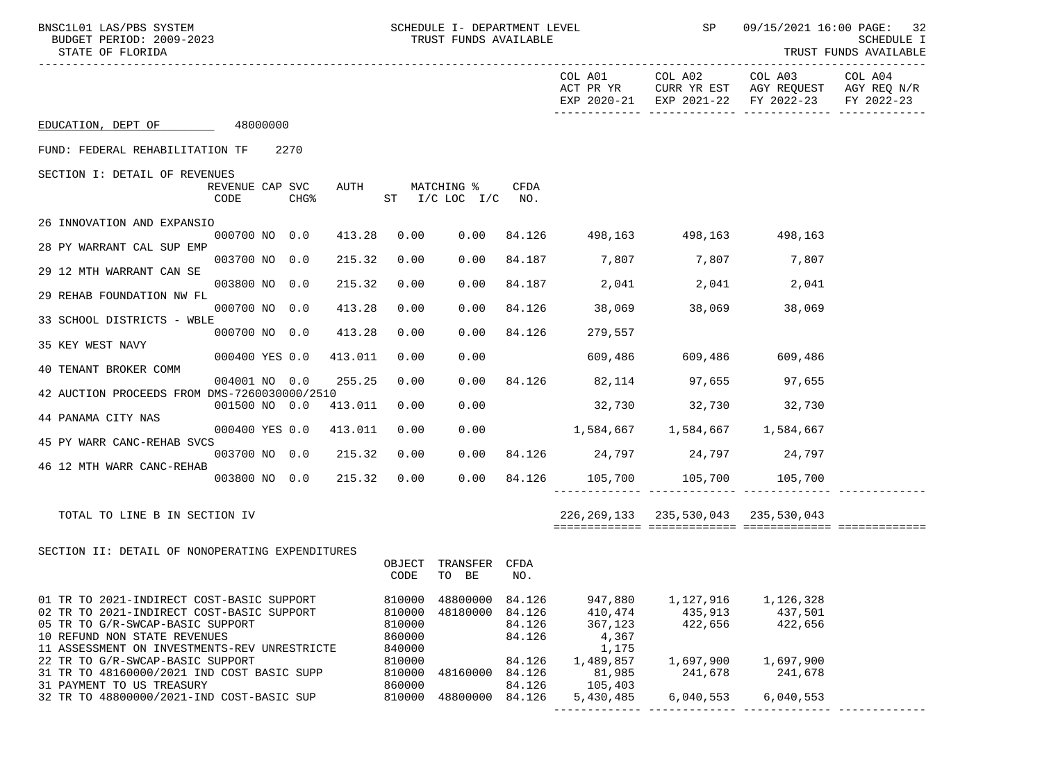| BNSC1L01 LAS/PBS SYSTEM<br>STATE OF FLORIDA                                                                                                                                                                                                    | BUDGET PERIOD: 2009-2023 |                  |         |                                                          | SCHEDULE I- DEPARTMENT LEVEL<br>TRUST FUNDS AVAILABLE |                                                |                                                              |                                              | SP 09/15/2021 16:00 PAGE: 32<br>SCHEDULE I<br>TRUST FUNDS AVAILABLE                                    |            |
|------------------------------------------------------------------------------------------------------------------------------------------------------------------------------------------------------------------------------------------------|--------------------------|------------------|---------|----------------------------------------------------------|-------------------------------------------------------|------------------------------------------------|--------------------------------------------------------------|----------------------------------------------|--------------------------------------------------------------------------------------------------------|------------|
|                                                                                                                                                                                                                                                |                          |                  |         |                                                          |                                                       |                                                | COL A01 COL A02                                              |                                              | COL A03 COL A04<br>ACT PR YR CURR YR EST AGY REQUEST AGY REQ N/R<br>EXP 2020-21 EXP 2021-22 FY 2022-23 | FY 2022-23 |
| EDUCATION, DEPT OF 48000000                                                                                                                                                                                                                    |                          |                  |         |                                                          |                                                       |                                                |                                                              |                                              |                                                                                                        |            |
| FUND: FEDERAL REHABILITATION TF 2270                                                                                                                                                                                                           |                          |                  |         |                                                          |                                                       |                                                |                                                              |                                              |                                                                                                        |            |
| SECTION I: DETAIL OF REVENUES                                                                                                                                                                                                                  | REVENUE CAP SVC<br>CODE  | CHG <sup>8</sup> | AUTH    |                                                          | MATCHING %<br>ST I/C LOC I/C NO.                      | CFDA                                           |                                                              |                                              |                                                                                                        |            |
| 26 INNOVATION AND EXPANSIO                                                                                                                                                                                                                     |                          |                  |         |                                                          |                                                       |                                                |                                                              |                                              |                                                                                                        |            |
| 28 PY WARRANT CAL SUP EMP                                                                                                                                                                                                                      | 000700 NO 0.0            |                  | 413.28  | 0.00                                                     |                                                       |                                                | $0.00$ 84.126 498,163 498,163 498,163                        |                                              |                                                                                                        |            |
| 29 12 MTH WARRANT CAN SE                                                                                                                                                                                                                       | 003700 NO 0.0            |                  | 215.32  | 0.00                                                     | 0.00                                                  |                                                | 84.187 7,807 7,807 7,807                                     |                                              |                                                                                                        |            |
| 29 REHAB FOUNDATION NW FL                                                                                                                                                                                                                      | 003800 NO 0.0            |                  | 215.32  | 0.00                                                     | 0.00                                                  |                                                | 84.187 2,041 2,041 2,041                                     |                                              |                                                                                                        |            |
| 33 SCHOOL DISTRICTS - WBLE                                                                                                                                                                                                                     | 000700 NO 0.0            |                  | 413.28  | 0.00                                                     | 0.00                                                  |                                                | 84.126 38,069 38,069                                         |                                              | 38,069                                                                                                 |            |
|                                                                                                                                                                                                                                                | 000700 NO 0.0            |                  | 413.28  | 0.00                                                     | 0.00                                                  | 84.126                                         | 279,557                                                      |                                              |                                                                                                        |            |
| 35 KEY WEST NAVY                                                                                                                                                                                                                               | 000400 YES 0.0           |                  | 413.011 | 0.00                                                     | 0.00                                                  |                                                |                                                              | 609,486 609,486 609,486                      |                                                                                                        |            |
| 40 TENANT BROKER COMM                                                                                                                                                                                                                          | 004001 NO 0.0            |                  | 255.25  | 0.00                                                     |                                                       |                                                | 0.00 84.126 82,114 97,655 97,655                             |                                              |                                                                                                        |            |
| 42 AUCTION PROCEEDS FROM DMS-7260030000/2510                                                                                                                                                                                                   | 001500 NO 0.0 413.011    |                  |         | 0.00                                                     | 0.00                                                  |                                                | 32,730 32,730 32,730                                         |                                              |                                                                                                        |            |
| 44 PANAMA CITY NAS                                                                                                                                                                                                                             |                          |                  |         |                                                          |                                                       |                                                |                                                              |                                              |                                                                                                        |            |
| 45 PY WARR CANC-REHAB SVCS                                                                                                                                                                                                                     | 000400 YES 0.0 413.011   |                  |         | 0.00                                                     | 0.00                                                  |                                                | $1,584,667$ $1,584,667$ $1,584,667$                          |                                              |                                                                                                        |            |
| 46 12 MTH WARR CANC-REHAB                                                                                                                                                                                                                      | 003700 NO 0.0 215.32     |                  |         | 0.00                                                     |                                                       |                                                | $0.00$ 84.126 24,797 24,797 24,797                           |                                              |                                                                                                        |            |
|                                                                                                                                                                                                                                                | 003800 NO 0.0            |                  | 215.32  | 0.00                                                     |                                                       |                                                | $0.00$ 84.126 105,700 105,700 105,700                        |                                              |                                                                                                        |            |
| TOTAL TO LINE B IN SECTION IV                                                                                                                                                                                                                  |                          |                  |         |                                                          |                                                       |                                                |                                                              | 226, 269, 133 235, 530, 043 235, 530, 043    |                                                                                                        |            |
| SECTION II: DETAIL OF NONOPERATING EXPENDITURES                                                                                                                                                                                                |                          |                  |         |                                                          |                                                       |                                                |                                                              |                                              |                                                                                                        |            |
|                                                                                                                                                                                                                                                |                          |                  |         | OBJECT<br>CODE                                           | TRANSFER CFDA<br>TO BE                                | NO.                                            |                                                              |                                              |                                                                                                        |            |
| 01 TR TO 2021-INDIRECT COST-BASIC SUPPORT<br>02 TR TO 2021-INDIRECT COST-BASIC SUPPORT<br>05 TR TO G/R-SWCAP-BASIC SUPPORT<br>10 REFUND NON STATE REVENUES<br>11 ASSESSMENT ON INVESTMENTS-REV UNRESTRICTE<br>22 TR TO G/R-SWCAP-BASIC SUPPORT |                          |                  |         | 810000<br>810000<br>810000<br>860000<br>840000<br>810000 | 48800000<br>48180000                                  | 84.126<br>84.126<br>84.126<br>84.126<br>84.126 | 947,880<br>410,474<br>367,123<br>4,367<br>1,175<br>1,489,857 | 1,127,916<br>435,913<br>422,656<br>1,697,900 | 1,126,328<br>437,501<br>422,656<br>1,697,900                                                           |            |
| 31 TR TO 48160000/2021 IND COST BASIC SUPP<br>31 PAYMENT TO US TREASURY                                                                                                                                                                        |                          |                  |         | 810000<br>860000                                         | 48160000                                              | 84.126<br>84.126                               | 81,985<br>105,403                                            | 241,678                                      | 241,678                                                                                                |            |
| 32 TR TO 48800000/2021-IND COST-BASIC SUP                                                                                                                                                                                                      |                          |                  |         | 810000                                                   | 48800000                                              | 84.126                                         | 5,430,485                                                    | 6,040,553                                    | 6,040,553                                                                                              |            |

------------- ------------- ------------- -------------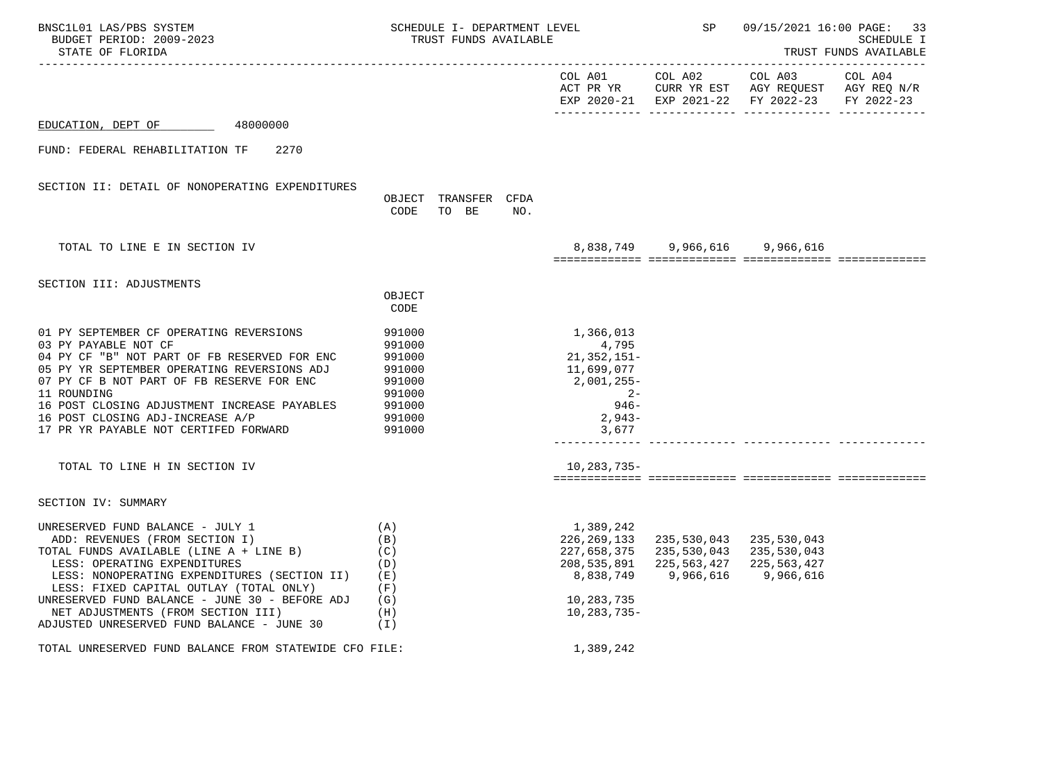| BNSC1L01 LAS/PBS SYSTEM<br>BUDGET PERIOD: 2009-2023<br>STATE OF FLORIDA                                                                                                                                                                                                                                                                                                        | SCHEDULE I- DEPARTMENT LEVEL<br>TRUST FUNDS AVAILABLE                                  |                               |     | <b>SP</b>                                                                                           | 09/15/2021 16:00 PAGE: 33<br>SCHEDULE I<br>TRUST FUNDS AVAILABLE                                             |                                                                                                                   |  |
|--------------------------------------------------------------------------------------------------------------------------------------------------------------------------------------------------------------------------------------------------------------------------------------------------------------------------------------------------------------------------------|----------------------------------------------------------------------------------------|-------------------------------|-----|-----------------------------------------------------------------------------------------------------|--------------------------------------------------------------------------------------------------------------|-------------------------------------------------------------------------------------------------------------------|--|
|                                                                                                                                                                                                                                                                                                                                                                                |                                                                                        |                               |     |                                                                                                     | COL A01 COL A02                                                                                              | COL A03 COL A04<br>ACT PR YR CURR YR EST AGY REQUEST AGY REQ N/R<br>EXP 2020-21 EXP 2021-22 FY 2022-23 FY 2022-23 |  |
| EDUCATION, DEPT OF<br>48000000                                                                                                                                                                                                                                                                                                                                                 |                                                                                        |                               |     |                                                                                                     |                                                                                                              |                                                                                                                   |  |
| FUND: FEDERAL REHABILITATION TF<br>2270                                                                                                                                                                                                                                                                                                                                        |                                                                                        |                               |     |                                                                                                     |                                                                                                              |                                                                                                                   |  |
| SECTION II: DETAIL OF NONOPERATING EXPENDITURES                                                                                                                                                                                                                                                                                                                                | CODE                                                                                   | OBJECT TRANSFER CFDA<br>TO BE | NO. |                                                                                                     |                                                                                                              |                                                                                                                   |  |
| TOTAL TO LINE E IN SECTION IV                                                                                                                                                                                                                                                                                                                                                  |                                                                                        |                               |     |                                                                                                     | 8,838,749 9,966,616 9,966,616                                                                                |                                                                                                                   |  |
| SECTION III: ADJUSTMENTS                                                                                                                                                                                                                                                                                                                                                       | OBJECT<br>CODE                                                                         |                               |     |                                                                                                     |                                                                                                              |                                                                                                                   |  |
| 01 PY SEPTEMBER CF OPERATING REVERSIONS<br>03 PY PAYABLE NOT CF<br>04 PY CF "B" NOT PART OF FB RESERVED FOR ENC<br>05 PY YR SEPTEMBER OPERATING REVERSIONS ADJ<br>07 PY CF B NOT PART OF FB RESERVE FOR ENC<br>11 ROUNDING<br>16 POST CLOSING ADJUSTMENT INCREASE PAYABLES<br>16 POST CLOSING ADJ-INCREASE A/P<br>17 PR YR PAYABLE NOT CERTIFED FORWARD                        | 991000<br>991000<br>991000<br>991000<br>991000<br>991000<br>991000<br>991000<br>991000 |                               |     | 1,366,013<br>4,795<br>21,352,151-<br>11,699,077<br>2,001,255-<br>$2 -$<br>946–<br>$2,943-$<br>3,677 |                                                                                                              |                                                                                                                   |  |
| TOTAL TO LINE H IN SECTION IV                                                                                                                                                                                                                                                                                                                                                  |                                                                                        |                               |     | 10,283,735-                                                                                         |                                                                                                              |                                                                                                                   |  |
| SECTION IV: SUMMARY                                                                                                                                                                                                                                                                                                                                                            |                                                                                        |                               |     |                                                                                                     |                                                                                                              |                                                                                                                   |  |
| UNRESERVED FUND BALANCE - JULY 1<br>ADD: REVENUES (FROM SECTION I)<br>TOTAL FUNDS AVAILABLE (LINE A + LINE B)<br>LESS: OPERATING EXPENDITURES<br>LESS: NONOPERATING EXPENDITURES (SECTION II)<br>LESS: FIXED CAPITAL OUTLAY (TOTAL ONLY)<br>UNRESERVED FUND BALANCE - JUNE 30 - BEFORE ADJ<br>NET ADJUSTMENTS (FROM SECTION III)<br>ADJUSTED UNRESERVED FUND BALANCE - JUNE 30 | (A)<br>(B)<br>(C)<br>(D)<br>(E)<br>(F)<br>(G)<br>(H)<br>(T)                            |                               |     | 1,389,242<br>226,269,133<br>8,838,749<br>10,283,735<br>10,283,735-                                  | 235,530,043<br>227,658,375 235,530,043 235,530,043<br>208, 535, 891 225, 563, 427 225, 563, 427<br>9,966,616 | 235,530,043<br>9,966,616                                                                                          |  |
| TOTAL UNRESERVED FUND BALANCE FROM STATEWIDE CFO FILE:                                                                                                                                                                                                                                                                                                                         |                                                                                        |                               |     | 1,389,242                                                                                           |                                                                                                              |                                                                                                                   |  |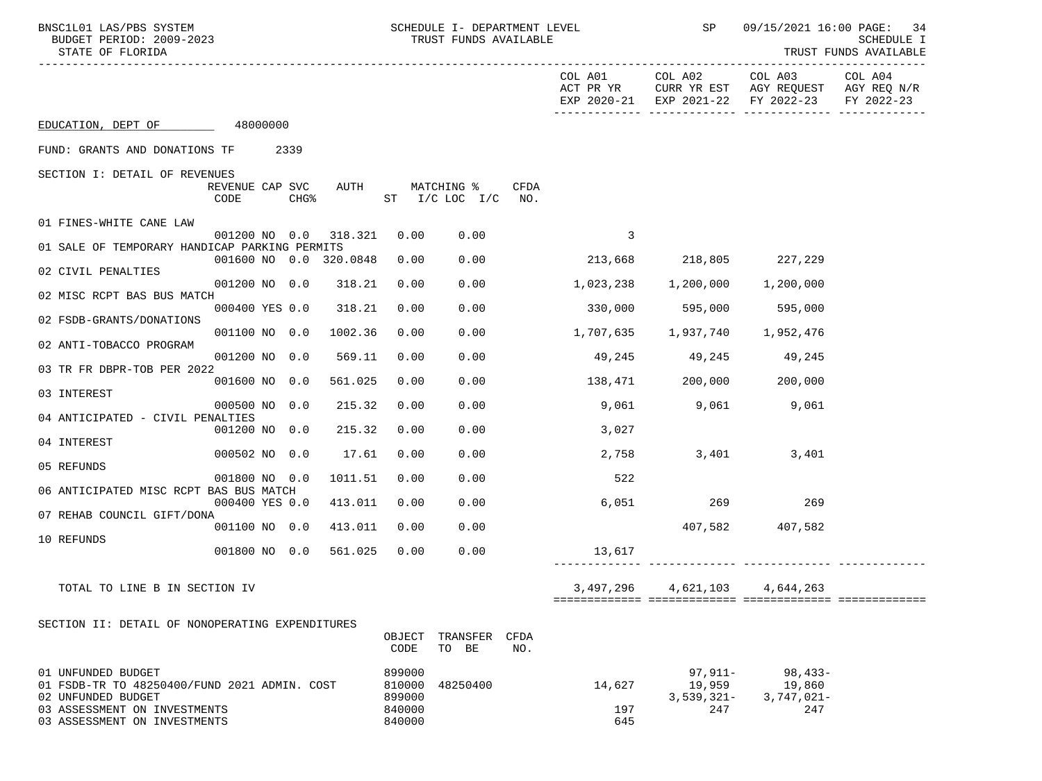| BNSC1L01 LAS/PBS SYSTEM<br>STATE OF FLORIDA                        | BUDGET PERIOD: 2009-2023 |        |         |                | SCHEDULE I- DEPARTMENT LEVEL<br>TRUST FUNDS AVAILABLE |             |                                     | <b>SP</b>                     | 09/15/2021 16:00 PAGE:<br>-34<br>SCHEDULE I<br>TRUST FUNDS AVAILABLE                           |                       |
|--------------------------------------------------------------------|--------------------------|--------|---------|----------------|-------------------------------------------------------|-------------|-------------------------------------|-------------------------------|------------------------------------------------------------------------------------------------|-----------------------|
|                                                                    |                          |        |         |                |                                                       |             | COL A01                             | COL A02                       | COL A03<br>ACT PR YR CURR YR EST AGY REQUEST AGY REQ N/R<br>EXP 2020-21 EXP 2021-22 FY 2022-23 | COL A04<br>FY 2022-23 |
| EDUCATION, DEPT OF 48000000                                        |                          |        |         |                |                                                       |             |                                     |                               |                                                                                                |                       |
| FUND: GRANTS AND DONATIONS TF 2339                                 |                          |        |         |                |                                                       |             |                                     |                               |                                                                                                |                       |
| SECTION I: DETAIL OF REVENUES                                      | REVENUE CAP SVC<br>CODE  | $CHG\$ | AUTH    |                | MATCHING %<br>ST I/C LOC I/C                          | CFDA<br>NO. |                                     |                               |                                                                                                |                       |
| 01 FINES-WHITE CANE LAW                                            |                          |        |         |                |                                                       |             |                                     |                               |                                                                                                |                       |
| 01 SALE OF TEMPORARY HANDICAP PARKING PERMITS                      | 001200 NO 0.0 318.321    |        |         | 0.00           | 0.00                                                  |             | 3                                   |                               |                                                                                                |                       |
| 02 CIVIL PENALTIES                                                 | 001600 NO 0.0 320.0848   |        |         | 0.00           | 0.00                                                  |             | 213,668 218,805 227,229             |                               |                                                                                                |                       |
| 02 MISC RCPT BAS BUS MATCH                                         | 001200 NO 0.0            |        | 318.21  | 0.00           | 0.00                                                  |             | $1,023,238$ $1,200,000$ $1,200,000$ |                               |                                                                                                |                       |
| 02 FSDB-GRANTS/DONATIONS                                           | 000400 YES 0.0           |        | 318.21  | 0.00           | 0.00                                                  |             | 330,000                             | 595,000 595,000               |                                                                                                |                       |
|                                                                    | 001100 NO 0.0            |        | 1002.36 | 0.00           | 0.00                                                  |             | 1,707,635 1,937,740 1,952,476       |                               |                                                                                                |                       |
| 02 ANTI-TOBACCO PROGRAM                                            | 001200 NO 0.0            |        | 569.11  | 0.00           | 0.00                                                  |             |                                     | 49,245 49,245 49,245          |                                                                                                |                       |
| 03 TR FR DBPR-TOB PER 2022                                         | 001600 NO 0.0            |        | 561.025 | 0.00           | 0.00                                                  |             | $138,471$ 200,000 200,000           |                               |                                                                                                |                       |
| 03 INTEREST                                                        | 000500 NO 0.0            |        | 215.32  | 0.00           | 0.00                                                  |             |                                     | 9,061 9,061 9,061             |                                                                                                |                       |
| 04 ANTICIPATED - CIVIL PENALTIES                                   |                          |        |         |                |                                                       |             |                                     |                               |                                                                                                |                       |
| 04 INTEREST                                                        | 001200 NO 0.0            |        | 215.32  | 0.00           | 0.00                                                  |             | 3,027                               |                               |                                                                                                |                       |
| 05 REFUNDS                                                         | 000502 NO 0.0            |        | 17.61   | 0.00           | 0.00                                                  |             | 2,758                               |                               | 3,401<br>3,401                                                                                 |                       |
| 06 ANTICIPATED MISC RCPT BAS BUS MATCH                             | 001800 NO 0.0            |        | 1011.51 | 0.00           | 0.00                                                  |             | 522                                 |                               |                                                                                                |                       |
|                                                                    | 000400 YES 0.0           |        | 413.011 | 0.00           | 0.00                                                  |             | 6,051                               | 269                           | 269                                                                                            |                       |
| 07 REHAB COUNCIL GIFT/DONA                                         | 001100 NO 0.0            |        | 413.011 | 0.00           | 0.00                                                  |             |                                     |                               | 407,582 407,582                                                                                |                       |
| 10 REFUNDS                                                         | 001800 NO 0.0            |        | 561.025 | 0.00           | 0.00                                                  |             | 13,617                              |                               |                                                                                                |                       |
| TOTAL TO LINE B IN SECTION IV                                      |                          |        |         |                |                                                       |             |                                     | 3,497,296 4,621,103 4,644,263 |                                                                                                |                       |
|                                                                    |                          |        |         |                |                                                       |             |                                     |                               |                                                                                                |                       |
| SECTION II: DETAIL OF NONOPERATING EXPENDITURES                    |                          |        |         | OBJECT<br>CODE | TRANSFER CFDA<br>TO BE                                | NO.         |                                     |                               |                                                                                                |                       |
| 01 UNFUNDED BUDGET<br>01 FSDB-TR TO 48250400/FUND 2021 ADMIN. COST |                          |        |         | 899000         | 810000 48250400                                       |             | 14,627                              | $97,911-$<br>19,959           | $98,433-$<br>19,860                                                                            |                       |

 02 UNFUNDED BUDGET 899000 3,539,321- 3,747,021- 03 ASSESSMENT ON INVESTMENTS 840000 197 247 247

03 ASSESSMENT ON INVESTMENTS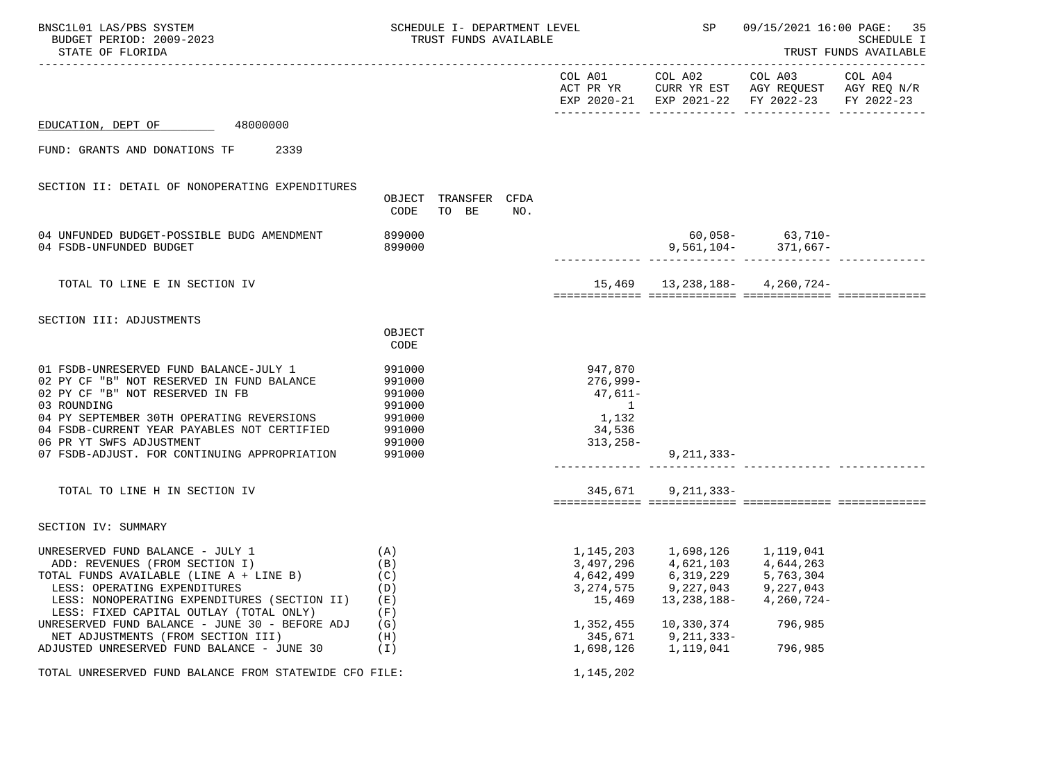| BNSC1L01 LAS/PBS SYSTEM<br>BUDGET PERIOD: 2009-2023<br>STATE OF FLORIDA                                                                                                                                                                                                                                       |                                                                              | SCHEDULE I- DEPARTMENT LEVEL<br>TRUST FUNDS AVAILABLE |     |                                                                             | SP                                                | 09/15/2021 16:00 PAGE: 35<br><b>SCHEDULE I</b><br>TRUST FUNDS AVAILABLE                                           |  |  |
|---------------------------------------------------------------------------------------------------------------------------------------------------------------------------------------------------------------------------------------------------------------------------------------------------------------|------------------------------------------------------------------------------|-------------------------------------------------------|-----|-----------------------------------------------------------------------------|---------------------------------------------------|-------------------------------------------------------------------------------------------------------------------|--|--|
|                                                                                                                                                                                                                                                                                                               |                                                                              |                                                       |     |                                                                             | COL A01 COL A02                                   | COL A03 COL A04<br>ACT PR YR CURR YR EST AGY REQUEST AGY REQ N/R<br>EXP 2020-21 EXP 2021-22 FY 2022-23 FY 2022-23 |  |  |
| 48000000<br>EDUCATION, DEPT OF                                                                                                                                                                                                                                                                                |                                                                              |                                                       |     |                                                                             |                                                   |                                                                                                                   |  |  |
| FUND: GRANTS AND DONATIONS TF<br>2339                                                                                                                                                                                                                                                                         |                                                                              |                                                       |     |                                                                             |                                                   |                                                                                                                   |  |  |
| SECTION II: DETAIL OF NONOPERATING EXPENDITURES                                                                                                                                                                                                                                                               | OBJECT<br>CODE                                                               | TRANSFER CFDA<br>TO BE                                | NO. |                                                                             |                                                   |                                                                                                                   |  |  |
| 04 UNFUNDED BUDGET-POSSIBLE BUDG AMENDMENT<br>04 FSDB-UNFUNDED BUDGET                                                                                                                                                                                                                                         | 899000<br>899000                                                             |                                                       |     |                                                                             |                                                   | $60,058 63,710-$<br>9,561,104- $371,667-$                                                                         |  |  |
| TOTAL TO LINE E IN SECTION IV                                                                                                                                                                                                                                                                                 |                                                                              |                                                       |     |                                                                             |                                                   | 15,469   13,238,188-   4,260,724-                                                                                 |  |  |
| SECTION III: ADJUSTMENTS                                                                                                                                                                                                                                                                                      | OBJECT<br>CODE                                                               |                                                       |     |                                                                             |                                                   |                                                                                                                   |  |  |
| 01 FSDB-UNRESERVED FUND BALANCE-JULY 1<br>02 PY CF "B" NOT RESERVED IN FUND BALANCE<br>02 PY CF "B" NOT RESERVED IN FB<br>03 ROUNDING<br>04 PY SEPTEMBER 30TH OPERATING REVERSIONS<br>04 FSDB-CURRENT YEAR PAYABLES NOT CERTIFIED<br>06 PR YT SWFS ADJUSTMENT<br>07 FSDB-ADJUST. FOR CONTINUING APPROPRIATION | 991000<br>991000<br>991000<br>991000<br>991000<br>991000<br>991000<br>991000 |                                                       |     | 947,870<br>276,999-<br>47,611-<br>$\sim$ 1<br>1,132<br>34,536<br>$313,258-$ | 9,211,333-                                        |                                                                                                                   |  |  |
| TOTAL TO LINE H IN SECTION IV                                                                                                                                                                                                                                                                                 |                                                                              |                                                       |     |                                                                             | 345,671 9,211,333-                                |                                                                                                                   |  |  |
| SECTION IV: SUMMARY                                                                                                                                                                                                                                                                                           |                                                                              |                                                       |     |                                                                             |                                                   |                                                                                                                   |  |  |
| UNRESERVED FUND BALANCE - JULY 1<br>ADD: REVENUES (FROM SECTION I)<br>TOTAL FUNDS AVAILABLE (LINE A + LINE B)<br>LESS: OPERATING EXPENDITURES<br>LESS: NONOPERATING EXPENDITURES (SECTION II)<br>LESS: FIXED CAPITAL OUTLAY (TOTAL ONLY)                                                                      | (A)<br>(B)<br>(C)<br>(D)<br>(E)<br>(F)                                       |                                                       |     | 4,642,499<br>3, 274, 575<br>15,469                                          | 6,319,229 5,763,304<br>9,227,043<br>13, 238, 188- | 9,227,043<br>$4,260,724-$                                                                                         |  |  |
| UNRESERVED FUND BALANCE - JUNE 30 - BEFORE ADJ<br>NET ADJUSTMENTS (FROM SECTION III)<br>ADJUSTED UNRESERVED FUND BALANCE - JUNE 30                                                                                                                                                                            | (G)<br>(H)<br>(I)                                                            |                                                       |     | 1,352,455<br>345,671<br>1,698,126                                           | 10,330,374<br>9,211,333-<br>1,119,041             | 796,985<br>796,985                                                                                                |  |  |
| TOTAL UNRESERVED FUND BALANCE FROM STATEWIDE CFO FILE:                                                                                                                                                                                                                                                        |                                                                              |                                                       |     | 1,145,202                                                                   |                                                   |                                                                                                                   |  |  |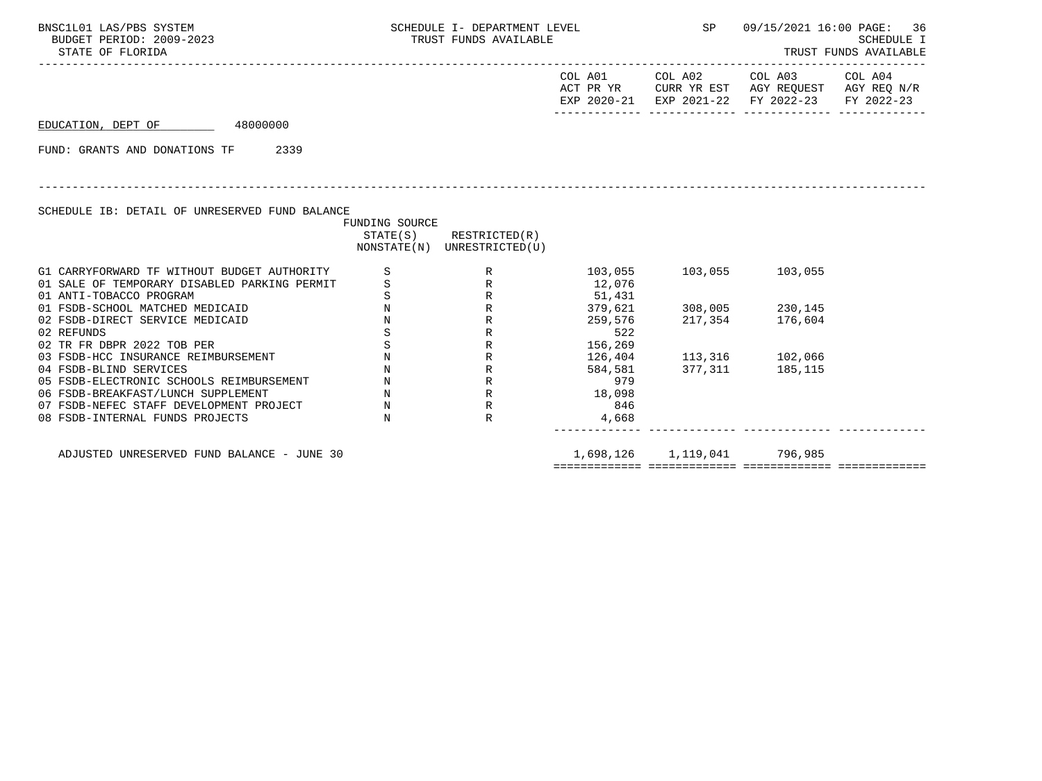| BNSC1L01 LAS/PBS SYSTEM<br>BUDGET PERIOD: 2009-2023<br>STATE OF FLORIDA                                                                                                                                                                                                                                                                                                                                                                                                                                      |                                                                                                               | SCHEDULE I- DEPARTMENT LEVEL SP<br>TRUST FUNDS AVAILABLE                                        |                                                                                                               |                                                                                          | TRUST FUNDS AVAILABLE                                                                                                  | 09/15/2021 16:00 PAGE: 36<br><b>SCHEDULE I</b> |
|--------------------------------------------------------------------------------------------------------------------------------------------------------------------------------------------------------------------------------------------------------------------------------------------------------------------------------------------------------------------------------------------------------------------------------------------------------------------------------------------------------------|---------------------------------------------------------------------------------------------------------------|-------------------------------------------------------------------------------------------------|---------------------------------------------------------------------------------------------------------------|------------------------------------------------------------------------------------------|------------------------------------------------------------------------------------------------------------------------|------------------------------------------------|
|                                                                                                                                                                                                                                                                                                                                                                                                                                                                                                              |                                                                                                               |                                                                                                 |                                                                                                               |                                                                                          | COL A01 COL A02 COL A03 COL A04<br>ACT PR YR CURR YR EST AGY REQUEST AGY REQ N/R<br>EXP 2020-21 EXP 2021-22 FY 2022-23 | FY 2022-23                                     |
| EDUCATION, DEPT OF 48000000                                                                                                                                                                                                                                                                                                                                                                                                                                                                                  |                                                                                                               |                                                                                                 |                                                                                                               |                                                                                          |                                                                                                                        |                                                |
| FUND: GRANTS AND DONATIONS TF 2339                                                                                                                                                                                                                                                                                                                                                                                                                                                                           |                                                                                                               |                                                                                                 |                                                                                                               |                                                                                          |                                                                                                                        |                                                |
| SCHEDULE IB: DETAIL OF UNRESERVED FUND BALANCE                                                                                                                                                                                                                                                                                                                                                                                                                                                               | FUNDING SOURCE                                                                                                | $STATE(S)$ RESTRICTED $(R)$<br>NONSTATE(N) UNRESTRICTED(U)                                      |                                                                                                               |                                                                                          |                                                                                                                        |                                                |
| G1 CARRYFORWARD TF WITHOUT BUDGET AUTHORITY<br>01 SALE OF TEMPORARY DISABLED PARKING PERMIT<br>01 ANTI-TOBACCO PROGRAM<br>01 FSDB-SCHOOL MATCHED MEDICAID<br>02 FSDB-DIRECT SERVICE MEDICAID<br>02 REFUNDS<br>02 TR FR DBPR 2022 TOB PER<br>03 FSDB-HCC INSURANCE REIMBURSEMENT<br>04 FSDB-BLIND SERVICES<br>04 FSDB-BIIND SERVICES<br>05 FSDB-ELECTRONIC SCHOOLS REIMBURSEMENT<br>07 FSDB-NEFEC STAFF DEVELOPMENT PROJECT N<br>07 FSDB-NEFEC STAFF DEVELOPMENT PROJECT N<br>08 FSDB-INTERNAL FUNDS PROJECTS | $\rm S$<br>S<br>$\,$ N<br>$\mathbf N$<br>$\rm S$<br>$\, \mathbb{S}$<br>${\bf N}$<br>$\mathbb N$<br>$_{\rm N}$ | R<br>R<br>R<br>R<br>R<br>R<br>R<br>R<br>R<br>R<br>R<br>R<br>R<br>R<br>R<br>R<br>R<br>$R \sim 1$ | 12,076<br>51,431<br>$379,621$ $308,005$ 230,145<br>259,576<br>522<br>156,269<br>979<br>18,098<br>846<br>4,668 | 103,055 103,055 103,055<br>217,354<br>126,404 113,316 102,066<br>584,581 377,311 185,115 | 176,604                                                                                                                |                                                |
| ADJUSTED UNRESERVED FUND BALANCE - JUNE 30                                                                                                                                                                                                                                                                                                                                                                                                                                                                   |                                                                                                               |                                                                                                 |                                                                                                               | 1,698,126   1,119,041   796,985                                                          |                                                                                                                        |                                                |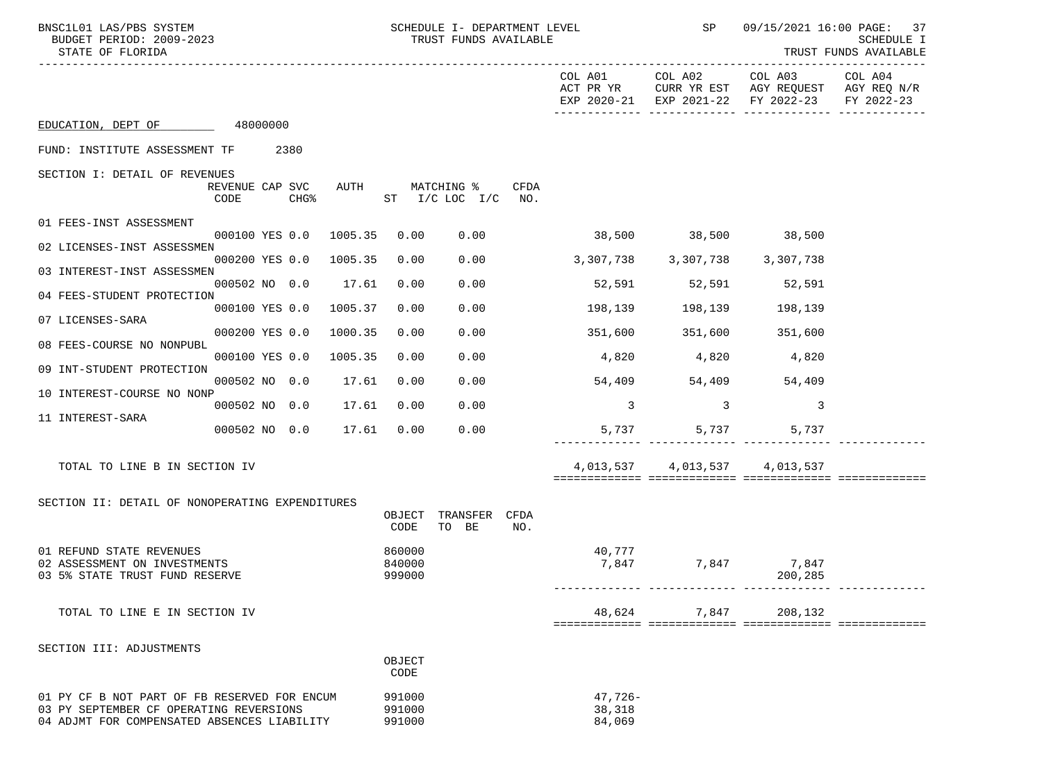| BNSC1L01 LAS/PBS SYSTEM<br>BUDGET PERIOD: 2009-2023<br>STATE OF FLORIDA                    |                         |                        |                            | SCHEDULE I- DEPARTMENT LEVEL<br>TRUST FUNDS AVAILABLE |      |                               | <b>SP</b>                     |                                                                                                        | 09/15/2021 16:00 PAGE: 37<br><b>SCHEDULE I</b><br>TRUST FUNDS AVAILABLE |
|--------------------------------------------------------------------------------------------|-------------------------|------------------------|----------------------------|-------------------------------------------------------|------|-------------------------------|-------------------------------|--------------------------------------------------------------------------------------------------------|-------------------------------------------------------------------------|
|                                                                                            |                         |                        |                            |                                                       |      |                               | COL A01 COL A02               | COL A03 COL A04<br>ACT PR YR CURR YR EST AGY REQUEST AGY REQ N/R<br>EXP 2020-21 EXP 2021-22 FY 2022-23 | FY 2022-23                                                              |
| EDUCATION, DEPT OF 48000000                                                                |                         |                        |                            |                                                       |      |                               |                               |                                                                                                        |                                                                         |
| FUND: INSTITUTE ASSESSMENT TF 2380                                                         |                         |                        |                            |                                                       |      |                               |                               |                                                                                                        |                                                                         |
| SECTION I: DETAIL OF REVENUES                                                              | REVENUE CAP SVC<br>CODE | $CHG\$                 |                            | AUTH MATCHING %<br>ST I/C LOC I/C NO.                 | CFDA |                               |                               |                                                                                                        |                                                                         |
| 01 FEES-INST ASSESSMENT                                                                    |                         |                        |                            |                                                       |      |                               |                               |                                                                                                        |                                                                         |
| 02 LICENSES-INST ASSESSMEN                                                                 |                         | 000100 YES 0.0 1005.35 | 0.00                       | 0.00                                                  |      |                               | 38,500 38,500 38,500          |                                                                                                        |                                                                         |
| 03 INTEREST-INST ASSESSMEN                                                                 |                         | 000200 YES 0.0 1005.35 | 0.00                       | 0.00                                                  |      | 3,307,738 3,307,738 3,307,738 |                               |                                                                                                        |                                                                         |
| 04 FEES-STUDENT PROTECTION                                                                 |                         | 000502 NO 0.0 17.61    | 0.00                       | 0.00                                                  |      |                               | 52,591 52,591 52,591          |                                                                                                        |                                                                         |
| 07 LICENSES-SARA                                                                           | 000100 YES 0.0          | 1005.37                | 0.00                       | 0.00                                                  |      |                               | 198,139 198,139 198,139       |                                                                                                        |                                                                         |
| 08 FEES-COURSE NO NONPUBL                                                                  | 000200 YES 0.0          | 1000.35                | 0.00                       | 0.00                                                  |      |                               | 351,600 351,600 351,600       |                                                                                                        |                                                                         |
| 09 INT-STUDENT PROTECTION                                                                  | 000100 YES 0.0          | 1005.35                | 0.00                       | 0.00                                                  |      | 4,820 4,820 4,820             |                               |                                                                                                        |                                                                         |
| 10 INTEREST-COURSE NO NONP                                                                 | 000502 NO 0.0           | 17.61                  | 0.00                       | 0.00                                                  |      | 54,409 54,409 54,409          |                               |                                                                                                        |                                                                         |
| 11 INTEREST-SARA                                                                           | 000502 NO 0.0           | 17.61                  | 0.00                       | 0.00                                                  |      | $\overline{\mathbf{3}}$       | $\overline{\phantom{a}}$ 3    | 3                                                                                                      |                                                                         |
|                                                                                            | 000502 NO 0.0           | 17.61                  | 0.00                       | 0.00                                                  |      |                               | 5,737                         | 5,737<br>5,737                                                                                         |                                                                         |
| TOTAL TO LINE B IN SECTION IV                                                              |                         |                        |                            |                                                       |      |                               | 4,013,537 4,013,537 4,013,537 |                                                                                                        |                                                                         |
| SECTION II: DETAIL OF NONOPERATING EXPENDITURES                                            |                         |                        | OBJECT<br>CODE             | TRANSFER CFDA<br>TO BE                                | NO.  |                               |                               |                                                                                                        |                                                                         |
| 01 REFUND STATE REVENUES<br>02 ASSESSMENT ON INVESTMENTS<br>03 5% STATE TRUST FUND RESERVE |                         |                        | 860000<br>840000<br>999000 |                                                       |      | 40,777                        | 7,847 7,847 7,847             | 200,285                                                                                                |                                                                         |
| TOTAL TO LINE E IN SECTION IV                                                              |                         |                        |                            |                                                       |      | 48,624                        | 7,847                         | 208,132                                                                                                |                                                                         |
| SECTION III: ADJUSTMENTS                                                                   |                         |                        |                            |                                                       |      |                               |                               |                                                                                                        |                                                                         |
|                                                                                            |                         |                        | OBJECT<br>CODE             |                                                       |      |                               |                               |                                                                                                        |                                                                         |
| 01 PY CF B NOT PART OF FB RESERVED FOR ENCUM<br>03 PY SEPTEMBER CF OPERATING REVERSIONS    |                         |                        | 991000<br>991000           |                                                       |      | $47,726-$<br>38,318           |                               |                                                                                                        |                                                                         |

04 ADJMT FOR COMPENSATED ABSENCES LIABILITY 991000 84,069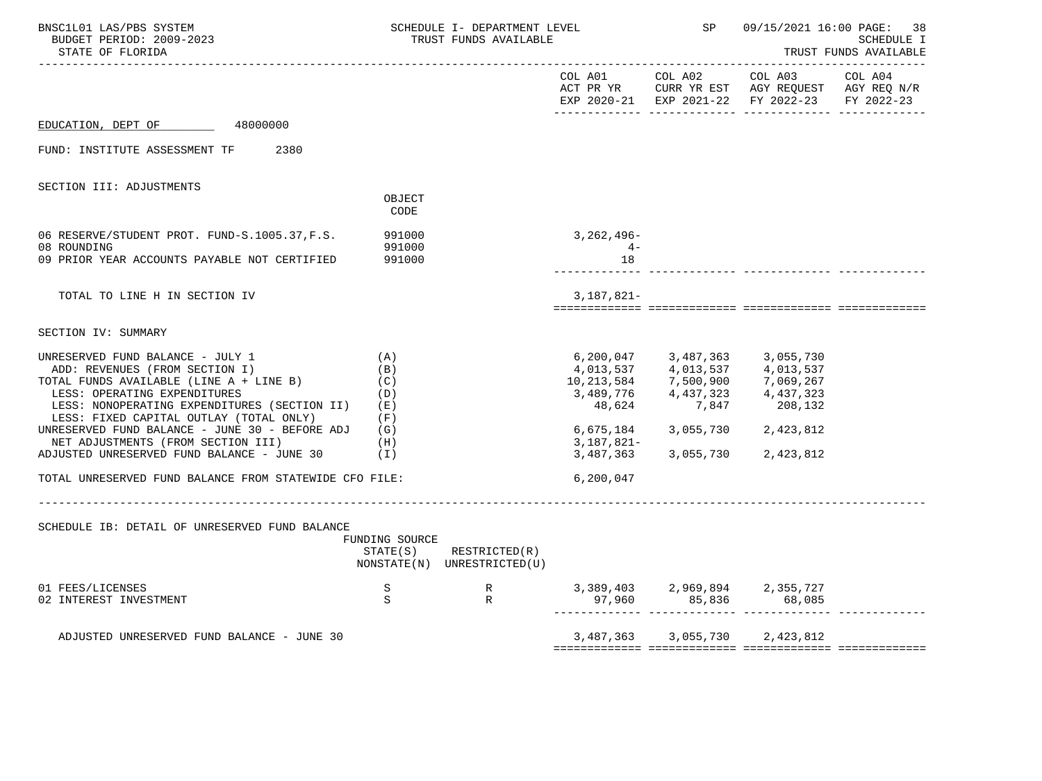| BNSC1L01 LAS/PBS SYSTEM<br>BUDGET PERIOD: 2009-2023<br>STATE OF FLORIDA |                  | SCHEDULE I- DEPARTMENT LEVEL<br>TRUST FUNDS AVAILABLE      |                 | <b>SP</b>                                                                | 09/15/2021 16:00 PAGE: 38<br><b>SCHEDULE I</b><br>TRUST FUNDS AVAILABLE                                                                |  |  |
|-------------------------------------------------------------------------|------------------|------------------------------------------------------------|-----------------|--------------------------------------------------------------------------|----------------------------------------------------------------------------------------------------------------------------------------|--|--|
|                                                                         |                  |                                                            | COL A01 COL A02 |                                                                          | COL A03 COL A04<br>ACT PR YR $\,$ CURR YR EST $\,$ AGY REQUEST $\,$ AGY REQ $\rm N/R$<br>EXP 2020-21 EXP 2021-22 FY 2022-23 FY 2022-23 |  |  |
| EDUCATION, DEPT OF 48000000                                             |                  |                                                            |                 |                                                                          |                                                                                                                                        |  |  |
| FUND: INSTITUTE ASSESSMENT TF<br>2380                                   |                  |                                                            |                 |                                                                          |                                                                                                                                        |  |  |
| SECTION III: ADJUSTMENTS                                                |                  |                                                            |                 |                                                                          |                                                                                                                                        |  |  |
|                                                                         | OBJECT<br>CODE   |                                                            |                 |                                                                          |                                                                                                                                        |  |  |
| 06 RESERVE/STUDENT PROT. FUND-S.1005.37, F.S.                           | 991000           |                                                            | 3,262,496-      |                                                                          |                                                                                                                                        |  |  |
| 08 ROUNDING<br>09 PRIOR YEAR ACCOUNTS PAYABLE NOT CERTIFIED             | 991000<br>991000 |                                                            | $4-$<br>18      |                                                                          |                                                                                                                                        |  |  |
| TOTAL TO LINE H IN SECTION IV                                           |                  |                                                            | 3,187,821-      |                                                                          |                                                                                                                                        |  |  |
| SECTION IV: SUMMARY                                                     |                  |                                                            |                 |                                                                          |                                                                                                                                        |  |  |
| UNRESERVED FUND BALANCE - JULY 1                                        | (A)              |                                                            |                 | 6,200,047 3,487,363 3,055,730                                            |                                                                                                                                        |  |  |
| ADD: REVENUES (FROM SECTION I)                                          | (B)              |                                                            |                 | 4,013,537 4,013,537 4,013,537                                            |                                                                                                                                        |  |  |
| TOTAL FUNDS AVAILABLE (LINE A + LINE B)                                 | (C)              |                                                            |                 |                                                                          |                                                                                                                                        |  |  |
| LESS: OPERATING EXPENDITURES                                            | (D)              |                                                            |                 | 10, 213, 584<br>3, 489, 776<br>4, 437, 323<br>4, 437, 323<br>4, 437, 323 |                                                                                                                                        |  |  |
| LESS: NONOPERATING EXPENDITURES (SECTION II) (E)                        |                  |                                                            | 48,624          | 7,847                                                                    | 208,132                                                                                                                                |  |  |
| LESS: FIXED CAPITAL OUTLAY (TOTAL ONLY)                                 | (F)              |                                                            |                 |                                                                          |                                                                                                                                        |  |  |
| UNRESERVED FUND BALANCE - JUNE 30 - BEFORE ADJ $(G)$                    |                  |                                                            |                 | 6,675,184 3,055,730 2,423,812                                            |                                                                                                                                        |  |  |
| NET ADJUSTMENTS (FROM SECTION III)                                      | (H)              |                                                            | 3,187,821-      |                                                                          |                                                                                                                                        |  |  |
| ADJUSTED UNRESERVED FUND BALANCE - JUNE 30                              | (1)              |                                                            |                 | 3,487,363 3,055,730                                                      | 2,423,812                                                                                                                              |  |  |
| TOTAL UNRESERVED FUND BALANCE FROM STATEWIDE CFO FILE:                  |                  |                                                            | 6,200,047       |                                                                          |                                                                                                                                        |  |  |
|                                                                         |                  |                                                            |                 |                                                                          |                                                                                                                                        |  |  |
| SCHEDULE IB: DETAIL OF UNRESERVED FUND BALANCE                          | FUNDING SOURCE   |                                                            |                 |                                                                          |                                                                                                                                        |  |  |
|                                                                         |                  | $STATE(S)$ RESTRICTED $(R)$<br>NONSTATE(N) UNRESTRICTED(U) |                 |                                                                          |                                                                                                                                        |  |  |
| 01 FEES/LICENSES<br>02 INTEREST INVESTMENT                              | S<br>S           | $\begin{array}{c} \mathbf{R} \\ \mathbf{R} \end{array}$    |                 |                                                                          | 3,389,403 2,969,894 2,355,727<br>97,960 85,836 68,085                                                                                  |  |  |
|                                                                         |                  |                                                            |                 |                                                                          |                                                                                                                                        |  |  |
| ADJUSTED UNRESERVED FUND BALANCE - JUNE 30                              |                  |                                                            |                 | 3,487,363 3,055,730 2,423,812                                            |                                                                                                                                        |  |  |
|                                                                         |                  |                                                            |                 |                                                                          |                                                                                                                                        |  |  |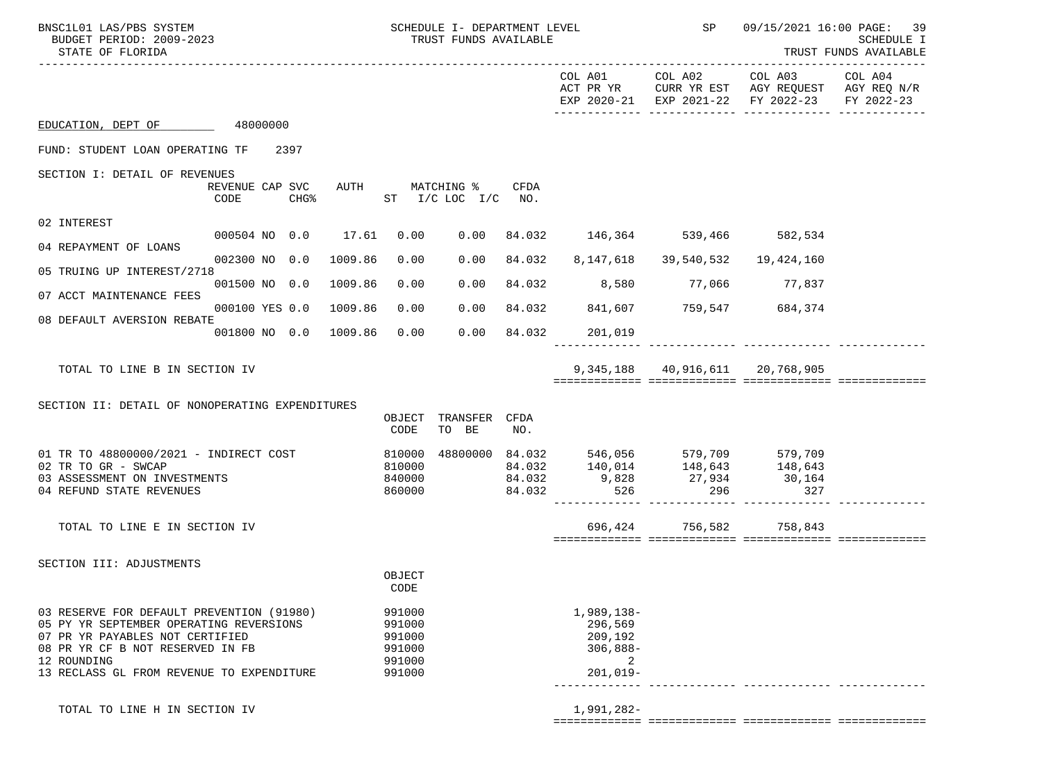| BNSC1L01 LAS/PBS SYSTEM<br>BUDGET PERIOD: 2009-2023<br>STATE OF FLORIDA                                                                                                                                                 | SCHEDULE I- DEPARTMENT LEVEL<br>TRUST FUNDS AVAILABLE        | <b>SP</b>                                                                                         |                                                                                                                | 09/15/2021 16:00 PAGE:<br>39<br>SCHEDULE I<br>TRUST FUNDS AVAILABLE |  |
|-------------------------------------------------------------------------------------------------------------------------------------------------------------------------------------------------------------------------|--------------------------------------------------------------|---------------------------------------------------------------------------------------------------|----------------------------------------------------------------------------------------------------------------|---------------------------------------------------------------------|--|
|                                                                                                                                                                                                                         |                                                              |                                                                                                   | COL A01 COL A02 COL A03<br>ACT PR YR CURR YR EST AGY REQUEST AGY REQ N/R<br>EXP 2020-21 EXP 2021-22 FY 2022-23 | COL A04<br>FY 2022-23                                               |  |
| EDUCATION, DEPT OF 48000000                                                                                                                                                                                             |                                                              |                                                                                                   |                                                                                                                |                                                                     |  |
| FUND: STUDENT LOAN OPERATING TF 2397                                                                                                                                                                                    |                                                              |                                                                                                   |                                                                                                                |                                                                     |  |
| SECTION I: DETAIL OF REVENUES<br>REVENUE CAP SVC<br>CODE<br>CHG%                                                                                                                                                        | AUTH MATCHING %<br>CFDA<br>$ST$ $I/C$ $LOC$ $I/C$ $NO$ .     |                                                                                                   |                                                                                                                |                                                                     |  |
| 02 INTEREST<br>000504 NO 0.0 17.61                                                                                                                                                                                      |                                                              | 0.00 84.032 146,364 539,466 582,534                                                               |                                                                                                                |                                                                     |  |
| 04 REPAYMENT OF LOANS                                                                                                                                                                                                   | 0.00                                                         |                                                                                                   |                                                                                                                |                                                                     |  |
| 002300 NO 0.0<br>1009.86<br>05 TRUING UP INTEREST/2718                                                                                                                                                                  | 0.00<br>0.00<br>84.032                                       | 8,147,618   39,540,532                                                                            | 19,424,160                                                                                                     |                                                                     |  |
| 001500 NO 0.0<br>1009.86<br>07 ACCT MAINTENANCE FEES                                                                                                                                                                    | 0.00<br>0.00                                                 | 84.032 8,580 77,066 77,837                                                                        |                                                                                                                |                                                                     |  |
| 000100 YES 0.0<br>1009.86<br>08 DEFAULT AVERSION REBATE                                                                                                                                                                 | 0.00<br>0.00                                                 | 84.032 841,607 759,547 684,374                                                                    |                                                                                                                |                                                                     |  |
| 001800 NO 0.0 1009.86                                                                                                                                                                                                   | 0.00<br>0.00<br>84.032                                       | 201,019                                                                                           |                                                                                                                |                                                                     |  |
| TOTAL TO LINE B IN SECTION IV                                                                                                                                                                                           |                                                              |                                                                                                   | 9,345,188 40,916,611 20,768,905                                                                                |                                                                     |  |
| SECTION II: DETAIL OF NONOPERATING EXPENDITURES                                                                                                                                                                         |                                                              |                                                                                                   |                                                                                                                |                                                                     |  |
|                                                                                                                                                                                                                         | OBJECT TRANSFER CFDA<br>TO BE<br>CODE<br>NO.                 |                                                                                                   |                                                                                                                |                                                                     |  |
| 01 TR TO 48800000/2021 - INDIRECT COST<br>02 TR TO GR - SWCAP<br>03 ASSESSMENT ON INVESTMENTS<br>04 REFUND STATE REVENUES                                                                                               | 810000<br>810000<br>840000<br>$84.032$<br>$84.032$<br>860000 | 48800000 84.032 546,056 579,709 579,709<br>$84.032$ $140,014$ $148,643$ $148,643$<br>9,828<br>526 | 27,934 30,164<br>327<br>296                                                                                    |                                                                     |  |
| TOTAL TO LINE E IN SECTION IV                                                                                                                                                                                           |                                                              | 696,424 756,582                                                                                   | 758,843                                                                                                        |                                                                     |  |
| SECTION III: ADJUSTMENTS                                                                                                                                                                                                | OBJECT<br>CODE                                               |                                                                                                   |                                                                                                                |                                                                     |  |
| 03 RESERVE FOR DEFAULT PREVENTION (91980)<br>05 PY YR SEPTEMBER OPERATING REVERSIONS<br>07 PR YR PAYABLES NOT CERTIFIED<br>08 PR YR CF B NOT RESERVED IN FB<br>12 ROUNDING<br>13 RECLASS GL FROM REVENUE TO EXPENDITURE | 991000<br>991000<br>991000<br>991000<br>991000<br>991000     | 1,989,138-<br>296,569<br>209,192<br>$306,888-$<br>2<br>$201,019-$                                 |                                                                                                                |                                                                     |  |
| TOTAL TO LINE H IN SECTION IV                                                                                                                                                                                           |                                                              | 1,991,282-                                                                                        |                                                                                                                |                                                                     |  |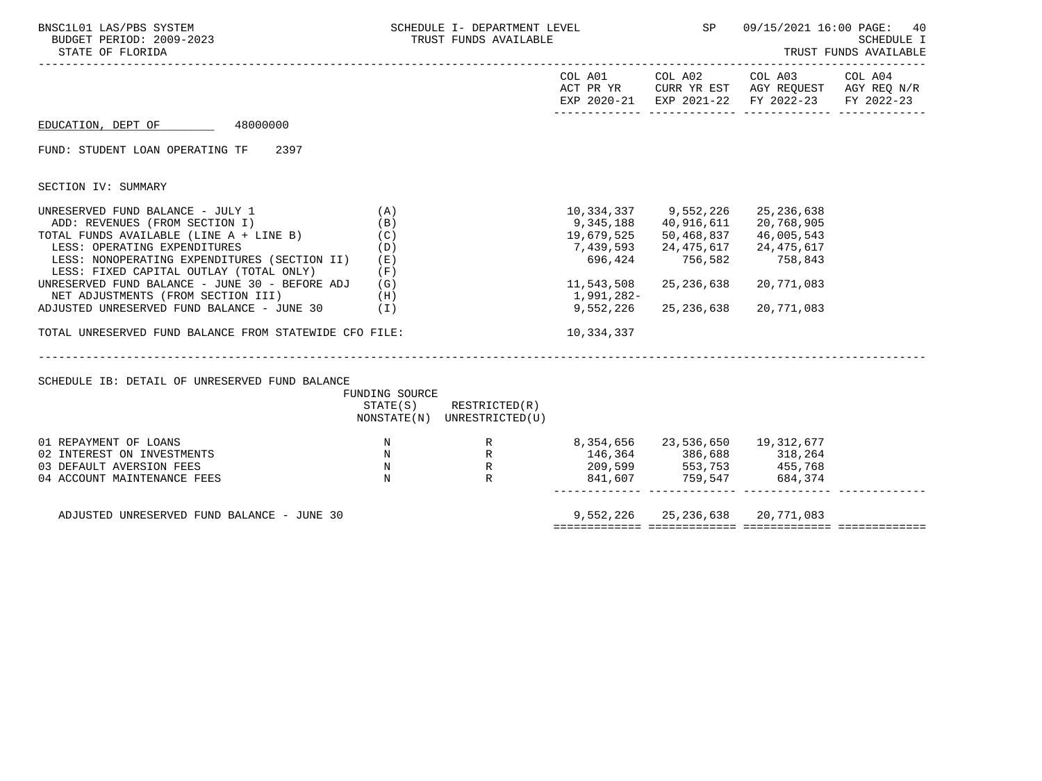| BNSC1L01 LAS/PBS SYSTEM<br>BUDGET PERIOD: 2009-2023<br>STATE OF FLORIDA                                                                                                                                                                                                                                                                                                                                                                                                                                            |                                 | SCHEDULE I- DEPARTMENT LEVEL THE SP<br>TRUST FUNDS AVAILABLE |                                                                                                                 |                                                                                                        |                                                                                                                                                        | 09/15/2021 16:00 PAGE: 40<br>SCHEDULE I<br>TRUST FUNDS AVAILABLE |
|--------------------------------------------------------------------------------------------------------------------------------------------------------------------------------------------------------------------------------------------------------------------------------------------------------------------------------------------------------------------------------------------------------------------------------------------------------------------------------------------------------------------|---------------------------------|--------------------------------------------------------------|-----------------------------------------------------------------------------------------------------------------|--------------------------------------------------------------------------------------------------------|--------------------------------------------------------------------------------------------------------------------------------------------------------|------------------------------------------------------------------|
|                                                                                                                                                                                                                                                                                                                                                                                                                                                                                                                    |                                 |                                                              |                                                                                                                 |                                                                                                        | COL A01 COL A02 COL A03 COL A04<br>ACT PR YR $\,$ CURR YR EST $\,$ AGY REQUEST $\,$ AGY REQ $\rm N/R$<br>EXP 2020-21 EXP 2021-22 FY 2022-23 FY 2022-23 |                                                                  |
| EDUCATION, DEPT OF 48000000                                                                                                                                                                                                                                                                                                                                                                                                                                                                                        |                                 |                                                              |                                                                                                                 |                                                                                                        |                                                                                                                                                        |                                                                  |
| FUND: STUDENT LOAN OPERATING TF 2397                                                                                                                                                                                                                                                                                                                                                                                                                                                                               |                                 |                                                              |                                                                                                                 |                                                                                                        |                                                                                                                                                        |                                                                  |
| SECTION IV: SUMMARY                                                                                                                                                                                                                                                                                                                                                                                                                                                                                                |                                 |                                                              |                                                                                                                 |                                                                                                        |                                                                                                                                                        |                                                                  |
| UNRESERVED FUND BALANCE - JULY 1<br>ADD: REVENUES (FROM SECTION I)<br>TOTAL FUNDS AVAILABLE (LINE $A + LINE B$ ) (C)<br>LESS: OPERATING EXPENDITURES<br>LESS: NONOPERATING EXPENDITURES (SECTION II)<br>LESS: FIXED CAPITAL OUTLAY (TOTAL ONLY)<br>UNRESERVED FUND BALANCE - JUNE 30 - BEFORE ADJ $(G)$<br>NET ADJUSTMENTS (FROM SECTION III)<br>(H)<br>ADJUSTED UNRESERVED FUND BALANCE - JUNE 30 (I)<br>TOTAL UNRESERVED FUND BALANCE FROM STATEWIDE CFO FILE:<br>SCHEDULE IB: DETAIL OF UNRESERVED FUND BALANCE | (A)<br>(B)<br>(D)<br>(E)<br>(F) |                                                              | 19,679,525 50,468,837<br>7,439,593 24,475,617 24,475,617<br>11,543,508<br>1,991,282-<br>9,552,226<br>10,334,337 | 10,334,337 9,552,226 25,236,638<br>9,345,188 40,916,611<br>696,424 756,582<br>25,236,638<br>25,236,638 | 20,768,905<br>46,005,543<br>758,843<br>20,771,083<br>20,771,083                                                                                        |                                                                  |
|                                                                                                                                                                                                                                                                                                                                                                                                                                                                                                                    | FUNDING SOURCE                  | $STATE(S)$ RESTRICTED $(R)$<br>NONSTATE(N) UNRESTRICTED(U)   |                                                                                                                 |                                                                                                        |                                                                                                                                                        |                                                                  |
| 01 REPAYMENT OF LOANS<br>$\mathbb N$<br>02 INTEREST ON INVESTMENTS<br>03 DEFAULT AVERSION FEES<br>04 ACCOUNT MAINTENANCE FEES                                                                                                                                                                                                                                                                                                                                                                                      | $\mathbb N$<br>$\mathbb N$      | $R$<br>$R$                                                   | 209,599 553,753 455,768                                                                                         |                                                                                                        | $841,607$ $759,547$ $684,374$                                                                                                                          |                                                                  |
| ADJUSTED UNRESERVED FUND BALANCE - JUNE 30                                                                                                                                                                                                                                                                                                                                                                                                                                                                         |                                 |                                                              |                                                                                                                 |                                                                                                        | 9,552,226 25,236,638 20,771,083                                                                                                                        |                                                                  |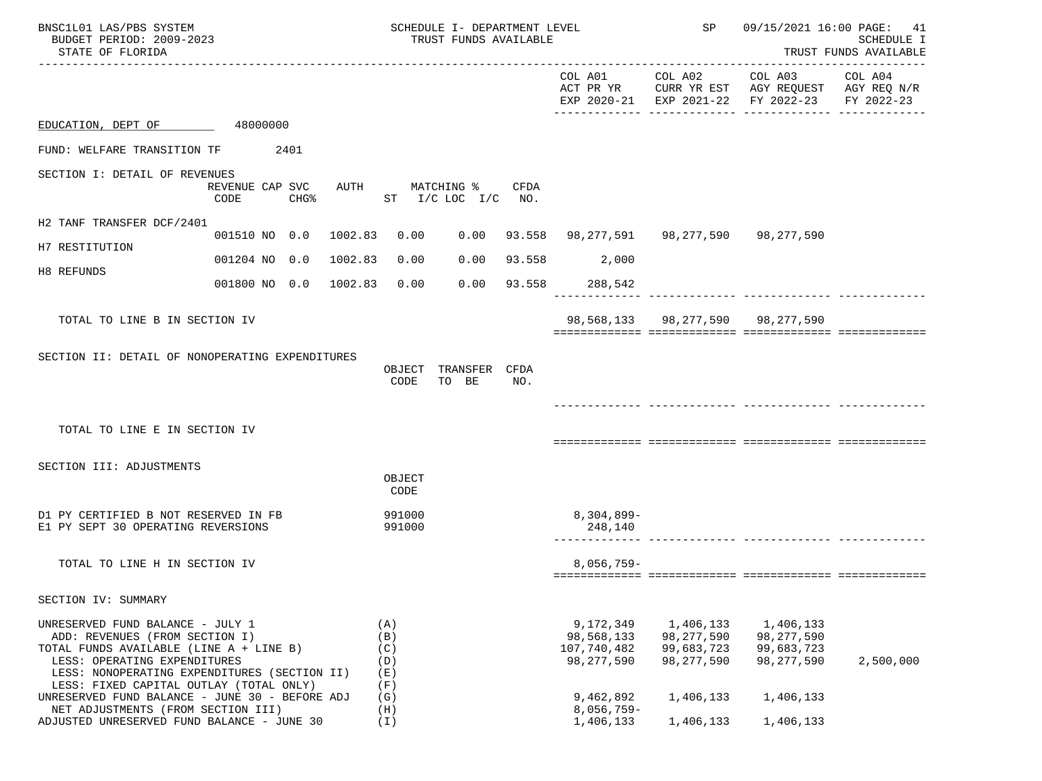| BNSC1L01 LAS/PBS SYSTEM<br>BUDGET PERIOD: 2009-2023<br>STATE OF FLORIDA                                                                                                                                                                  |                                   |         |                                        | SCHEDULE I- DEPARTMENT LEVEL<br>TRUST FUNDS AVAILABLE |        |                                                        | SP                                                      |                                                                                                                | 09/15/2021 16:00 PAGE: 41<br><b>SCHEDULE I</b><br>TRUST FUNDS AVAILABLE |
|------------------------------------------------------------------------------------------------------------------------------------------------------------------------------------------------------------------------------------------|-----------------------------------|---------|----------------------------------------|-------------------------------------------------------|--------|--------------------------------------------------------|---------------------------------------------------------|----------------------------------------------------------------------------------------------------------------|-------------------------------------------------------------------------|
|                                                                                                                                                                                                                                          |                                   |         |                                        |                                                       |        |                                                        |                                                         | COL A01 COL A02 COL A03<br>ACT PR YR CURR YR EST AGY REQUEST AGY REQ N/R<br>EXP 2020-21 EXP 2021-22 FY 2022-23 | COL A04<br>FY 2022-23                                                   |
| EDUCATION, DEPT OF                                                                                                                                                                                                                       | 48000000                          |         |                                        |                                                       |        |                                                        |                                                         |                                                                                                                |                                                                         |
| FUND: WELFARE TRANSITION TF                                                                                                                                                                                                              | 2401                              |         |                                        |                                                       |        |                                                        |                                                         |                                                                                                                |                                                                         |
| SECTION I: DETAIL OF REVENUES                                                                                                                                                                                                            | REVENUE CAP SVC<br>CODE<br>$CHG\$ | AUTH    |                                        | MATCHING %<br>ST I/C LOC I/C NO.                      | CFDA   |                                                        |                                                         |                                                                                                                |                                                                         |
| H2 TANF TRANSFER DCF/2401                                                                                                                                                                                                                | 001510 NO 0.0 1002.83 0.00        |         |                                        |                                                       |        | $0.00$ 93.558 98,277,591 98,277,590 98,277,590         |                                                         |                                                                                                                |                                                                         |
| H7 RESTITUTION                                                                                                                                                                                                                           | 001204 NO 0.0                     | 1002.83 | 0.00                                   | 0.00                                                  |        | 93.558 2,000                                           |                                                         |                                                                                                                |                                                                         |
| H8 REFUNDS                                                                                                                                                                                                                               | 001800 NO 0.0 1002.83             |         | 0.00                                   | 0.00                                                  | 93.558 | 288,542                                                |                                                         |                                                                                                                |                                                                         |
| TOTAL TO LINE B IN SECTION IV                                                                                                                                                                                                            |                                   |         |                                        |                                                       |        |                                                        |                                                         | 98,568,133 98,277,590 98,277,590                                                                               |                                                                         |
| SECTION II: DETAIL OF NONOPERATING EXPENDITURES                                                                                                                                                                                          |                                   |         | OBJECT<br>CODE                         | TRANSFER CFDA<br>TO BE                                | NO.    |                                                        |                                                         |                                                                                                                |                                                                         |
| TOTAL TO LINE E IN SECTION IV                                                                                                                                                                                                            |                                   |         |                                        |                                                       |        |                                                        |                                                         |                                                                                                                |                                                                         |
| SECTION III: ADJUSTMENTS                                                                                                                                                                                                                 |                                   |         | OBJECT<br>CODE                         |                                                       |        |                                                        |                                                         |                                                                                                                |                                                                         |
| D1 PY CERTIFIED B NOT RESERVED IN FB<br>E1 PY SEPT 30 OPERATING REVERSIONS                                                                                                                                                               |                                   |         | 991000<br>991000                       |                                                       |        | $8,304,899-$<br>248,140                                |                                                         |                                                                                                                |                                                                         |
| TOTAL TO LINE H IN SECTION IV                                                                                                                                                                                                            |                                   |         |                                        |                                                       |        | $8.056.759 -$                                          |                                                         |                                                                                                                |                                                                         |
| SECTION IV: SUMMARY                                                                                                                                                                                                                      |                                   |         |                                        |                                                       |        |                                                        |                                                         |                                                                                                                |                                                                         |
| UNRESERVED FUND BALANCE - JULY 1<br>ADD: REVENUES (FROM SECTION I)<br>TOTAL FUNDS AVAILABLE (LINE A + LINE B)<br>LESS: OPERATING EXPENDITURES<br>LESS: NONOPERATING EXPENDITURES (SECTION II)<br>LESS: FIXED CAPITAL OUTLAY (TOTAL ONLY) |                                   |         | (A)<br>(B)<br>(C)<br>(D)<br>(E)<br>(F) |                                                       |        | 9,172,349<br>98,568,133<br>107,740,482<br>98, 277, 590 | 1,406,133<br>98, 277, 590<br>99,683,723<br>98, 277, 590 | 1,406,133<br>98, 277, 590<br>99,683,723<br>98, 277, 590                                                        | 2,500,000                                                               |
| UNRESERVED FUND BALANCE - JUNE 30 - BEFORE ADJ<br>NET ADJUSTMENTS (FROM SECTION III)                                                                                                                                                     |                                   |         | (G)<br>(H)                             |                                                       |        | 9,462,892<br>$8,056,759-$                              | 1,406,133                                               | 1,406,133                                                                                                      |                                                                         |
| ADJUSTED UNRESERVED FUND BALANCE - JUNE 30                                                                                                                                                                                               |                                   |         | (I)                                    |                                                       |        | 1,406,133                                              | 1,406,133                                               | 1,406,133                                                                                                      |                                                                         |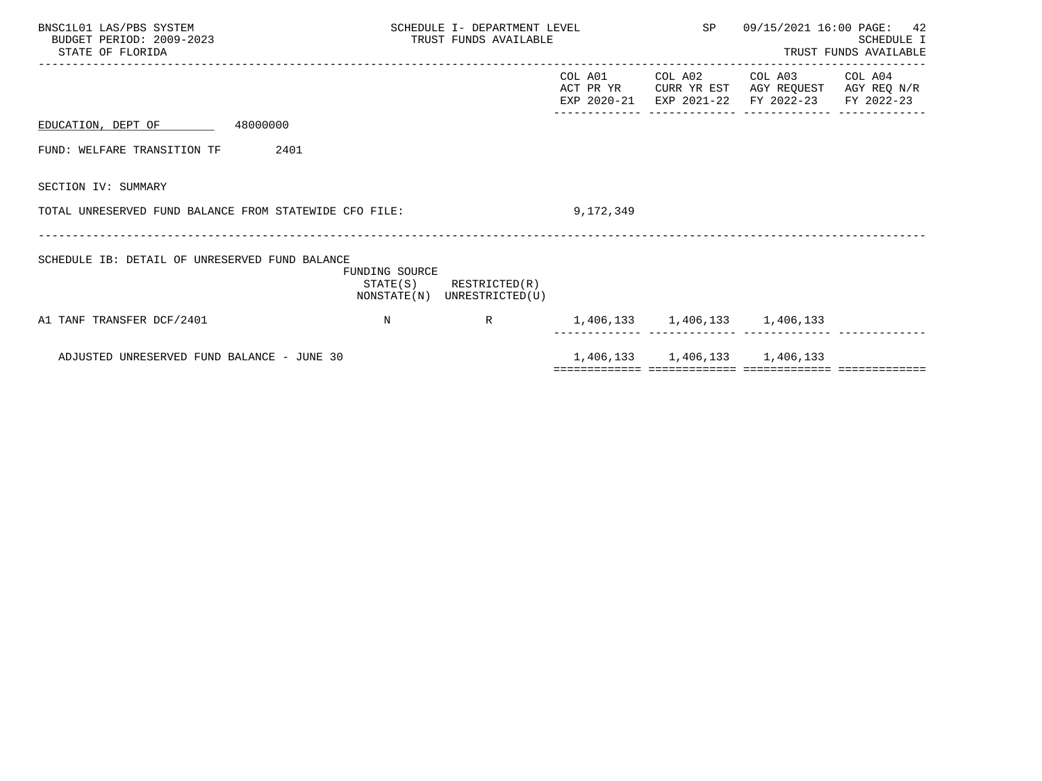| BNSC1L01 LAS/PBS SYSTEM<br>BUDGET PERIOD: 2009-2023<br>STATE OF FLORIDA |                | SCHEDULE I- DEPARTMENT LEVEL<br>TRUST FUNDS AVAILABLE      |           |                               | SP 09/15/2021 16:00 PAGE: 42                                                                                              | SCHEDULE I<br>TRUST FUNDS AVAILABLE |
|-------------------------------------------------------------------------|----------------|------------------------------------------------------------|-----------|-------------------------------|---------------------------------------------------------------------------------------------------------------------------|-------------------------------------|
|                                                                         |                |                                                            | COL A01   |                               | COL A02 COL A03 COL A04<br>ACT PR YR CURR YR EST AGY REQUEST AGY REQ N/R<br>EXP 2020-21 EXP 2021-22 FY 2022-23 FY 2022-23 |                                     |
| EDUCATION, DEPT OF 48000000                                             |                |                                                            |           |                               |                                                                                                                           |                                     |
| 2401<br>FUND: WELFARE TRANSITION TF                                     |                |                                                            |           |                               |                                                                                                                           |                                     |
| SECTION IV: SUMMARY                                                     |                |                                                            |           |                               |                                                                                                                           |                                     |
| TOTAL UNRESERVED FUND BALANCE FROM STATEWIDE CFO FILE:                  |                |                                                            | 9,172,349 |                               |                                                                                                                           |                                     |
| SCHEDULE IB: DETAIL OF UNRESERVED FUND BALANCE                          | FUNDING SOURCE | $STATE(S)$ RESTRICTED $(R)$<br>NONSTATE(N) UNRESTRICTED(U) |           |                               |                                                                                                                           |                                     |
| A1 TANF TRANSFER DCF/2401                                               | $\mathbb N$    | $R \sim 1$                                                 |           | 1,406,133 1,406,133 1,406,133 |                                                                                                                           |                                     |
| ADJUSTED UNRESERVED FUND BALANCE - JUNE 30                              |                |                                                            |           | 1,406,133 1,406,133 1,406,133 |                                                                                                                           |                                     |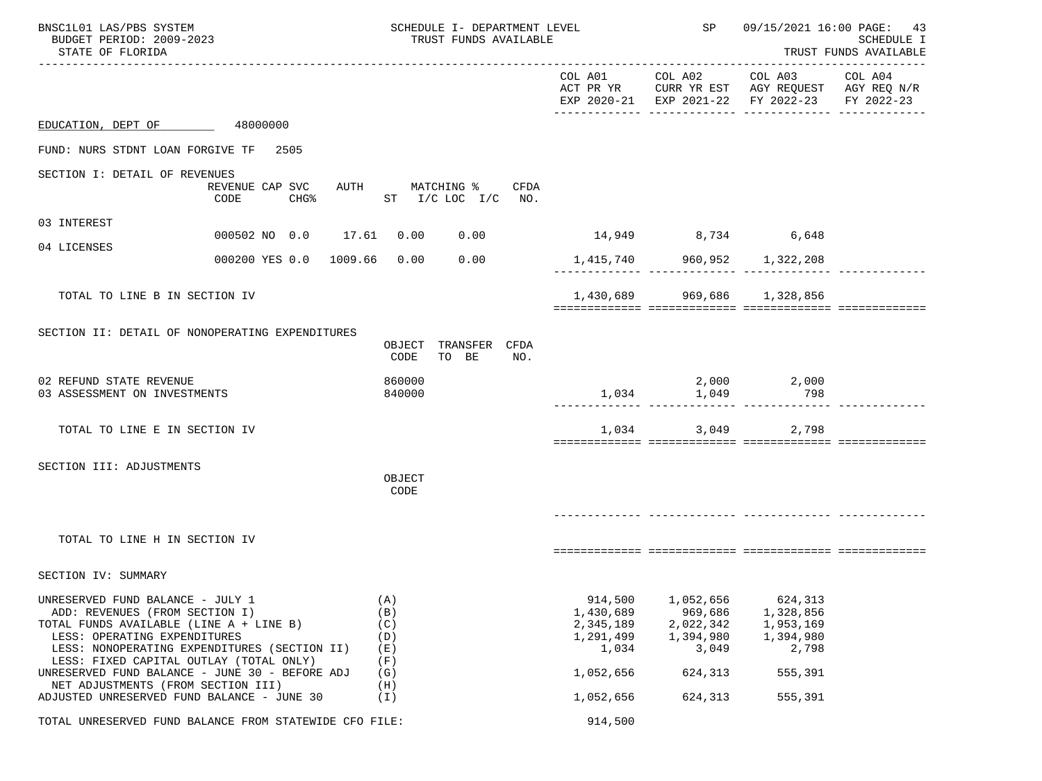| BNSC1L01 LAS/PBS SYSTEM<br>BUDGET PERIOD: 2009-2023<br>STATE OF FLORIDA                                                                                                                                                                                                                    |                                                        | SCHEDULE I- DEPARTMENT LEVEL<br>TRUST FUNDS AVAILABLE |                        |     |                                                                      | SP <sub>3</sub>                                                    | 09/15/2021 16:00 PAGE: 43<br>SCHEDULE I<br>TRUST FUNDS AVAILABLE                                                                  |  |
|--------------------------------------------------------------------------------------------------------------------------------------------------------------------------------------------------------------------------------------------------------------------------------------------|--------------------------------------------------------|-------------------------------------------------------|------------------------|-----|----------------------------------------------------------------------|--------------------------------------------------------------------|-----------------------------------------------------------------------------------------------------------------------------------|--|
|                                                                                                                                                                                                                                                                                            |                                                        |                                                       |                        |     |                                                                      |                                                                    | COL A01 COL A02 COL A03 COL A04<br>ACT PR YR CURR YR EST AGY REQUEST AGY REQ N/R<br>EXP 2020-21 EXP 2021-22 FY 2022-23 FY 2022-23 |  |
| EDUCATION, DEPT OF 48000000                                                                                                                                                                                                                                                                |                                                        |                                                       |                        |     |                                                                      |                                                                    |                                                                                                                                   |  |
| FUND: NURS STDNT LOAN FORGIVE TF 2505                                                                                                                                                                                                                                                      |                                                        |                                                       |                        |     |                                                                      |                                                                    |                                                                                                                                   |  |
| SECTION I: DETAIL OF REVENUES                                                                                                                                                                                                                                                              | REVENUE CAP SVC<br>CODE<br>CHG <sup>8</sup>            | AUTH MATCHING % CFDA<br>ST $I/C$ LOC $I/C$ NO.        |                        |     |                                                                      |                                                                    |                                                                                                                                   |  |
| 03 INTEREST                                                                                                                                                                                                                                                                                | 000502 NO 0.0 17.61 0.00 0.00 14,949 8,734 6,648       |                                                       |                        |     |                                                                      |                                                                    |                                                                                                                                   |  |
| 04 LICENSES                                                                                                                                                                                                                                                                                | 000200 YES 0.0 1009.66 0.00 0.00                       |                                                       |                        |     |                                                                      | 1,415,740 960,952 1,322,208                                        |                                                                                                                                   |  |
| TOTAL TO LINE B IN SECTION IV                                                                                                                                                                                                                                                              |                                                        |                                                       |                        |     |                                                                      | 1,430,689 969,686 1,328,856                                        |                                                                                                                                   |  |
| SECTION II: DETAIL OF NONOPERATING EXPENDITURES                                                                                                                                                                                                                                            |                                                        | OBJECT<br>CODE                                        | TRANSFER CFDA<br>TO BE | NO. |                                                                      |                                                                    |                                                                                                                                   |  |
| 02 REFUND STATE REVENUE<br>03 ASSESSMENT ON INVESTMENTS                                                                                                                                                                                                                                    |                                                        | 860000<br>840000                                      |                        |     |                                                                      | $1,034$ $1,049$                                                    | 2,000 2,000<br>798                                                                                                                |  |
| TOTAL TO LINE E IN SECTION IV                                                                                                                                                                                                                                                              |                                                        |                                                       |                        |     |                                                                      | 1,034                                                              | 3,049<br>2,798                                                                                                                    |  |
| SECTION III: ADJUSTMENTS                                                                                                                                                                                                                                                                   |                                                        | OBJECT<br>CODE                                        |                        |     |                                                                      |                                                                    |                                                                                                                                   |  |
| TOTAL TO LINE H IN SECTION IV                                                                                                                                                                                                                                                              |                                                        |                                                       |                        |     |                                                                      |                                                                    |                                                                                                                                   |  |
| SECTION IV: SUMMARY                                                                                                                                                                                                                                                                        |                                                        |                                                       |                        |     |                                                                      |                                                                    |                                                                                                                                   |  |
| UNRESERVED FUND BALANCE - JULY 1<br>ADD: REVENUES (FROM SECTION I)<br>TOTAL FUNDS AVAILABLE (LINE A + LINE B)<br>LESS: OPERATING EXPENDITURES<br>LESS: NONOPERATING EXPENDITURES (SECTION II)<br>LESS: FIXED CAPITAL OUTLAY (TOTAL ONLY)<br>UNRESERVED FUND BALANCE - JUNE 30 - BEFORE ADJ |                                                        | (A)<br>(B)<br>(C)<br>(D)<br>(E)<br>(F)<br>(G)         |                        |     | 914,500<br>1,430,689<br>2,345,189<br>1,291,499<br>1,034<br>1,052,656 | 1,052,656<br>969,686<br>2,022,342<br>1,394,980<br>3,049<br>624,313 | 624,313<br>1,328,856<br>1,953,169<br>1,394,980<br>2,798<br>555,391                                                                |  |
| NET ADJUSTMENTS (FROM SECTION III)<br>ADJUSTED UNRESERVED FUND BALANCE - JUNE 30                                                                                                                                                                                                           |                                                        | (H)<br>(I)                                            |                        |     | 1,052,656                                                            | 624,313                                                            | 555,391                                                                                                                           |  |
|                                                                                                                                                                                                                                                                                            | TOTAL UNRESERVED FUND BALANCE FROM STATEWIDE CFO FILE: |                                                       |                        |     | 914,500                                                              |                                                                    |                                                                                                                                   |  |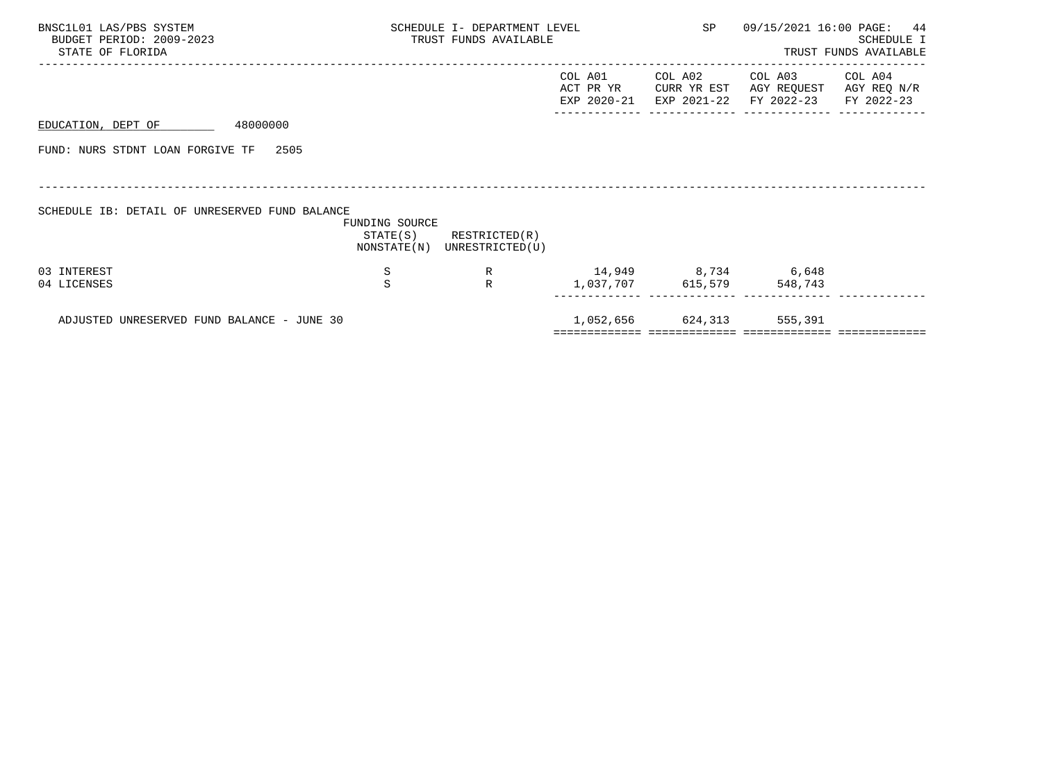| BNSC1L01 LAS/PBS SYSTEM<br>BUDGET PERIOD: 2009-2023<br>STATE OF FLORIDA | SCHEDULE I- DEPARTMENT LEVEL<br>TRUST FUNDS AVAILABLE |                                                            |                      | SP                        |                                                              | 09/15/2021 16:00 PAGE: 44<br>SCHEDULE I<br>TRUST FUNDS AVAILABLE |
|-------------------------------------------------------------------------|-------------------------------------------------------|------------------------------------------------------------|----------------------|---------------------------|--------------------------------------------------------------|------------------------------------------------------------------|
|                                                                         |                                                       |                                                            | COL A01<br>ACT PR YR | COL A02<br>CURR YR EST    | COL A03<br>AGY REQUEST<br>EXP 2020-21 EXP 2021-22 FY 2022-23 | COL A04<br>AGY REQ N/R<br>FY 2022-23                             |
| 48000000<br>EDUCATION, DEPT OF                                          |                                                       |                                                            |                      |                           |                                                              |                                                                  |
| FUND: NURS STDNT LOAN FORGIVE TF 2505                                   |                                                       |                                                            |                      |                           |                                                              |                                                                  |
|                                                                         |                                                       |                                                            |                      |                           |                                                              |                                                                  |
| SCHEDULE IB: DETAIL OF UNRESERVED FUND BALANCE                          | FUNDING SOURCE                                        | $STATE(S)$ RESTRICTED $(R)$<br>NONSTATE(N) UNRESTRICTED(U) |                      |                           |                                                              |                                                                  |
| 03 INTEREST                                                             | S                                                     | R                                                          | 14,949 8,734 6,648   |                           |                                                              |                                                                  |
| 04 LICENSES                                                             | S                                                     | $\mathbb{R}$                                               |                      | 1,037,707 615,579 548,743 |                                                              |                                                                  |
| ADJUSTED UNRESERVED FUND BALANCE - JUNE 30                              |                                                       |                                                            |                      | 1,052,656 624,313 555,391 |                                                              |                                                                  |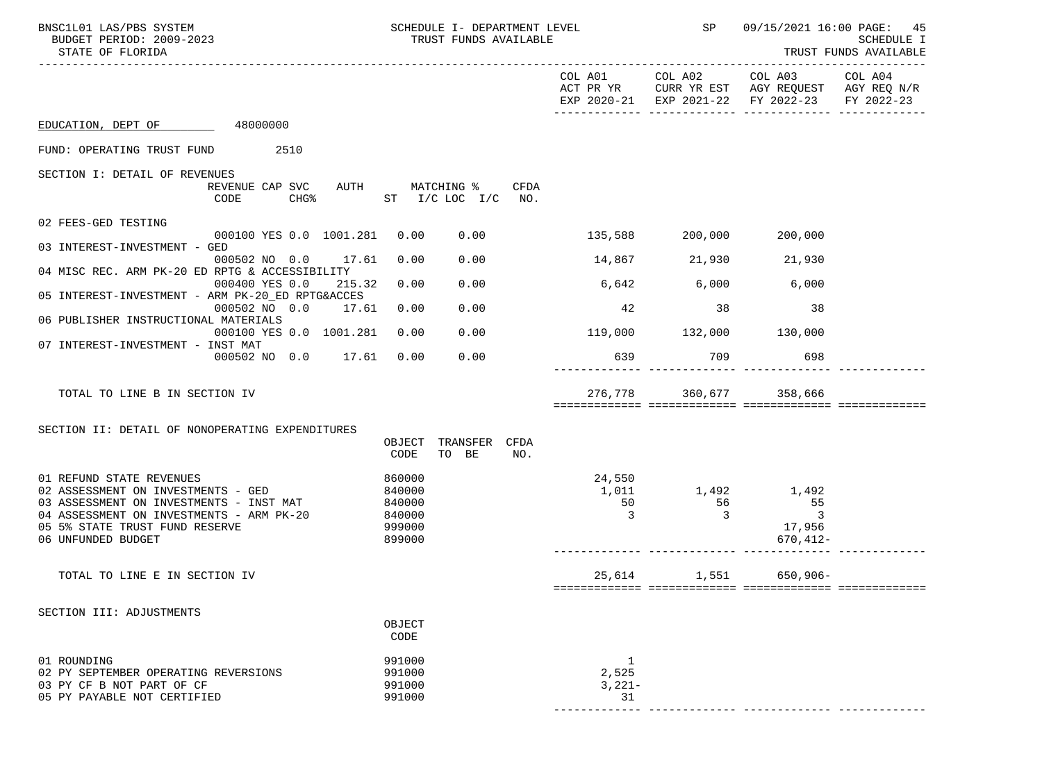| BNSC1L01 LAS/PBS SYSTEM<br>BUDGET PERIOD: 2009-2023<br>STATE OF FLORIDA                    | SCHEDULE I- DEPARTMENT LEVEL<br>TRUST FUNDS AVAILABLE       |                               | SP             | 09/15/2021 16:00 PAGE:<br>45<br>SCHEDULE I<br>TRUST FUNDS AVAILABLE                                                               |  |
|--------------------------------------------------------------------------------------------|-------------------------------------------------------------|-------------------------------|----------------|-----------------------------------------------------------------------------------------------------------------------------------|--|
|                                                                                            |                                                             |                               |                | COL A01 COL A02 COL A03 COL A04<br>ACT PR YR CURR YR EST AGY REQUEST AGY REQ N/R<br>EXP 2020-21 EXP 2021-22 FY 2022-23 FY 2022-23 |  |
| EDUCATION, DEPT OF 48000000                                                                |                                                             |                               |                |                                                                                                                                   |  |
| FUND: OPERATING TRUST FUND<br>2510                                                         |                                                             |                               |                |                                                                                                                                   |  |
| SECTION I: DETAIL OF REVENUES                                                              |                                                             |                               |                |                                                                                                                                   |  |
| REVENUE CAP SVC<br>CODE                                                                    | AUTH MATCHING % CFDA<br>CHG <sup>*</sup> ST I/C LOC I/C NO. |                               |                |                                                                                                                                   |  |
| 02 FEES-GED TESTING<br>000100 YES 0.0 1001.281 0.00                                        | 0.00                                                        | 135,588 200,000 200,000       |                |                                                                                                                                   |  |
| 03 INTEREST-INVESTMENT - GED                                                               |                                                             |                               |                |                                                                                                                                   |  |
| 000502 NO 0.0 17.61<br>04 MISC REC. ARM PK-20 ED RPTG & ACCESSIBILITY                      | 0.00<br>0.00                                                |                               |                | 14,867 21,930 21,930                                                                                                              |  |
| 000400 YES 0.0<br>215.32                                                                   | 0.00<br>0.00                                                | $6,642$ 6,000                 |                | 6,000                                                                                                                             |  |
| 05 INTEREST-INVESTMENT - ARM PK-20_ED RPTG&ACCES<br>000502 NO 0.0 17.61                    | 0.00<br>0.00                                                | 42                            | 38             | 38                                                                                                                                |  |
| 06 PUBLISHER INSTRUCTIONAL MATERIALS<br>000100 YES 0.0 1001.281                            | 0.00<br>0.00                                                | 119,000 132,000 130,000       |                |                                                                                                                                   |  |
| 07 INTEREST-INVESTMENT - INST MAT<br>000502 NO 0.0 17.61 0.00                              | 0.00                                                        |                               | 639 709 700    | 698                                                                                                                               |  |
|                                                                                            |                                                             |                               |                |                                                                                                                                   |  |
| TOTAL TO LINE B IN SECTION IV                                                              |                                                             |                               |                | 276,778 360,677 358,666                                                                                                           |  |
|                                                                                            |                                                             |                               |                |                                                                                                                                   |  |
| SECTION II: DETAIL OF NONOPERATING EXPENDITURES                                            | TRANSFER CFDA<br>OBJECT                                     |                               |                |                                                                                                                                   |  |
|                                                                                            | CODE<br>TO BE<br>NO.                                        |                               |                |                                                                                                                                   |  |
| 01 REFUND STATE REVENUES                                                                   | 860000                                                      | 24,550                        |                |                                                                                                                                   |  |
| 02 ASSESSMENT ON INVESTMENTS - GED                                                         | 840000                                                      |                               |                | 1,011 1,492 1,492                                                                                                                 |  |
| 03 ASSESSMENT ON INVESTMENTS - INST MAT 840000<br>04 ASSESSMENT ON INVESTMENTS - ARM PK-20 | 840000                                                      | 50<br>$\overline{\mathbf{3}}$ | $\frac{56}{3}$ | 55<br>$\sim$ 3                                                                                                                    |  |
| 05 5% STATE TRUST FUND RESERVE                                                             | 999000                                                      |                               |                | 17,956                                                                                                                            |  |
| 06 UNFUNDED BUDGET                                                                         | 899000                                                      |                               |                | $670, 412 -$                                                                                                                      |  |
| TOTAL TO LINE E IN SECTION IV                                                              |                                                             |                               |                | 25,614 1,551 650,906-                                                                                                             |  |
|                                                                                            |                                                             |                               |                |                                                                                                                                   |  |
| SECTION III: ADJUSTMENTS                                                                   |                                                             |                               |                |                                                                                                                                   |  |
|                                                                                            | OBJECT<br>CODE                                              |                               |                |                                                                                                                                   |  |
| 01 ROUNDING                                                                                | 991000                                                      | 1                             |                |                                                                                                                                   |  |
| 02 PY SEPTEMBER OPERATING REVERSIONS                                                       | 991000                                                      | 2,525                         |                |                                                                                                                                   |  |
| 03 PY CF B NOT PART OF CF<br>05 PY PAYABLE NOT CERTIFIED                                   | 991000<br>991000                                            | $3,221-$<br>31                |                |                                                                                                                                   |  |
|                                                                                            |                                                             |                               |                |                                                                                                                                   |  |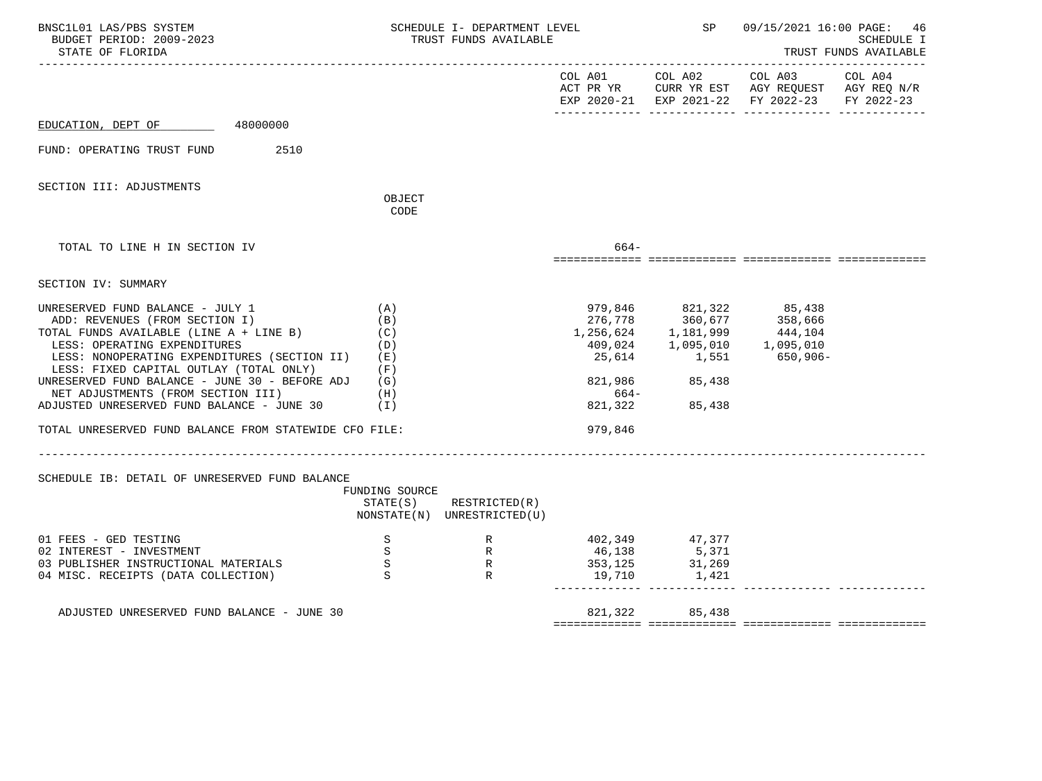| BNSC1L01 LAS/PBS SYSTEM<br>BUDGET PERIOD: 2009-2023<br>STATE OF FLORIDA                                                 |                            | SCHEDULE I- DEPARTMENT LEVEL<br>TRUST FUNDS AVAILABLE                                                                                     |                   | SP                                                                                                                                                                              | 09/15/2021 16:00 PAGE: 46                                                                                      | SCHEDULE I<br>TRUST FUNDS AVAILABLE |
|-------------------------------------------------------------------------------------------------------------------------|----------------------------|-------------------------------------------------------------------------------------------------------------------------------------------|-------------------|---------------------------------------------------------------------------------------------------------------------------------------------------------------------------------|----------------------------------------------------------------------------------------------------------------|-------------------------------------|
|                                                                                                                         |                            |                                                                                                                                           |                   |                                                                                                                                                                                 | COL A01 COL A02 COL A03<br>ACT PR YR CURR YR EST AGY REQUEST AGY REQ N/R<br>EXP 2020-21 EXP 2021-22 FY 2022-23 | COL A04<br>FY 2022-23               |
| EDUCATION, DEPT OF 48000000                                                                                             |                            |                                                                                                                                           |                   |                                                                                                                                                                                 |                                                                                                                |                                     |
| 2510<br>FUND: OPERATING TRUST FUND                                                                                      |                            |                                                                                                                                           |                   |                                                                                                                                                                                 |                                                                                                                |                                     |
| SECTION III: ADJUSTMENTS                                                                                                | OBJECT<br>CODE             |                                                                                                                                           |                   |                                                                                                                                                                                 |                                                                                                                |                                     |
| TOTAL TO LINE H IN SECTION IV                                                                                           |                            |                                                                                                                                           | 664-              |                                                                                                                                                                                 |                                                                                                                |                                     |
| SECTION IV: SUMMARY                                                                                                     |                            |                                                                                                                                           |                   |                                                                                                                                                                                 |                                                                                                                |                                     |
| UNRESERVED FUND BALANCE - JULY 1<br>ADD: REVENUES (FROM SECTION I)<br>TOTAL FUNDS AVAILABLE (LINE A + LINE B)           | (A)<br>(B)<br>(C)          |                                                                                                                                           |                   | $\begin{array}{llll} 979\,, 846 & \phantom{000} & 821\,, 322 & \phantom{000} & 85\,, 438 \\ 276\,, 778 & \phantom{0000} & 360\,, 677 & \phantom{0000} & 358\,, 666 \end{array}$ | 276,778 360,677 358,666<br>1,256,624 1,181,999 444,104<br>409,024 1,095,010 1,095,010                          |                                     |
| LESS: OPERATING EXPENDITURES<br>LESS: NONOPERATING EXPENDITURES (SECTION II)<br>LESS: FIXED CAPITAL OUTLAY (TOTAL ONLY) | (D)<br>( E )<br>(F)        |                                                                                                                                           |                   |                                                                                                                                                                                 | 25,614 1,551 650,906-                                                                                          |                                     |
| UNRESERVED FUND BALANCE - JUNE 30 - BEFORE ADJ<br>NET ADJUSTMENTS (FROM SECTION III)<br>(H)                             | (G)                        |                                                                                                                                           | 664-              | 821,986 85,438                                                                                                                                                                  |                                                                                                                |                                     |
| ADJUSTED UNRESERVED FUND BALANCE - JUNE 30                                                                              | (1)                        |                                                                                                                                           | 821,322           | 85,438                                                                                                                                                                          |                                                                                                                |                                     |
| TOTAL UNRESERVED FUND BALANCE FROM STATEWIDE CFO FILE:                                                                  |                            |                                                                                                                                           | 979,846           |                                                                                                                                                                                 |                                                                                                                |                                     |
| SCHEDULE IB: DETAIL OF UNRESERVED FUND BALANCE                                                                          |                            |                                                                                                                                           |                   |                                                                                                                                                                                 |                                                                                                                |                                     |
|                                                                                                                         | FUNDING SOURCE<br>STATE(S) | RESTRICTED(R)<br>NONSTATE(N) UNRESTRICTED(U)                                                                                              |                   |                                                                                                                                                                                 |                                                                                                                |                                     |
| 01 FEES - GED TESTING<br>02 INTEREST - INVESTMENT                                                                       | $\,$ S                     | $\begin{array}{ccc} \texttt{S} & \texttt{R} \\ \texttt{S} & \texttt{R} \\ \texttt{S} & \texttt{R} \\ \texttt{S} & \texttt{R} \end{array}$ | 46,138            | 402,349 47,377<br>5,371<br>31,269                                                                                                                                               |                                                                                                                |                                     |
| S<br>03 PUBLISHER INSTRUCTIONAL MATERIALS<br>$\mathbf S$<br>04 MISC. RECEIPTS (DATA COLLECTION)                         |                            |                                                                                                                                           | 353,125<br>19,710 | 1,421                                                                                                                                                                           |                                                                                                                |                                     |
| ADJUSTED UNRESERVED FUND BALANCE - JUNE 30                                                                              |                            |                                                                                                                                           |                   | 821, 322 85, 438                                                                                                                                                                |                                                                                                                |                                     |
|                                                                                                                         |                            |                                                                                                                                           |                   |                                                                                                                                                                                 |                                                                                                                |                                     |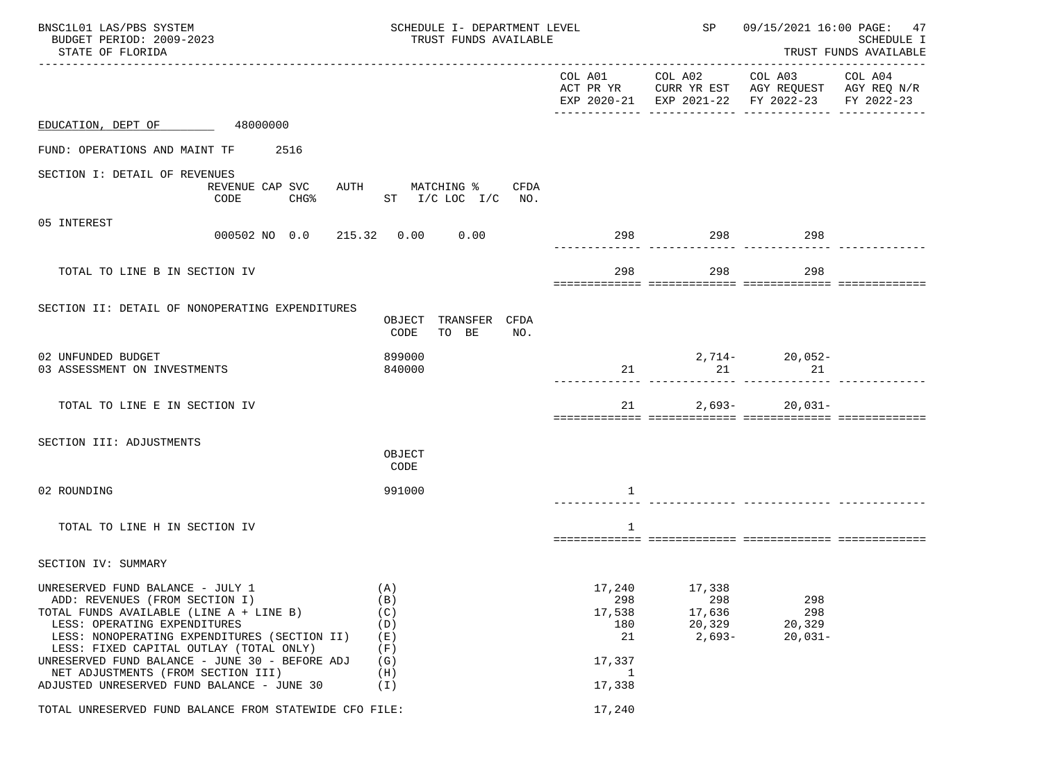| BNSC1L01 LAS/PBS SYSTEM<br>BUDGET PERIOD: 2009-2023<br>STATE OF FLORIDA                                                                                                                                                                                                                                                                                                        |                                                             | SCHEDULE I- DEPARTMENT LEVEL<br>TRUST FUNDS AVAILABLE         |                                               |                                                                                                | SP<br>09/15/2021 16:00 PAGE: 47<br><b>SCHEDULE I</b><br>TRUST FUNDS AVAILABLE |  |
|--------------------------------------------------------------------------------------------------------------------------------------------------------------------------------------------------------------------------------------------------------------------------------------------------------------------------------------------------------------------------------|-------------------------------------------------------------|---------------------------------------------------------------|-----------------------------------------------|------------------------------------------------------------------------------------------------|-------------------------------------------------------------------------------|--|
|                                                                                                                                                                                                                                                                                                                                                                                |                                                             |                                                               | COL A01 COL A02 COL A03                       | ACT PR YR CURR YR EST AGY REQUEST AGY REQ N/R<br>EXP 2020-21 EXP 2021-22 FY 2022-23 FY 2022-23 | COL A04                                                                       |  |
| EDUCATION, DEPT OF 48000000                                                                                                                                                                                                                                                                                                                                                    |                                                             |                                                               |                                               |                                                                                                |                                                                               |  |
| FUND: OPERATIONS AND MAINT TF 2516                                                                                                                                                                                                                                                                                                                                             |                                                             |                                                               |                                               |                                                                                                |                                                                               |  |
| SECTION I: DETAIL OF REVENUES<br>REVENUE CAP SVC<br>CODE<br>CHG%                                                                                                                                                                                                                                                                                                               | AUTH MATCHING % CFDA<br>ST I/C LOC I/C NO.                  |                                                               |                                               |                                                                                                |                                                                               |  |
| 05 INTEREST<br>000502 NO 0.0 215.32 0.00 0.00                                                                                                                                                                                                                                                                                                                                  |                                                             |                                                               | 298 298 298 298                               |                                                                                                |                                                                               |  |
| TOTAL TO LINE B IN SECTION IV                                                                                                                                                                                                                                                                                                                                                  |                                                             | 298                                                           | 298                                           | 298                                                                                            |                                                                               |  |
| SECTION II: DETAIL OF NONOPERATING EXPENDITURES                                                                                                                                                                                                                                                                                                                                | OBJECT TRANSFER CFDA<br>CODE<br>TO BE<br>NO.                |                                                               |                                               |                                                                                                |                                                                               |  |
| 02 UNFUNDED BUDGET<br>03 ASSESSMENT ON INVESTMENTS                                                                                                                                                                                                                                                                                                                             | 899000<br>840000                                            | 21                                                            |                                               | $2,714-20,052-$<br>21<br>21                                                                    |                                                                               |  |
| TOTAL TO LINE E IN SECTION IV                                                                                                                                                                                                                                                                                                                                                  |                                                             | 21                                                            |                                               | $2,693-20,031-$                                                                                |                                                                               |  |
| SECTION III: ADJUSTMENTS                                                                                                                                                                                                                                                                                                                                                       | OBJECT<br>CODE                                              |                                                               |                                               |                                                                                                |                                                                               |  |
| 02 ROUNDING                                                                                                                                                                                                                                                                                                                                                                    | 991000                                                      | 1                                                             |                                               |                                                                                                |                                                                               |  |
| TOTAL TO LINE H IN SECTION IV                                                                                                                                                                                                                                                                                                                                                  |                                                             | 1                                                             |                                               |                                                                                                |                                                                               |  |
| SECTION IV: SUMMARY                                                                                                                                                                                                                                                                                                                                                            |                                                             |                                                               |                                               |                                                                                                |                                                                               |  |
| UNRESERVED FUND BALANCE - JULY 1<br>ADD: REVENUES (FROM SECTION I)<br>TOTAL FUNDS AVAILABLE (LINE A + LINE B)<br>LESS: OPERATING EXPENDITURES<br>LESS: NONOPERATING EXPENDITURES (SECTION II)<br>LESS: FIXED CAPITAL OUTLAY (TOTAL ONLY)<br>UNRESERVED FUND BALANCE - JUNE 30 - BEFORE ADJ<br>NET ADJUSTMENTS (FROM SECTION III)<br>ADJUSTED UNRESERVED FUND BALANCE - JUNE 30 | (A)<br>(B)<br>(C)<br>(D)<br>(E)<br>(F)<br>(G)<br>(H)<br>(I) | 17,240<br>298<br>17,538<br>180<br>21<br>17,337<br>1<br>17,338 | 17,338<br>298<br>17,636<br>20,329<br>$2,693-$ | 298<br>298<br>20,329<br>$20,031-$                                                              |                                                                               |  |
| TOTAL UNRESERVED FUND BALANCE FROM STATEWIDE CFO FILE:                                                                                                                                                                                                                                                                                                                         |                                                             | 17,240                                                        |                                               |                                                                                                |                                                                               |  |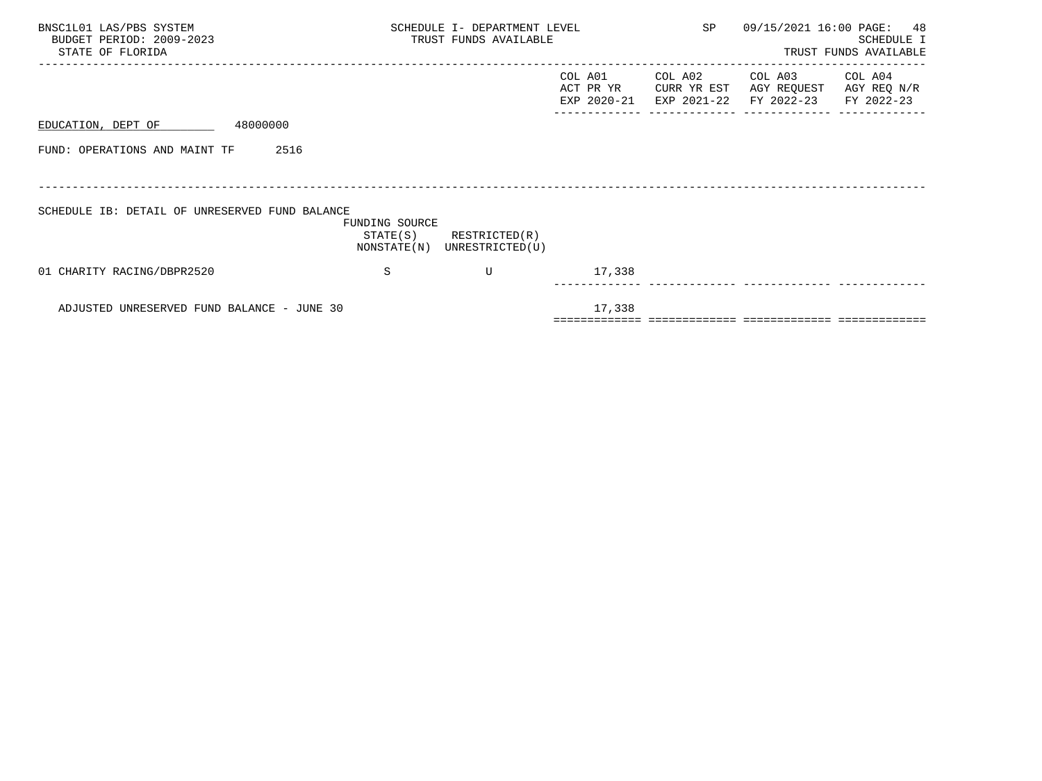| BNSC1L01 LAS/PBS SYSTEM<br>BUDGET PERIOD: 2009-2023<br>STATE OF FLORIDA | SCHEDULE I- DEPARTMENT LEVEL<br>TRUST FUNDS AVAILABLE | SP                                                         |                                     | 09/15/2021 16:00 PAGE: 48<br>SCHEDULE I<br>TRUST FUNDS AVAILABLE |                                                             |                        |
|-------------------------------------------------------------------------|-------------------------------------------------------|------------------------------------------------------------|-------------------------------------|------------------------------------------------------------------|-------------------------------------------------------------|------------------------|
|                                                                         |                                                       |                                                            | COL A01<br>ACT PR YR<br>EXP 2020-21 | COL A02<br>CURR YR EST                                           | COL A03<br>AGY REQUEST<br>EXP 2021-22 FY 2022-23 FY 2022-23 | COL A04<br>AGY REQ N/R |
| EDUCATION, DEPT OF                                                      | 48000000                                              |                                                            |                                     |                                                                  |                                                             |                        |
| FUND: OPERATIONS AND MAINT TF                                           | 2516                                                  |                                                            |                                     |                                                                  |                                                             |                        |
|                                                                         |                                                       |                                                            |                                     |                                                                  |                                                             |                        |
| SCHEDULE IB: DETAIL OF UNRESERVED FUND BALANCE                          | FUNDING SOURCE                                        | $STATE(S)$ RESTRICTED $(R)$<br>NONSTATE(N) UNRESTRICTED(U) |                                     |                                                                  |                                                             |                        |
| 01 CHARITY RACING/DBPR2520                                              | S                                                     | U                                                          | 17,338                              |                                                                  |                                                             |                        |
| ADJUSTED UNRESERVED FUND BALANCE - JUNE 30                              |                                                       |                                                            | 17,338                              |                                                                  |                                                             |                        |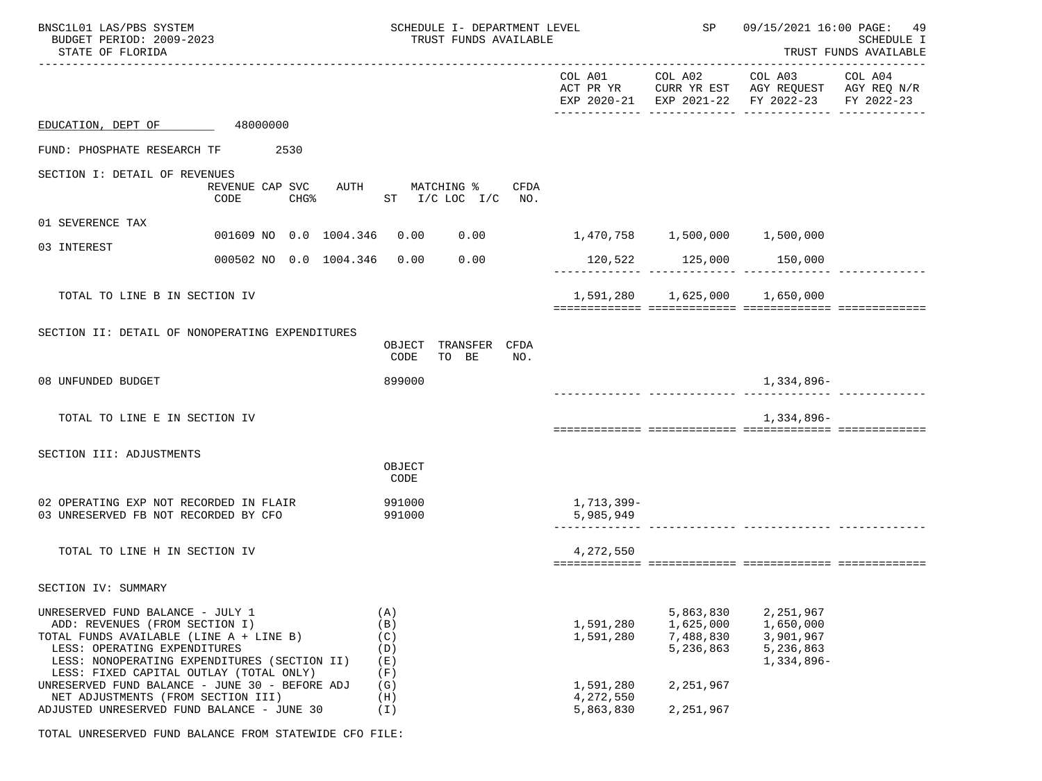| BNSC1L01 LAS/PBS SYSTEM<br>BUDGET PERIOD: 2009-2023<br>STATE OF FLORIDA                                                                                                                                                                  |                             | SCHEDULE I- DEPARTMENT LEVEL<br>TRUST FUNDS AVAILABLE                       |                                     | SP                                               | 09/15/2021 16:00 PAGE: 49<br>SCHEDULE I<br>TRUST FUNDS AVAILABLE                                                                  |  |  |
|------------------------------------------------------------------------------------------------------------------------------------------------------------------------------------------------------------------------------------------|-----------------------------|-----------------------------------------------------------------------------|-------------------------------------|--------------------------------------------------|-----------------------------------------------------------------------------------------------------------------------------------|--|--|
|                                                                                                                                                                                                                                          |                             |                                                                             |                                     |                                                  | COL A01 COL A02 COL A03 COL A04<br>ACT PR YR CURR YR EST AGY REQUEST AGY REQ N/R<br>EXP 2020-21 EXP 2021-22 FY 2022-23 FY 2022-23 |  |  |
| EDUCATION, DEPT OF 48000000                                                                                                                                                                                                              |                             |                                                                             |                                     |                                                  |                                                                                                                                   |  |  |
| FUND: PHOSPHATE RESEARCH TF 2530                                                                                                                                                                                                         |                             |                                                                             |                                     |                                                  |                                                                                                                                   |  |  |
| SECTION I: DETAIL OF REVENUES                                                                                                                                                                                                            | CODE                        | REVENUE CAP SVC AUTH MATCHING % CFDA<br>CHG <sup>*</sup> ST I/C LOC I/C NO. |                                     |                                                  |                                                                                                                                   |  |  |
| 01 SEVERENCE TAX                                                                                                                                                                                                                         |                             | 001609 NO 0.0 1004.346 0.00 0.00 1,470,758 1,500,000 1,500,000              |                                     |                                                  |                                                                                                                                   |  |  |
| 03 INTEREST                                                                                                                                                                                                                              | 000502 NO 0.0 1004.346 0.00 | 0.00                                                                        |                                     | 120,522 125,000 150,000                          |                                                                                                                                   |  |  |
|                                                                                                                                                                                                                                          |                             |                                                                             |                                     |                                                  |                                                                                                                                   |  |  |
| TOTAL TO LINE B IN SECTION IV                                                                                                                                                                                                            |                             |                                                                             |                                     | 1,591,280 1,625,000 1,650,000                    |                                                                                                                                   |  |  |
| SECTION II: DETAIL OF NONOPERATING EXPENDITURES                                                                                                                                                                                          |                             | OBJECT TRANSFER CFDA<br>CODE<br>TO BE<br>NO.                                |                                     |                                                  |                                                                                                                                   |  |  |
| 08 UNFUNDED BUDGET                                                                                                                                                                                                                       |                             | 899000                                                                      |                                     |                                                  | 1,334,896-                                                                                                                        |  |  |
| TOTAL TO LINE E IN SECTION IV                                                                                                                                                                                                            |                             |                                                                             |                                     |                                                  | 1,334,896-                                                                                                                        |  |  |
| SECTION III: ADJUSTMENTS                                                                                                                                                                                                                 |                             | OBJECT<br>CODE                                                              |                                     |                                                  |                                                                                                                                   |  |  |
| 02 OPERATING EXP NOT RECORDED IN FLAIR<br>03 UNRESERVED FB NOT RECORDED BY CFO                                                                                                                                                           | 991000                      | 991000                                                                      | 1,713,399-<br>5,985,949             | ._______ _______________ _______                 |                                                                                                                                   |  |  |
| TOTAL TO LINE H IN SECTION IV                                                                                                                                                                                                            |                             |                                                                             | 4,272,550                           |                                                  |                                                                                                                                   |  |  |
| SECTION IV: SUMMARY                                                                                                                                                                                                                      |                             |                                                                             |                                     |                                                  |                                                                                                                                   |  |  |
| UNRESERVED FUND BALANCE - JULY 1<br>ADD: REVENUES (FROM SECTION I)<br>TOTAL FUNDS AVAILABLE (LINE A + LINE B)<br>LESS: OPERATING EXPENDITURES<br>LESS: NONOPERATING EXPENDITURES (SECTION II)<br>LESS: FIXED CAPITAL OUTLAY (TOTAL ONLY) |                             | (A)<br>(B)<br>(C)<br>(D)<br>(E)<br>(F)                                      | 1,591,280<br>1,591,280              | 5,863,830<br>1,625,000<br>7,488,830<br>5,236,863 | 2,251,967<br>1,650,000<br>3,901,967<br>5,236,863<br>1,334,896-                                                                    |  |  |
| UNRESERVED FUND BALANCE - JUNE 30 - BEFORE ADJ<br>NET ADJUSTMENTS (FROM SECTION III)<br>ADJUSTED UNRESERVED FUND BALANCE - JUNE 30                                                                                                       |                             | (G)<br>(H)<br>(I)                                                           | 1,591,280<br>4,272,550<br>5,863,830 | 2,251,967<br>2,251,967                           |                                                                                                                                   |  |  |

TOTAL UNRESERVED FUND BALANCE FROM STATEWIDE CFO FILE: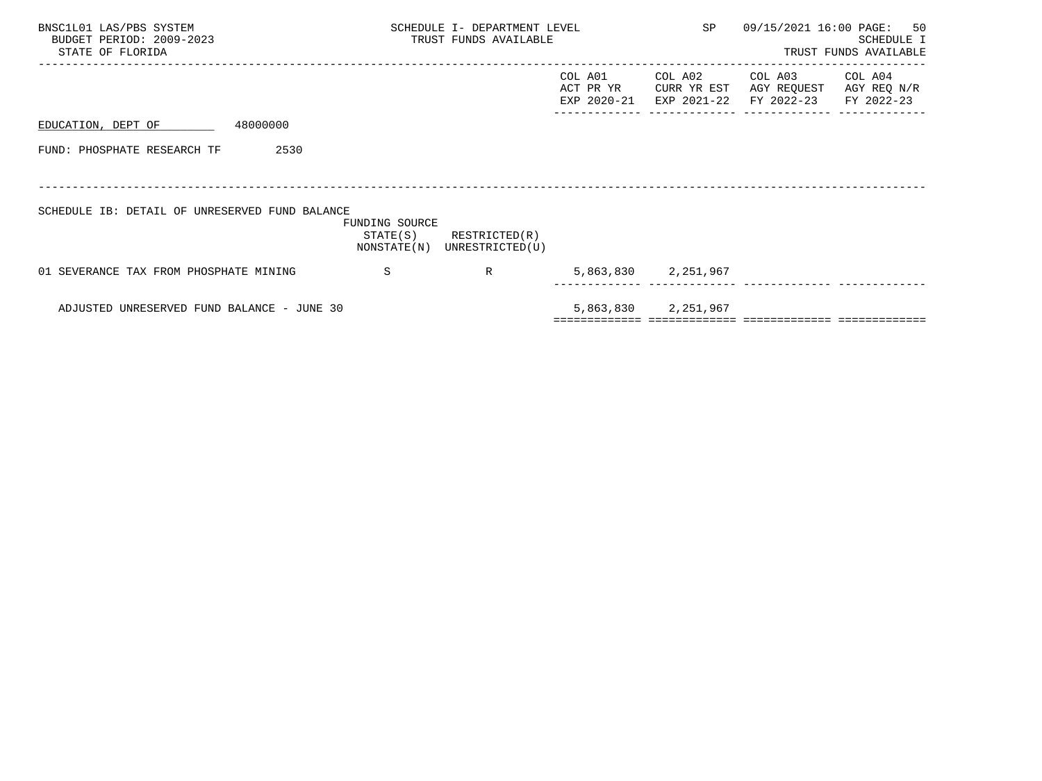| BNSC1L01 LAS/PBS SYSTEM<br>BUDGET PERIOD: 2009-2023<br>STATE OF FLORIDA |                                           | SCHEDULE I- DEPARTMENT LEVEL<br>TRUST FUNDS AVAILABLE |                                     | SP                                    |                                      | 09/15/2021 16:00 PAGE: 50<br>SCHEDULE I<br>TRUST FUNDS AVAILABLE |
|-------------------------------------------------------------------------|-------------------------------------------|-------------------------------------------------------|-------------------------------------|---------------------------------------|--------------------------------------|------------------------------------------------------------------|
|                                                                         |                                           |                                                       | COL A01<br>ACT PR YR<br>EXP 2020-21 | COL A02<br>CURR YR EST<br>EXP 2021-22 | COL A03<br>AGY REQUEST<br>FY 2022-23 | COL A04<br>AGY REQ N/R<br>FY 2022-23                             |
| 48000000<br>EDUCATION, DEPT OF                                          |                                           |                                                       |                                     |                                       |                                      |                                                                  |
| FUND: PHOSPHATE RESEARCH TF<br>2530                                     |                                           |                                                       |                                     |                                       |                                      |                                                                  |
|                                                                         |                                           |                                                       |                                     |                                       |                                      |                                                                  |
| SCHEDULE IB: DETAIL OF UNRESERVED FUND BALANCE                          | FUNDING SOURCE<br>STATE(S)<br>NONSTATE(N) | RESTRICTED(R)<br>UNRESTRICTED(U)                      |                                     |                                       |                                      |                                                                  |
| 01 SEVERANCE TAX FROM PHOSPHATE MINING                                  | -S                                        | R                                                     |                                     | 5,863,830 2,251,967                   |                                      |                                                                  |
| ADJUSTED UNRESERVED FUND BALANCE - JUNE 30                              |                                           |                                                       |                                     | 5,863,830 2,251,967                   |                                      |                                                                  |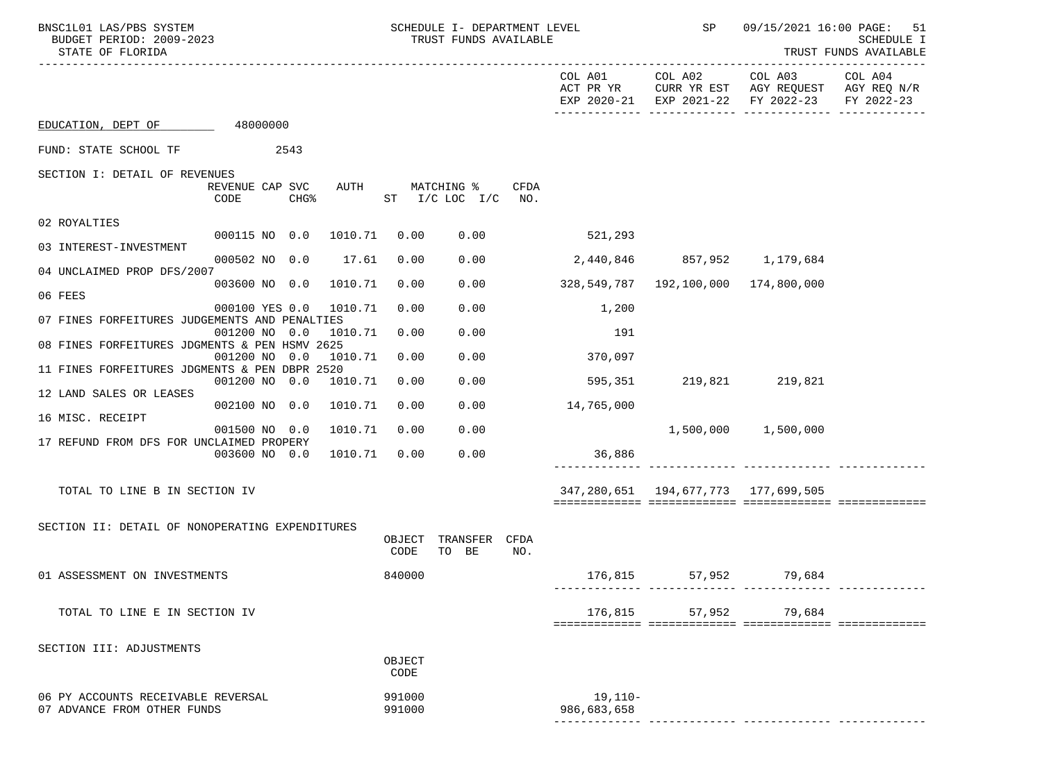| BNSC1L01 LAS/PBS SYSTEM<br>BUDGET PERIOD: 2009-2023<br>STATE OF FLORIDA    |                                  | SCHEDULE I- DEPARTMENT LEVEL<br>TRUST FUNDS AVAILABLE |             |                          | <b>SP</b>                                 | 09/15/2021 16:00 PAGE: 51<br>SCHEDULE I<br>TRUST FUNDS AVAILABLE<br>---------- |                       |
|----------------------------------------------------------------------------|----------------------------------|-------------------------------------------------------|-------------|--------------------------|-------------------------------------------|--------------------------------------------------------------------------------|-----------------------|
|                                                                            |                                  |                                                       |             | COL A01<br>ACT PR YR     | COL A02<br>EXP 2020-21 EXP 2021-22        | COL A03<br>CURR YR EST AGY REQUEST AGY REQ N/R<br>FY 2022-23                   | COL A04<br>FY 2022-23 |
| EDUCATION, DEPT OF 48000000                                                |                                  |                                                       |             |                          |                                           |                                                                                |                       |
| FUND: STATE SCHOOL TF<br>2543                                              |                                  |                                                       |             |                          |                                           |                                                                                |                       |
| SECTION I: DETAIL OF REVENUES                                              |                                  |                                                       |             |                          |                                           |                                                                                |                       |
| REVENUE CAP SVC<br>AUTH<br>CODE<br>CHG <sup>8</sup>                        | MATCHING %<br>ST I/C LOC I/C NO. |                                                       | CFDA        |                          |                                           |                                                                                |                       |
| 02 ROYALTIES                                                               |                                  |                                                       |             |                          |                                           |                                                                                |                       |
| 000115 NO 0.0<br>1010.71<br>03 INTEREST-INVESTMENT                         | 0.00                             | 0.00                                                  |             | 521,293                  |                                           |                                                                                |                       |
| 000502 NO 0.0<br>17.61                                                     | 0.00                             | 0.00                                                  |             | 2,440,846                | 857,952 1,179,684                         |                                                                                |                       |
| 04 UNCLAIMED PROP DFS/2007<br>003600 NO 0.0<br>1010.71                     | 0.00                             | 0.00                                                  |             | 328,549,787              | 192,100,000 174,800,000                   |                                                                                |                       |
| 06 FEES                                                                    |                                  |                                                       |             |                          |                                           |                                                                                |                       |
| 000100 YES 0.0<br>1010.71<br>07 FINES FORFEITURES JUDGEMENTS AND PENALTIES | 0.00                             | 0.00                                                  |             | 1,200                    |                                           |                                                                                |                       |
| 001200 NO 0.0<br>1010.71                                                   | 0.00                             | 0.00                                                  |             | 191                      |                                           |                                                                                |                       |
| 08 FINES FORFEITURES JDGMENTS & PEN HSMV 2625<br>001200 NO 0.0<br>1010.71  | 0.00                             | 0.00                                                  |             | 370,097                  |                                           |                                                                                |                       |
| 11 FINES FORFEITURES JDGMENTS & PEN DBPR 2520                              |                                  |                                                       |             |                          |                                           |                                                                                |                       |
| 001200 NO 0.0<br>1010.71<br>12 LAND SALES OR LEASES                        | 0.00                             | 0.00                                                  |             | 595,351                  | 219,821 219,821                           |                                                                                |                       |
| 1010.71<br>002100 NO 0.0                                                   | 0.00                             | 0.00                                                  |             | 14,765,000               |                                           |                                                                                |                       |
| 16 MISC. RECEIPT<br>001500 NO 0.0<br>1010.71                               | 0.00                             | 0.00                                                  |             |                          |                                           | 1,500,000 1,500,000                                                            |                       |
| 17 REFUND FROM DFS FOR UNCLAIMED PROPERY<br>003600 NO 0.0<br>1010.71       | 0.00                             | 0.00                                                  |             | 36,886                   |                                           |                                                                                |                       |
|                                                                            |                                  |                                                       |             |                          |                                           |                                                                                |                       |
| TOTAL TO LINE B IN SECTION IV                                              |                                  |                                                       |             |                          | 347, 280, 651 194, 677, 773 177, 699, 505 |                                                                                |                       |
|                                                                            |                                  |                                                       |             |                          |                                           |                                                                                |                       |
| SECTION II: DETAIL OF NONOPERATING EXPENDITURES                            | OBJECT<br>CODE                   | TRANSFER<br>TO BE                                     | CFDA<br>NO. |                          |                                           |                                                                                |                       |
| 01 ASSESSMENT ON INVESTMENTS                                               | 840000                           |                                                       |             |                          | 176,815 57,952 79,684                     |                                                                                |                       |
| TOTAL TO LINE E IN SECTION IV                                              |                                  |                                                       |             | 176,815                  | 57,952                                    | 79,684                                                                         |                       |
|                                                                            |                                  |                                                       |             |                          |                                           |                                                                                |                       |
| SECTION III: ADJUSTMENTS                                                   | OBJECT<br>CODE                   |                                                       |             |                          |                                           |                                                                                |                       |
| 06 PY ACCOUNTS RECEIVABLE REVERSAL<br>07 ADVANCE FROM OTHER FUNDS          | 991000<br>991000                 |                                                       |             | $19,110-$<br>986,683,658 |                                           |                                                                                |                       |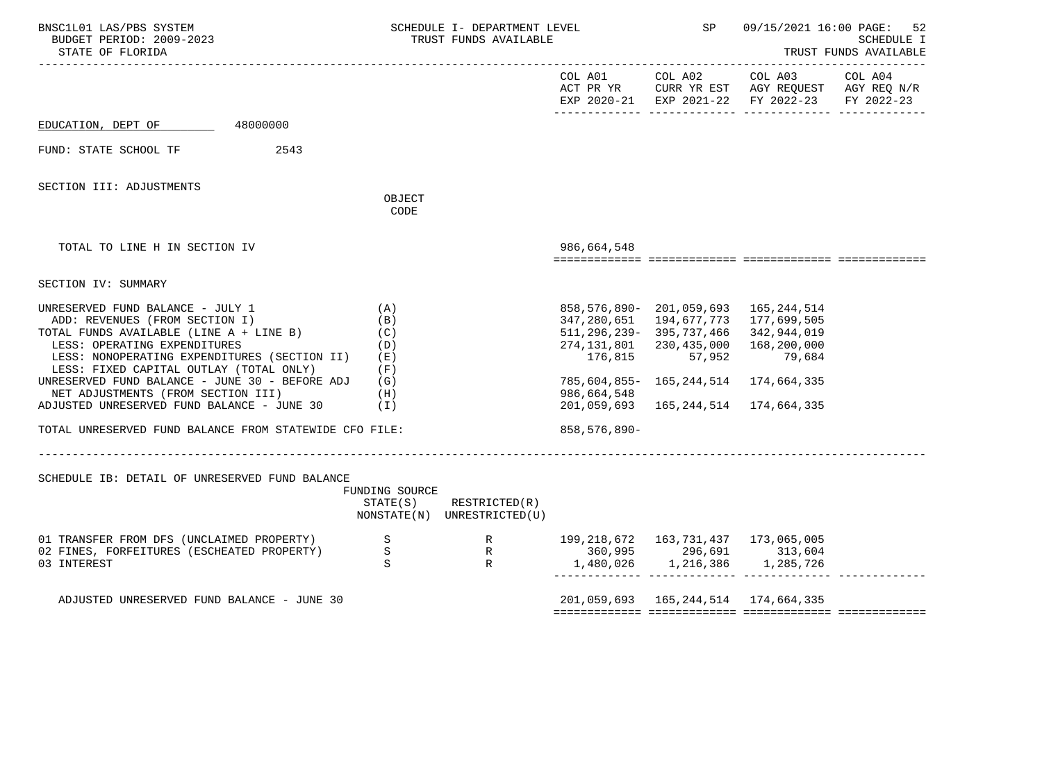| BNSC1L01 LAS/PBS SYSTEM<br>BUDGET PERIOD: 2009-2023<br>STATE OF FLORIDA                                                                                                                                                                                                                                                                                                                        |                                        | SCHEDULE I- DEPARTMENT LEVEL<br>TRUST FUNDS AVAILABLE                          |                               | <b>SP</b>                                                                                                                                                                                                                                                                       | 09/15/2021 16:00 PAGE: 52<br>SCHEDULE I<br>TRUST FUNDS AVAILABLE                    |            |  |
|------------------------------------------------------------------------------------------------------------------------------------------------------------------------------------------------------------------------------------------------------------------------------------------------------------------------------------------------------------------------------------------------|----------------------------------------|--------------------------------------------------------------------------------|-------------------------------|---------------------------------------------------------------------------------------------------------------------------------------------------------------------------------------------------------------------------------------------------------------------------------|-------------------------------------------------------------------------------------|------------|--|
|                                                                                                                                                                                                                                                                                                                                                                                                |                                        |                                                                                |                               |                                                                                                                                                                                                                                                                                 | ACT PR YR CURR YR EST AGY REQUEST AGY REQ N/R<br>EXP 2020-21 EXP 2021-22 FY 2022-23 | FY 2022-23 |  |
| EDUCATION, DEPT OF 48000000                                                                                                                                                                                                                                                                                                                                                                    |                                        |                                                                                |                               |                                                                                                                                                                                                                                                                                 |                                                                                     |            |  |
| 2543<br>FUND: STATE SCHOOL TF                                                                                                                                                                                                                                                                                                                                                                  |                                        |                                                                                |                               |                                                                                                                                                                                                                                                                                 |                                                                                     |            |  |
| SECTION III: ADJUSTMENTS                                                                                                                                                                                                                                                                                                                                                                       | OBJECT<br>CODE                         |                                                                                |                               |                                                                                                                                                                                                                                                                                 |                                                                                     |            |  |
| TOTAL TO LINE H IN SECTION IV                                                                                                                                                                                                                                                                                                                                                                  |                                        |                                                                                | 986,664,548                   |                                                                                                                                                                                                                                                                                 |                                                                                     |            |  |
| SECTION IV: SUMMARY                                                                                                                                                                                                                                                                                                                                                                            |                                        |                                                                                |                               |                                                                                                                                                                                                                                                                                 |                                                                                     |            |  |
| UNRESERVED FUND BALANCE - JULY 1<br>ADD: REVENUES (FROM SECTION I)<br>TOTAL FUNDS AVAILABLE (LINE A + LINE B) (C)<br>LESS: OPERATING EXPENDITURES<br>LESS: NONOPERATING EXPENDITURES (SECTION II)<br>LESS: FIXED CAPITAL OUTLAY (TOTAL ONLY)<br>UNRESERVED FUND BALANCE - JUNE 30 - BEFORE ADJ $(G)$<br>NET ADJUSTMENTS (FROM SECTION III)<br>ADJUSTED UNRESERVED FUND BALANCE - JUNE $30$ (I) | (A)<br>(B)<br>(D)<br>(E)<br>(F)<br>(H) |                                                                                | 176,815<br>986,664,548        | 858, 576, 890 - 201, 059, 693 165, 244, 514<br>347, 280, 651 194, 677, 773 177, 699, 505<br>511, 296, 239 - 395, 737, 466 342, 944, 019<br>274, 131, 801 230, 435, 000 168, 200, 000<br>57,952<br>785,604,855- 165,244,514 174,664,335<br>201,059,693  165,244,514  174,664,335 | 79,684                                                                              |            |  |
| TOTAL UNRESERVED FUND BALANCE FROM STATEWIDE CFO FILE:                                                                                                                                                                                                                                                                                                                                         | __________________                     |                                                                                | 858, 576, 890-                |                                                                                                                                                                                                                                                                                 |                                                                                     |            |  |
| SCHEDULE IB: DETAIL OF UNRESERVED FUND BALANCE                                                                                                                                                                                                                                                                                                                                                 | FUNDING SOURCE<br>STATE(S)             | RESTRICTED(R)<br>NONSTATE(N) UNRESTRICTED(U)                                   |                               |                                                                                                                                                                                                                                                                                 |                                                                                     |            |  |
| 01 TRANSFER FROM DFS (UNCLAIMED PROPERTY)<br>02 FINES, FORFEITURES (ESCHEATED PROPERTY)<br>03 INTEREST                                                                                                                                                                                                                                                                                         |                                        | S<br>S<br>R<br>R<br>296,691 313,604<br>S<br>R<br>1,480,026 1,216,386 1,285,726 | 1,480,026 1,216,386 1,285,726 |                                                                                                                                                                                                                                                                                 |                                                                                     |            |  |
| ADJUSTED UNRESERVED FUND BALANCE - JUNE 30                                                                                                                                                                                                                                                                                                                                                     |                                        |                                                                                |                               |                                                                                                                                                                                                                                                                                 | 201, 059, 693 165, 244, 514 174, 664, 335                                           |            |  |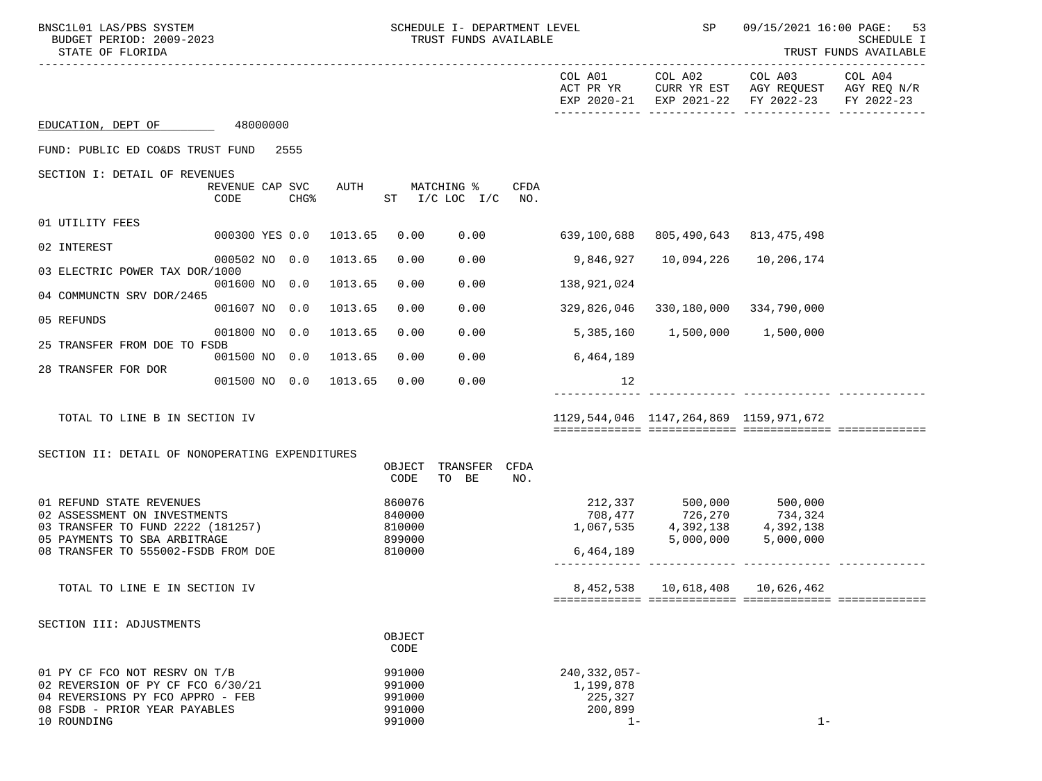| BNSC1L01 LAS/PBS SYSTEM<br>BUDGET PERIOD: 2009-2023<br>STATE OF FLORIDA                                                                                              |                         |      |             | SCHEDULE I- DEPARTMENT LEVEL<br>TRUST FUNDS AVAILABLE |                                      |             | SP                                                            | 09/15/2021 16:00 PAGE: 53<br>SCHEDULE I<br>TRUST FUNDS AVAILABLE                    |                                                                                      |                       |
|----------------------------------------------------------------------------------------------------------------------------------------------------------------------|-------------------------|------|-------------|-------------------------------------------------------|--------------------------------------|-------------|---------------------------------------------------------------|-------------------------------------------------------------------------------------|--------------------------------------------------------------------------------------|-----------------------|
|                                                                                                                                                                      |                         |      |             |                                                       |                                      |             | COL A01<br>ACT PR YR                                          | COL A02                                                                             | COL A03<br>CURR YR EST AGY REQUEST AGY REQ N/R<br>EXP 2020-21 EXP 2021-22 FY 2022-23 | COL A04<br>FY 2022-23 |
| EDUCATION, DEPT OF                                                                                                                                                   | 48000000                |      |             |                                                       |                                      |             |                                                               |                                                                                     |                                                                                      |                       |
| FUND: PUBLIC ED CO&DS TRUST FUND 2555                                                                                                                                |                         |      |             |                                                       |                                      |             |                                                               |                                                                                     |                                                                                      |                       |
| SECTION I: DETAIL OF REVENUES                                                                                                                                        | REVENUE CAP SVC<br>CODE | CHG% | <b>AUTH</b> |                                                       | MATCHING %<br>ST $I/C$ LOC $I/C$ NO. | CFDA        |                                                               |                                                                                     |                                                                                      |                       |
| 01 UTILITY FEES                                                                                                                                                      |                         |      |             |                                                       |                                      |             |                                                               |                                                                                     |                                                                                      |                       |
| 02 INTEREST                                                                                                                                                          | 000300 YES 0.0 1013.65  |      |             | 0.00                                                  |                                      | 0.00        |                                                               | 639,100,688 805,490,643                                                             | 813, 475, 498                                                                        |                       |
| 03 ELECTRIC POWER TAX DOR/1000                                                                                                                                       | 000502 NO 0.0           |      | 1013.65     | 0.00                                                  | 0.00                                 |             | 9,846,927                                                     | 10,094,226                                                                          | 10,206,174                                                                           |                       |
| 04 COMMUNCTN SRV DOR/2465                                                                                                                                            | 001600 NO 0.0           |      | 1013.65     | 0.00                                                  | 0.00                                 |             | 138,921,024                                                   |                                                                                     |                                                                                      |                       |
| 05 REFUNDS                                                                                                                                                           | 001607 NO 0.0           |      | 1013.65     | 0.00                                                  | 0.00                                 |             | 329,826,046                                                   |                                                                                     | 330,180,000 334,790,000                                                              |                       |
| 25 TRANSFER FROM DOE TO FSDB                                                                                                                                         | 001800 NO 0.0           |      | 1013.65     | 0.00                                                  | 0.00                                 |             | 5,385,160                                                     | 1,500,000 1,500,000                                                                 |                                                                                      |                       |
| 28 TRANSFER FOR DOR                                                                                                                                                  | 001500 NO 0.0           |      | 1013.65     | 0.00                                                  | 0.00                                 |             | 6,464,189                                                     |                                                                                     |                                                                                      |                       |
|                                                                                                                                                                      | 001500 NO 0.0 1013.65   |      |             | 0.00                                                  | 0.00                                 |             | 12                                                            |                                                                                     |                                                                                      |                       |
| TOTAL TO LINE B IN SECTION IV                                                                                                                                        |                         |      |             |                                                       |                                      |             |                                                               | 1129,544,046 1147,264,869 1159,971,672                                              |                                                                                      |                       |
| SECTION II: DETAIL OF NONOPERATING EXPENDITURES                                                                                                                      |                         |      |             |                                                       |                                      |             |                                                               |                                                                                     |                                                                                      |                       |
|                                                                                                                                                                      |                         |      |             | OBJECT<br>CODE                                        | TRANSFER<br>TO BE                    | CFDA<br>NO. |                                                               |                                                                                     |                                                                                      |                       |
| 01 REFUND STATE REVENUES<br>02 ASSESSMENT ON INVESTMENTS<br>03 TRANSFER TO FUND 2222 (181257)<br>05 PAYMENTS TO SBA ARBITRAGE<br>08 TRANSFER TO 555002-FSDB FROM DOE |                         |      |             | 860076<br>840000<br>810000<br>899000<br>810000        |                                      |             | 6,464,189                                                     | 212,337 500,000 500,000<br>708,477 726,270 734,324<br>1,067,535 4,392,138 4,392,138 | 5,000,000 5,000,000                                                                  |                       |
| TOTAL TO LINE E IN SECTION IV                                                                                                                                        |                         |      |             |                                                       |                                      |             | 8,452,538                                                     | 10,618,408                                                                          | 10,626,462                                                                           |                       |
| SECTION III: ADJUSTMENTS                                                                                                                                             |                         |      |             | OBJECT<br>CODE                                        |                                      |             |                                                               |                                                                                     |                                                                                      |                       |
| 01 PY CF FCO NOT RESRV ON T/B<br>02 REVERSION OF PY CF FCO 6/30/21<br>04 REVERSIONS PY FCO APPRO - FEB<br>08 FSDB - PRIOR YEAR PAYABLES<br>10 ROUNDING               |                         |      |             | 991000<br>991000<br>991000<br>991000<br>991000        |                                      |             | $240, 332, 057 -$<br>1,199,878<br>225,327<br>200,899<br>$1 -$ |                                                                                     | $1 -$                                                                                |                       |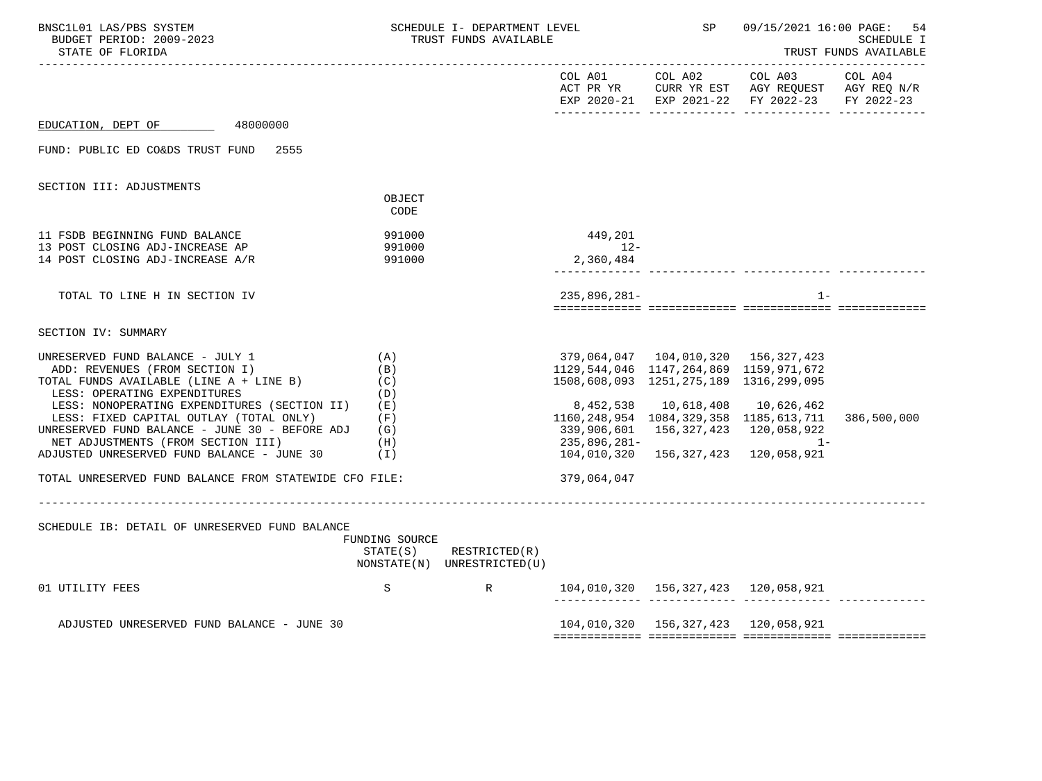| BNSC1L01 LAS/PBS SYSTEM<br>SCHEDULE I- DEPARTMENT LEVEL<br>BUDGET PERIOD: 2009-2023<br>TRUST FUNDS AVAILABLE<br>STATE OF FLORIDA                                                                                                                                                                                                                                                                           |                          |                                                            |                                                                                  | <b>SP</b> SP                                        | 09/15/2021 16:00 PAGE: 54                                                                                                                              | SCHEDULE I<br>TRUST FUNDS AVAILABLE |
|------------------------------------------------------------------------------------------------------------------------------------------------------------------------------------------------------------------------------------------------------------------------------------------------------------------------------------------------------------------------------------------------------------|--------------------------|------------------------------------------------------------|----------------------------------------------------------------------------------|-----------------------------------------------------|--------------------------------------------------------------------------------------------------------------------------------------------------------|-------------------------------------|
|                                                                                                                                                                                                                                                                                                                                                                                                            |                          |                                                            |                                                                                  |                                                     | COL A01 COL A02 COL A03 COL A04<br>ACT PR YR $\,$ CURR YR EST $\,$ AGY REQUEST $\,$ AGY REQ $\rm N/R$<br>EXP 2020-21 EXP 2021-22 FY 2022-23 FY 2022-23 |                                     |
| EDUCATION, DEPT OF 48000000                                                                                                                                                                                                                                                                                                                                                                                |                          |                                                            |                                                                                  |                                                     |                                                                                                                                                        |                                     |
| FUND: PUBLIC ED CO&DS TRUST FUND 2555                                                                                                                                                                                                                                                                                                                                                                      |                          |                                                            |                                                                                  |                                                     |                                                                                                                                                        |                                     |
| SECTION III: ADJUSTMENTS                                                                                                                                                                                                                                                                                                                                                                                   |                          |                                                            |                                                                                  |                                                     |                                                                                                                                                        |                                     |
|                                                                                                                                                                                                                                                                                                                                                                                                            | OBJECT<br>CODE           |                                                            |                                                                                  |                                                     |                                                                                                                                                        |                                     |
| 11 FSDB BEGINNING FUND BALANCE<br>13 POST CLOSING ADJ-INCREASE AP                                                                                                                                                                                                                                                                                                                                          | 991000<br>991000         |                                                            | 449,201<br>$12-$                                                                 |                                                     |                                                                                                                                                        |                                     |
| 14 POST CLOSING ADJ-INCREASE A/R                                                                                                                                                                                                                                                                                                                                                                           | 991000                   |                                                            | 2,360,484                                                                        |                                                     |                                                                                                                                                        |                                     |
| TOTAL TO LINE H IN SECTION IV                                                                                                                                                                                                                                                                                                                                                                              |                          |                                                            | $235.896.281 -$                                                                  |                                                     | $1 -$                                                                                                                                                  |                                     |
| SECTION IV: SUMMARY                                                                                                                                                                                                                                                                                                                                                                                        |                          |                                                            |                                                                                  |                                                     |                                                                                                                                                        |                                     |
| (A)<br>UNRESERVED FUND BALANCE - JULY 1<br>ADD: REVENUES (FROM SECTION I)<br>TOTAL FUNDS AVAILABLE (LINE A + LINE B)<br>LESS: OPERATING EXPENDITURES<br>LESS: NONOPERATING EXPENDITURES (SECTION II) (E)<br>LESS: FIXED CAPITAL OUTLAY (TOTAL ONLY)<br>UNRESERVED FUND BALANCE - JUNE 30 - BEFORE ADJ $(G)$<br>(H)<br>NET ADJUSTMENTS (FROM SECTION III)<br>ADJUSTED UNRESERVED FUND BALANCE - JUNE 30 (I) | (B)<br>(C)<br>(D)<br>(F) |                                                            | 1129,544,046 1147,264,869 1159,971,672<br>1508,608,093 1251,275,189 1316,299,095 | 235,896,281-<br>104,010,320 156,327,423 120,058,921 | 8,452,538  10,618,408  10,626,462<br>1160, 248, 954 1084, 329, 358 1185, 613, 711<br>339,906,601 156,327,423 120,058,922<br>$1 -$                      | 386,500,000                         |
| TOTAL UNRESERVED FUND BALANCE FROM STATEWIDE CFO FILE:                                                                                                                                                                                                                                                                                                                                                     |                          |                                                            | 379,064,047                                                                      |                                                     |                                                                                                                                                        |                                     |
| SCHEDULE IB: DETAIL OF UNRESERVED FUND BALANCE                                                                                                                                                                                                                                                                                                                                                             | FUNDING SOURCE           | $STATE(S)$ RESTRICTED $(R)$<br>NONSTATE(N) UNRESTRICTED(U) |                                                                                  |                                                     |                                                                                                                                                        |                                     |
| 01 UTILITY FEES                                                                                                                                                                                                                                                                                                                                                                                            |                          | $S$ R                                                      |                                                                                  |                                                     | 104,010,320  156,327,423  120,058,921                                                                                                                  |                                     |
| ADJUSTED UNRESERVED FUND BALANCE - JUNE 30                                                                                                                                                                                                                                                                                                                                                                 |                          |                                                            |                                                                                  |                                                     | 104,010,320 156,327,423 120,058,921                                                                                                                    |                                     |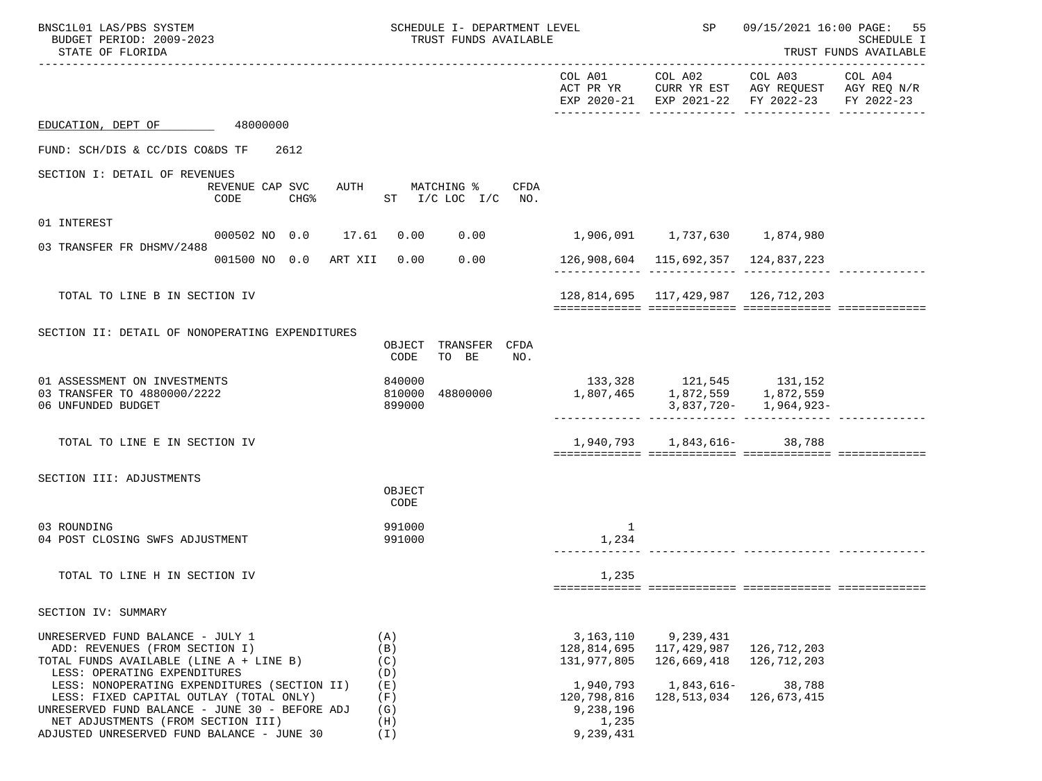| BNSC1L01 LAS/PBS SYSTEM<br>BUDGET PERIOD: 2009-2023<br>STATE OF FLORIDA                                                                                                                                                       |                                 | SCHEDULE I- DEPARTMENT LEVEL<br>TRUST FUNDS AVAILABLE |      |                                                             | SP                                      | 09/15/2021 16:00 PAGE: 55                                                                                   | SCHEDULE I<br>TRUST FUNDS AVAILABLE |
|-------------------------------------------------------------------------------------------------------------------------------------------------------------------------------------------------------------------------------|---------------------------------|-------------------------------------------------------|------|-------------------------------------------------------------|-----------------------------------------|-------------------------------------------------------------------------------------------------------------|-------------------------------------|
|                                                                                                                                                                                                                               |                                 |                                                       |      |                                                             | COL A01 COL A02                         | COL A03<br>ACT PR YR CURR YR EST AGY REQUEST AGY REQ $N/R$<br>EXP 2020-21 EXP 2021-22 FY 2022-23 FY 2022-23 | COL A04                             |
| EDUCATION, DEPT OF 48000000                                                                                                                                                                                                   |                                 |                                                       |      |                                                             |                                         |                                                                                                             |                                     |
| FUND: SCH/DIS & CC/DIS CO&DS TF                                                                                                                                                                                               | 2612                            |                                                       |      |                                                             |                                         |                                                                                                             |                                     |
| SECTION I: DETAIL OF REVENUES                                                                                                                                                                                                 | REVENUE CAP SVC<br>CODE<br>CHG% | AUTH MATCHING %<br>ST $I/C$ LOC $I/C$ NO.             | CFDA |                                                             |                                         |                                                                                                             |                                     |
| 01 INTEREST                                                                                                                                                                                                                   |                                 |                                                       |      |                                                             |                                         |                                                                                                             |                                     |
| 03 TRANSFER FR DHSMV/2488                                                                                                                                                                                                     | 000502 NO 0.0 17.61 0.00        | 0.00                                                  |      |                                                             | 1,906,091   1,737,630   1,874,980       |                                                                                                             |                                     |
|                                                                                                                                                                                                                               | 001500 NO 0.0 ART XII 0.00      |                                                       | 0.00 |                                                             | 126,908,604   115,692,357   124,837,223 |                                                                                                             |                                     |
| TOTAL TO LINE B IN SECTION IV                                                                                                                                                                                                 |                                 |                                                       |      |                                                             | 128,814,695 117,429,987 126,712,203     |                                                                                                             |                                     |
| SECTION II: DETAIL OF NONOPERATING EXPENDITURES                                                                                                                                                                               |                                 | OBJECT TRANSFER CFDA<br>CODE<br>TO BE                 | NO.  |                                                             |                                         |                                                                                                             |                                     |
| 01 ASSESSMENT ON INVESTMENTS<br>03 TRANSFER TO 4880000/2222<br>06 UNFUNDED BUDGET                                                                                                                                             |                                 | 840000<br>810000<br>48800000<br>899000                |      | 1,807,465   1,872,559   1,872,559                           | 133,328 121,545 131,152                 | $3,837,720 - 1,964,923 -$                                                                                   |                                     |
| TOTAL TO LINE E IN SECTION IV                                                                                                                                                                                                 |                                 |                                                       |      |                                                             | 1,940,793 1,843,616- 38,788             |                                                                                                             |                                     |
| SECTION III: ADJUSTMENTS                                                                                                                                                                                                      |                                 | OBJECT<br>CODE                                        |      |                                                             |                                         |                                                                                                             |                                     |
| 03 ROUNDING<br>04 POST CLOSING SWFS ADJUSTMENT                                                                                                                                                                                |                                 | 991000<br>991000                                      |      | 1<br>1,234                                                  |                                         |                                                                                                             |                                     |
| TOTAL TO LINE H IN SECTION IV                                                                                                                                                                                                 |                                 |                                                       |      | 1,235                                                       |                                         |                                                                                                             |                                     |
| SECTION IV: SUMMARY                                                                                                                                                                                                           |                                 |                                                       |      |                                                             |                                         |                                                                                                             |                                     |
| UNRESERVED FUND BALANCE - JULY 1<br>ADD: REVENUES (FROM SECTION I)<br>TOTAL FUNDS AVAILABLE (LINE A + LINE B)<br>LESS: OPERATING EXPENDITURES                                                                                 |                                 | (A)<br>(B)<br>(C)<br>(D)                              |      | 3,163,110<br>128,814,695<br>131,977,805                     | 9,239,431<br>117,429,987<br>126,669,418 | 126,712,203<br>126,712,203                                                                                  |                                     |
| LESS: NONOPERATING EXPENDITURES (SECTION II)<br>LESS: FIXED CAPITAL OUTLAY (TOTAL ONLY)<br>UNRESERVED FUND BALANCE - JUNE 30 - BEFORE ADJ<br>NET ADJUSTMENTS (FROM SECTION III)<br>ADJUSTED UNRESERVED FUND BALANCE - JUNE 30 |                                 | (E)<br>(F)<br>(G)<br>(H)<br>(I)                       |      | 1,940,793<br>120,798,816<br>9,238,196<br>1,235<br>9,239,431 | 1,843,616-<br>128,513,034               | 38,788<br>126,673,415                                                                                       |                                     |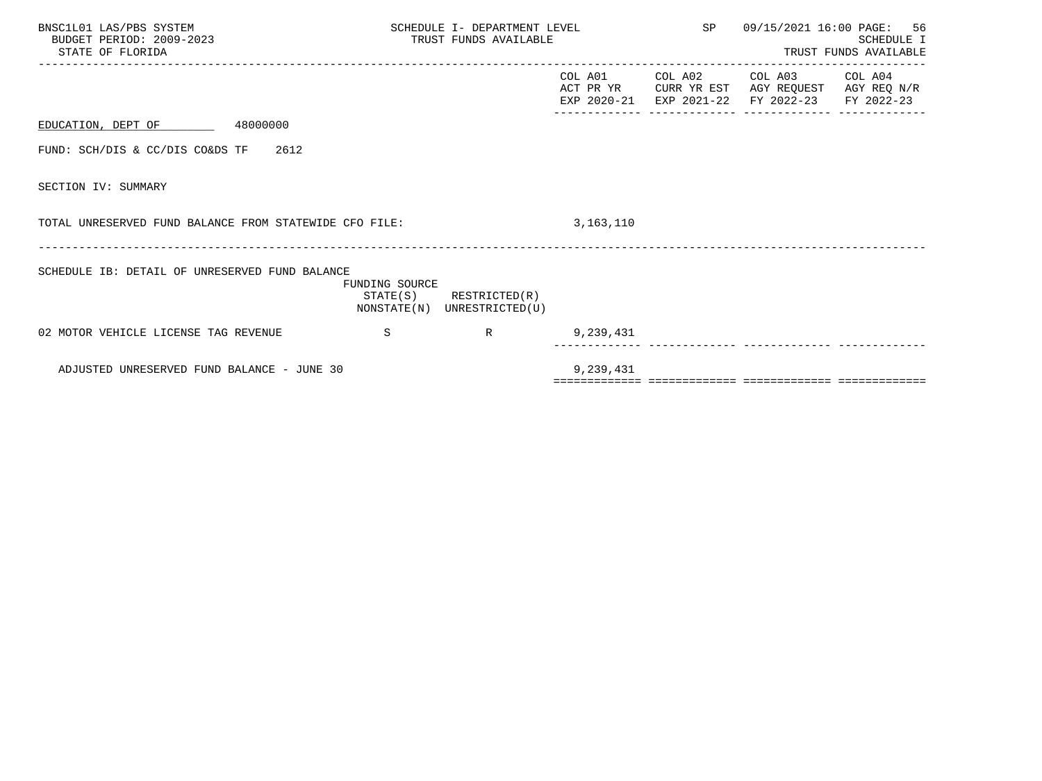| BNSC1L01 LAS/PBS SYSTEM<br>BUDGET PERIOD: 2009-2023<br>STATE OF FLORIDA |                | TRUST FUNDS AVAILABLE                                      | SP<br>SCHEDULE I- DEPARTMENT LEVEL |                                            | 09/15/2021 16:00 PAGE: 56<br><b>SCHEDULE I</b><br>TRUST FUNDS AVAILABLE |                       |  |
|-------------------------------------------------------------------------|----------------|------------------------------------------------------------|------------------------------------|--------------------------------------------|-------------------------------------------------------------------------|-----------------------|--|
|                                                                         |                |                                                            |                                    | COL A01 COL A02<br>EXP 2020-21 EXP 2021-22 | COL A03<br>ACT PR YR CURR YR EST AGY REQUEST AGY REQ N/R<br>FY 2022-23  | COL A04<br>FY 2022-23 |  |
| EDUCATION, DEPT OF 48000000                                             |                |                                                            |                                    |                                            |                                                                         |                       |  |
| 2612<br>FUND: SCH/DIS & CC/DIS CO&DS TF                                 |                |                                                            |                                    |                                            |                                                                         |                       |  |
| SECTION IV: SUMMARY                                                     |                |                                                            |                                    |                                            |                                                                         |                       |  |
| TOTAL UNRESERVED FUND BALANCE FROM STATEWIDE CFO FILE:                  |                |                                                            | 3,163,110                          |                                            |                                                                         |                       |  |
| SCHEDULE IB: DETAIL OF UNRESERVED FUND BALANCE                          | FUNDING SOURCE | $STATE(S)$ RESTRICTED $(R)$<br>NONSTATE(N) UNRESTRICTED(U) |                                    |                                            |                                                                         |                       |  |
| 02 MOTOR VEHICLE LICENSE TAG REVENUE                                    | S              | R                                                          | 9,239,431                          |                                            |                                                                         |                       |  |
| ADJUSTED UNRESERVED FUND BALANCE - JUNE 30                              |                |                                                            | 9,239,431                          |                                            |                                                                         |                       |  |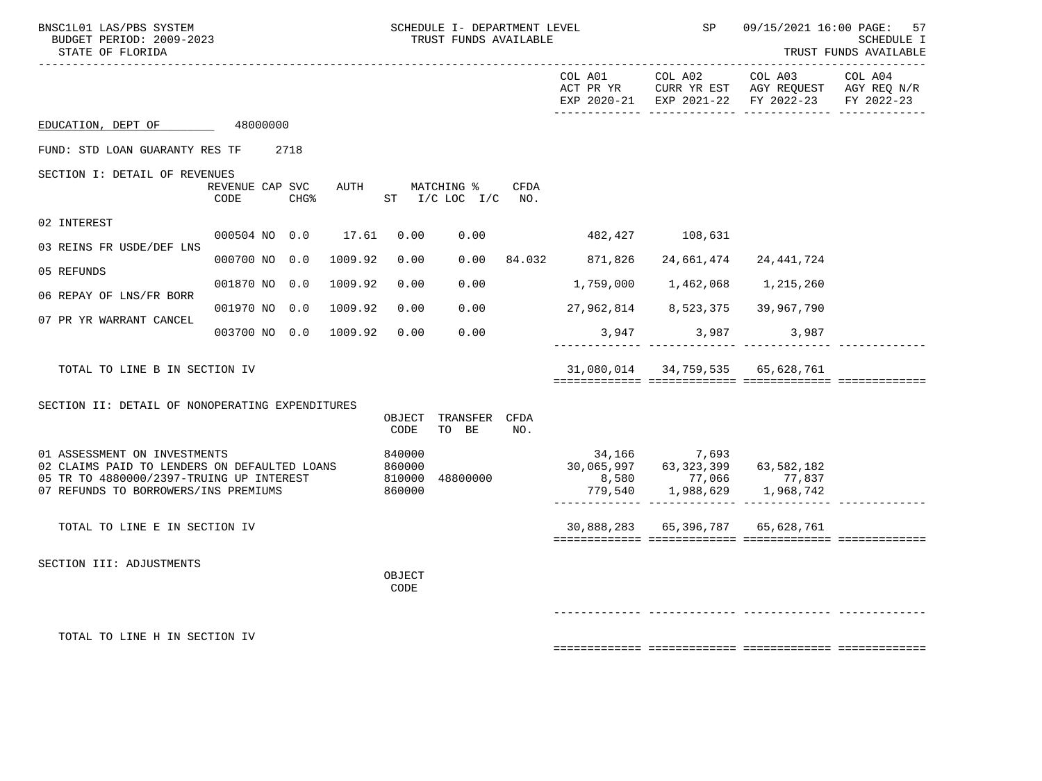| BNSC1L01 LAS/PBS SYSTEM<br>BUDGET PERIOD: 2009-2023<br>STATE OF FLORIDA                                                                                          |                         |                  |                                      |                | SCHEDULE I- DEPARTMENT LEVEL<br>TRUST FUNDS AVAILABLE |      |                                                                                                          | SP                               |                                                                                                | 09/15/2021 16:00 PAGE: 57<br>SCHEDULE I<br>TRUST FUNDS AVAILABLE<br>-------------- |
|------------------------------------------------------------------------------------------------------------------------------------------------------------------|-------------------------|------------------|--------------------------------------|----------------|-------------------------------------------------------|------|----------------------------------------------------------------------------------------------------------|----------------------------------|------------------------------------------------------------------------------------------------|------------------------------------------------------------------------------------|
|                                                                                                                                                                  |                         |                  |                                      |                |                                                       |      | COL A01                                                                                                  | COL A02                          | COL A03<br>ACT PR YR CURR YR EST AGY REQUEST AGY REQ N/R<br>EXP 2020-21 EXP 2021-22 FY 2022-23 | COL A04<br>FY 2022-23                                                              |
| EDUCATION, DEPT OF 48000000                                                                                                                                      |                         |                  |                                      |                |                                                       |      |                                                                                                          |                                  |                                                                                                |                                                                                    |
| FUND: STD LOAN GUARANTY RES TF                                                                                                                                   |                         | 2718             |                                      |                |                                                       |      |                                                                                                          |                                  |                                                                                                |                                                                                    |
| SECTION I: DETAIL OF REVENUES                                                                                                                                    | REVENUE CAP SVC<br>CODE | CHG <sup>8</sup> | AUTH                                 |                | MATCHING %<br>ST $I/C$ LOC $I/C$ NO.                  | CFDA |                                                                                                          |                                  |                                                                                                |                                                                                    |
| 02 INTEREST                                                                                                                                                      |                         |                  |                                      |                |                                                       |      |                                                                                                          |                                  |                                                                                                |                                                                                    |
| 03 REINS FR USDE/DEF LNS                                                                                                                                         | 000504 NO 0.0           |                  | 17.61                                | 0.00           | 0.00                                                  |      |                                                                                                          | 482,427 108,631                  |                                                                                                |                                                                                    |
| 05 REFUNDS                                                                                                                                                       | 000700 NO 0.0           |                  | 1009.92                              | 0.00           |                                                       |      | $0.00$ 84.032 871,826                                                                                    | 24,661,474                       | 24,441,724                                                                                     |                                                                                    |
| 06 REPAY OF LNS/FR BORR                                                                                                                                          | 001870 NO 0.0           |                  | 1009.92                              | 0.00           | 0.00                                                  |      | 1,759,000                                                                                                | 1,462,068                        | 1,215,260                                                                                      |                                                                                    |
| 07 PR YR WARRANT CANCEL                                                                                                                                          | 001970 NO 0.0           |                  | 1009.92                              | 0.00           | 0.00                                                  |      |                                                                                                          | 27,962,814 8,523,375 39,967,790  |                                                                                                |                                                                                    |
|                                                                                                                                                                  | 003700 NO 0.0           |                  | 1009.92                              | 0.00           | 0.00                                                  |      |                                                                                                          | 3,947 3,987                      | 3,987                                                                                          |                                                                                    |
| TOTAL TO LINE B IN SECTION IV                                                                                                                                    |                         |                  |                                      |                |                                                       |      |                                                                                                          | 31,080,014 34,759,535 65,628,761 |                                                                                                |                                                                                    |
| SECTION II: DETAIL OF NONOPERATING EXPENDITURES                                                                                                                  |                         |                  |                                      |                |                                                       |      |                                                                                                          |                                  |                                                                                                |                                                                                    |
|                                                                                                                                                                  |                         |                  |                                      | OBJECT<br>CODE | TRANSFER CFDA<br>TO BE                                | NO.  |                                                                                                          |                                  |                                                                                                |                                                                                    |
| 01 ASSESSMENT ON INVESTMENTS<br>02 CLAIMS PAID TO LENDERS ON DEFAULTED LOANS<br>05 TR TO 4880000/2397-TRUING UP INTEREST<br>07 REFUNDS TO BORROWERS/INS PREMIUMS |                         |                  | 840000<br>860000<br>810000<br>860000 | 48800000       |                                                       |      | 34,166 7,693<br>30,065,997 63,323,399 63,582,182<br>8,580 77,066 77,837<br>$779,540$ 1,988,629 1,968,742 |                                  |                                                                                                |                                                                                    |
| TOTAL TO LINE E IN SECTION IV                                                                                                                                    |                         |                  |                                      |                |                                                       |      |                                                                                                          | 30,888,283 65,396,787 65,628,761 |                                                                                                |                                                                                    |
|                                                                                                                                                                  |                         |                  |                                      |                |                                                       |      |                                                                                                          |                                  |                                                                                                |                                                                                    |
| SECTION III: ADJUSTMENTS                                                                                                                                         |                         |                  |                                      | OBJECT<br>CODE |                                                       |      |                                                                                                          |                                  |                                                                                                |                                                                                    |
|                                                                                                                                                                  |                         |                  |                                      |                |                                                       |      |                                                                                                          |                                  |                                                                                                |                                                                                    |
| TOTAL TO LINE H IN SECTION IV                                                                                                                                    |                         |                  |                                      |                |                                                       |      |                                                                                                          |                                  |                                                                                                |                                                                                    |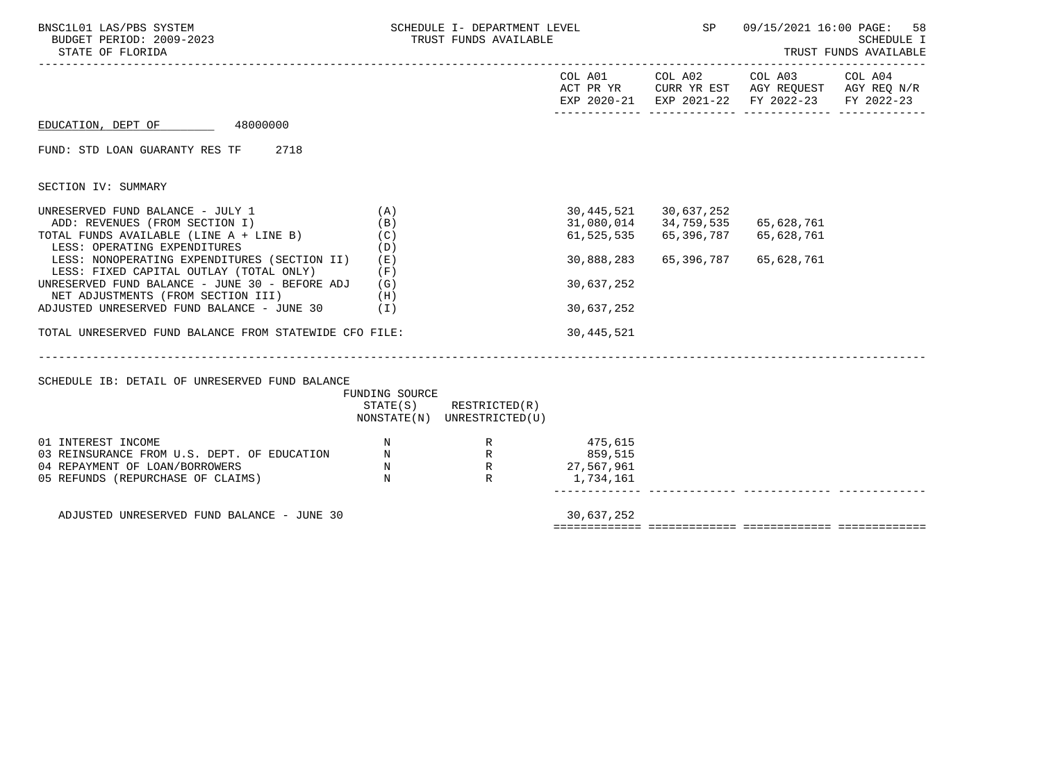| BNSC1L01 LAS/PBS SYSTEM<br>BUDGET PERIOD: 2009-2023<br>STATE OF FLORIDA                                                                                                                              |                                                         | SCHEDULE I- DEPARTMENT LEVEL SP<br>TRUST FUNDS AVAILABLE                                           |                          |                                                                                       | 09/15/2021 16:00 PAGE:                                                                                                            | 58<br>SCHEDULE I<br>TRUST FUNDS AVAILABLE |
|------------------------------------------------------------------------------------------------------------------------------------------------------------------------------------------------------|---------------------------------------------------------|----------------------------------------------------------------------------------------------------|--------------------------|---------------------------------------------------------------------------------------|-----------------------------------------------------------------------------------------------------------------------------------|-------------------------------------------|
|                                                                                                                                                                                                      |                                                         |                                                                                                    |                          |                                                                                       | COL A01 COL A02 COL A03 COL A04<br>ACT PR YR CURR YR EST AGY REQUEST AGY REQ N/R<br>EXP 2020-21 EXP 2021-22 FY 2022-23 FY 2022-23 |                                           |
| EDUCATION, DEPT OF 48000000                                                                                                                                                                          |                                                         |                                                                                                    |                          |                                                                                       |                                                                                                                                   |                                           |
| FUND: STD LOAN GUARANTY RES TF 2718                                                                                                                                                                  |                                                         |                                                                                                    |                          |                                                                                       |                                                                                                                                   |                                           |
| SECTION IV: SUMMARY                                                                                                                                                                                  |                                                         |                                                                                                    |                          |                                                                                       |                                                                                                                                   |                                           |
| UNRESERVED FUND BALANCE - JULY 1<br>ADD: REVENUES (FROM SECTION I)<br>TOTAL FUNDS AVAILABLE (LINE $A + LINE B$ ) (C)<br>LESS: OPERATING EXPENDITURES<br>LESS: NONOPERATING EXPENDITURES (SECTION II) | (A)<br>(B)<br>(D)<br>(E)                                |                                                                                                    | 61,525,535<br>30,888,283 | 30,445,521 30,637,252<br>31,080,014 34,759,535<br>65,396,787 65,628,761<br>65,396,787 | 65,628,761<br>65,628,761                                                                                                          |                                           |
| LESS: FIXED CAPITAL OUTLAY (TOTAL ONLY)<br>UNRESERVED FUND BALANCE - JUNE 30 - BEFORE ADJ<br>NET ADJUSTMENTS (FROM SECTION III)<br>ADJUSTED UNRESERVED FUND BALANCE - JUNE 30 (I)                    | (F)<br>(G)<br>(H)                                       |                                                                                                    | 30,637,252<br>30,637,252 |                                                                                       |                                                                                                                                   |                                           |
| TOTAL UNRESERVED FUND BALANCE FROM STATEWIDE CFO FILE:                                                                                                                                               |                                                         |                                                                                                    | 30,445,521               |                                                                                       |                                                                                                                                   |                                           |
| SCHEDULE IB: DETAIL OF UNRESERVED FUND BALANCE                                                                                                                                                       | FUNDING SOURCE                                          | $STATE(S)$ RESTRICTED $(R)$<br>NONSTATE(N) UNRESTRICTED(U)                                         |                          |                                                                                       |                                                                                                                                   |                                           |
| 01 INTEREST INCOME<br>03 REINSURANCE FROM U.S. DEPT. OF EDUCATION N<br>04 REPAYMENT OF LOAN/BORROWERS<br>05 REFUNDS (REPURCHASE OF CLAIMS)                                                           | $\begin{array}{c} \mathbf{N} \\ \mathbf{N} \end{array}$ | N<br>R 475,615<br>EDUCATION<br>N R R 475,615<br>859,515<br>R R 859,515<br>R<br>R<br>R<br>1,734,161 | 1,734,161                |                                                                                       |                                                                                                                                   |                                           |
| ADJUSTED UNRESERVED FUND BALANCE - JUNE 30                                                                                                                                                           |                                                         |                                                                                                    | 30,637,252               |                                                                                       |                                                                                                                                   |                                           |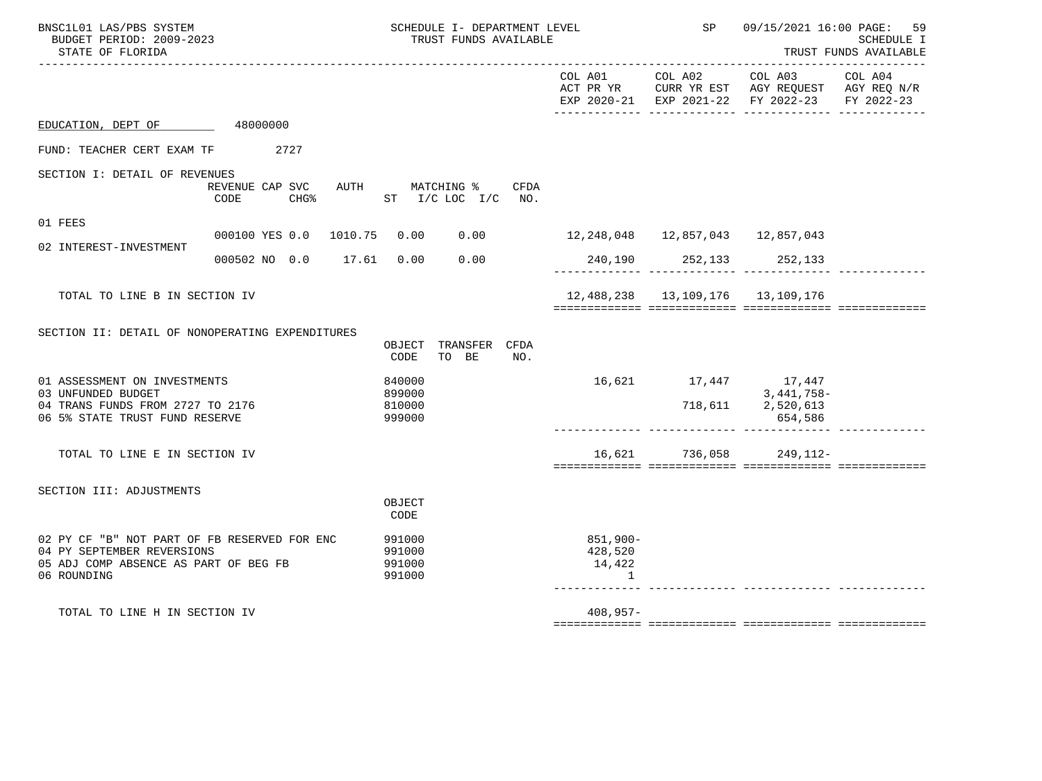| BNSC1L01 LAS/PBS SYSTEM<br>BUDGET PERIOD: 2009-2023<br>STATE OF FLORIDA                                                            |                                                                   |                                      | SCHEDULE I- DEPARTMENT LEVEL<br>TRUST FUNDS AVAILABLE |                                           | SP                                   | 09/15/2021 16:00 PAGE:<br>59<br><b>SCHEDULE I</b><br>TRUST FUNDS AVAILABLE                                     |                       |  |
|------------------------------------------------------------------------------------------------------------------------------------|-------------------------------------------------------------------|--------------------------------------|-------------------------------------------------------|-------------------------------------------|--------------------------------------|----------------------------------------------------------------------------------------------------------------|-----------------------|--|
|                                                                                                                                    |                                                                   |                                      |                                                       |                                           |                                      | COL A01 COL A02 COL A03<br>ACT PR YR CURR YR EST AGY REQUEST AGY REQ N/R<br>EXP 2020-21 EXP 2021-22 FY 2022-23 | COL A04<br>FY 2022-23 |  |
| EDUCATION, DEPT OF 48000000                                                                                                        |                                                                   |                                      |                                                       |                                           |                                      |                                                                                                                |                       |  |
| FUND: TEACHER CERT EXAM TF 2727                                                                                                    |                                                                   |                                      |                                                       |                                           |                                      |                                                                                                                |                       |  |
| SECTION I: DETAIL OF REVENUES                                                                                                      | REVENUE CAP SVC AUTH MATCHING % CFDA<br>CODE                      |                                      | CHG <sup>&amp;</sup> ST I/C LOC I/C NO.               |                                           |                                      |                                                                                                                |                       |  |
| 01 FEES                                                                                                                            | 000100 YES 0.0 1010.75 0.00 0.00 12,248,048 12,857,043 12,857,043 |                                      |                                                       |                                           |                                      |                                                                                                                |                       |  |
| 02 INTEREST-INVESTMENT                                                                                                             | 000502 NO 0.0 17.61 0.00 0.00                                     |                                      |                                                       | $240,190$ $252,133$ $252,133$             |                                      |                                                                                                                |                       |  |
| TOTAL TO LINE B IN SECTION IV                                                                                                      |                                                                   |                                      |                                                       |                                           | 12,488,238   13,109,176   13,109,176 |                                                                                                                |                       |  |
| SECTION II: DETAIL OF NONOPERATING EXPENDITURES                                                                                    |                                                                   | CODE                                 | OBJECT TRANSFER CFDA<br>TO BE<br>NO.                  |                                           |                                      |                                                                                                                |                       |  |
| 01 ASSESSMENT ON INVESTMENTS<br>03 UNFUNDED BUDGET<br>04 TRANS FUNDS FROM 2727 TO 2176<br>06 5% STATE TRUST FUND RESERVE           |                                                                   | 840000<br>899000<br>810000<br>999000 |                                                       |                                           |                                      | $16,621$ $17,447$ $17,447$<br>3,441,758-<br>718,611 2,520,613<br>654,586                                       |                       |  |
| TOTAL TO LINE E IN SECTION IV                                                                                                      |                                                                   |                                      |                                                       |                                           |                                      | 16,621 736,058 249,112-                                                                                        |                       |  |
| SECTION III: ADJUSTMENTS                                                                                                           |                                                                   | OBJECT<br>CODE                       |                                                       |                                           |                                      |                                                                                                                |                       |  |
| 02 PY CF "B" NOT PART OF FB RESERVED FOR ENC<br>04 PY SEPTEMBER REVERSIONS<br>05 ADJ COMP ABSENCE AS PART OF BEG FB<br>06 ROUNDING |                                                                   | 991000<br>991000<br>991000<br>991000 |                                                       | 851,900-<br>428,520<br>14,422<br>$\sim$ 1 |                                      |                                                                                                                |                       |  |
| TOTAL TO LINE H IN SECTION IV                                                                                                      |                                                                   |                                      |                                                       | $408,957-$                                |                                      |                                                                                                                |                       |  |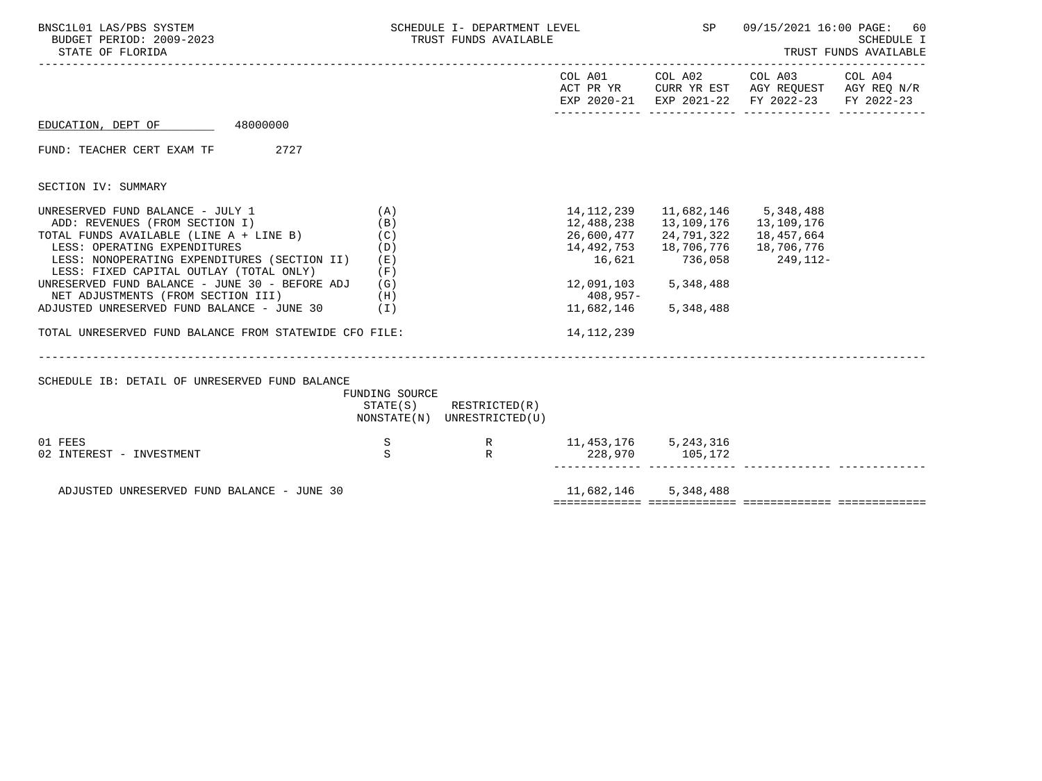| BNSC1L01 LAS/PBS SYSTEM<br>BUDGET PERIOD: 2009-2023<br>STATE OF FLORIDA                                                                                                                                                                                                                                                                                                                                                                            |                                               | SCHEDULE I- DEPARTMENT LEVEL THE SP<br>TRUST FUNDS AVAILABLE |                                                                                                                  |                                                                                                                 | 09/15/2021 16:00 PAGE:<br>60<br><b>SCHEDULE I</b><br>TRUST FUNDS AVAILABLE                                             |            |  |
|----------------------------------------------------------------------------------------------------------------------------------------------------------------------------------------------------------------------------------------------------------------------------------------------------------------------------------------------------------------------------------------------------------------------------------------------------|-----------------------------------------------|--------------------------------------------------------------|------------------------------------------------------------------------------------------------------------------|-----------------------------------------------------------------------------------------------------------------|------------------------------------------------------------------------------------------------------------------------|------------|--|
| . <u>.</u>                                                                                                                                                                                                                                                                                                                                                                                                                                         |                                               |                                                              |                                                                                                                  |                                                                                                                 | COL A01 COL A02 COL A03 COL A04<br>ACT PR YR CURR YR EST AGY REQUEST AGY REQ N/R<br>EXP 2020-21 EXP 2021-22 FY 2022-23 | FY 2022-23 |  |
| 48000000<br>EDUCATION, DEPT OF                                                                                                                                                                                                                                                                                                                                                                                                                     |                                               |                                                              |                                                                                                                  |                                                                                                                 |                                                                                                                        |            |  |
| 2727<br>FUND: TEACHER CERT EXAM TF                                                                                                                                                                                                                                                                                                                                                                                                                 |                                               |                                                              |                                                                                                                  |                                                                                                                 |                                                                                                                        |            |  |
| SECTION IV: SUMMARY                                                                                                                                                                                                                                                                                                                                                                                                                                |                                               |                                                              |                                                                                                                  |                                                                                                                 |                                                                                                                        |            |  |
| UNRESERVED FUND BALANCE - JULY 1<br>ADD: REVENUES (FROM SECTION I)<br>TOTAL FUNDS AVAILABLE (LINE A + LINE B)<br>LESS: OPERATING EXPENDITURES<br>LESS: NONOPERATING EXPENDITURES (SECTION II)<br>LESS: FIXED CAPITAL OUTLAY (TOTAL ONLY)<br>UNRESERVED FUND BALANCE - JUNE 30 - BEFORE ADJ $(G)$<br>NET ADJUSTMENTS (FROM SECTION III)<br>ADJUSTED UNRESERVED FUND BALANCE - JUNE 30 (I)<br>TOTAL UNRESERVED FUND BALANCE FROM STATEWIDE CFO FILE: | (A)<br>(B)<br>(C)<br>(D)<br>(E)<br>(F)<br>(H) |                                                              | 12,488,238   13,109,176   13,109,176<br>14,492,753<br>16,621<br>12,091,103 5,348,488<br>$408,957-$<br>14,112,239 | 14, 112, 239 11, 682, 146 5, 348, 488<br>26,600,477 24,791,322<br>18,706,776<br>736,058<br>11,682,146 5,348,488 | 18,457,664<br>18,706,776<br>249,112-                                                                                   |            |  |
| SCHEDULE IB: DETAIL OF UNRESERVED FUND BALANCE                                                                                                                                                                                                                                                                                                                                                                                                     | FUNDING SOURCE                                | $STATE(S)$ RESTRICTED $(R)$<br>NONSTATE(N) UNRESTRICTED(U)   |                                                                                                                  |                                                                                                                 |                                                                                                                        |            |  |
| 01 FEES<br>02 INTEREST - INVESTMENT                                                                                                                                                                                                                                                                                                                                                                                                                | S<br><sub>S</sub>                             | R                                                            | R 11,453,176 5,243,316<br>228,970 105,172                                                                        |                                                                                                                 |                                                                                                                        |            |  |
| ADJUSTED UNRESERVED FUND BALANCE - JUNE 30                                                                                                                                                                                                                                                                                                                                                                                                         |                                               |                                                              | 11,682,146 5,348,488                                                                                             |                                                                                                                 |                                                                                                                        |            |  |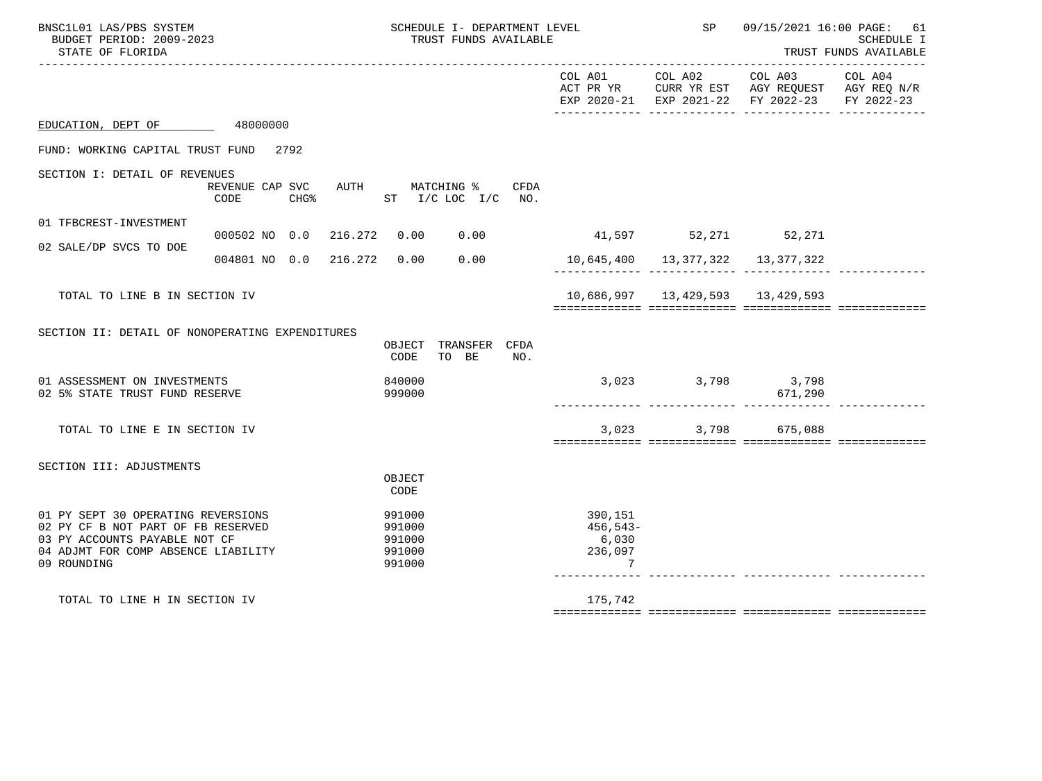| BNSC1L01 LAS/PBS SYSTEM<br>BUDGET PERIOD: 2009-2023<br>STATE OF FLORIDA                                                                                         | SCHEDULE I- DEPARTMENT LEVEL<br>TRUST FUNDS AVAILABLE |                                                |                               | SP  | 09/15/2021 16:00 PAGE: 61<br><b>SCHEDULE I</b><br>TRUST FUNDS AVAILABLE |       |                                                                                                                |                       |
|-----------------------------------------------------------------------------------------------------------------------------------------------------------------|-------------------------------------------------------|------------------------------------------------|-------------------------------|-----|-------------------------------------------------------------------------|-------|----------------------------------------------------------------------------------------------------------------|-----------------------|
|                                                                                                                                                                 |                                                       |                                                |                               |     |                                                                         |       | COL A01 COL A02 COL A03<br>ACT PR YR CURR YR EST AGY REQUEST AGY REQ N/R<br>EXP 2020-21 EXP 2021-22 FY 2022-23 | COL A04<br>FY 2022-23 |
| EDUCATION, DEPT OF 48000000                                                                                                                                     |                                                       |                                                |                               |     |                                                                         |       |                                                                                                                |                       |
| FUND: WORKING CAPITAL TRUST FUND 2792                                                                                                                           |                                                       |                                                |                               |     |                                                                         |       |                                                                                                                |                       |
| SECTION I: DETAIL OF REVENUES                                                                                                                                   | REVENUE CAP SVC AUTH MATCHING % CFDA<br>CODE          | CHG% ST I/C LOC I/C NO.                        |                               |     |                                                                         |       |                                                                                                                |                       |
| 01 TFBCREST-INVESTMENT                                                                                                                                          | 000502 NO 0.0 216.272 0.00 0.00                       |                                                |                               |     | 41,597 52,271 52,271                                                    |       |                                                                                                                |                       |
| 02 SALE/DP SVCS TO DOE                                                                                                                                          | 004801 NO 0.0 216.272 0.00 0.00                       |                                                |                               |     | 10,645,400   13,377,322   13,377,322                                    |       |                                                                                                                |                       |
| TOTAL TO LINE B IN SECTION IV                                                                                                                                   |                                                       |                                                |                               |     |                                                                         |       |                                                                                                                |                       |
| SECTION II: DETAIL OF NONOPERATING EXPENDITURES                                                                                                                 |                                                       | CODE                                           | OBJECT TRANSFER CFDA<br>TO BE | NO. |                                                                         |       |                                                                                                                |                       |
| 01 ASSESSMENT ON INVESTMENTS<br>02 5% STATE TRUST FUND RESERVE                                                                                                  |                                                       | 840000<br>999000                               |                               |     |                                                                         |       | 3,023 3,798 3,798<br>671,290                                                                                   |                       |
| TOTAL TO LINE E IN SECTION IV                                                                                                                                   |                                                       |                                                |                               |     |                                                                         | 3,023 | 3,798 675,088                                                                                                  |                       |
| SECTION III: ADJUSTMENTS                                                                                                                                        |                                                       | OBJECT<br>CODE                                 |                               |     |                                                                         |       |                                                                                                                |                       |
| 01 PY SEPT 30 OPERATING REVERSIONS<br>02 PY CF B NOT PART OF FB RESERVED<br>03 PY ACCOUNTS PAYABLE NOT CF<br>04 ADJMT FOR COMP ABSENCE LIABILITY<br>09 ROUNDING |                                                       | 991000<br>991000<br>991000<br>991000<br>991000 |                               |     | 390,151<br>456,543-<br>6,030<br>236,097<br>7                            |       |                                                                                                                |                       |
| TOTAL TO LINE H IN SECTION IV                                                                                                                                   |                                                       |                                                |                               |     | 175,742                                                                 |       |                                                                                                                |                       |